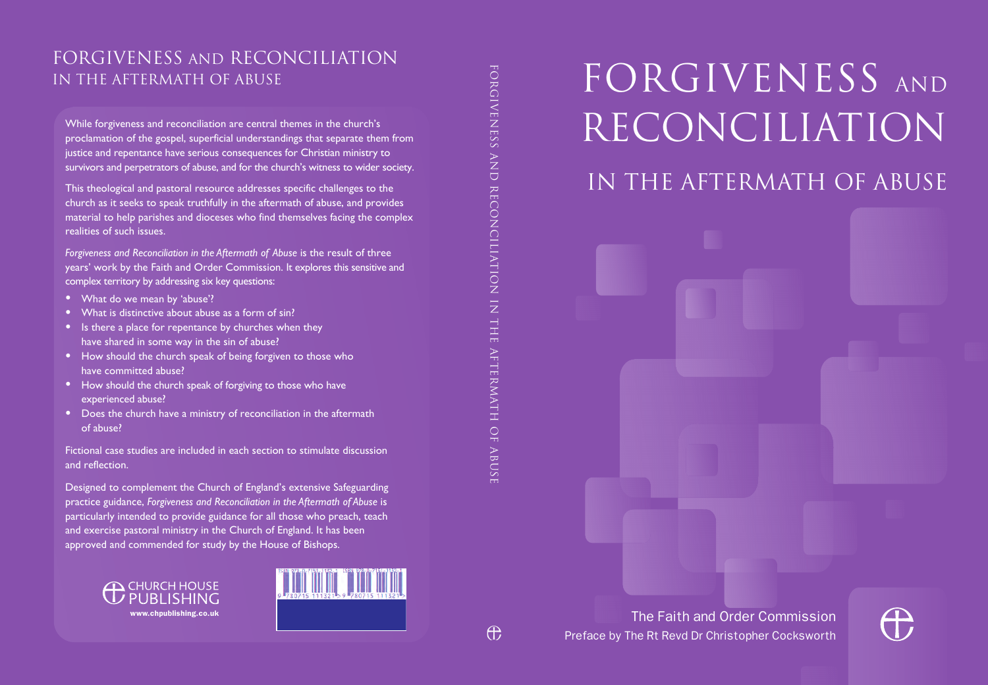# FORGIVENESS AND RECONCILIATION IN THE AFTERMATH OF ABUSE

The Faith and Order Commission Preface by The Rt Revd Dr Christopher Cocksworth

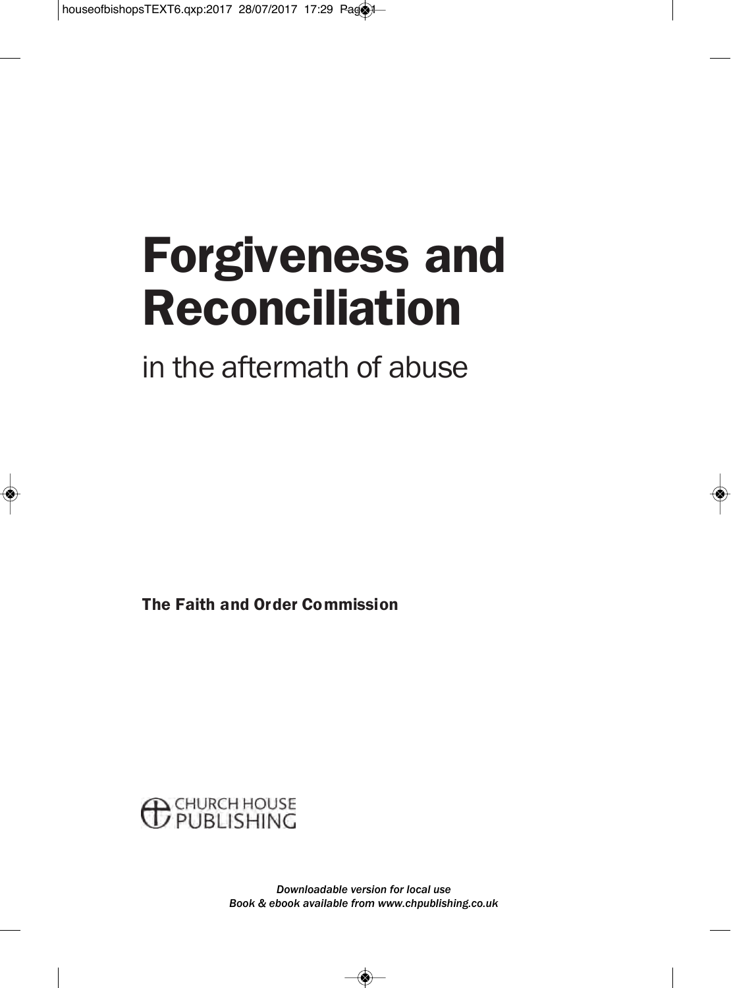## Forgiveness and Reconciliation

in the aftermath of abuse

The Faith and Order Commission



*Downloadable version for local use Book & ebook available from www.chpublishing.co.uk*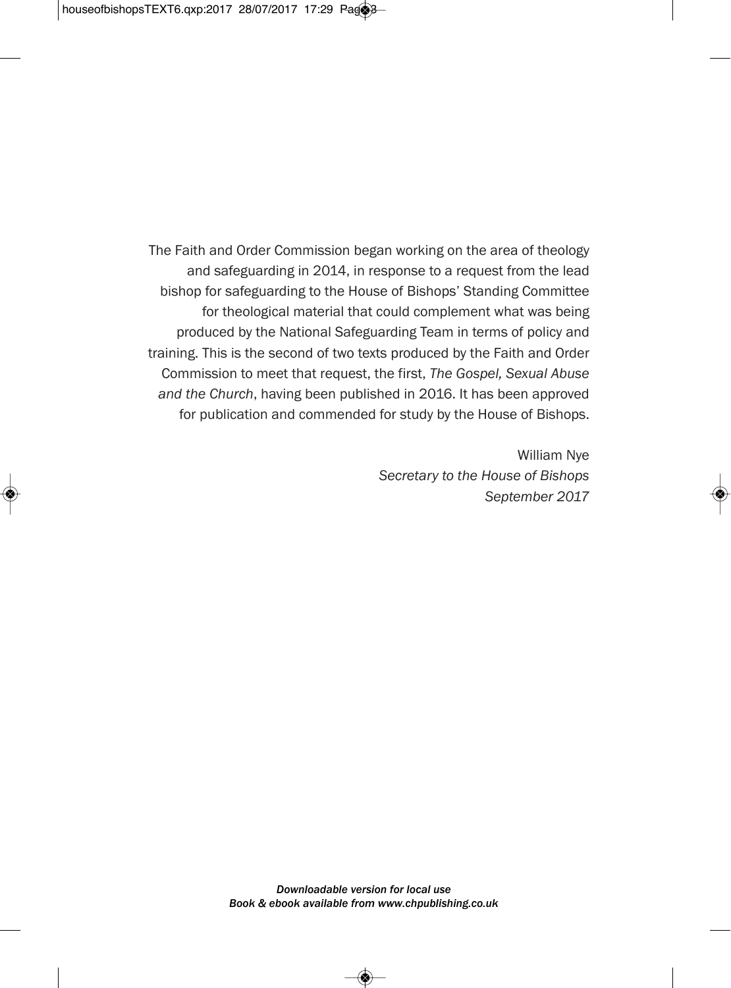The Faith and Order Commission began working on the area of theology and safeguarding in 2014, in response to a request from the lead bishop for safeguarding to the House of Bishops' Standing Committee for theological material that could complement what was being produced by the National Safeguarding Team in terms of policy and training. This is the second of two texts produced by the Faith and Order Commission to meet that request, the first, *The Gospel, Sexual Abuse and the Church*, having been published in 2016. It has been approved for publication and commended for study by the House of Bishops.

> William Nye *Secretary to the House of Bishops September 2017*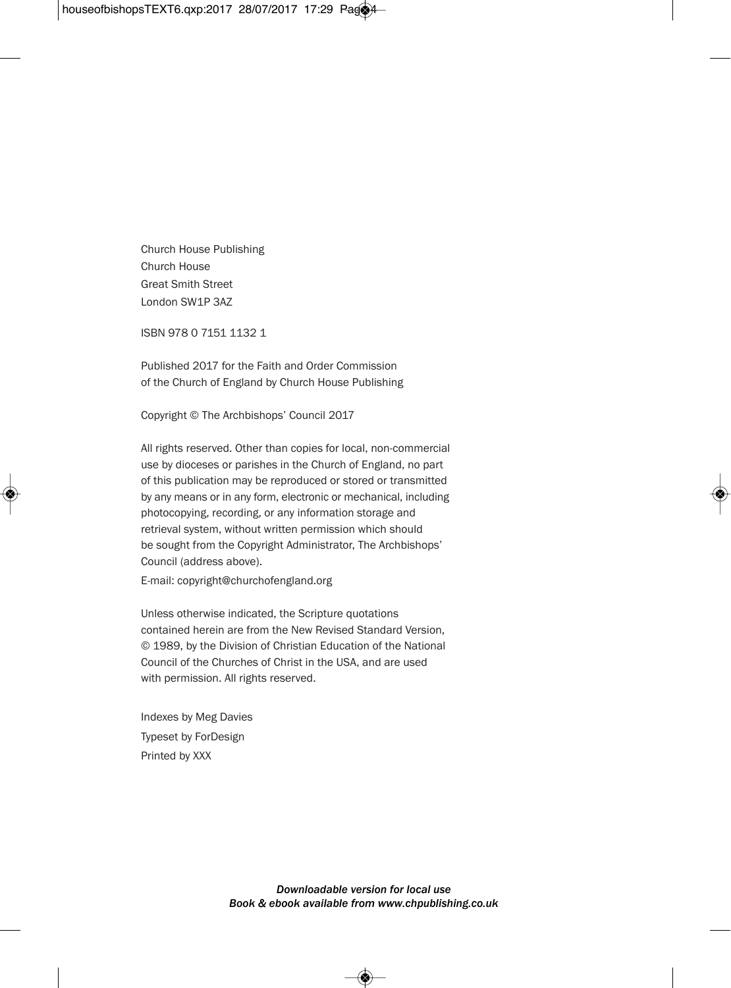[Church House Publishing](https://www.chpublishing.co.uk/) Church House Great Smith Street London SW1P 3AZ

ISBN 978 0 7151 1132 1

Published 2017 for the Faith and Order Commission of the Church of England by Church House Publishing

Copyright © The Archbishops' Council 2017

All rights reserved. Other than copies for local, non-commercial use by dioceses or parishes in the Church of England, no part of this publication may be reproduced or stored or transmitted by any means or in any form, electronic or mechanical, including photocopying, recording, or any information storage and retrieval system, without written permission which should be sought from the Copyright Administrator, The Archbishops' Council (address above).

E-mail: copyright@churchofengland.org

Unless otherwise indicated, the Scripture quotations contained herein are from the New Revised Standard Version, © 1989, by the Division of Christian Education of the National Council of the Churches of Christ in the USA, and are used with permission. All rights reserved.

Indexes by Meg Davies Typeset by ForDesign Printed by XXX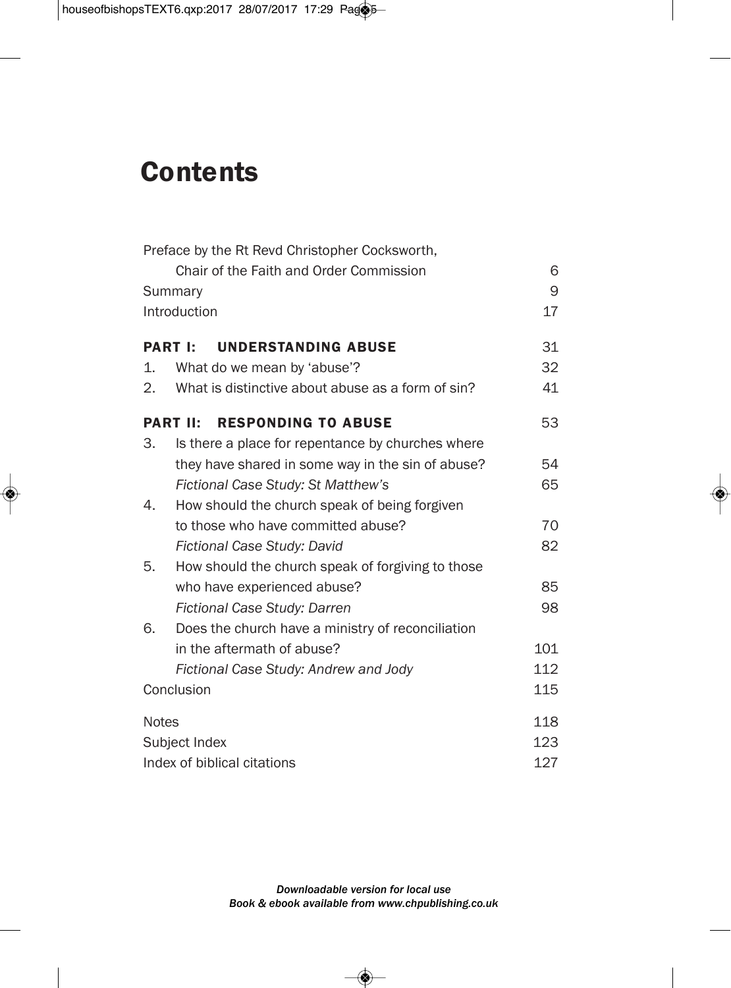## **Contents**

|                             | Preface by the Rt Revd Christopher Cocksworth,    |         |
|-----------------------------|---------------------------------------------------|---------|
|                             | Chair of the Faith and Order Commission           | 6       |
| Summary                     |                                                   | 9<br>17 |
| Introduction                |                                                   |         |
|                             | <b>UNDERSTANDING ABUSE</b><br><b>PART I:</b>      | 31      |
| 1.                          | What do we mean by 'abuse'?                       | 32      |
| 2.                          | What is distinctive about abuse as a form of sin? | 41      |
|                             | <b>RESPONDING TO ABUSE</b><br><b>PART II:</b>     | 53      |
| 3.                          | Is there a place for repentance by churches where |         |
|                             | they have shared in some way in the sin of abuse? | 54      |
|                             | Fictional Case Study: St Matthew's                | 65      |
| 4.                          | How should the church speak of being forgiven     |         |
|                             | to those who have committed abuse?                | 70      |
|                             | Fictional Case Study: David                       | 82      |
| 5.                          | How should the church speak of forgiving to those |         |
|                             | who have experienced abuse?                       | 85      |
|                             | Fictional Case Study: Darren                      | 98      |
| 6.                          | Does the church have a ministry of reconciliation |         |
|                             | in the aftermath of abuse?                        | 101     |
|                             | Fictional Case Study: Andrew and Jody             | 112     |
| Conclusion                  |                                                   | 115     |
| <b>Notes</b>                |                                                   | 118     |
| Subject Index               |                                                   | 123     |
| Index of biblical citations |                                                   | 127     |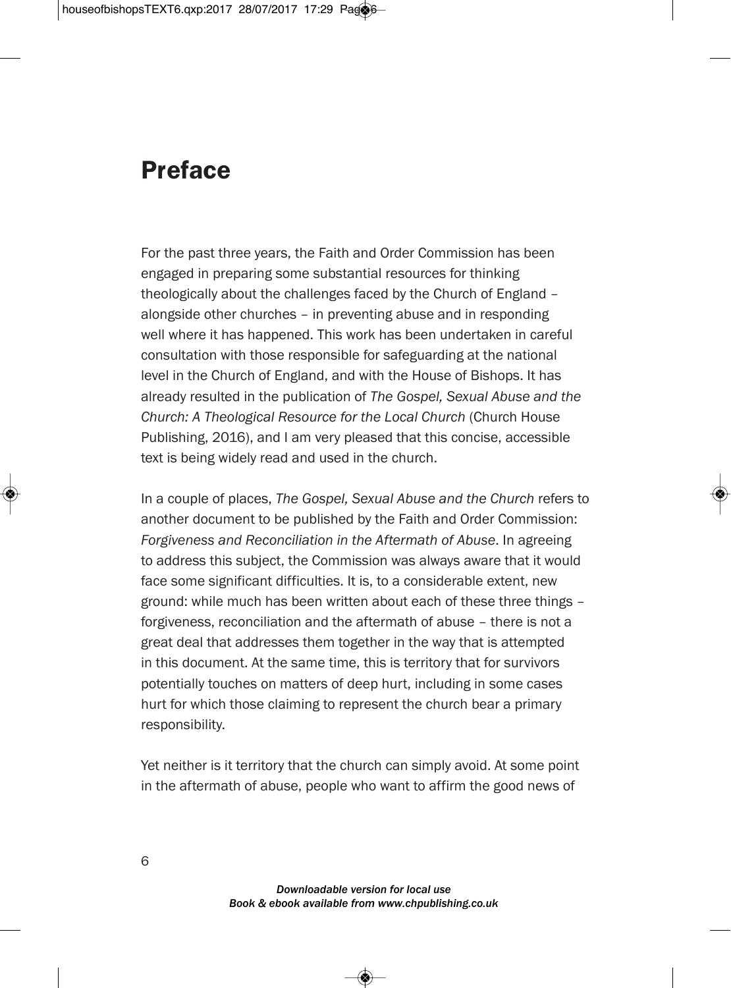#### Preface

For the past three years, the Faith and Order Commission has been engaged in preparing some substantial resources for thinking theologically about the challenges faced by the Church of England – alongside other churches – in preventing abuse and in responding well where it has happened. This work has been undertaken in careful consultation with those responsible for safeguarding at the national level in the Church of England, and with the House of Bishops. It has already resulted in the publication of *The Gospel, Sexual Abuse and the Church: A Theological Resource for the Local Church* (Church House Publishing, 2016), and I am very pleased that this concise, accessible text is being widely read and used in the church.

In a couple of places, *The Gospel, Sexual Abuse and the Church* refers to another document to be published by the Faith and Order Commission: *Forgiveness and Reconciliation in the Aftermath of Abuse*. In agreeing to address this subject, the Commission was always aware that it would face some significant difficulties. It is, to a considerable extent, new ground: while much has been written about each of these three things – forgiveness, reconciliation and the aftermath of abuse – there is not a great deal that addresses them together in the way that is attempted in this document. At the same time, this is territory that for survivors potentially touches on matters of deep hurt, including in some cases hurt for which those claiming to represent the church bear a primary responsibility.

Yet neither is it territory that the church can simply avoid. At some point in the aftermath of abuse, people who want to affirm the good news of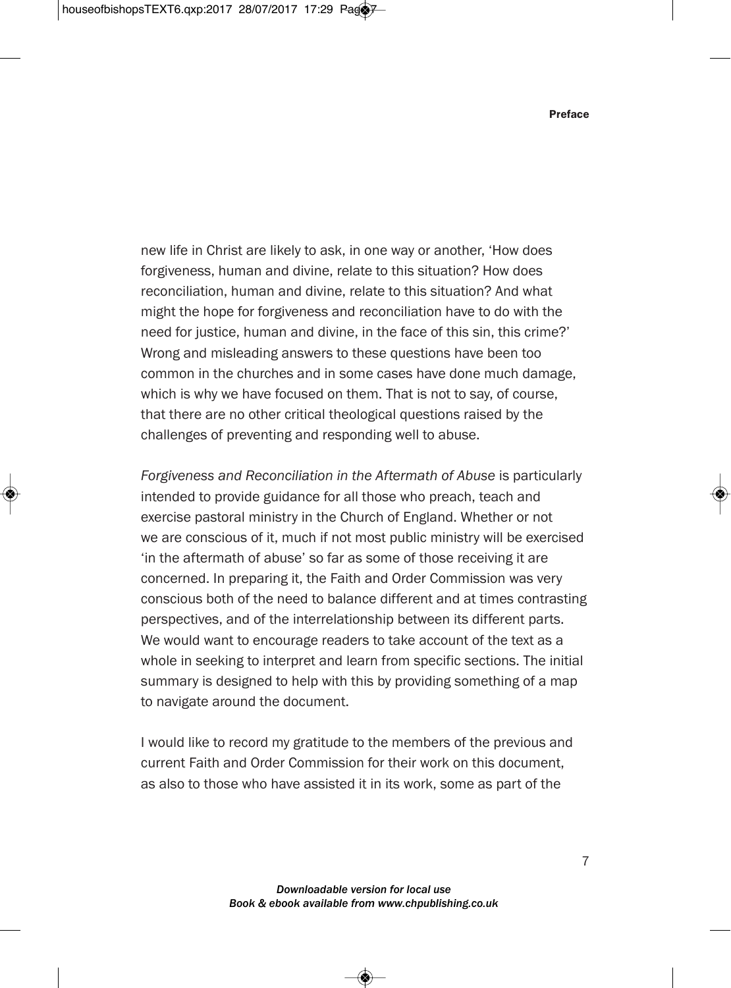new life in Christ are likely to ask, in one way or another, 'How does forgiveness, human and divine, relate to this situation? How does reconciliation, human and divine, relate to this situation? And what might the hope for forgiveness and reconciliation have to do with the need for justice, human and divine, in the face of this sin, this crime?' Wrong and misleading answers to these questions have been too common in the churches and in some cases have done much damage, which is why we have focused on them. That is not to say, of course, that there are no other critical theological questions raised by the challenges of preventing and responding well to abuse.

*Forgiveness and Reconciliation in the Aftermath of Abuse* is particularly intended to provide guidance for all those who preach, teach and exercise pastoral ministry in the Church of England. Whether or not we are conscious of it, much if not most public ministry will be exercised 'in the aftermath of abuse' so far as some of those receiving it are concerned. In preparing it, the Faith and Order Commission was very conscious both of the need to balance different and at times contrasting perspectives, and of the interrelationship between its different parts. We would want to encourage readers to take account of the text as a whole in seeking to interpret and learn from specific sections. The initial summary is designed to help with this by providing something of a map to navigate around the document.

I would like to record my gratitude to the members of the previous and current Faith and Order Commission for their work on this document, as also to those who have assisted it in its work, some as part of the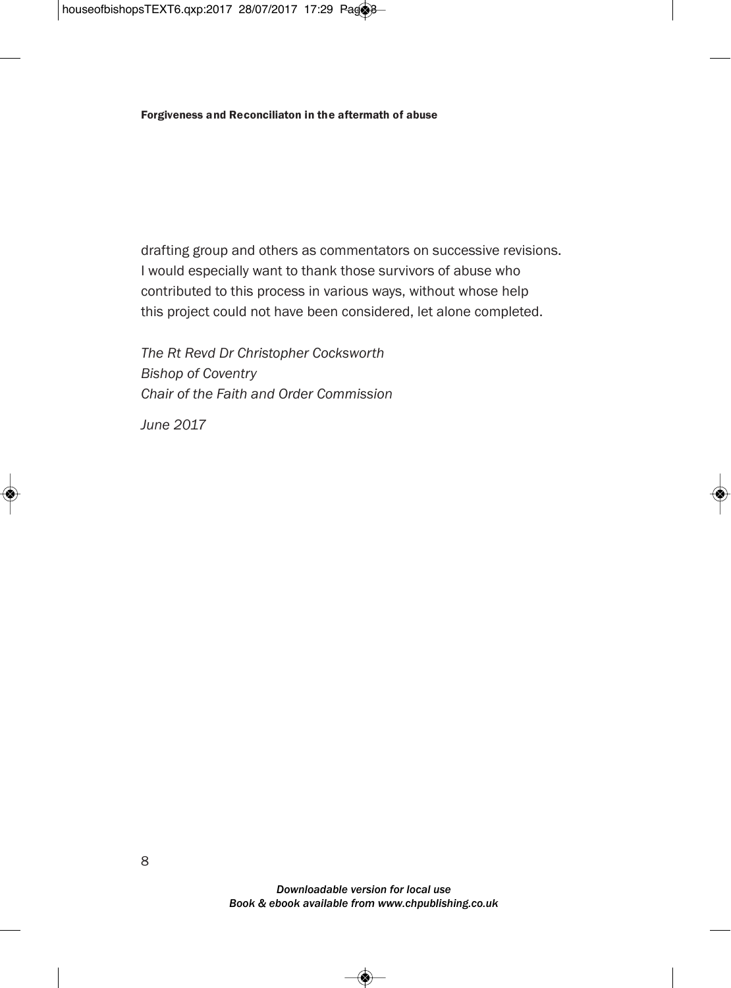drafting group and others as commentators on successive revisions. I would especially want to thank those survivors of abuse who contributed to this process in various ways, without whose help this project could not have been considered, let alone completed.

*The Rt Revd Dr Christopher Cocksworth Bishop of Coventry Chair of the Faith and Order Commission*

*June 2017*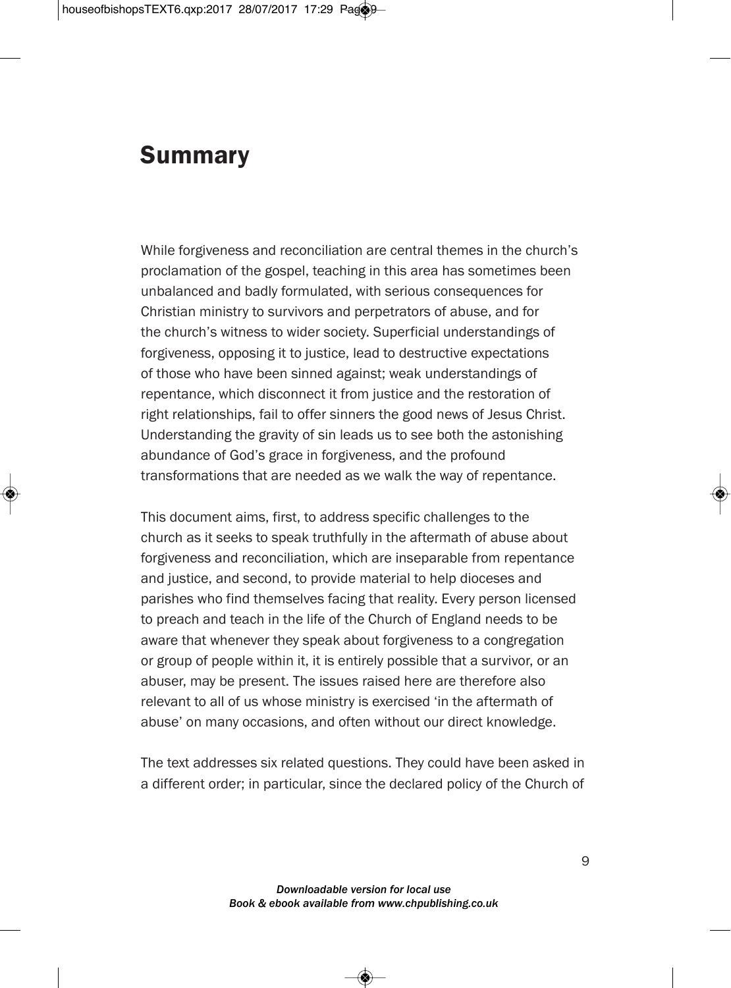#### Summary

While forgiveness and reconciliation are central themes in the church's proclamation of the gospel, teaching in this area has sometimes been unbalanced and badly formulated, with serious consequences for Christian ministry to survivors and perpetrators of abuse, and for the church's witness to wider society. Superficial understandings of forgiveness, opposing it to justice, lead to destructive expectations of those who have been sinned against; weak understandings of repentance, which disconnect it from justice and the restoration of right relationships, fail to offer sinners the good news of Jesus Christ. Understanding the gravity of sin leads us to see both the astonishing abundance of God's grace in forgiveness, and the profound transformations that are needed as we walk the way of repentance.

This document aims, first, to address specific challenges to the church as it seeks to speak truthfully in the aftermath of abuse about forgiveness and reconciliation, which are inseparable from repentance and justice, and second, to provide material to help dioceses and parishes who find themselves facing that reality. Every person licensed to preach and teach in the life of the Church of England needs to be aware that whenever they speak about forgiveness to a congregation or group of people within it, it is entirely possible that a survivor, or an abuser, may be present. The issues raised here are therefore also relevant to all of us whose ministry is exercised 'in the aftermath of abuse' on many occasions, and often without our direct knowledge.

The text addresses six related questions. They could have been asked in a different order; in particular, since the declared policy of the Church of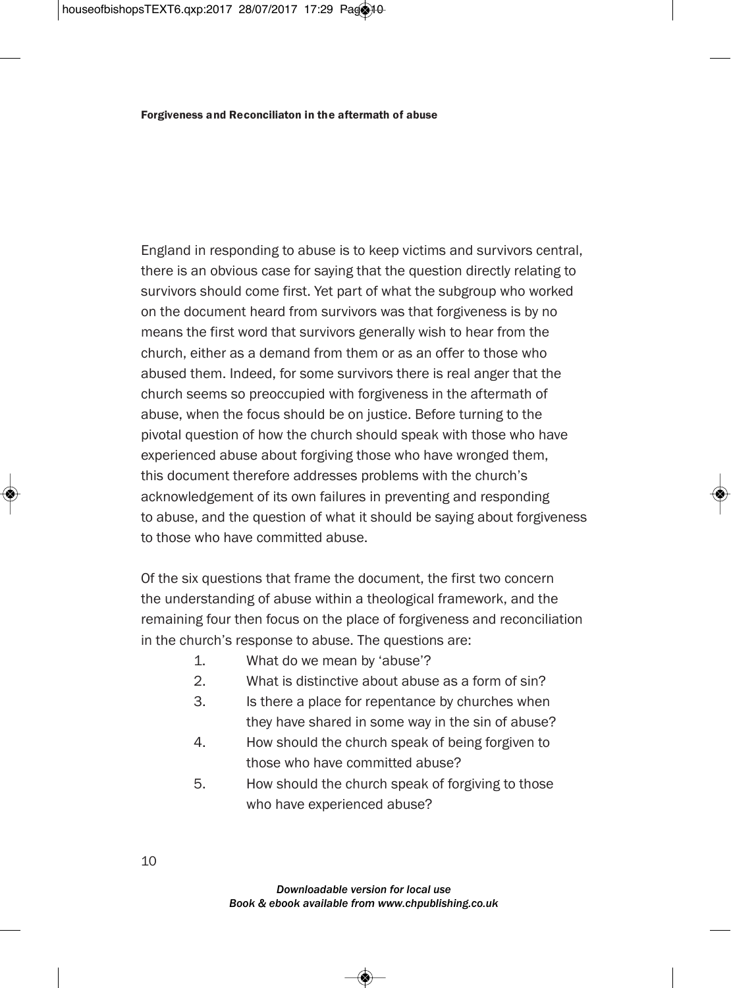England in responding to abuse is to keep victims and survivors central, there is an obvious case for saying that the question directly relating to survivors should come first. Yet part of what the subgroup who worked on the document heard from survivors was that forgiveness is by no means the first word that survivors generally wish to hear from the church, either as a demand from them or as an offer to those who abused them. Indeed, for some survivors there is real anger that the church seems so preoccupied with forgiveness in the aftermath of abuse, when the focus should be on justice. Before turning to the pivotal question of how the church should speak with those who have experienced abuse about forgiving those who have wronged them, this document therefore addresses problems with the church's acknowledgement of its own failures in preventing and responding to abuse, and the question of what it should be saying about forgiveness to those who have committed abuse.

Of the six questions that frame the document, the first two concern the understanding of abuse within a theological framework, and the remaining four then focus on the place of forgiveness and reconciliation in the church's response to abuse. The questions are:

- 1. What do we mean by 'abuse'?
- 2. What is distinctive about abuse as a form of sin?
- 3. Is there a place for repentance by churches when they have shared in some way in the sin of abuse?
- 4. How should the church speak of being forgiven to those who have committed abuse?
- 5. How should the church speak of forgiving to those who have experienced abuse?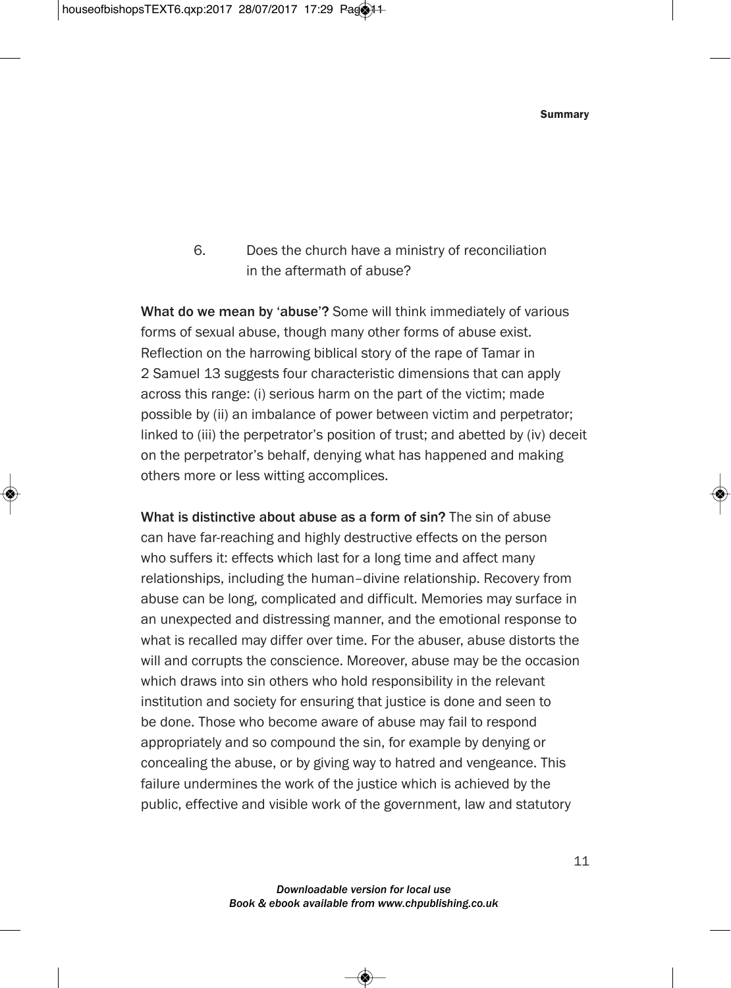#### 6. Does the church have a ministry of reconciliation in the aftermath of abuse?

What do we mean by 'abuse'? Some will think immediately of various forms of sexual abuse, though many other forms of abuse exist. Reflection on the harrowing biblical story of the rape of Tamar in 2 Samuel 13 suggests four characteristic dimensions that can apply across this range: (i) serious harm on the part of the victim; made possible by (ii) an imbalance of power between victim and perpetrator; linked to (iii) the perpetrator's position of trust; and abetted by (iv) deceit on the perpetrator's behalf, denying what has happened and making others more or less witting accomplices.

What is distinctive about abuse as a form of sin? The sin of abuse can have far-reaching and highly destructive effects on the person who suffers it: effects which last for a long time and affect many relationships, including the human–divine relationship. Recovery from abuse can be long, complicated and difficult. Memories may surface in an unexpected and distressing manner, and the emotional response to what is recalled may differ over time. For the abuser, abuse distorts the will and corrupts the conscience. Moreover, abuse may be the occasion which draws into sin others who hold responsibility in the relevant institution and society for ensuring that justice is done and seen to be done. Those who become aware of abuse may fail to respond appropriately and so compound the sin, for example by denying or concealing the abuse, or by giving way to hatred and vengeance. This failure undermines the work of the justice which is achieved by the public, effective and visible work of the government, law and statutory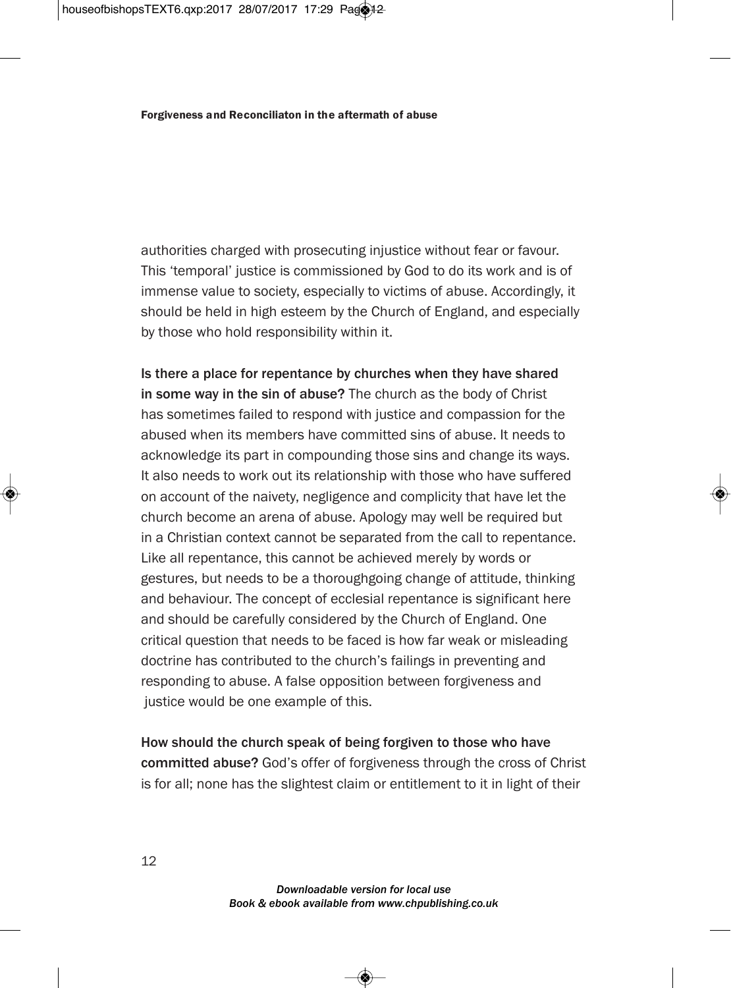authorities charged with prosecuting injustice without fear or favour. This 'temporal' justice is commissioned by God to do its work and is of immense value to society, especially to victims of abuse. Accordingly, it should be held in high esteem by the Church of England, and especially by those who hold responsibility within it.

Is there a place for repentance by churches when they have shared in some way in the sin of abuse? The church as the body of Christ has sometimes failed to respond with justice and compassion for the abused when its members have committed sins of abuse. It needs to acknowledge its part in compounding those sins and change its ways. It also needs to work out its relationship with those who have suffered on account of the naivety, negligence and complicity that have let the church become an arena of abuse. Apology may well be required but in a Christian context cannot be separated from the call to repentance. Like all repentance, this cannot be achieved merely by words or gestures, but needs to be a thoroughgoing change of attitude, thinking and behaviour. The concept of ecclesial repentance is significant here and should be carefully considered by the Church of England. One critical question that needs to be faced is how far weak or misleading doctrine has contributed to the church's failings in preventing and responding to abuse. A false opposition between forgiveness and justice would be one example of this.

How should the church speak of being forgiven to those who have committed abuse? God's offer of forgiveness through the cross of Christ is for all; none has the slightest claim or entitlement to it in light of their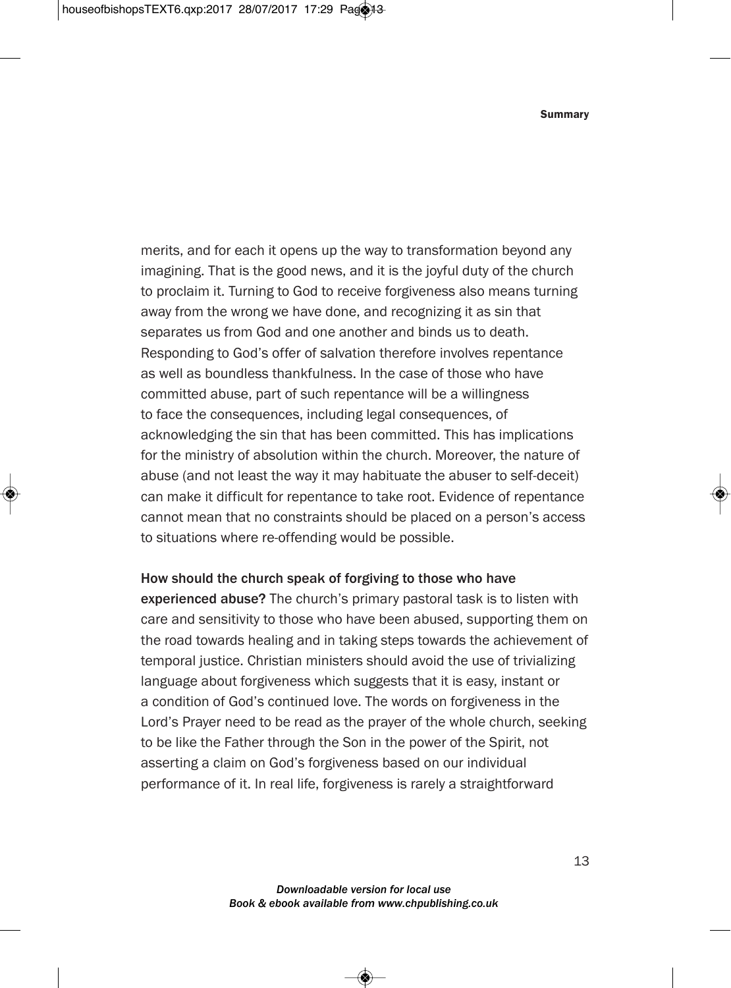merits, and for each it opens up the way to transformation beyond any imagining. That is the good news, and it is the joyful duty of the church to proclaim it. Turning to God to receive forgiveness also means turning away from the wrong we have done, and recognizing it as sin that separates us from God and one another and binds us to death. Responding to God's offer of salvation therefore involves repentance as well as boundless thankfulness. In the case of those who have committed abuse, part of such repentance will be a willingness to face the consequences, including legal consequences, of acknowledging the sin that has been committed. This has implications for the ministry of absolution within the church. Moreover, the nature of abuse (and not least the way it may habituate the abuser to self-deceit) can make it difficult for repentance to take root. Evidence of repentance cannot mean that no constraints should be placed on a person's access to situations where re-offending would be possible.

#### How should the church speak of forgiving to those who have

experienced abuse? The church's primary pastoral task is to listen with care and sensitivity to those who have been abused, supporting them on the road towards healing and in taking steps towards the achievement of temporal justice. Christian ministers should avoid the use of trivializing language about forgiveness which suggests that it is easy, instant or a condition of God's continued love. The words on forgiveness in the Lord's Prayer need to be read as the prayer of the whole church, seeking to be like the Father through the Son in the power of the Spirit, not asserting a claim on God's forgiveness based on our individual performance of it. In real life, forgiveness is rarely a straightforward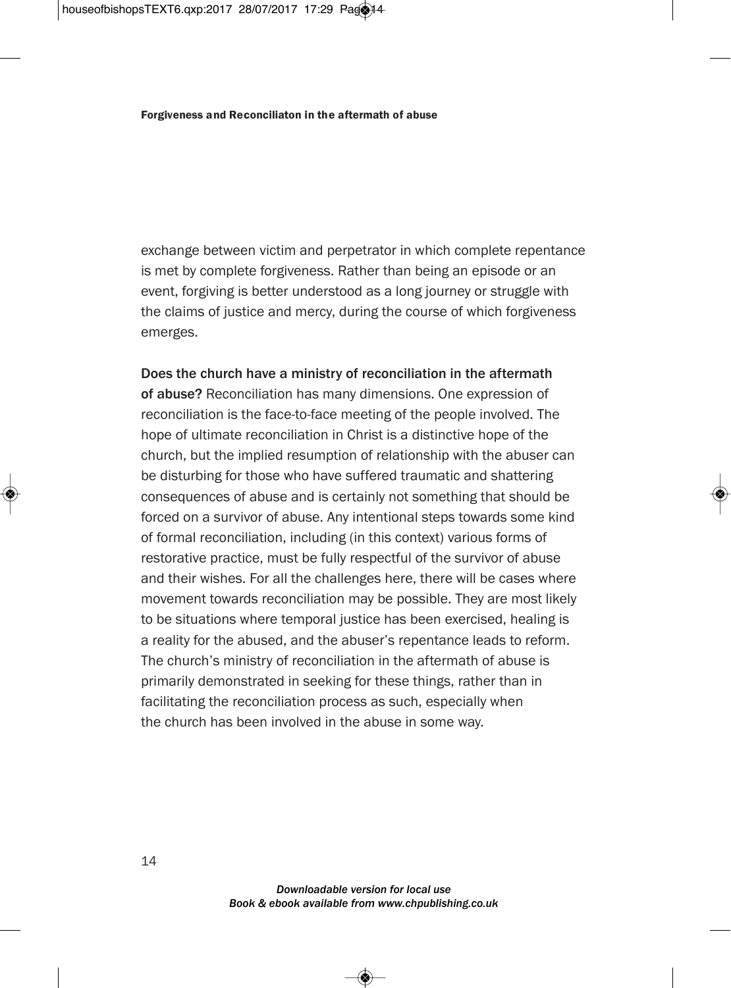exchange between victim and perpetrator in which complete repentance is met by complete forgiveness. Rather than being an episode or an event, forgiving is better understood as a long journey or struggle with the claims of justice and mercy, during the course of which forgiveness emerges.

#### Does the church have a ministry of reconciliation in the aftermath

of abuse? Reconciliation has many dimensions. One expression of reconciliation is the face-to-face meeting of the people involved. The hope of ultimate reconciliation in Christ is a distinctive hope of the church, but the implied resumption of relationship with the abuser can be disturbing for those who have suffered traumatic and shattering consequences of abuse and is certainly not something that should be forced on a survivor of abuse. Any intentional steps towards some kind of formal reconciliation, including (in this context) various forms of restorative practice, must be fully respectful of the survivor of abuse and their wishes. For all the challenges here, there will be cases where movement towards reconciliation may be possible. They are most likely to be situations where temporal justice has been exercised, healing is a reality for the abused, and the abuser's repentance leads to reform. The church's ministry of reconciliation in the aftermath of abuse is primarily demonstrated in seeking for these things, rather than in facilitating the reconciliation process as such, especially when the church has been involved in the abuse in some way.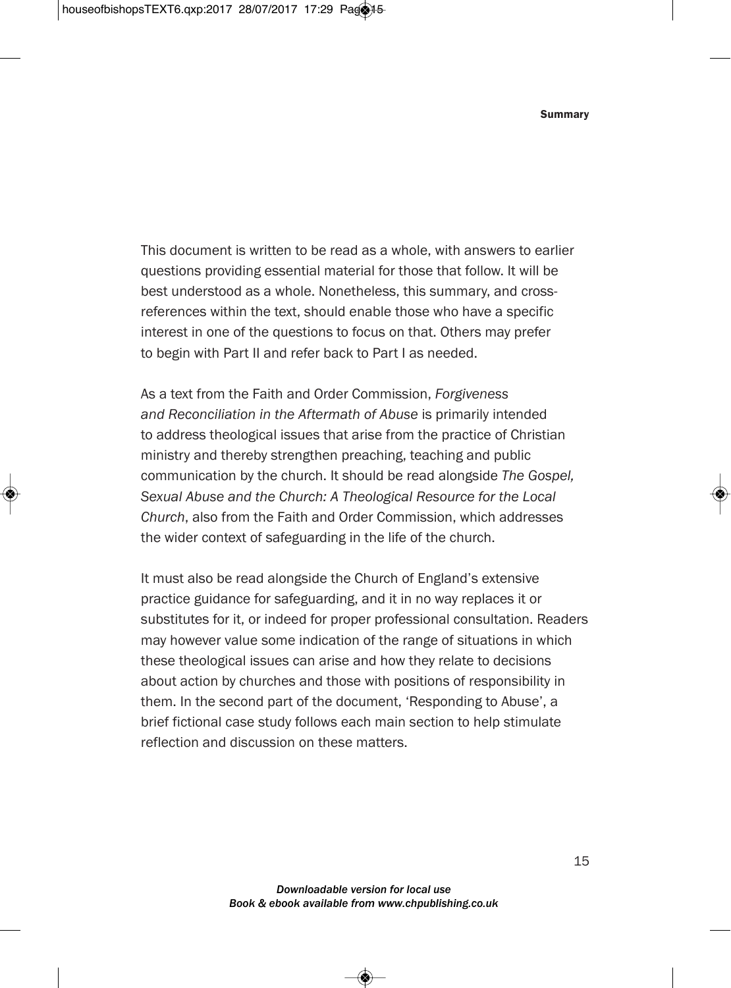This document is written to be read as a whole, with answers to earlier questions providing essential material for those that follow. It will be best understood as a whole. Nonetheless, this summary, and crossreferences within the text, should enable those who have a specific interest in one of the questions to focus on that. Others may prefer to begin with Part II and refer back to Part I as needed.

As a text from the Faith and Order Commission, *Forgiveness and Reconciliation in the Aftermath of Abuse* is primarily intended to address theological issues that arise from the practice of Christian ministry and thereby strengthen preaching, teaching and public communication by the church. It should be read alongside *The Gospel, Sexual Abuse and the Church: A Theological Resource for the Local Church*, also from the Faith and Order Commission, which addresses the wider context of safeguarding in the life of the church.

It must also be read alongside the Church of England's extensive practice guidance for safeguarding, and it in no way replaces it or substitutes for it, or indeed for proper professional consultation. Readers may however value some indication of the range of situations in which these theological issues can arise and how they relate to decisions about action by churches and those with positions of responsibility in them. In the second part of the document, 'Responding to Abuse', a brief fictional case study follows each main section to help stimulate reflection and discussion on these matters.

> *Downloadable version for local use Book & ebook available from www.chpublishing.co.uk*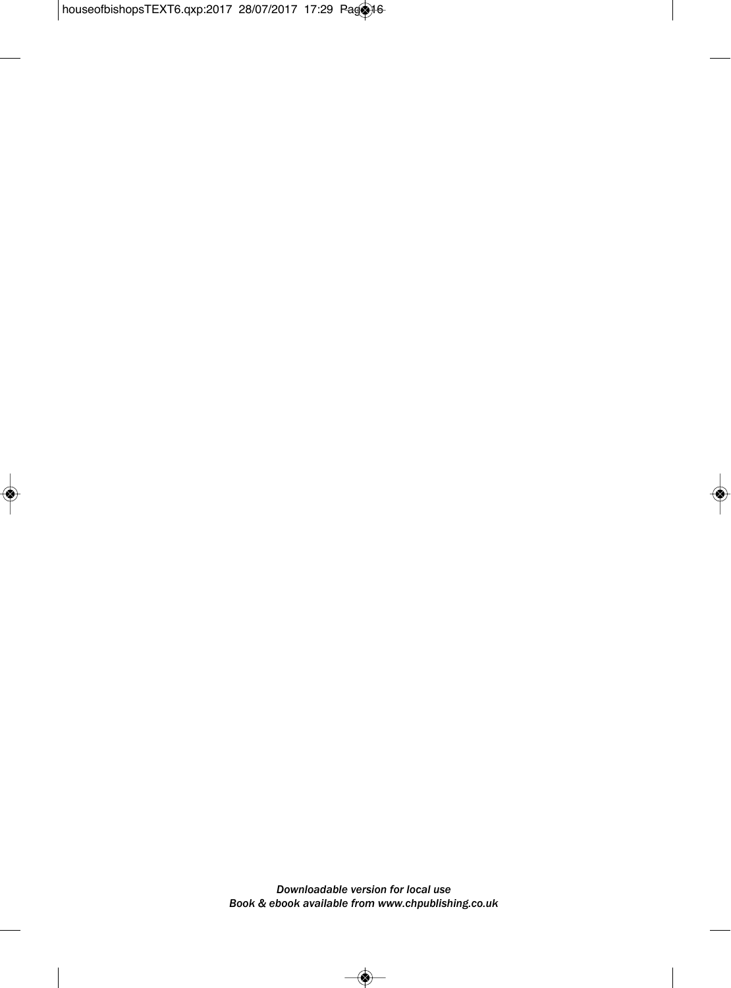*Downloadable version for local use Book & ebook available from www.chpublishing.co.uk*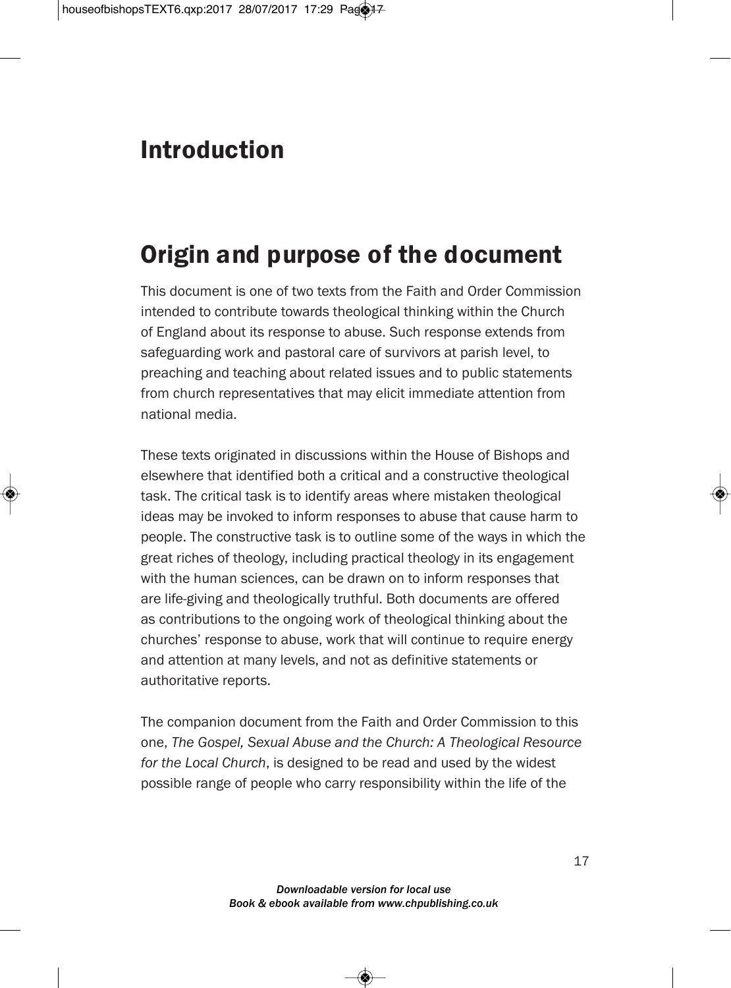#### Introduction

## Origin and purpose of the document

This document is one of two texts from the Faith and Order Commission intended to contribute towards theological thinking within the Church of England about its response to abuse. Such response extends from safeguarding work and pastoral care of survivors at parish level, to preaching and teaching about related issues and to public statements from church representatives that may elicit immediate attention from national media.

These texts originated in discussions within the House of Bishops and elsewhere that identified both a critical and a constructive theological task. The critical task is to identify areas where mistaken theological ideas may be invoked to inform responses to abuse that cause harm to people. The constructive task is to outline some of the ways in which the great riches of theology, including practical theology in its engagement with the human sciences, can be drawn on to inform responses that are life-giving and theologically truthful. Both documents are offered as contributions to the ongoing work of theological thinking about the churches' response to abuse, work that will continue to require energy and attention at many levels, and not as definitive statements or authoritative reports.

The companion document from the Faith and Order Commission to this one, *The Gospel, Sexual Abuse and the Church: A Theological Resource for the Local Church*, is designed to be read and used by the widest possible range of people who carry responsibility within the life of the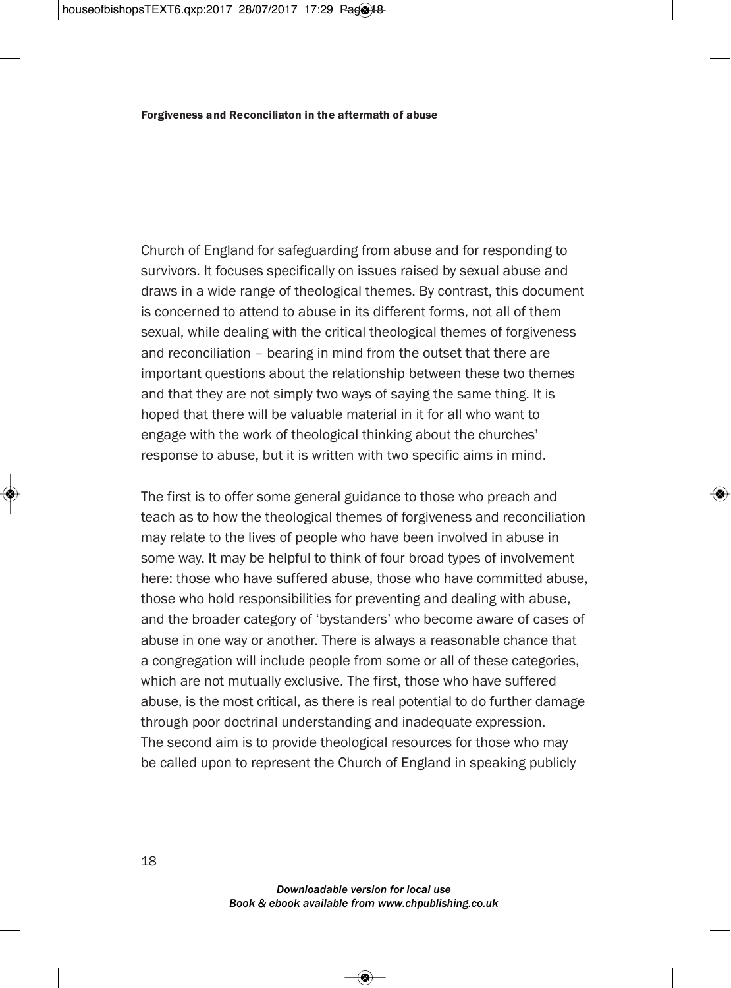Church of England for safeguarding from abuse and for responding to survivors. It focuses specifically on issues raised by sexual abuse and draws in a wide range of theological themes. By contrast, this document is concerned to attend to abuse in its different forms, not all of them sexual, while dealing with the critical theological themes of forgiveness and reconciliation – bearing in mind from the outset that there are important questions about the relationship between these two themes and that they are not simply two ways of saying the same thing. It is hoped that there will be valuable material in it for all who want to engage with the work of theological thinking about the churches' response to abuse, but it is written with two specific aims in mind.

The first is to offer some general guidance to those who preach and teach as to how the theological themes of forgiveness and reconciliation may relate to the lives of people who have been involved in abuse in some way. It may be helpful to think of four broad types of involvement here: those who have suffered abuse, those who have committed abuse, those who hold responsibilities for preventing and dealing with abuse, and the broader category of 'bystanders' who become aware of cases of abuse in one way or another. There is always a reasonable chance that a congregation will include people from some or all of these categories, which are not mutually exclusive. The first, those who have suffered abuse, is the most critical, as there is real potential to do further damage through poor doctrinal understanding and inadequate expression. The second aim is to provide theological resources for those who may be called upon to represent the Church of England in speaking publicly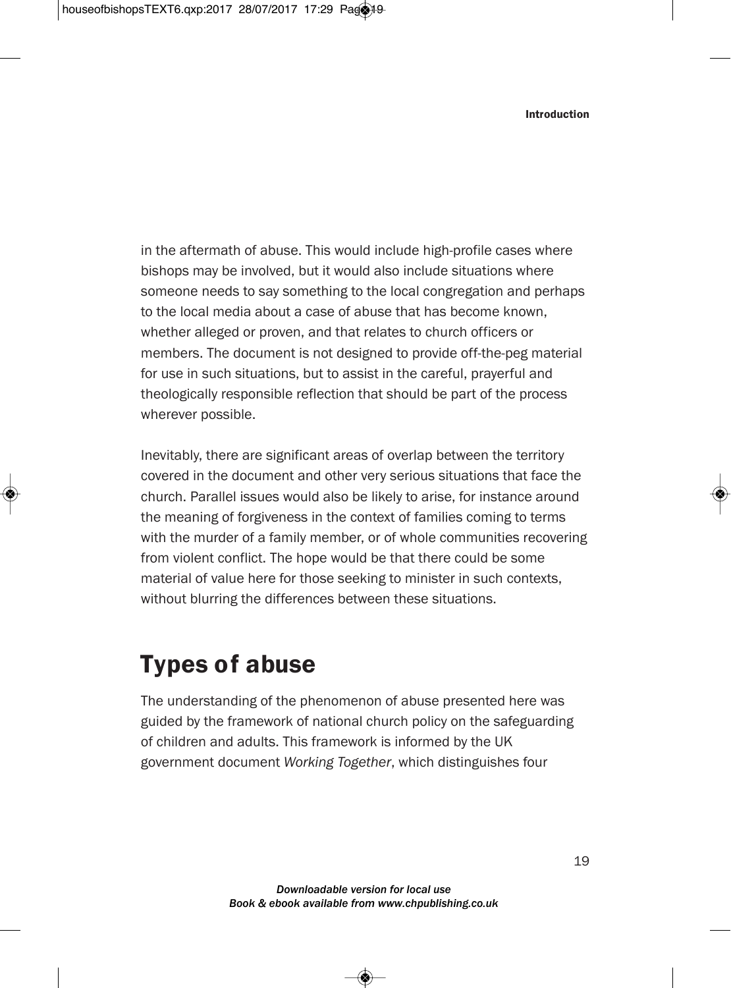in the aftermath of abuse. This would include high-profile cases where bishops may be involved, but it would also include situations where someone needs to say something to the local congregation and perhaps to the local media about a case of abuse that has become known, whether alleged or proven, and that relates to church officers or members. The document is not designed to provide off-the-peg material for use in such situations, but to assist in the careful, prayerful and theologically responsible reflection that should be part of the process wherever possible.

Inevitably, there are significant areas of overlap between the territory covered in the document and other very serious situations that face the church. Parallel issues would also be likely to arise, for instance around the meaning of forgiveness in the context of families coming to terms with the murder of a family member, or of whole communities recovering from violent conflict. The hope would be that there could be some material of value here for those seeking to minister in such contexts, without blurring the differences between these situations.

#### Types of abuse

The understanding of the phenomenon of abuse presented here was guided by the framework of national church policy on the safeguarding of children and adults. This framework is informed by the UK government document *Working Together*, which distinguishes four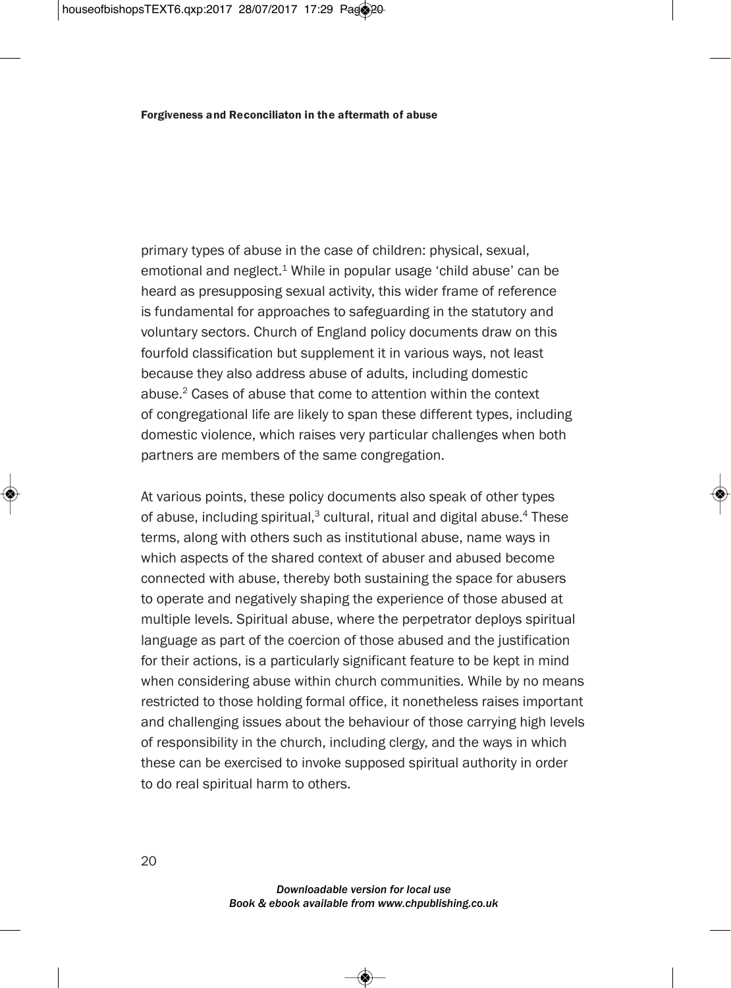primary types of abuse in the case of children: physical, sexual, emotional and neglect.<sup>1</sup> While in popular usage 'child abuse' can be heard as presupposing sexual activity, this wider frame of reference is fundamental for approaches to safeguarding in the statutory and voluntary sectors. Church of England policy documents draw on this fourfold classification but supplement it in various ways, not least because they also address abuse of adults, including domestic abuse.2 Cases of abuse that come to attention within the context of congregational life are likely to span these different types, including domestic violence, which raises very particular challenges when both partners are members of the same congregation.

At various points, these policy documents also speak of other types of abuse, including spiritual, $3$  cultural, ritual and digital abuse. $4$  These terms, along with others such as institutional abuse, name ways in which aspects of the shared context of abuser and abused become connected with abuse, thereby both sustaining the space for abusers to operate and negatively shaping the experience of those abused at multiple levels. Spiritual abuse, where the perpetrator deploys spiritual language as part of the coercion of those abused and the justification for their actions, is a particularly significant feature to be kept in mind when considering abuse within church communities. While by no means restricted to those holding formal office, it nonetheless raises important and challenging issues about the behaviour of those carrying high levels of responsibility in the church, including clergy, and the ways in which these can be exercised to invoke supposed spiritual authority in order to do real spiritual harm to others.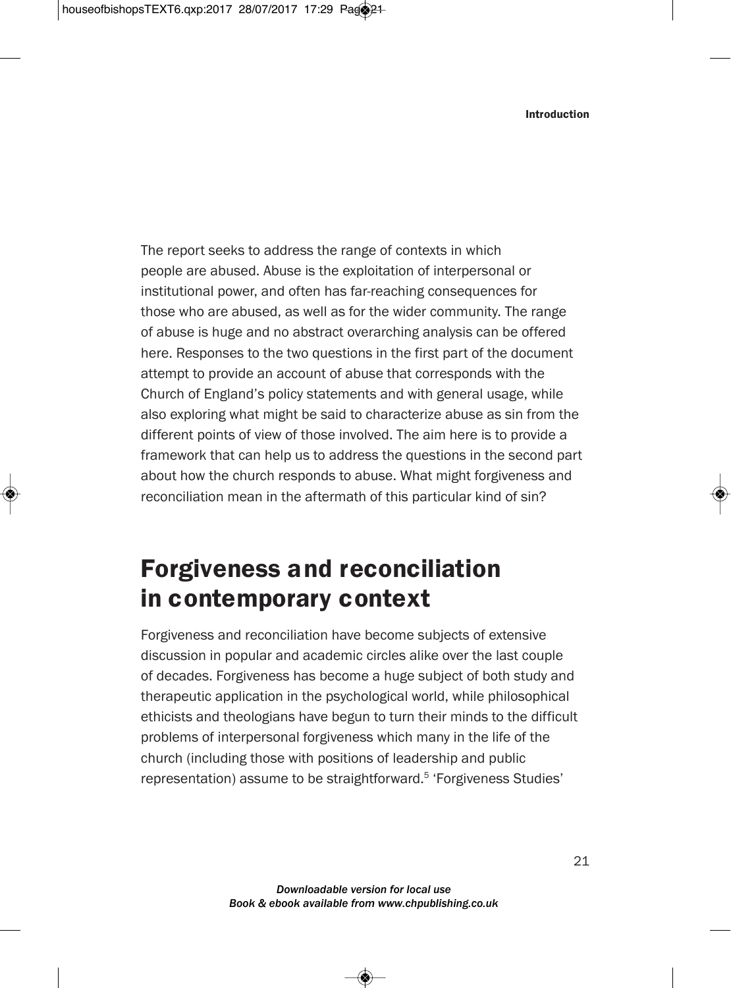The report seeks to address the range of contexts in which people are abused. Abuse is the exploitation of interpersonal or institutional power, and often has far-reaching consequences for those who are abused, as well as for the wider community. The range of abuse is huge and no abstract overarching analysis can be offered here. Responses to the two questions in the first part of the document attempt to provide an account of abuse that corresponds with the Church of England's policy statements and with general usage, while also exploring what might be said to characterize abuse as sin from the different points of view of those involved. The aim here is to provide a framework that can help us to address the questions in the second part about how the church responds to abuse. What might forgiveness and reconciliation mean in the aftermath of this particular kind of sin?

#### Forgiveness and reconciliation in contemporary context

Forgiveness and reconciliation have become subjects of extensive discussion in popular and academic circles alike over the last couple of decades. Forgiveness has become a huge subject of both study and therapeutic application in the psychological world, while philosophical ethicists and theologians have begun to turn their minds to the difficult problems of interpersonal forgiveness which many in the life of the church (including those with positions of leadership and public representation) assume to be straightforward.<sup>5</sup> 'Forgiveness Studies'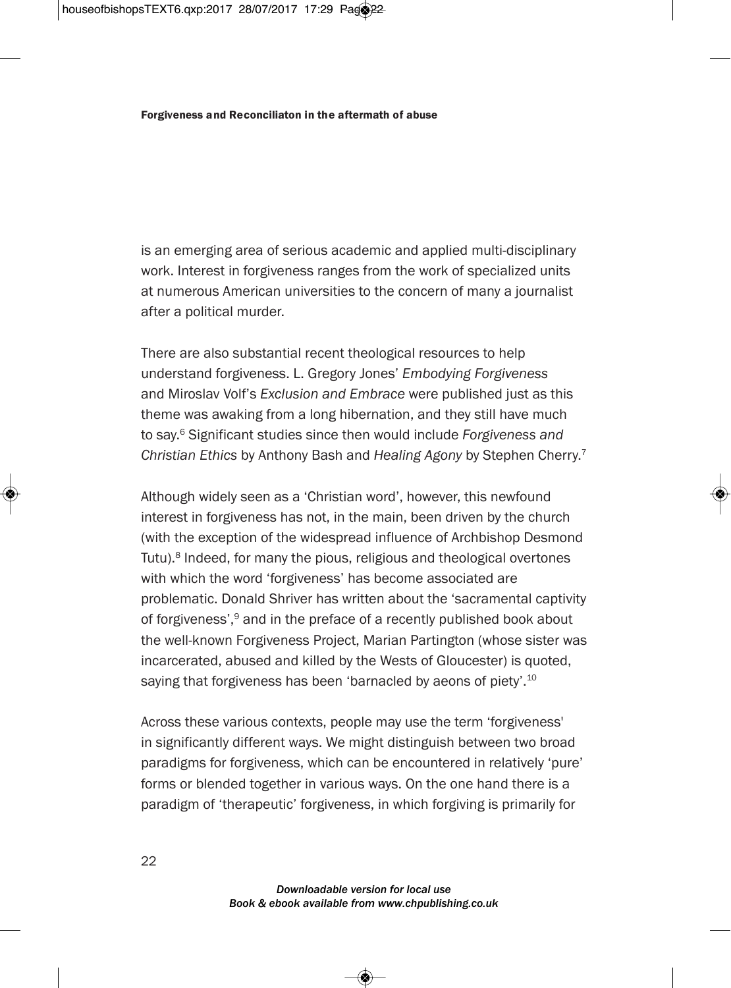is an emerging area of serious academic and applied multi-disciplinary work. Interest in forgiveness ranges from the work of specialized units at numerous American universities to the concern of many a journalist after a political murder.

There are also substantial recent theological resources to help understand forgiveness. L. Gregory Jones' *Embodying Forgiveness* and Miroslav Volf's *Exclusion and Embrace* were published just as this theme was awaking from a long hibernation, and they still have much to say.6 Significant studies since then would include *Forgiveness and Christian Ethics* by Anthony Bash and *Healing Agony* by Stephen Cherry.7

Although widely seen as a 'Christian word', however, this newfound interest in forgiveness has not, in the main, been driven by the church (with the exception of the widespread influence of Archbishop Desmond Tutu).8 Indeed, for many the pious, religious and theological overtones with which the word 'forgiveness' has become associated are problematic. Donald Shriver has written about the 'sacramental captivity of forgiveness',9 and in the preface of a recently published book about the well-known Forgiveness Project, Marian Partington (whose sister was incarcerated, abused and killed by the Wests of Gloucester) is quoted, saying that forgiveness has been 'barnacled by aeons of piety'.<sup>10</sup>

Across these various contexts, people may use the term 'forgiveness' in significantly different ways. We might distinguish between two broad paradigms for forgiveness, which can be encountered in relatively 'pure' forms or blended together in various ways. On the one hand there is a paradigm of 'therapeutic' forgiveness, in which forgiving is primarily for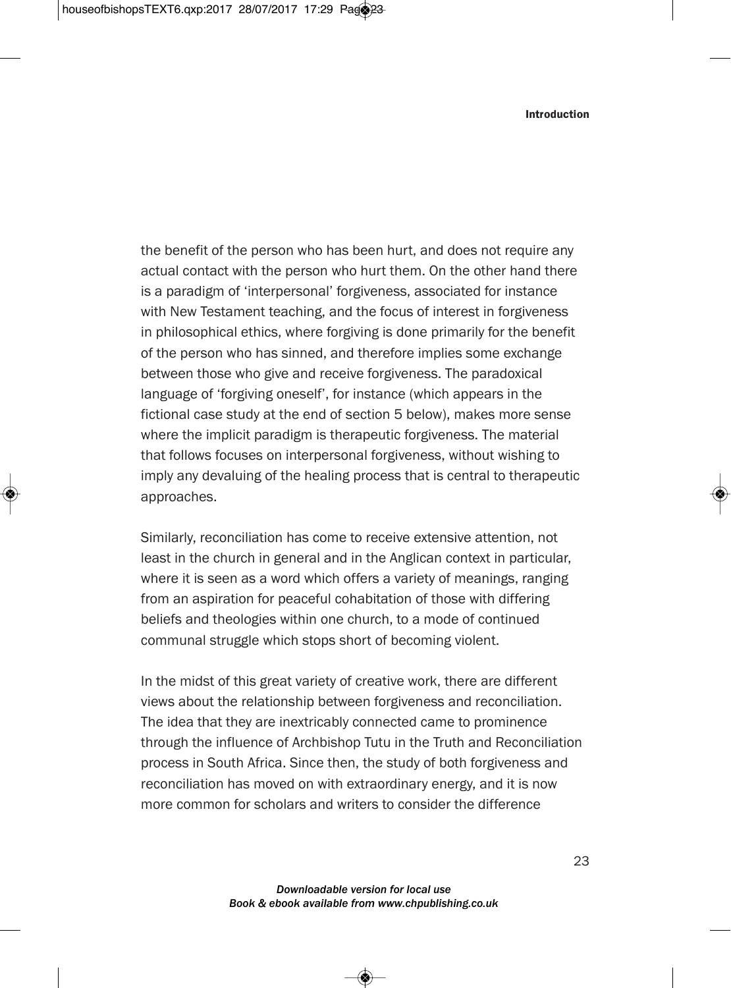the benefit of the person who has been hurt, and does not require any actual contact with the person who hurt them. On the other hand there is a paradigm of 'interpersonal' forgiveness, associated for instance with New Testament teaching, and the focus of interest in forgiveness in philosophical ethics, where forgiving is done primarily for the benefit of the person who has sinned, and therefore implies some exchange between those who give and receive forgiveness. The paradoxical language of 'forgiving oneself', for instance (which appears in the fictional case study at the end of section 5 below), makes more sense where the implicit paradigm is therapeutic forgiveness. The material that follows focuses on interpersonal forgiveness, without wishing to imply any devaluing of the healing process that is central to therapeutic approaches.

Similarly, reconciliation has come to receive extensive attention, not least in the church in general and in the Anglican context in particular, where it is seen as a word which offers a variety of meanings, ranging from an aspiration for peaceful cohabitation of those with differing beliefs and theologies within one church, to a mode of continued communal struggle which stops short of becoming violent.

In the midst of this great variety of creative work, there are different views about the relationship between forgiveness and reconciliation. The idea that they are inextricably connected came to prominence through the influence of Archbishop Tutu in the Truth and Reconciliation process in South Africa. Since then, the study of both forgiveness and reconciliation has moved on with extraordinary energy, and it is now more common for scholars and writers to consider the difference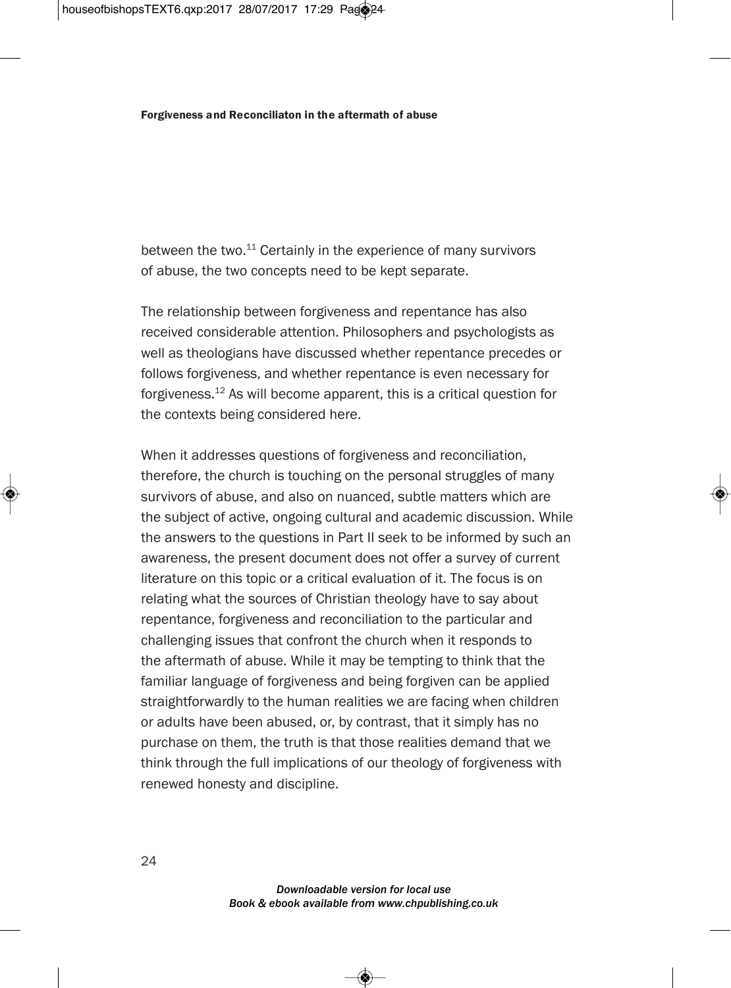between the two.<sup>11</sup> Certainly in the experience of many survivors of abuse, the two concepts need to be kept separate.

The relationship between forgiveness and repentance has also received considerable attention. Philosophers and psychologists as well as theologians have discussed whether repentance precedes or follows forgiveness, and whether repentance is even necessary for forgiveness.12 As will become apparent, this is a critical question for the contexts being considered here.

When it addresses questions of forgiveness and reconciliation, therefore, the church is touching on the personal struggles of many survivors of abuse, and also on nuanced, subtle matters which are the subject of active, ongoing cultural and academic discussion. While the answers to the questions in Part II seek to be informed by such an awareness, the present document does not offer a survey of current literature on this topic or a critical evaluation of it. The focus is on relating what the sources of Christian theology have to say about repentance, forgiveness and reconciliation to the particular and challenging issues that confront the church when it responds to the aftermath of abuse. While it may be tempting to think that the familiar language of forgiveness and being forgiven can be applied straightforwardly to the human realities we are facing when children or adults have been abused, or, by contrast, that it simply has no purchase on them, the truth is that those realities demand that we think through the full implications of our theology of forgiveness with renewed honesty and discipline.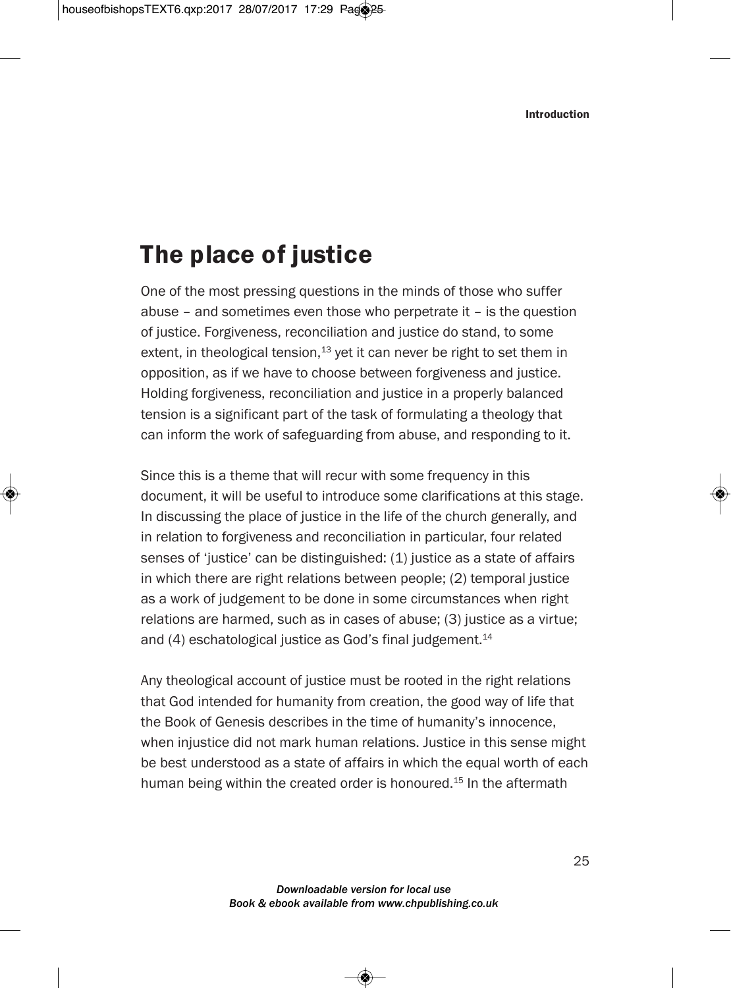### The place of justice

One of the most pressing questions in the minds of those who suffer abuse – and sometimes even those who perpetrate it – is the question of justice. Forgiveness, reconciliation and justice do stand, to some extent, in theological tension, $13$  yet it can never be right to set them in opposition, as if we have to choose between forgiveness and justice. Holding forgiveness, reconciliation and justice in a properly balanced tension is a significant part of the task of formulating a theology that can inform the work of safeguarding from abuse, and responding to it.

Since this is a theme that will recur with some frequency in this document, it will be useful to introduce some clarifications at this stage. In discussing the place of justice in the life of the church generally, and in relation to forgiveness and reconciliation in particular, four related senses of 'justice' can be distinguished: (1) justice as a state of affairs in which there are right relations between people; (2) temporal justice as a work of judgement to be done in some circumstances when right relations are harmed, such as in cases of abuse; (3) justice as a virtue; and  $(4)$  eschatological justice as God's final judgement.<sup>14</sup>

Any theological account of justice must be rooted in the right relations that God intended for humanity from creation, the good way of life that the Book of Genesis describes in the time of humanity's innocence, when injustice did not mark human relations. Justice in this sense might be best understood as a state of affairs in which the equal worth of each human being within the created order is honoured.<sup>15</sup> In the aftermath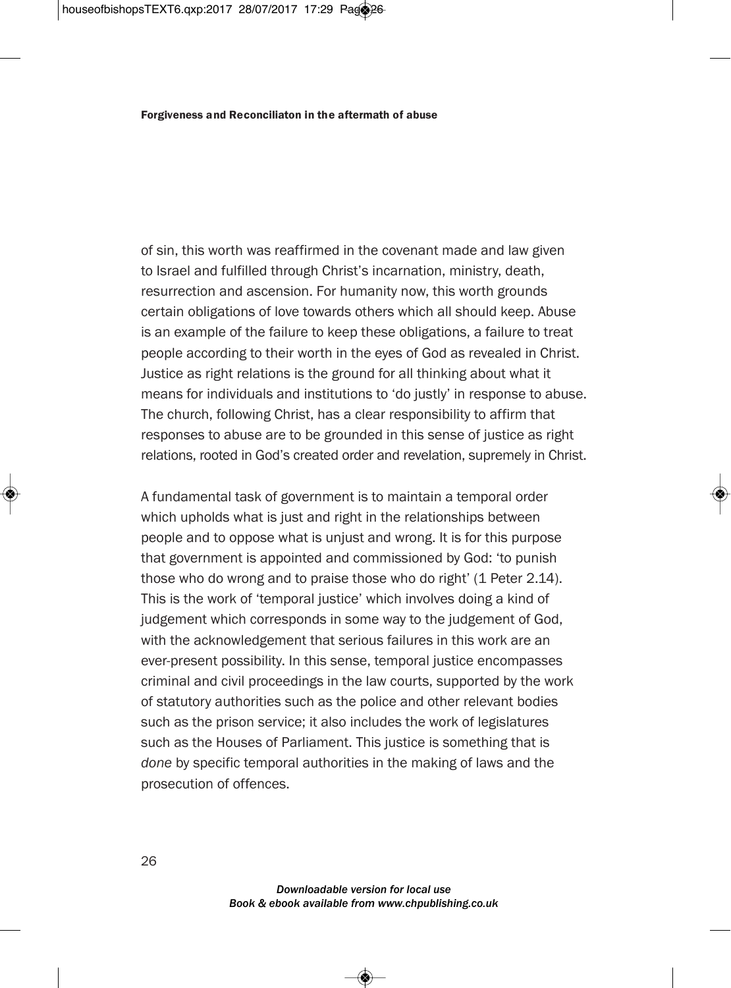of sin, this worth was reaffirmed in the covenant made and law given to Israel and fulfilled through Christ's incarnation, ministry, death, resurrection and ascension. For humanity now, this worth grounds certain obligations of love towards others which all should keep. Abuse is an example of the failure to keep these obligations, a failure to treat people according to their worth in the eyes of God as revealed in Christ. Justice as right relations is the ground for all thinking about what it means for individuals and institutions to 'do justly' in response to abuse. The church, following Christ, has a clear responsibility to affirm that responses to abuse are to be grounded in this sense of justice as right relations, rooted in God's created order and revelation, supremely in Christ.

A fundamental task of government is to maintain a temporal order which upholds what is just and right in the relationships between people and to oppose what is unjust and wrong. It is for this purpose that government is appointed and commissioned by God: 'to punish those who do wrong and to praise those who do right' (1 Peter 2.14). This is the work of 'temporal justice' which involves doing a kind of judgement which corresponds in some way to the judgement of God, with the acknowledgement that serious failures in this work are an ever-present possibility. In this sense, temporal justice encompasses criminal and civil proceedings in the law courts, supported by the work of statutory authorities such as the police and other relevant bodies such as the prison service; it also includes the work of legislatures such as the Houses of Parliament. This justice is something that is *done* by specific temporal authorities in the making of laws and the prosecution of offences.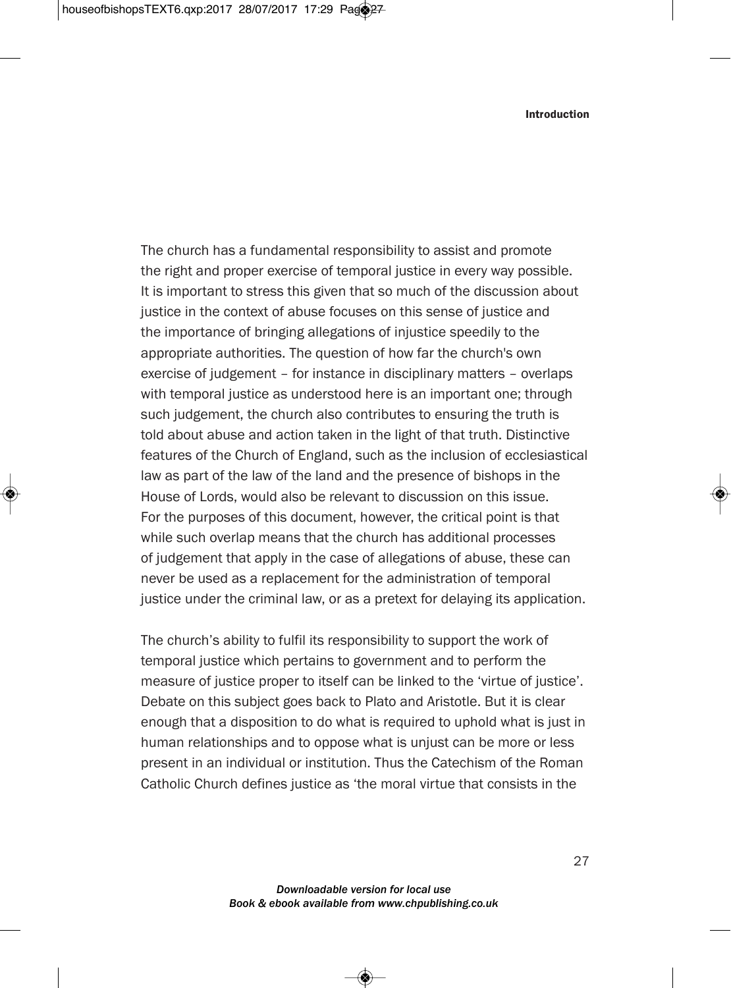The church has a fundamental responsibility to assist and promote the right and proper exercise of temporal justice in every way possible. It is important to stress this given that so much of the discussion about justice in the context of abuse focuses on this sense of justice and the importance of bringing allegations of injustice speedily to the appropriate authorities. The question of how far the church's own exercise of judgement – for instance in disciplinary matters – overlaps with temporal justice as understood here is an important one; through such judgement, the church also contributes to ensuring the truth is told about abuse and action taken in the light of that truth. Distinctive features of the Church of England, such as the inclusion of ecclesiastical law as part of the law of the land and the presence of bishops in the House of Lords, would also be relevant to discussion on this issue. For the purposes of this document, however, the critical point is that while such overlap means that the church has additional processes of judgement that apply in the case of allegations of abuse, these can never be used as a replacement for the administration of temporal justice under the criminal law, or as a pretext for delaying its application.

The church's ability to fulfil its responsibility to support the work of temporal justice which pertains to government and to perform the measure of justice proper to itself can be linked to the 'virtue of justice'. Debate on this subject goes back to Plato and Aristotle. But it is clear enough that a disposition to do what is required to uphold what is just in human relationships and to oppose what is unjust can be more or less present in an individual or institution. Thus the Catechism of the Roman Catholic Church defines justice as 'the moral virtue that consists in the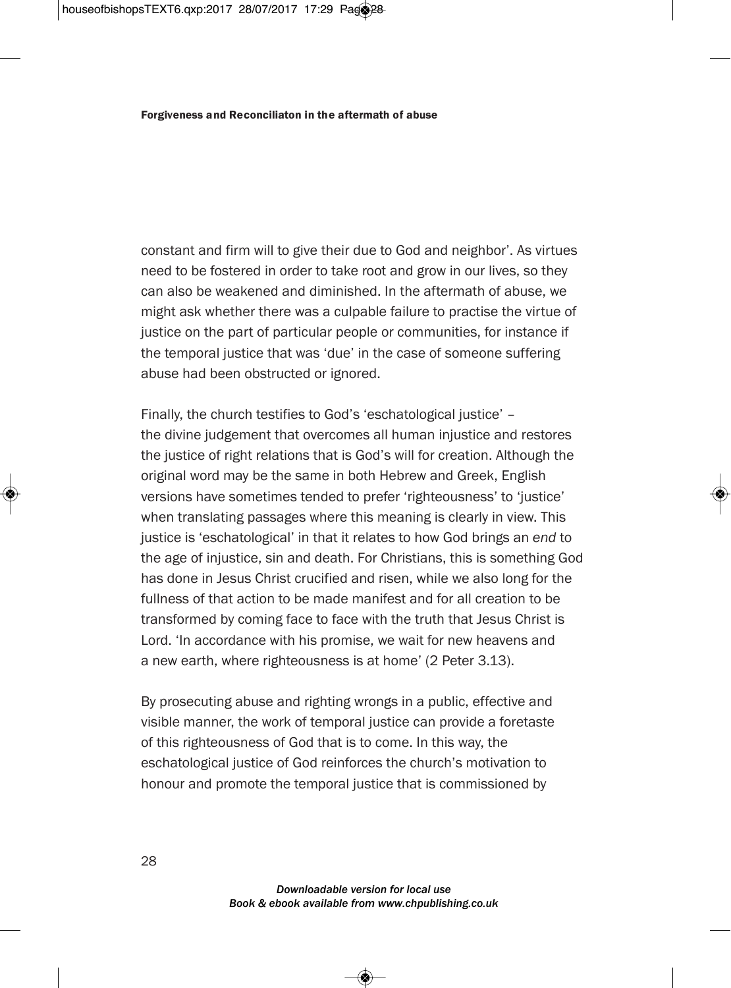constant and firm will to give their due to God and neighbor'. As virtues need to be fostered in order to take root and grow in our lives, so they can also be weakened and diminished. In the aftermath of abuse, we might ask whether there was a culpable failure to practise the virtue of justice on the part of particular people or communities, for instance if the temporal justice that was 'due' in the case of someone suffering abuse had been obstructed or ignored.

Finally, the church testifies to God's 'eschatological justice' – the divine judgement that overcomes all human injustice and restores the justice of right relations that is God's will for creation. Although the original word may be the same in both Hebrew and Greek, English versions have sometimes tended to prefer 'righteousness' to 'justice' when translating passages where this meaning is clearly in view. This justice is 'eschatological' in that it relates to how God brings an *end* to the age of injustice, sin and death. For Christians, this is something God has done in Jesus Christ crucified and risen, while we also long for the fullness of that action to be made manifest and for all creation to be transformed by coming face to face with the truth that Jesus Christ is Lord. 'In accordance with his promise, we wait for new heavens and a new earth, where righteousness is at home' (2 Peter 3.13).

By prosecuting abuse and righting wrongs in a public, effective and visible manner, the work of temporal justice can provide a foretaste of this righteousness of God that is to come. In this way, the eschatological justice of God reinforces the church's motivation to honour and promote the temporal justice that is commissioned by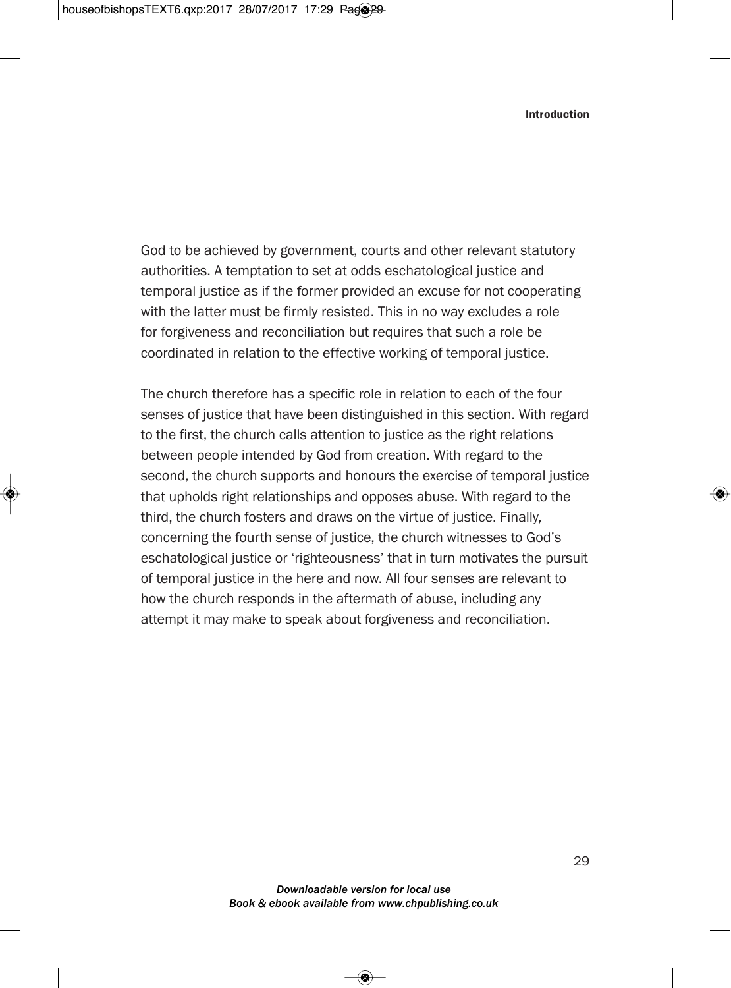God to be achieved by government, courts and other relevant statutory authorities. A temptation to set at odds eschatological justice and temporal justice as if the former provided an excuse for not cooperating with the latter must be firmly resisted. This in no way excludes a role for forgiveness and reconciliation but requires that such a role be coordinated in relation to the effective working of temporal justice.

The church therefore has a specific role in relation to each of the four senses of justice that have been distinguished in this section. With regard to the first, the church calls attention to justice as the right relations between people intended by God from creation. With regard to the second, the church supports and honours the exercise of temporal justice that upholds right relationships and opposes abuse. With regard to the third, the church fosters and draws on the virtue of justice. Finally, concerning the fourth sense of justice, the church witnesses to God's eschatological justice or 'righteousness' that in turn motivates the pursuit of temporal justice in the here and now. All four senses are relevant to how the church responds in the aftermath of abuse, including any attempt it may make to speak about forgiveness and reconciliation.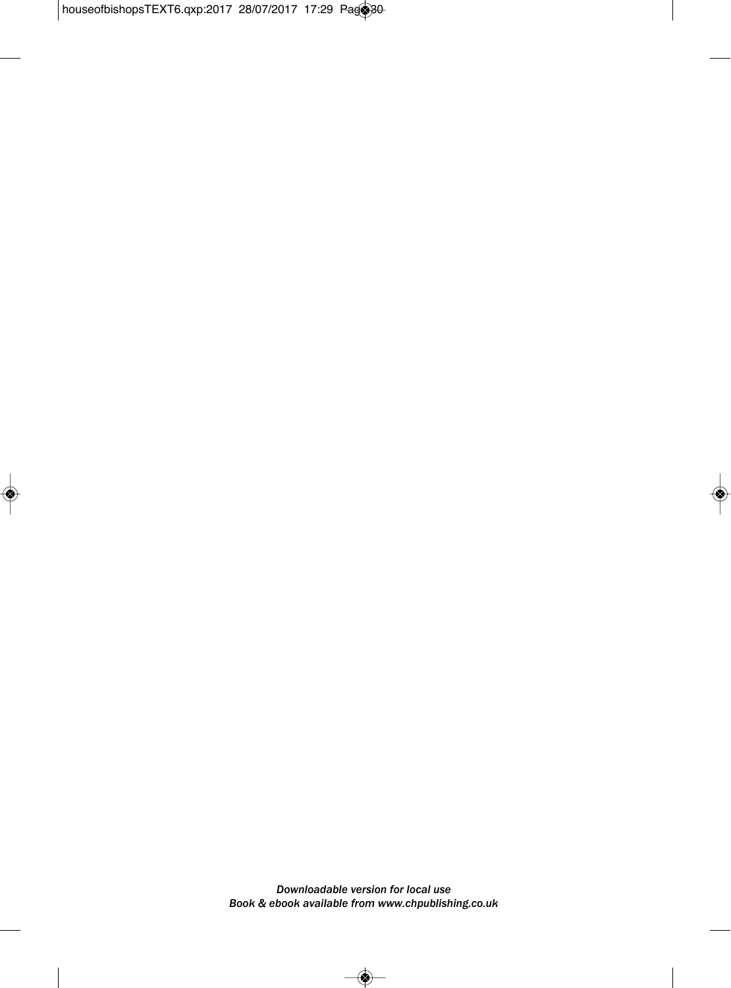*Downloadable version for local use Book & ebook available from www.chpublishing.co.uk*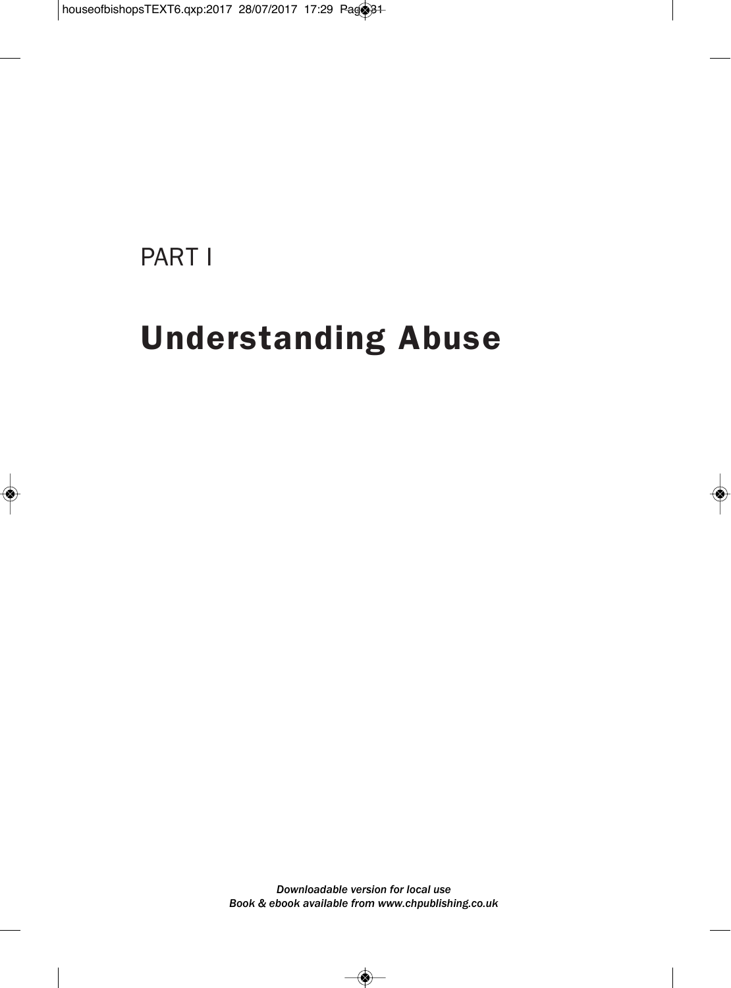#### PART I

## Understanding Abuse

*Downloadable version for local use Book & ebook available from www.chpublishing.co.uk*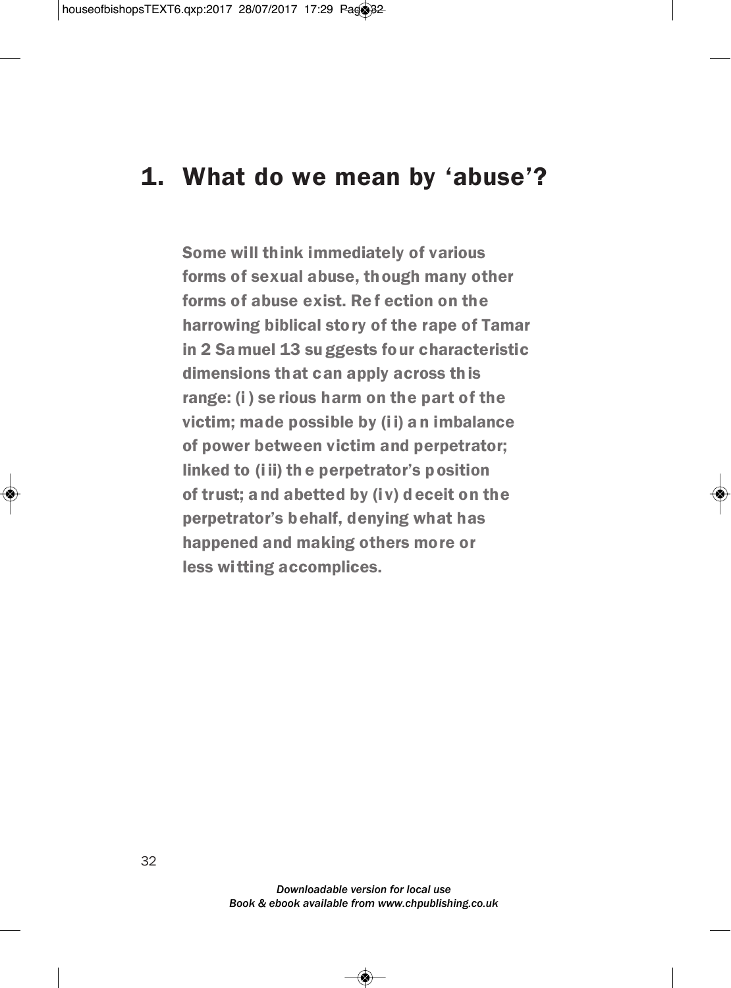#### 1. What do we mean by 'abuse'?

Some will think immediately of various forms of sexual abuse, though many other forms of abuse exist. Ref ection on the harrowing biblical story of the rape of Tamar in 2 Sa muel 13 su ggests four characteristic dimensions that can apply across th is range: (i ) se rious harm on the part of the victim; made possible by (i i) a n imbalance of power between victim and perpetrator; linked to (i ii) th e perpetrator's position of trust; and abetted by (iv) deceit on the perpetrator's behalf, denying what has happened and making others more or less witting accomplices.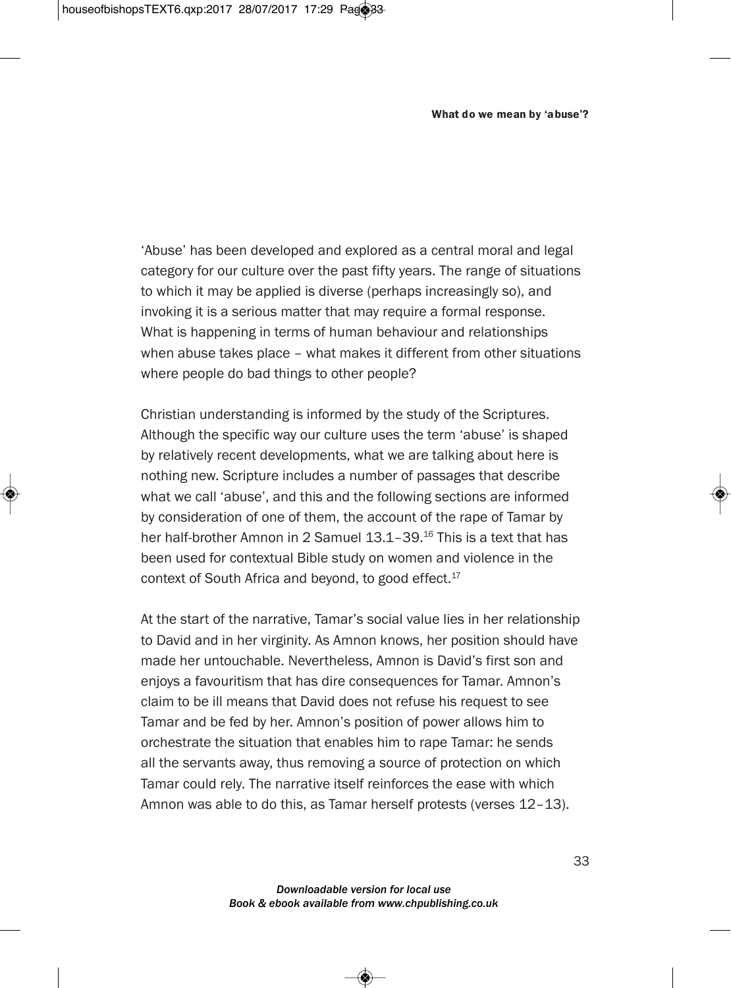'Abuse' has been developed and explored as a central moral and legal category for our culture over the past fifty years. The range of situations to which it may be applied is diverse (perhaps increasingly so), and invoking it is a serious matter that may require a formal response. What is happening in terms of human behaviour and relationships when abuse takes place – what makes it different from other situations where people do bad things to other people?

Christian understanding is informed by the study of the Scriptures. Although the specific way our culture uses the term 'abuse' is shaped by relatively recent developments, what we are talking about here is nothing new. Scripture includes a number of passages that describe what we call 'abuse', and this and the following sections are informed by consideration of one of them, the account of the rape of Tamar by her half-brother Amnon in 2 Samuel 13.1-39.<sup>16</sup> This is a text that has been used for contextual Bible study on women and violence in the context of South Africa and beyond, to good effect.<sup>17</sup>

At the start of the narrative, Tamar's social value lies in her relationship to David and in her virginity. As Amnon knows, her position should have made her untouchable. Nevertheless, Amnon is David's first son and enjoys a favouritism that has dire consequences for Tamar. Amnon's claim to be ill means that David does not refuse his request to see Tamar and be fed by her. Amnon's position of power allows him to orchestrate the situation that enables him to rape Tamar: he sends all the servants away, thus removing a source of protection on which Tamar could rely. The narrative itself reinforces the ease with which Amnon was able to do this, as Tamar herself protests (verses 12–13).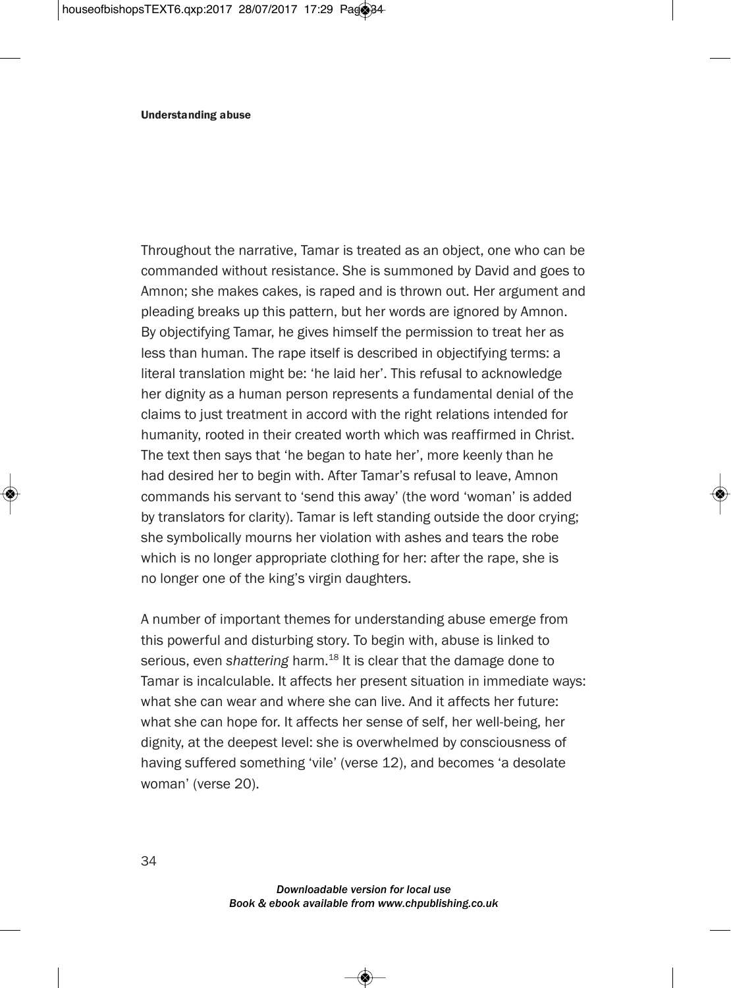Throughout the narrative, Tamar is treated as an object, one who can be commanded without resistance. She is summoned by David and goes to Amnon; she makes cakes, is raped and is thrown out. Her argument and pleading breaks up this pattern, but her words are ignored by Amnon. By objectifying Tamar, he gives himself the permission to treat her as less than human. The rape itself is described in objectifying terms: a literal translation might be: 'he laid her'. This refusal to acknowledge her dignity as a human person represents a fundamental denial of the claims to just treatment in accord with the right relations intended for humanity, rooted in their created worth which was reaffirmed in Christ. The text then says that 'he began to hate her', more keenly than he had desired her to begin with. After Tamar's refusal to leave, Amnon commands his servant to 'send this away' (the word 'woman' is added by translators for clarity). Tamar is left standing outside the door crying; she symbolically mourns her violation with ashes and tears the robe which is no longer appropriate clothing for her: after the rape, she is no longer one of the king's virgin daughters.

A number of important themes for understanding abuse emerge from this powerful and disturbing story. To begin with, abuse is linked to serious, even *shattering* harm.<sup>18</sup> It is clear that the damage done to Tamar is incalculable. It affects her present situation in immediate ways: what she can wear and where she can live. And it affects her future: what she can hope for. It affects her sense of self, her well-being, her dignity, at the deepest level: she is overwhelmed by consciousness of having suffered something 'vile' (verse 12), and becomes 'a desolate woman' (verse 20).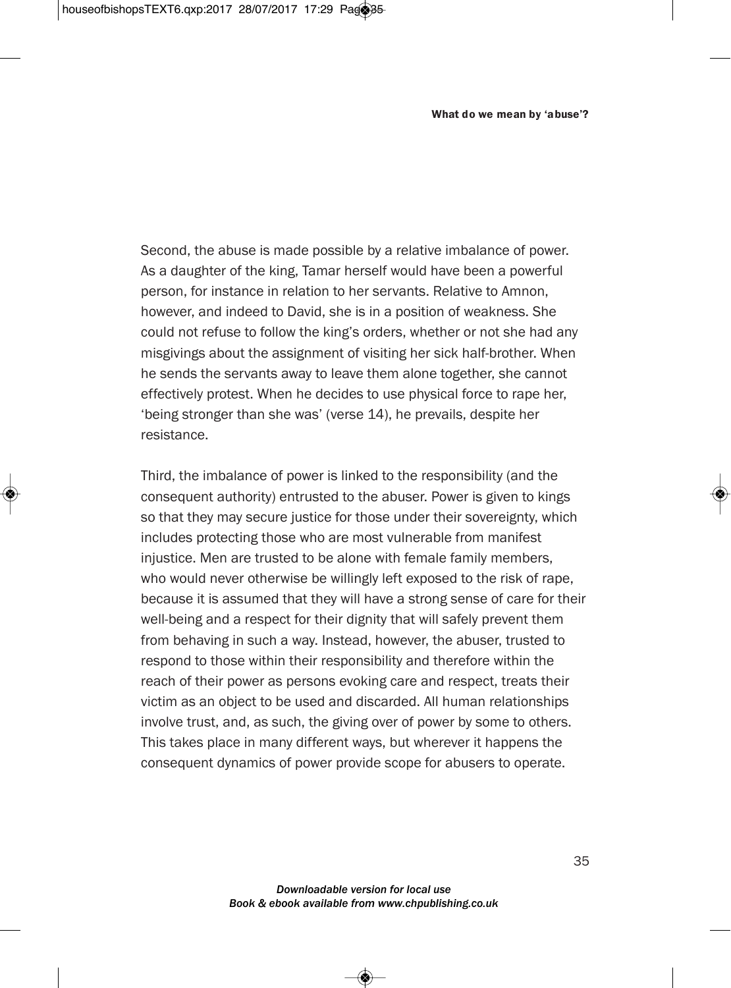Second, the abuse is made possible by a relative imbalance of power. As a daughter of the king, Tamar herself would have been a powerful person, for instance in relation to her servants. Relative to Amnon, however, and indeed to David, she is in a position of weakness. She could not refuse to follow the king's orders, whether or not she had any misgivings about the assignment of visiting her sick half-brother. When he sends the servants away to leave them alone together, she cannot effectively protest. When he decides to use physical force to rape her, 'being stronger than she was' (verse 14), he prevails, despite her resistance.

Third, the imbalance of power is linked to the responsibility (and the consequent authority) entrusted to the abuser. Power is given to kings so that they may secure justice for those under their sovereignty, which includes protecting those who are most vulnerable from manifest injustice. Men are trusted to be alone with female family members, who would never otherwise be willingly left exposed to the risk of rape, because it is assumed that they will have a strong sense of care for their well-being and a respect for their dignity that will safely prevent them from behaving in such a way. Instead, however, the abuser, trusted to respond to those within their responsibility and therefore within the reach of their power as persons evoking care and respect, treats their victim as an object to be used and discarded. All human relationships involve trust, and, as such, the giving over of power by some to others. This takes place in many different ways, but wherever it happens the consequent dynamics of power provide scope for abusers to operate.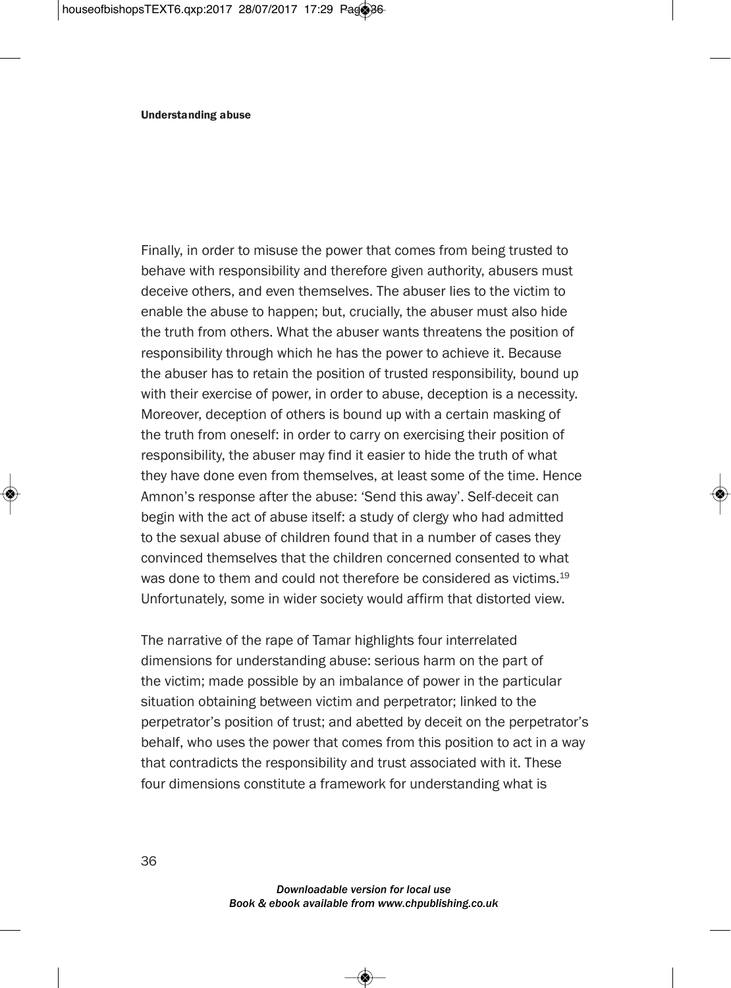Finally, in order to misuse the power that comes from being trusted to behave with responsibility and therefore given authority, abusers must deceive others, and even themselves. The abuser lies to the victim to enable the abuse to happen; but, crucially, the abuser must also hide the truth from others. What the abuser wants threatens the position of responsibility through which he has the power to achieve it. Because the abuser has to retain the position of trusted responsibility, bound up with their exercise of power, in order to abuse, deception is a necessity. Moreover, deception of others is bound up with a certain masking of the truth from oneself: in order to carry on exercising their position of responsibility, the abuser may find it easier to hide the truth of what they have done even from themselves, at least some of the time. Hence Amnon's response after the abuse: 'Send this away'. Self-deceit can begin with the act of abuse itself: a study of clergy who had admitted to the sexual abuse of children found that in a number of cases they convinced themselves that the children concerned consented to what was done to them and could not therefore be considered as victims.<sup>19</sup> Unfortunately, some in wider society would affirm that distorted view.

The narrative of the rape of Tamar highlights four interrelated dimensions for understanding abuse: serious harm on the part of the victim; made possible by an imbalance of power in the particular situation obtaining between victim and perpetrator; linked to the perpetrator's position of trust; and abetted by deceit on the perpetrator's behalf, who uses the power that comes from this position to act in a way that contradicts the responsibility and trust associated with it. These four dimensions constitute a framework for understanding what is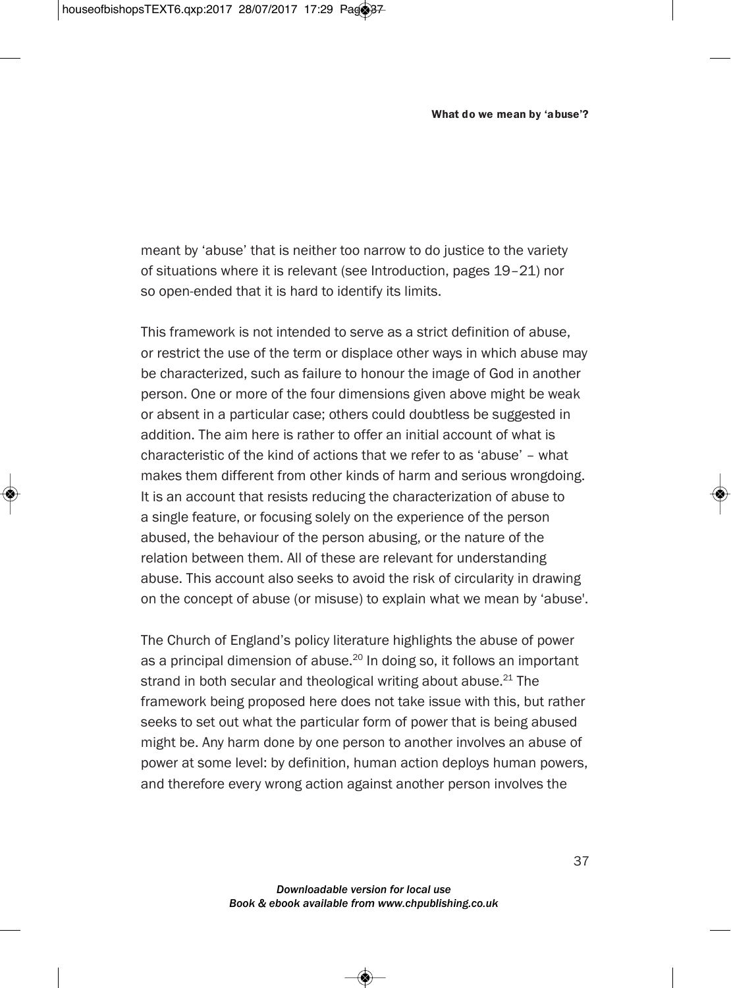meant by 'abuse' that is neither too narrow to do justice to the variety of situations where it is relevant (see Introduction, pages 19–21) nor so open-ended that it is hard to identify its limits.

This framework is not intended to serve as a strict definition of abuse, or restrict the use of the term or displace other ways in which abuse may be characterized, such as failure to honour the image of God in another person. One or more of the four dimensions given above might be weak or absent in a particular case; others could doubtless be suggested in addition. The aim here is rather to offer an initial account of what is characteristic of the kind of actions that we refer to as 'abuse' – what makes them different from other kinds of harm and serious wrongdoing. It is an account that resists reducing the characterization of abuse to a single feature, or focusing solely on the experience of the person abused, the behaviour of the person abusing, or the nature of the relation between them. All of these are relevant for understanding abuse. This account also seeks to avoid the risk of circularity in drawing on the concept of abuse (or misuse) to explain what we mean by 'abuse'.

The Church of England's policy literature highlights the abuse of power as a principal dimension of abuse.<sup>20</sup> In doing so, it follows an important strand in both secular and theological writing about abuse.<sup>21</sup> The framework being proposed here does not take issue with this, but rather seeks to set out what the particular form of power that is being abused might be. Any harm done by one person to another involves an abuse of power at some level: by definition, human action deploys human powers, and therefore every wrong action against another person involves the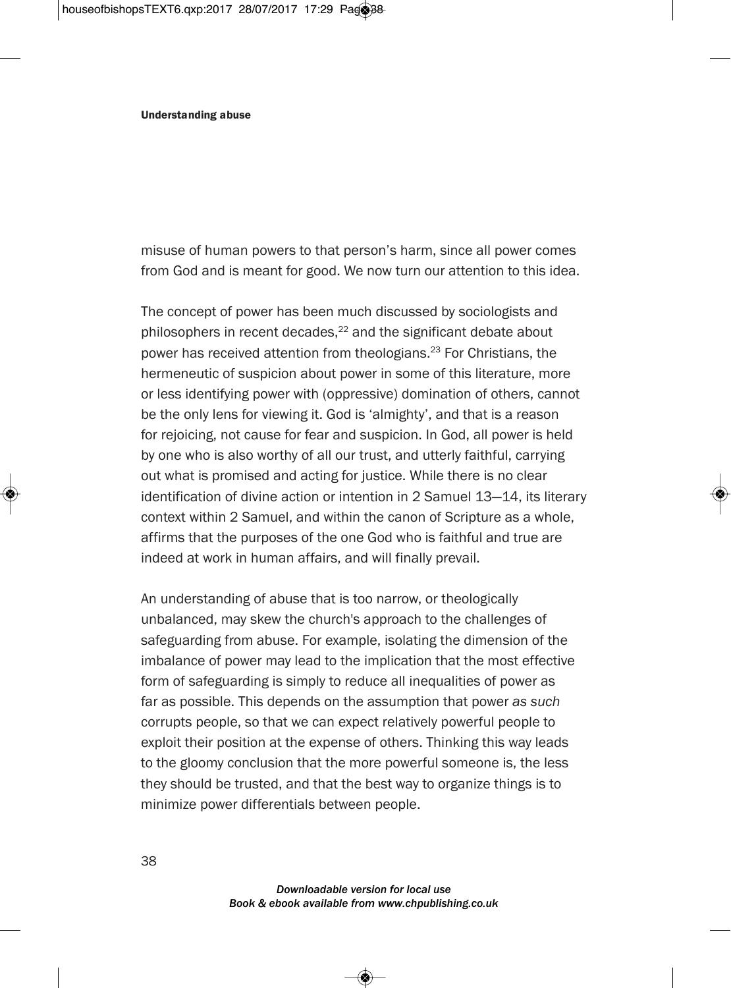misuse of human powers to that person's harm, since all power comes from God and is meant for good. We now turn our attention to this idea.

The concept of power has been much discussed by sociologists and philosophers in recent decades,<sup>22</sup> and the significant debate about power has received attention from theologians.23 For Christians, the hermeneutic of suspicion about power in some of this literature, more or less identifying power with (oppressive) domination of others, cannot be the only lens for viewing it. God is 'almighty', and that is a reason for rejoicing, not cause for fear and suspicion. In God, all power is held by one who is also worthy of all our trust, and utterly faithful, carrying out what is promised and acting for justice. While there is no clear identification of divine action or intention in 2 Samuel 13—14, its literary context within 2 Samuel, and within the canon of Scripture as a whole, affirms that the purposes of the one God who is faithful and true are indeed at work in human affairs, and will finally prevail.

An understanding of abuse that is too narrow, or theologically unbalanced, may skew the church's approach to the challenges of safeguarding from abuse. For example, isolating the dimension of the imbalance of power may lead to the implication that the most effective form of safeguarding is simply to reduce all inequalities of power as far as possible. This depends on the assumption that power *as such* corrupts people, so that we can expect relatively powerful people to exploit their position at the expense of others. Thinking this way leads to the gloomy conclusion that the more powerful someone is, the less they should be trusted, and that the best way to organize things is to minimize power differentials between people.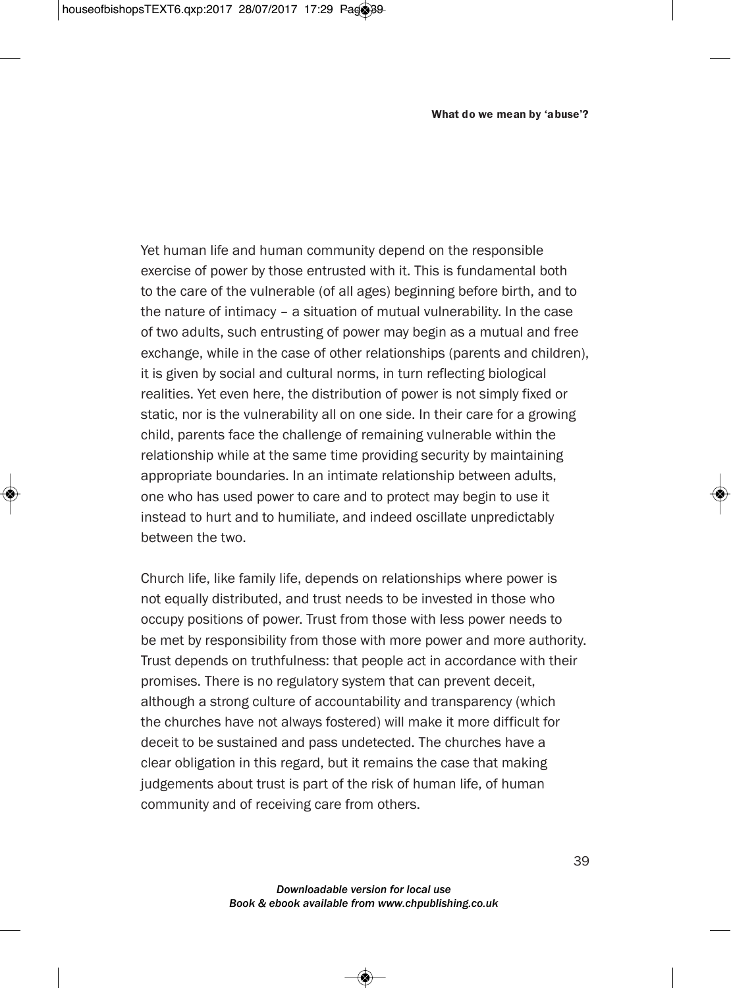Yet human life and human community depend on the responsible exercise of power by those entrusted with it. This is fundamental both to the care of the vulnerable (of all ages) beginning before birth, and to the nature of intimacy – a situation of mutual vulnerability. In the case of two adults, such entrusting of power may begin as a mutual and free exchange, while in the case of other relationships (parents and children), it is given by social and cultural norms, in turn reflecting biological realities. Yet even here, the distribution of power is not simply fixed or static, nor is the vulnerability all on one side. In their care for a growing child, parents face the challenge of remaining vulnerable within the relationship while at the same time providing security by maintaining appropriate boundaries. In an intimate relationship between adults, one who has used power to care and to protect may begin to use it instead to hurt and to humiliate, and indeed oscillate unpredictably between the two.

Church life, like family life, depends on relationships where power is not equally distributed, and trust needs to be invested in those who occupy positions of power. Trust from those with less power needs to be met by responsibility from those with more power and more authority. Trust depends on truthfulness: that people act in accordance with their promises. There is no regulatory system that can prevent deceit, although a strong culture of accountability and transparency (which the churches have not always fostered) will make it more difficult for deceit to be sustained and pass undetected. The churches have a clear obligation in this regard, but it remains the case that making judgements about trust is part of the risk of human life, of human community and of receiving care from others.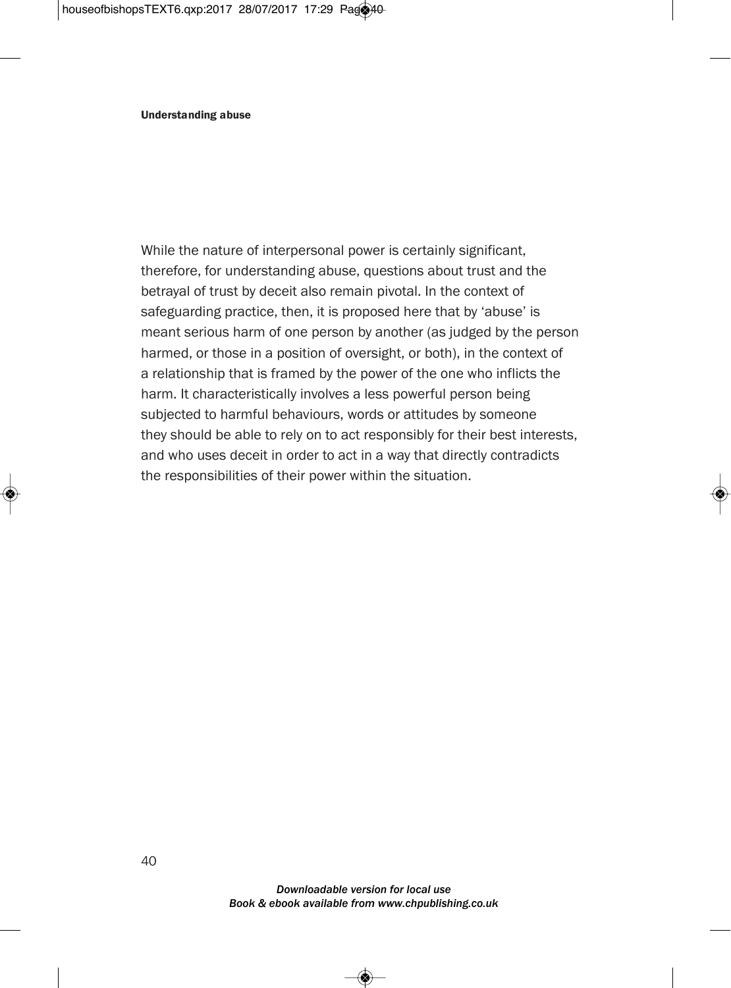While the nature of interpersonal power is certainly significant, therefore, for understanding abuse, questions about trust and the betrayal of trust by deceit also remain pivotal. In the context of safeguarding practice, then, it is proposed here that by 'abuse' is meant serious harm of one person by another (as judged by the person harmed, or those in a position of oversight, or both), in the context of a relationship that is framed by the power of the one who inflicts the harm. It characteristically involves a less powerful person being subjected to harmful behaviours, words or attitudes by someone they should be able to rely on to act responsibly for their best interests, and who uses deceit in order to act in a way that directly contradicts the responsibilities of their power within the situation.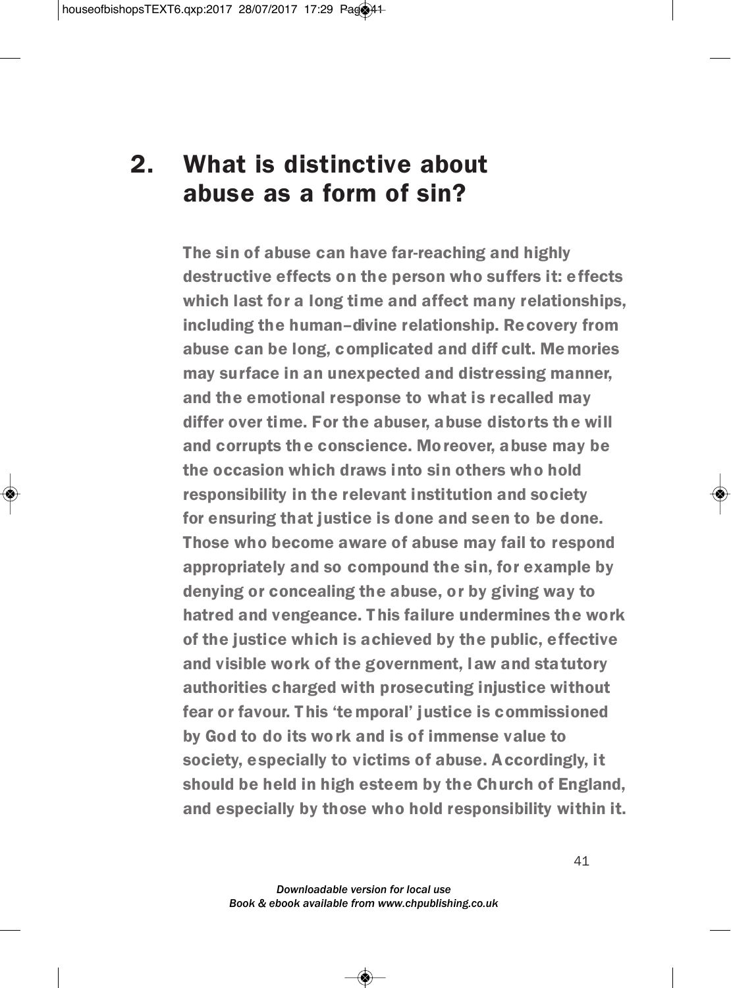# 2. What is distinctive about abuse as a form of sin?

The sin of abuse can have far-reaching and highly destructive effects on the person who suffers it: e ffects which last for a long time and affect many relationships, including the human–divine relationship. Recovery from abuse can be long, complicated and diff cult. Me mories may surface in an unexpected and distressing manner, and the emotional response to what is recalled may differ over time. For the abuser, abuse distorts th e will and corrupts th e conscience. Moreover, abuse may be the occasion which draws into sin others who hold responsibility in the relevant institution and society for ensuring that justice is done and seen to be done. Those who become aware of abuse may fail to respond appropriately and so compound the sin, for example by denying or concealing the abuse, or by giving way to hatred and vengeance. T his failure undermines the work of the justice which is achieved by the public, effective and visible work of the government, law and statutory authorities charged with prosecuting injustice without fear or favour. T his 'te mporal' justice is commissioned by God to do its wo rk and is of immense value to society, especially to victims of abuse. Accordingly, it should be held in high esteem by the Church of England, and especially by those who hold responsibility within it.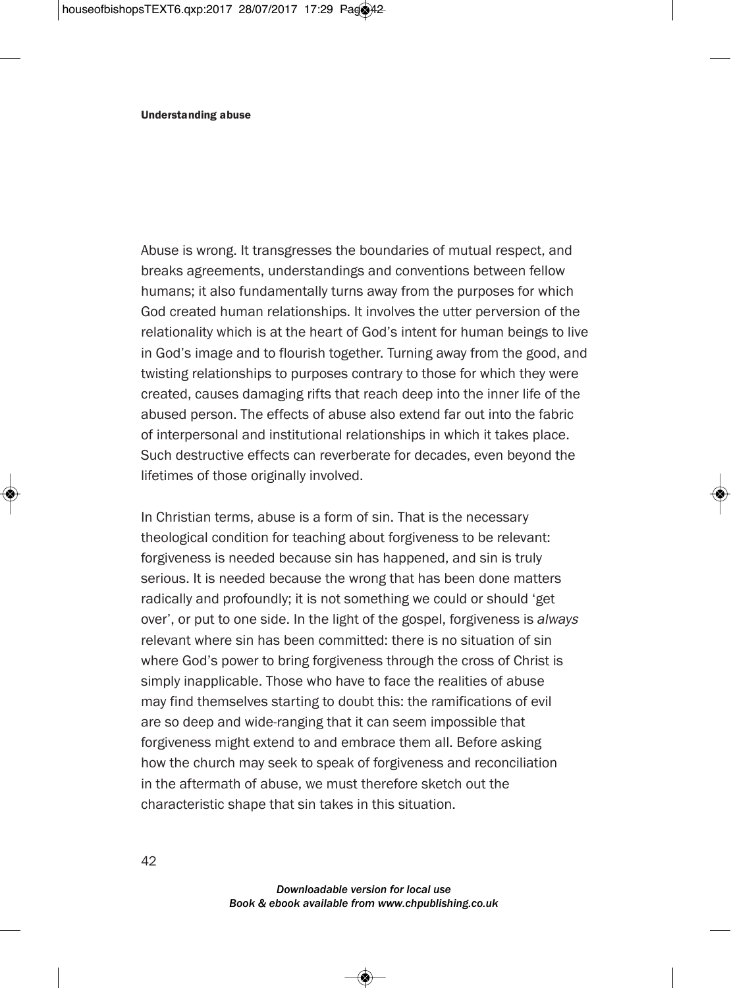Abuse is wrong. It transgresses the boundaries of mutual respect, and breaks agreements, understandings and conventions between fellow humans; it also fundamentally turns away from the purposes for which God created human relationships. It involves the utter perversion of the relationality which is at the heart of God's intent for human beings to live in God's image and to flourish together. Turning away from the good, and twisting relationships to purposes contrary to those for which they were created, causes damaging rifts that reach deep into the inner life of the abused person. The effects of abuse also extend far out into the fabric of interpersonal and institutional relationships in which it takes place. Such destructive effects can reverberate for decades, even beyond the lifetimes of those originally involved.

In Christian terms, abuse is a form of sin. That is the necessary theological condition for teaching about forgiveness to be relevant: forgiveness is needed because sin has happened, and sin is truly serious. It is needed because the wrong that has been done matters radically and profoundly; it is not something we could or should 'get over', or put to one side. In the light of the gospel, forgiveness is *alway<sup>s</sup>* relevant where sin has been committed: there is no situation of sin where God's power to bring forgiveness through the cross of Christ is simply inapplicable. Those who have to face the realities of abuse may find themselves starting to doubt this: the ramifications of evil are so deep and wide-ranging that it can seem impossible that forgiveness might extend to and embrace them all. Before asking how the church may seek to speak of forgiveness and reconciliation in the aftermath of abuse, we must therefore sketch out the characteristic shape that sin takes in this situation.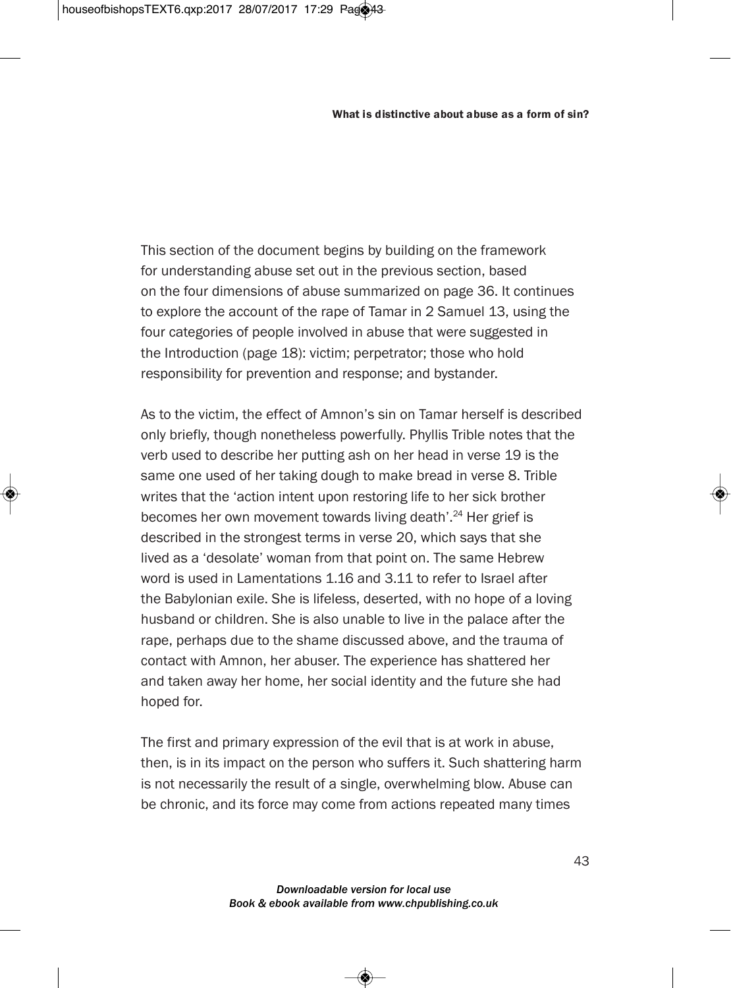This section of the document begins by building on the framework for understanding abuse set out in the previous section, based on the four dimensions of abuse summarized on page 36. It continues to explore the account of the rape of Tamar in 2 Samuel 13, using the four categories of people involved in abuse that were suggested in the Introduction (page 18): victim; perpetrator; those who hold responsibility for prevention and response; and bystander.

As to the victim, the effect of Amnon's sin on Tamar herself is described only briefly, though nonetheless powerfully. Phyllis Trible notes that the verb used to describe her putting ash on her head in verse 19 is the same one used of her taking dough to make bread in verse 8. Trible writes that the 'action intent upon restoring life to her sick brother becomes her own movement towards living death'.<sup>24</sup> Her grief is described in the strongest terms in verse 20, which says that she lived as a 'desolate' woman from that point on. The same Hebrew word is used in Lamentations 1.16 and 3.11 to refer to Israel after the Babylonian exile. She is lifeless, deserted, with no hope of a loving husband or children. She is also unable to live in the palace after the rape, perhaps due to the shame discussed above, and the trauma of contact with Amnon, her abuser. The experience has shattered her and taken away her home, her social identity and the future she had hoped for.

The first and primary expression of the evil that is at work in abuse, then, is in its impact on the person who suffers it. Such shattering harm is not necessarily the result of a single, overwhelming blow. Abuse can be chronic, and its force may come from actions repeated many times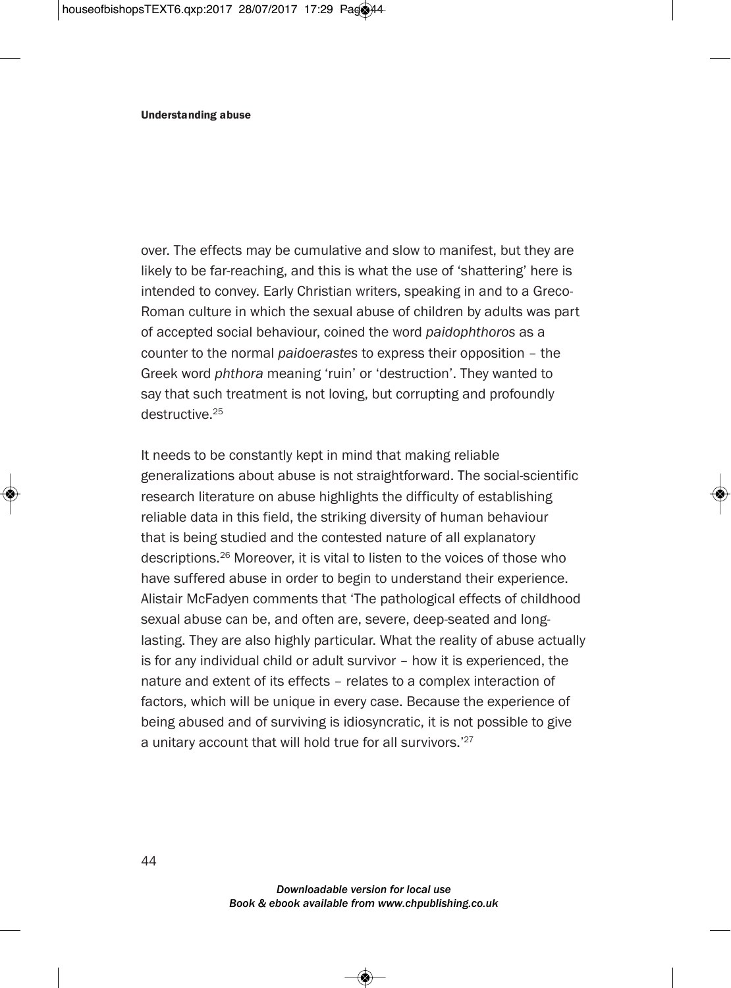over. The effects may be cumulative and slow to manifest, but they are likely to be far-reaching, and this is what the use of 'shattering' here is intended to convey. Early Christian writers, speaking in and to a Greco-Roman culture in which the sexual abuse of children by adults was part of accepted social behaviour, coined the word *paidophthoros* as a counter to the normal *paidoerastes* to express their opposition – the Greek word *phthora* meaning 'ruin' or 'destruction'. They wanted to say that such treatment is not loving, but corrupting and profoundly destructive.25

It needs to be constantly kept in mind that making reliable generalizations about abuse is not straightforward. The social-scientific research literature on abuse highlights the difficulty of establishing reliable data in this field, the striking diversity of human behaviour that is being studied and the contested nature of all explanatory descriptions.26 Moreover, it is vital to listen to the voices of those who have suffered abuse in order to begin to understand their experience. Alistair McFadyen comments that 'The pathological effects of childhood sexual abuse can be, and often are, severe, deep-seated and longlasting. They are also highly particular. What the reality of abuse actually is for any individual child or adult survivor – how it is experienced, the nature and extent of its effects – relates to a complex interaction of factors, which will be unique in every case. Because the experience of being abused and of surviving is idiosyncratic, it is not possible to give a unitary account that will hold true for all survivors.'27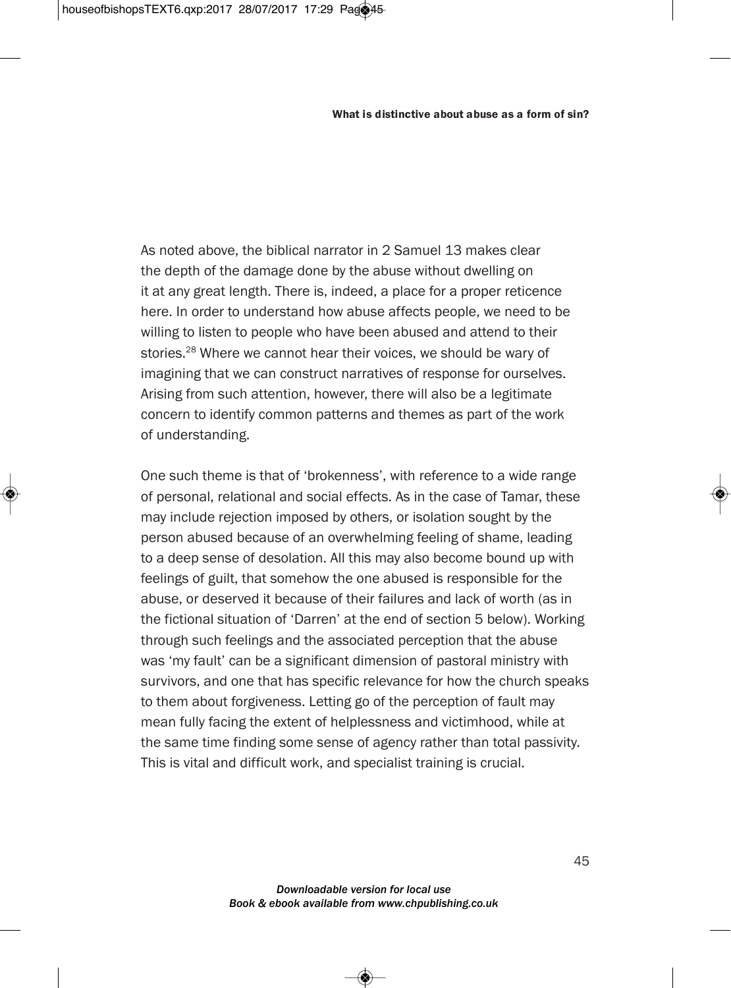As noted above, the biblical narrator in 2 Samuel 13 makes clear the depth of the damage done by the abuse without dwelling on it at any great length. There is, indeed, a place for a proper reticence here. In order to understand how abuse affects people, we need to be willing to listen to people who have been abused and attend to their stories.<sup>28</sup> Where we cannot hear their voices, we should be wary of imagining that we can construct narratives of response for ourselves. Arising from such attention, however, there will also be a legitimate concern to identify common patterns and themes as part of the work of understanding.

One such theme is that of 'brokenness', with reference to a wide range of personal, relational and social effects. As in the case of Tamar, these may include rejection imposed by others, or isolation sought by the person abused because of an overwhelming feeling of shame, leading to a deep sense of desolation. All this may also become bound up with feelings of guilt, that somehow the one abused is responsible for the abuse, or deserved it because of their failures and lack of worth (as in the fictional situation of 'Darren' at the end of section 5 below). Working through such feelings and the associated perception that the abuse was 'my fault' can be a significant dimension of pastoral ministry with survivors, and one that has specific relevance for how the church speaks to them about forgiveness. Letting go of the perception of fault may mean fully facing the extent of helplessness and victimhood, while at the same time finding some sense of agency rather than total passivity. This is vital and difficult work, and specialist training is crucial.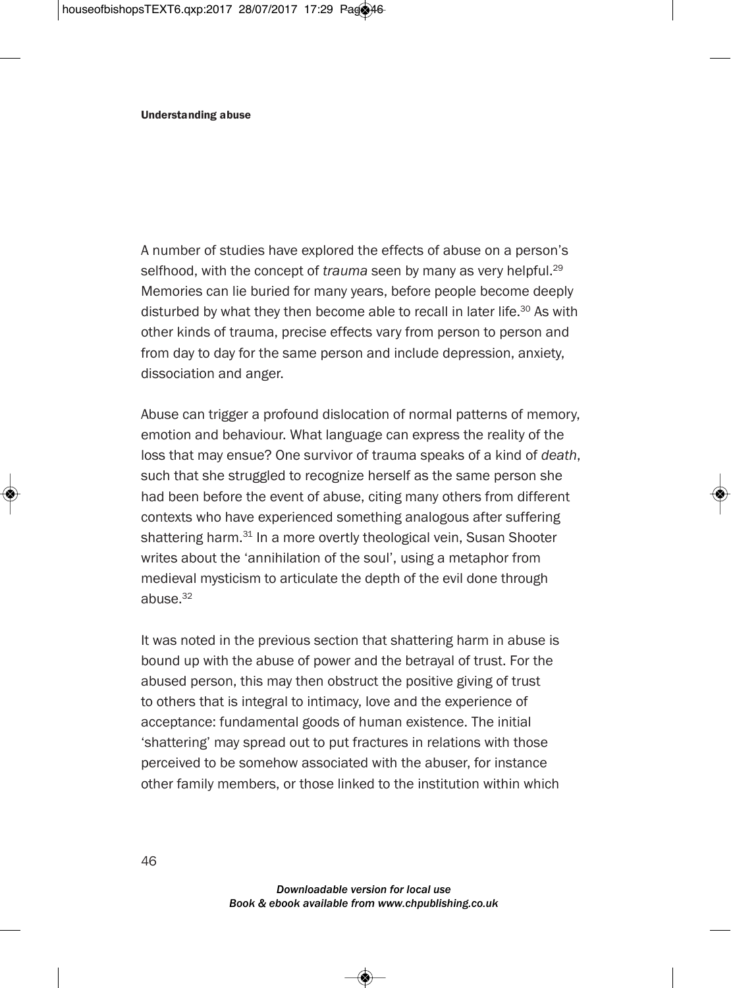A number of studies have explored the effects of abuse on a person's selfhood, with the concept of *trauma* seen by many as very helpful.<sup>29</sup> Memories can lie buried for many years, before people become deeply disturbed by what they then become able to recall in later life.<sup>30</sup> As with other kinds of trauma, precise effects vary from person to person and from day to day for the same person and include depression, anxiety, dissociation and anger.

Abuse can trigger a profound dislocation of normal patterns of memory, emotion and behaviour. What language can express the reality of the loss that may ensue? One survivor of trauma speaks of a kind of *death*, such that she struggled to recognize herself as the same person she had been before the event of abuse, citing many others from different contexts who have experienced something analogous after suffering shattering harm.<sup>31</sup> In a more overtly theological vein, Susan Shooter writes about the 'annihilation of the soul', using a metaphor from medieval mysticism to articulate the depth of the evil done through abuse $32$ 

It was noted in the previous section that shattering harm in abuse is bound up with the abuse of power and the betrayal of trust. For the abused person, this may then obstruct the positive giving of trust to others that is integral to intimacy, love and the experience of acceptance: fundamental goods of human existence. The initial 'shattering' may spread out to put fractures in relations with those perceived to be somehow associated with the abuser, for instance other family members, or those linked to the institution within which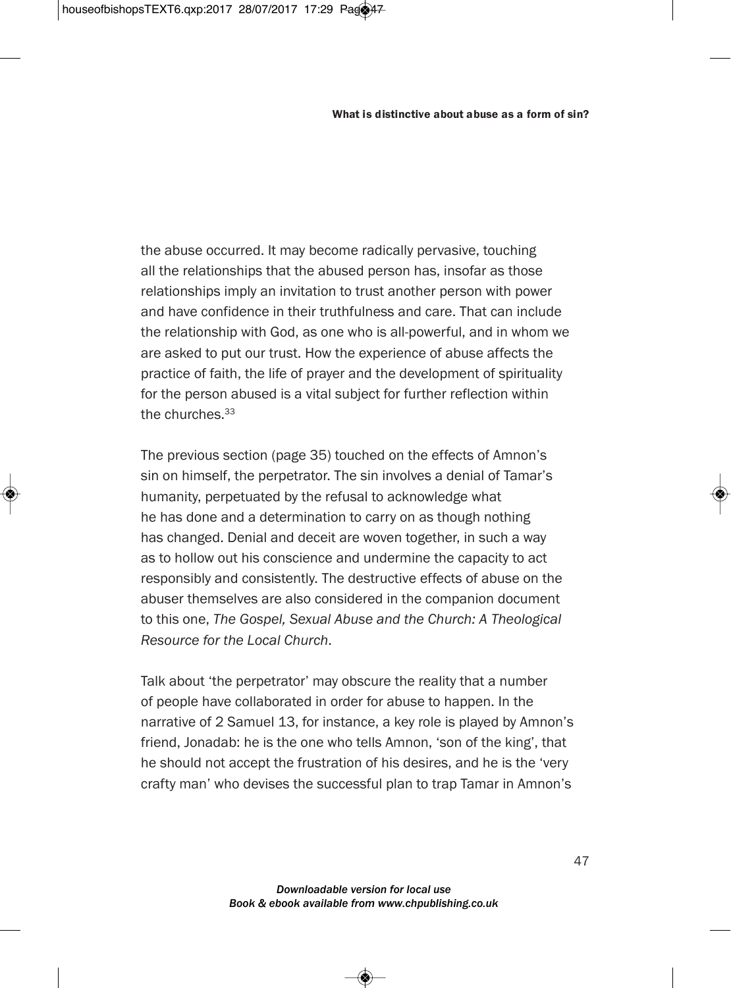the abuse occurred. It may become radically pervasive, touching all the relationships that the abused person has, insofar as those relationships imply an invitation to trust another person with power and have confidence in their truthfulness and care. That can include the relationship with God, as one who is all-powerful, and in whom we are asked to put our trust. How the experience of abuse affects the practice of faith, the life of prayer and the development of spirituality for the person abused is a vital subject for further reflection within the churches.<sup>33</sup>

The previous section (page 35) touched on the effects of Amnon's sin on himself, the perpetrator. The sin involves a denial of Tamar's humanity, perpetuated by the refusal to acknowledge what he has done and a determination to carry on as though nothing has changed. Denial and deceit are woven together, in such a way as to hollow out his conscience and undermine the capacity to act responsibly and consistently. The destructive effects of abuse on the abuser themselves are also considered in the companion document to this one, *The Gospel, Sexual Abuse and the Church: A Theological Resource for the Local Church*.

Talk about 'the perpetrator' may obscure the reality that a number of people have collaborated in order for abuse to happen. In the narrative of 2 Samuel 13, for instance, a key role is played by Amnon's friend, Jonadab: he is the one who tells Amnon, 'son of the king', that he should not accept the frustration of his desires, and he is the 'very crafty man' who devises the successful plan to trap Tamar in Amnon's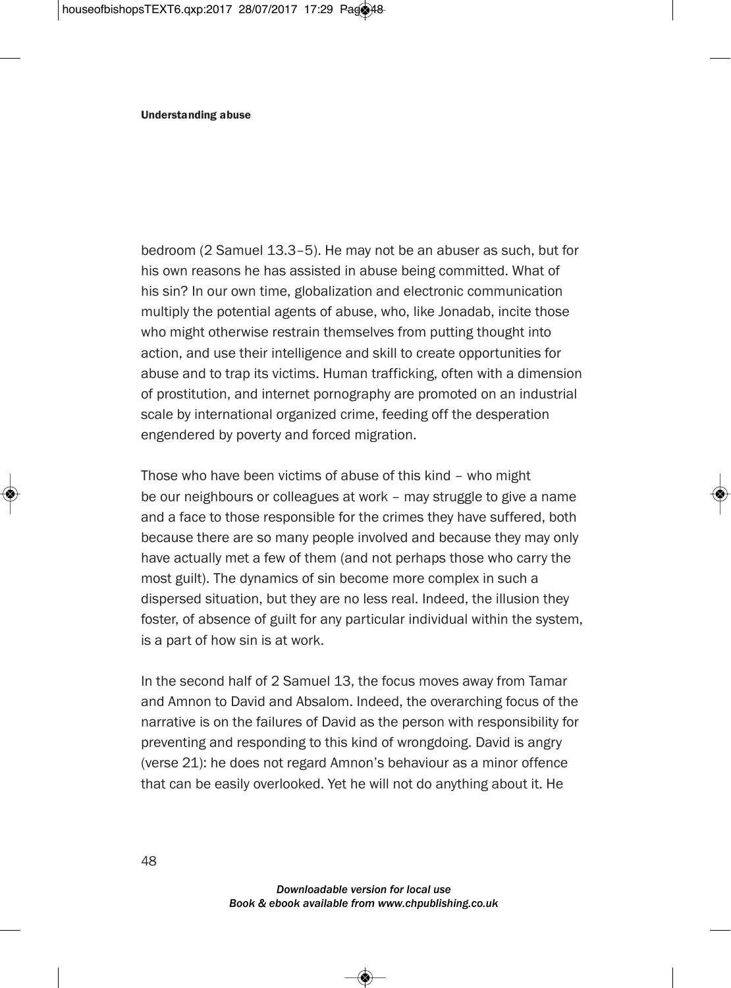bedroom (2 Samuel 13.3–5). He may not be an abuser as such, but for his own reasons he has assisted in abuse being committed. What of his sin? In our own time, globalization and electronic communication multiply the potential agents of abuse, who, like Jonadab, incite those who might otherwise restrain themselves from putting thought into action, and use their intelligence and skill to create opportunities for abuse and to trap its victims. Human trafficking, often with a dimension of prostitution, and internet pornography are promoted on an industrial scale by international organized crime, feeding off the desperation engendered by poverty and forced migration.

Those who have been victims of abuse of this kind – who might be our neighbours or colleagues at work – may struggle to give a name and a face to those responsible for the crimes they have suffered, both because there are so many people involved and because they may only have actually met a few of them (and not perhaps those who carry the most guilt). The dynamics of sin become more complex in such a dispersed situation, but they are no less real. Indeed, the illusion they foster, of absence of guilt for any particular individual within the system, is a part of how sin is at work.

In the second half of 2 Samuel 13, the focus moves away from Tamar and Amnon to David and Absalom. Indeed, the overarching focus of the narrative is on the failures of David as the person with responsibility for preventing and responding to this kind of wrongdoing. David is angry (verse 21): he does not regard Amnon's behaviour as a minor offence that can be easily overlooked. Yet he will not do anything about it. He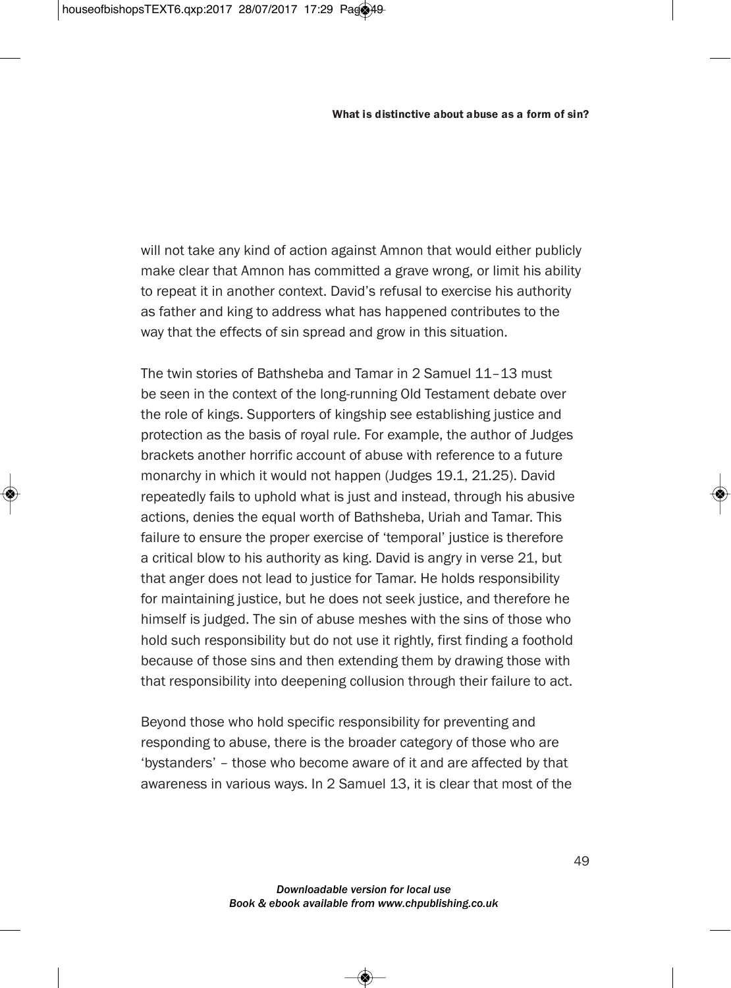will not take any kind of action against Amnon that would either publicly make clear that Amnon has committed a grave wrong, or limit his ability to repeat it in another context. David's refusal to exercise his authority as father and king to address what has happened contributes to the way that the effects of sin spread and grow in this situation.

The twin stories of Bathsheba and Tamar in 2 Samuel 11–13 must be seen in the context of the long-running Old Testament debate over the role of kings. Supporters of kingship see establishing justice and protection as the basis of royal rule. For example, the author of Judges brackets another horrific account of abuse with reference to a future monarchy in which it would not happen (Judges 19.1, 21.25). David repeatedly fails to uphold what is just and instead, through his abusive actions, denies the equal worth of Bathsheba, Uriah and Tamar. This failure to ensure the proper exercise of 'temporal' justice is therefore a critical blow to his authority as king. David is angry in verse 21, but that anger does not lead to justice for Tamar. He holds responsibility for maintaining justice, but he does not seek justice, and therefore he himself is judged. The sin of abuse meshes with the sins of those who hold such responsibility but do not use it rightly, first finding a foothold because of those sins and then extending them by drawing those with that responsibility into deepening collusion through their failure to act.

Beyond those who hold specific responsibility for preventing and responding to abuse, there is the broader category of those who are 'bystanders' – those who become aware of it and are affected by that awareness in various ways. In 2 Samuel 13, it is clear that most of the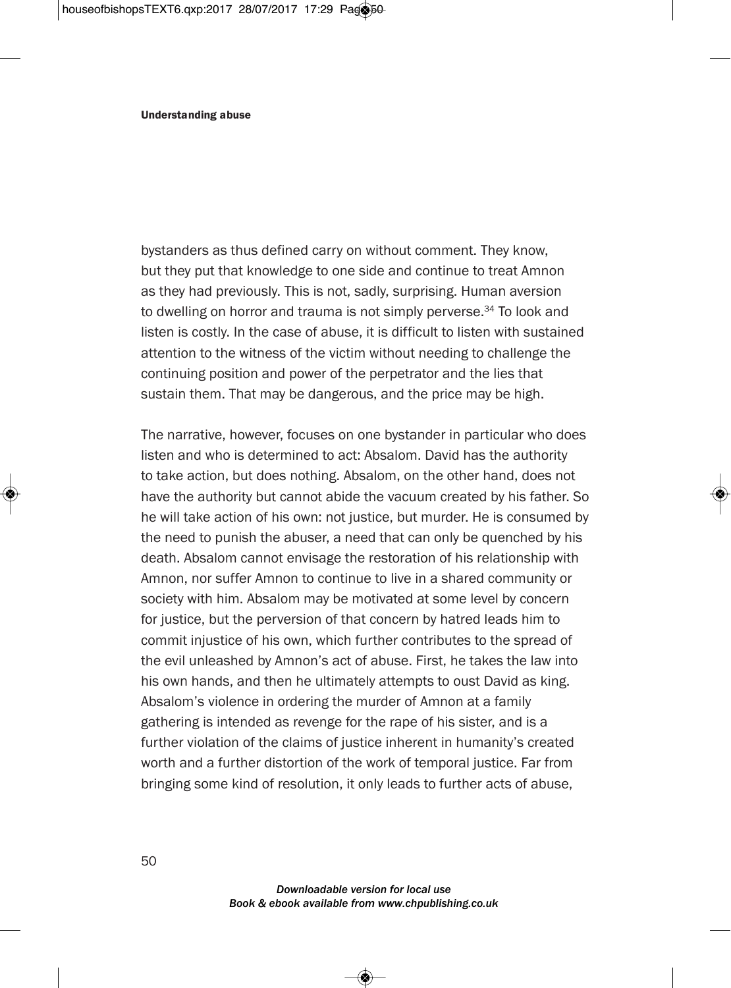bystanders as thus defined carry on without comment. They know, but they put that knowledge to one side and continue to treat Amnon as they had previously. This is not, sadly, surprising. Human aversion to dwelling on horror and trauma is not simply perverse.<sup>34</sup> To look and listen is costly. In the case of abuse, it is difficult to listen with sustained attention to the witness of the victim without needing to challenge the continuing position and power of the perpetrator and the lies that sustain them. That may be dangerous, and the price may be high.

The narrative, however, focuses on one bystander in particular who does listen and who is determined to act: Absalom. David has the authority to take action, but does nothing. Absalom, on the other hand, does not have the authority but cannot abide the vacuum created by his father. So he will take action of his own: not justice, but murder. He is consumed by the need to punish the abuser, a need that can only be quenched by his death. Absalom cannot envisage the restoration of his relationship with Amnon, nor suffer Amnon to continue to live in a shared community or society with him. Absalom may be motivated at some level by concern for justice, but the perversion of that concern by hatred leads him to commit injustice of his own, which further contributes to the spread of the evil unleashed by Amnon's act of abuse. First, he takes the law into his own hands, and then he ultimately attempts to oust David as king. Absalom's violence in ordering the murder of Amnon at a family gathering is intended as revenge for the rape of his sister, and is a further violation of the claims of justice inherent in humanity's created worth and a further distortion of the work of temporal justice. Far from bringing some kind of resolution, it only leads to further acts of abuse,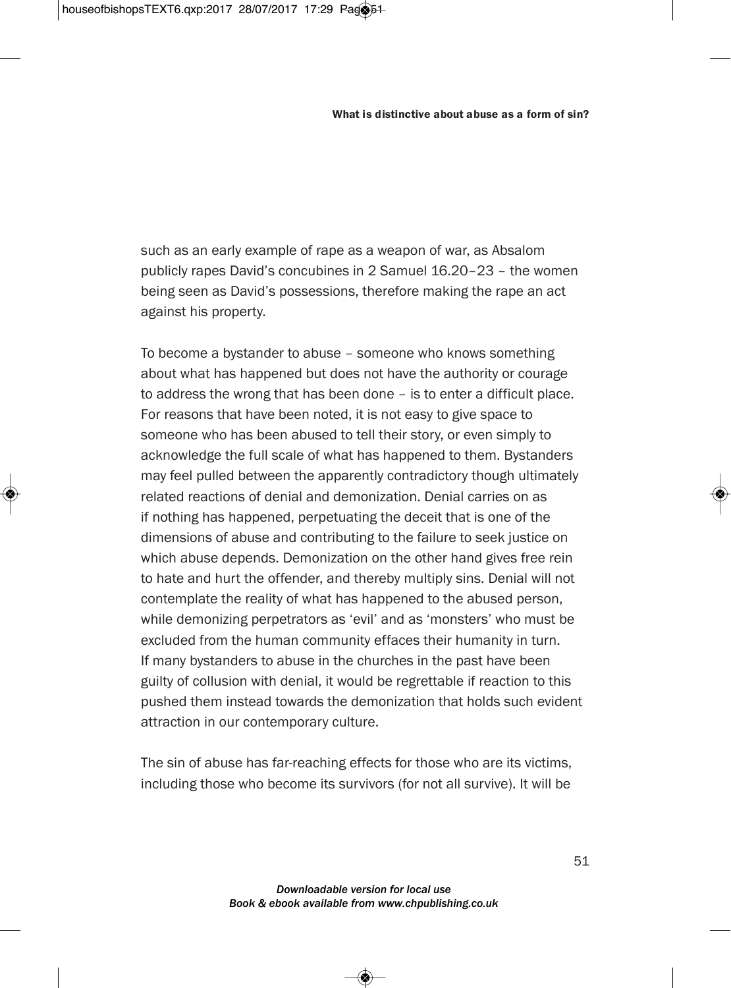such as an early example of rape as a weapon of war, as Absalom publicly rapes David's concubines in 2 Samuel 16.20–23 – the women being seen as David's possessions, therefore making the rape an act against his property.

To become a bystander to abuse – someone who knows something about what has happened but does not have the authority or courage to address the wrong that has been done – is to enter a difficult place. For reasons that have been noted, it is not easy to give space to someone who has been abused to tell their story, or even simply to acknowledge the full scale of what has happened to them. Bystanders may feel pulled between the apparently contradictory though ultimately related reactions of denial and demonization. Denial carries on as if nothing has happened, perpetuating the deceit that is one of the dimensions of abuse and contributing to the failure to seek justice on which abuse depends. Demonization on the other hand gives free rein to hate and hurt the offender, and thereby multiply sins. Denial will not contemplate the reality of what has happened to the abused person, while demonizing perpetrators as 'evil' and as 'monsters' who must be excluded from the human community effaces their humanity in turn. If many bystanders to abuse in the churches in the past have been guilty of collusion with denial, it would be regrettable if reaction to this pushed them instead towards the demonization that holds such evident attraction in our contemporary culture.

The sin of abuse has far-reaching effects for those who are its victims, including those who become its survivors (for not all survive). It will be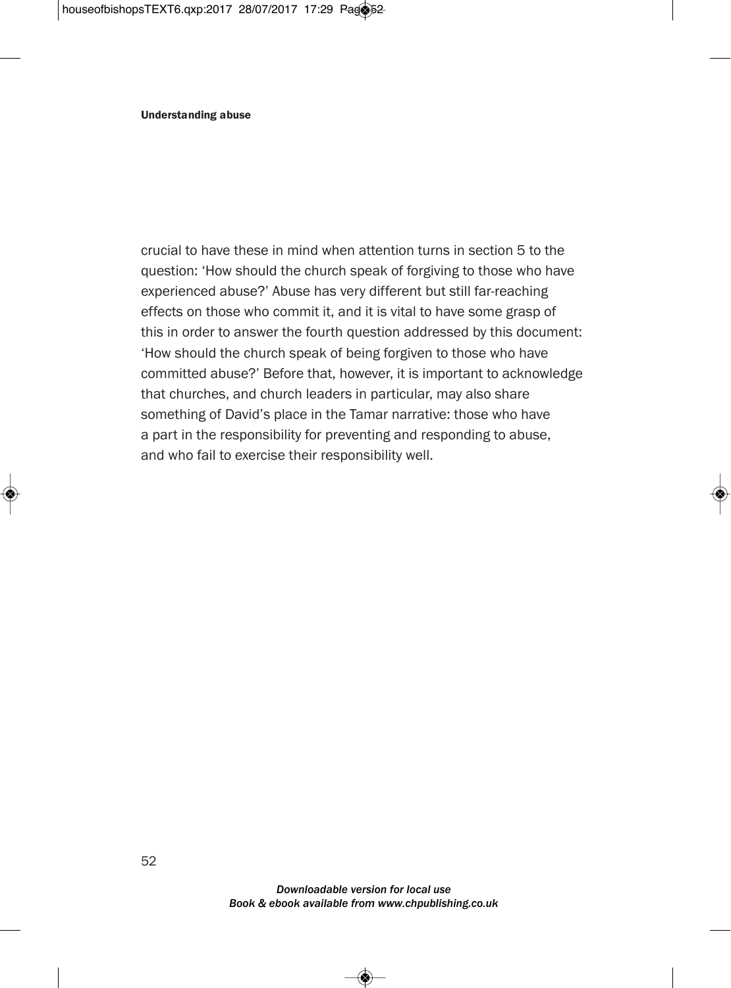crucial to have these in mind when attention turns in section 5 to the question: 'How should the church speak of forgiving to those who have experienced abuse?' Abuse has very different but still far-reaching effects on those who commit it, and it is vital to have some grasp of this in order to answer the fourth question addressed by this document: 'How should the church speak of being forgiven to those who have committed abuse?' Before that, however, it is important to acknowledge that churches, and church leaders in particular, may also share something of David's place in the Tamar narrative: those who have a part in the responsibility for preventing and responding to abuse, and who fail to exercise their responsibility well.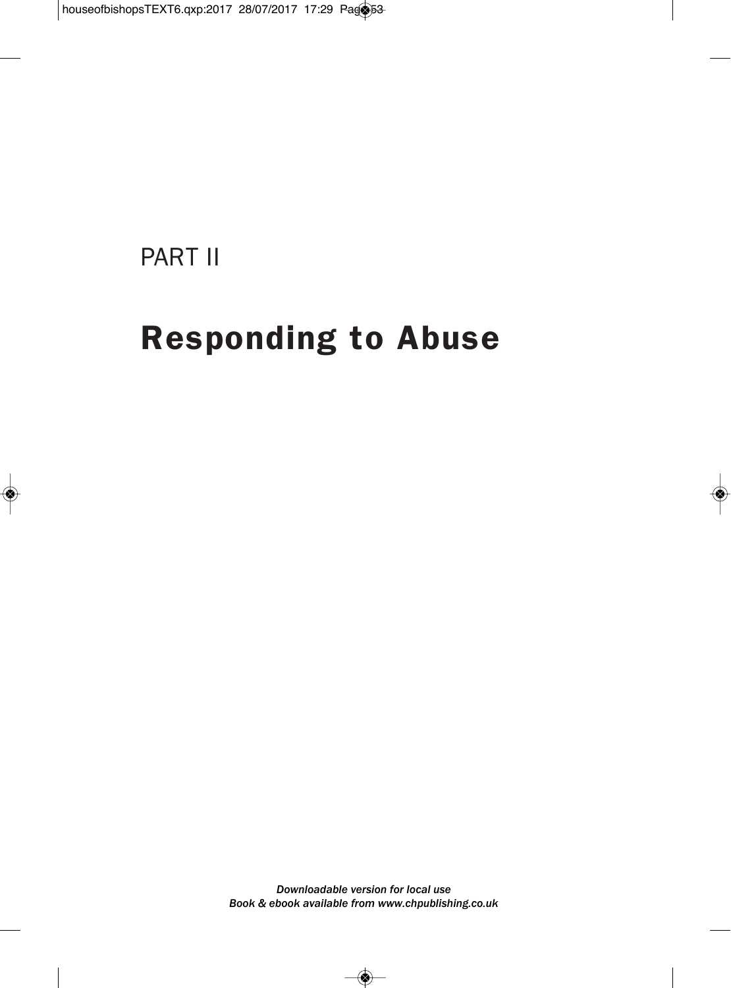# PART II

# Responding to Abuse

*Downloadable version for local use Book & ebook available from www.chpublishing.co.uk*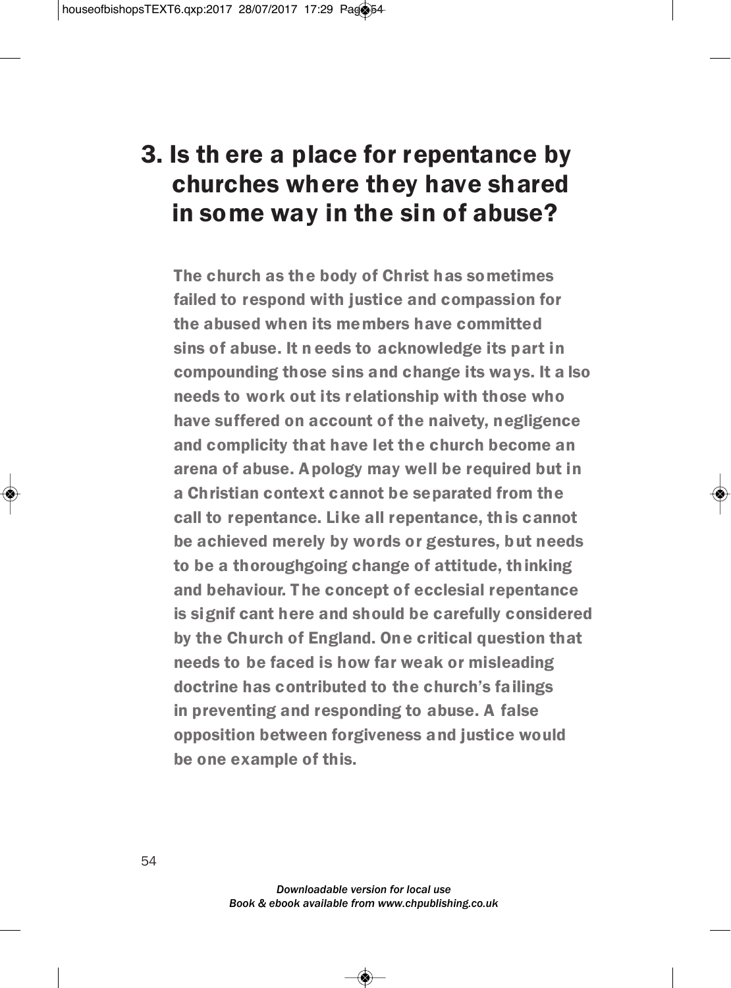# 3. Is th ere a place for repentance by churches where they have shared in some way in the sin of abuse?

The church as the body of Christ has sometimes failed to respond with justice and compassion for the abused when its members have committed sins of abuse. It n eeds to acknowledge its part in compounding those sins and change its ways. It a lso needs to work out its relationship with those who have suffered on account of the naivety, negligence and complicity that have let the church become an arena of abuse. Apology may well be required but in a Christian context cannot be separated from the call to repentance. Like all repentance, this cannot be achieved merely by words or gestures, but needs to be a thoroughgoing change of attitude, thinking and behaviour. T he concept of ecclesial repentance is signif cant here and should be carefully considered by the Church of England. One critical question that needs to be faced is how far weak or misleading doctrine has contributed to the church's failings in preventing and responding to abuse. A false opposition between forgiveness and justice would be one example of this.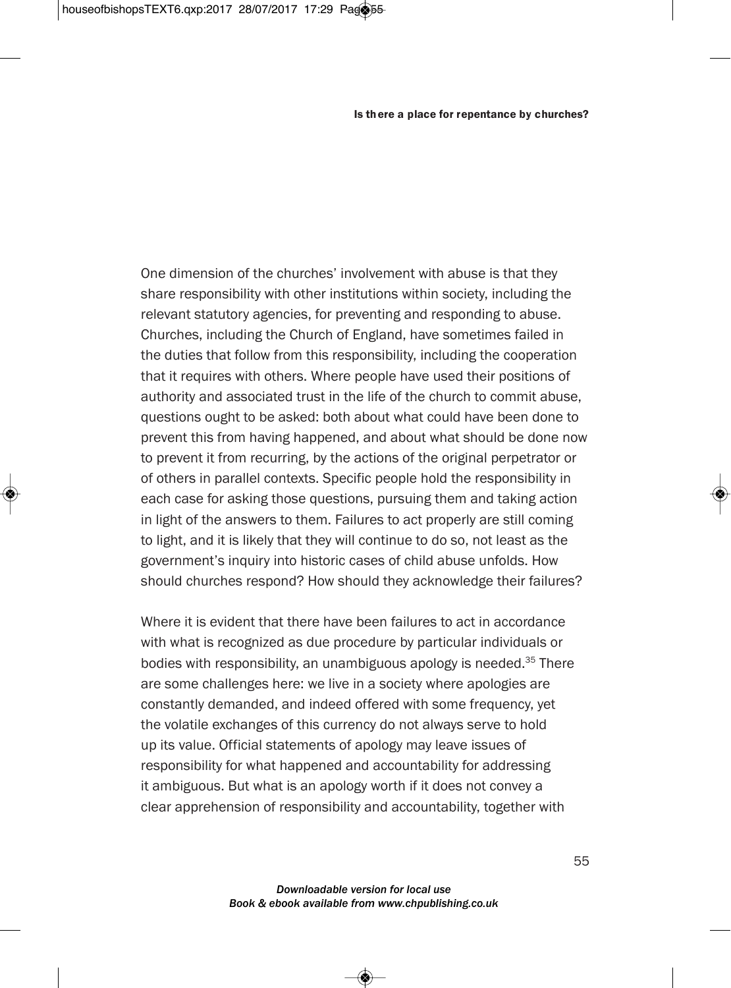One dimension of the churches' involvement with abuse is that they share responsibility with other institutions within society, including the relevant statutory agencies, for preventing and responding to abuse. Churches, including the Church of England, have sometimes failed in the duties that follow from this responsibility, including the cooperation that it requires with others. Where people have used their positions of authority and associated trust in the life of the church to commit abuse, questions ought to be asked: both about what could have been done to prevent this from having happened, and about what should be done now to prevent it from recurring, by the actions of the original perpetrator or of others in parallel contexts. Specific people hold the responsibility in each case for asking those questions, pursuing them and taking action in light of the answers to them. Failures to act properly are still coming to light, and it is likely that they will continue to do so, not least as the government's inquiry into historic cases of child abuse unfolds. How should churches respond? How should they acknowledge their failures?

Where it is evident that there have been failures to act in accordance with what is recognized as due procedure by particular individuals or bodies with responsibility, an unambiguous apology is needed.35 There are some challenges here: we live in a society where apologies are constantly demanded, and indeed offered with some frequency, yet the volatile exchanges of this currency do not always serve to hold up its value. Official statements of apology may leave issues of responsibility for what happened and accountability for addressing it ambiguous. But what is an apology worth if it does not convey a clear apprehension of responsibility and accountability, together with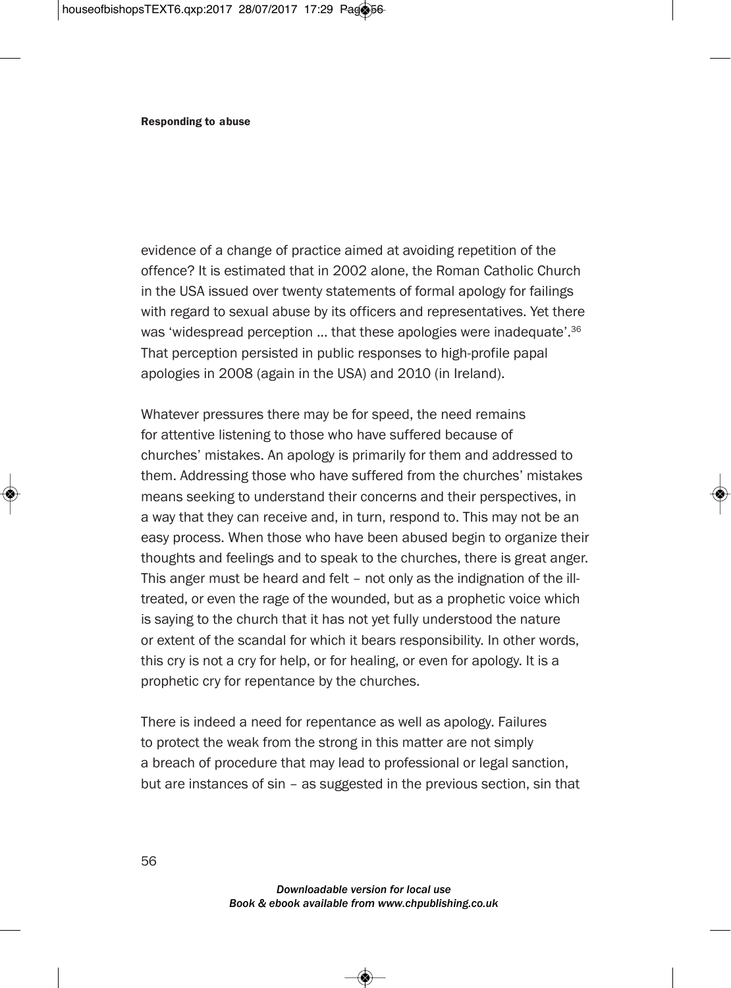evidence of a change of practice aimed at avoiding repetition of the offence? It is estimated that in 2002 alone, the Roman Catholic Church in the USA issued over twenty statements of formal apology for failings with regard to sexual abuse by its officers and representatives. Yet there was 'widespread perception ... that these apologies were inadequate'.<sup>36</sup> That perception persisted in public responses to high-profile papal apologies in 2008 (again in the USA) and 2010 (in Ireland).

Whatever pressures there may be for speed, the need remains for attentive listening to those who have suffered because of churches' mistakes. An apology is primarily for them and addressed to them. Addressing those who have suffered from the churches' mistakes means seeking to understand their concerns and their perspectives, in a way that they can receive and, in turn, respond to. This may not be an easy process. When those who have been abused begin to organize their thoughts and feelings and to speak to the churches, there is great anger. This anger must be heard and felt – not only as the indignation of the illtreated, or even the rage of the wounded, but as a prophetic voice which is saying to the church that it has not yet fully understood the nature or extent of the scandal for which it bears responsibility. In other words, this cry is not a cry for help, or for healing, or even for apology. It is a prophetic cry for repentance by the churches.

There is indeed a need for repentance as well as apology. Failures to protect the weak from the strong in this matter are not simply a breach of procedure that may lead to professional or legal sanction, but are instances of sin – as suggested in the previous section, sin that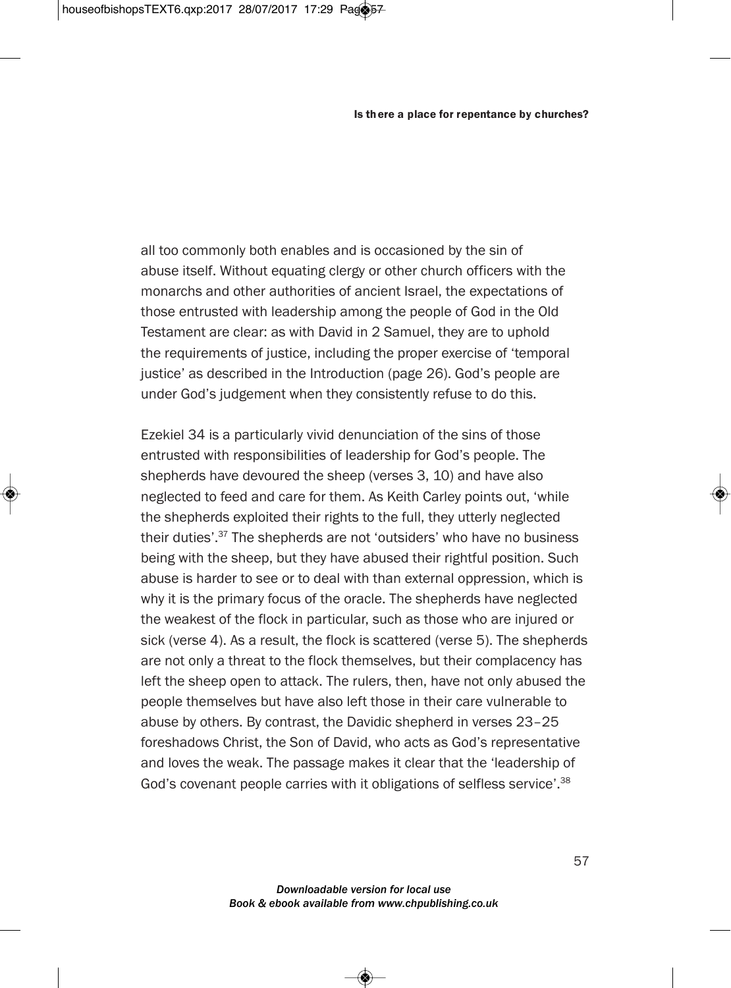all too commonly both enables and is occasioned by the sin of abuse itself. Without equating clergy or other church officers with the monarchs and other authorities of ancient Israel, the expectations of those entrusted with leadership among the people of God in the Old Testament are clear: as with David in 2 Samuel, they are to uphold the requirements of justice, including the proper exercise of 'temporal justice' as described in the Introduction (page 26). God's people are under God's judgement when they consistently refuse to do this.

Ezekiel 34 is a particularly vivid denunciation of the sins of those entrusted with responsibilities of leadership for God's people. The shepherds have devoured the sheep (verses 3, 10) and have also neglected to feed and care for them. As Keith Carley points out, 'while the shepherds exploited their rights to the full, they utterly neglected their duties'.37 The shepherds are not 'outsiders' who have no business being with the sheep, but they have abused their rightful position. Such abuse is harder to see or to deal with than external oppression, which is why it is the primary focus of the oracle. The shepherds have neglected the weakest of the flock in particular, such as those who are injured or sick (verse 4). As a result, the flock is scattered (verse 5). The shepherds are not only a threat to the flock themselves, but their complacency has left the sheep open to attack. The rulers, then, have not only abused the people themselves but have also left those in their care vulnerable to abuse by others. By contrast, the Davidic shepherd in verses 23–25 foreshadows Christ, the Son of David, who acts as God's representative and loves the weak. The passage makes it clear that the 'leadership of God's covenant people carries with it obligations of selfless service'.<sup>38</sup>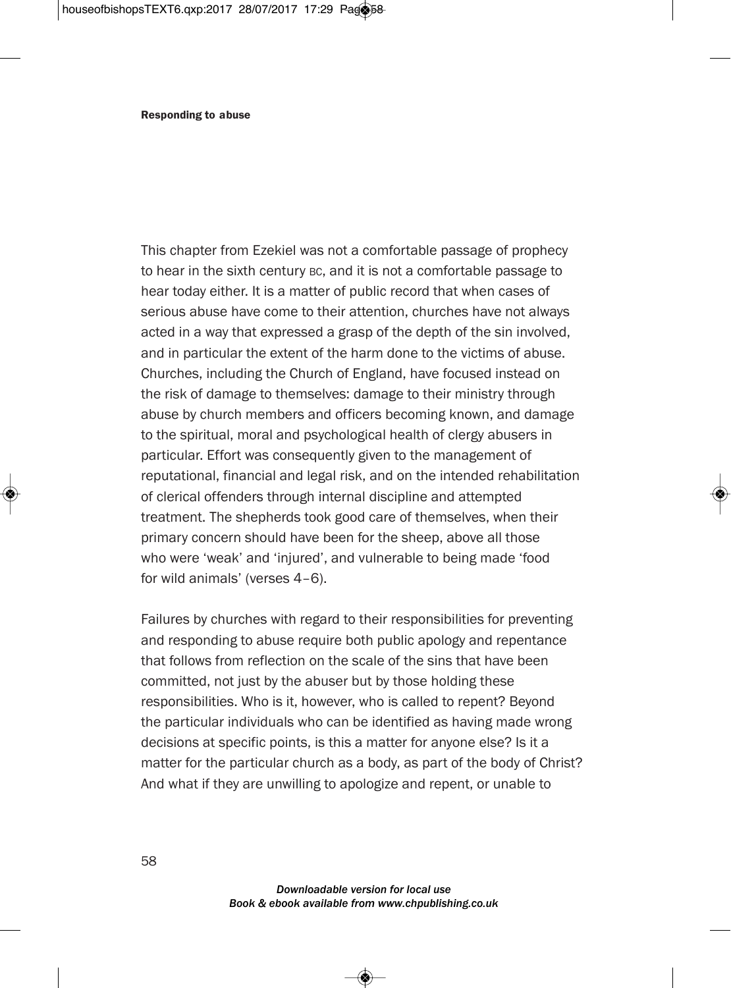This chapter from Ezekiel was not a comfortable passage of prophecy to hear in the sixth century BC, and it is not a comfortable passage to hear today either. It is a matter of public record that when cases of serious abuse have come to their attention, churches have not always acted in a way that expressed a grasp of the depth of the sin involved, and in particular the extent of the harm done to the victims of abuse. Churches, including the Church of England, have focused instead on the risk of damage to themselves: damage to their ministry through abuse by church members and officers becoming known, and damage to the spiritual, moral and psychological health of clergy abusers in particular. Effort was consequently given to the management of reputational, financial and legal risk, and on the intended rehabilitation of clerical offenders through internal discipline and attempted treatment. The shepherds took good care of themselves, when their primary concern should have been for the sheep, above all those who were 'weak' and 'injured', and vulnerable to being made 'food for wild animals' (verses 4–6).

Failures by churches with regard to their responsibilities for preventing and responding to abuse require both public apology and repentance that follows from reflection on the scale of the sins that have been committed, not just by the abuser but by those holding these responsibilities. Who is it, however, who is called to repent? Beyond the particular individuals who can be identified as having made wrong decisions at specific points, is this a matter for anyone else? Is it a matter for the particular church as a body, as part of the body of Christ? And what if they are unwilling to apologize and repent, or unable to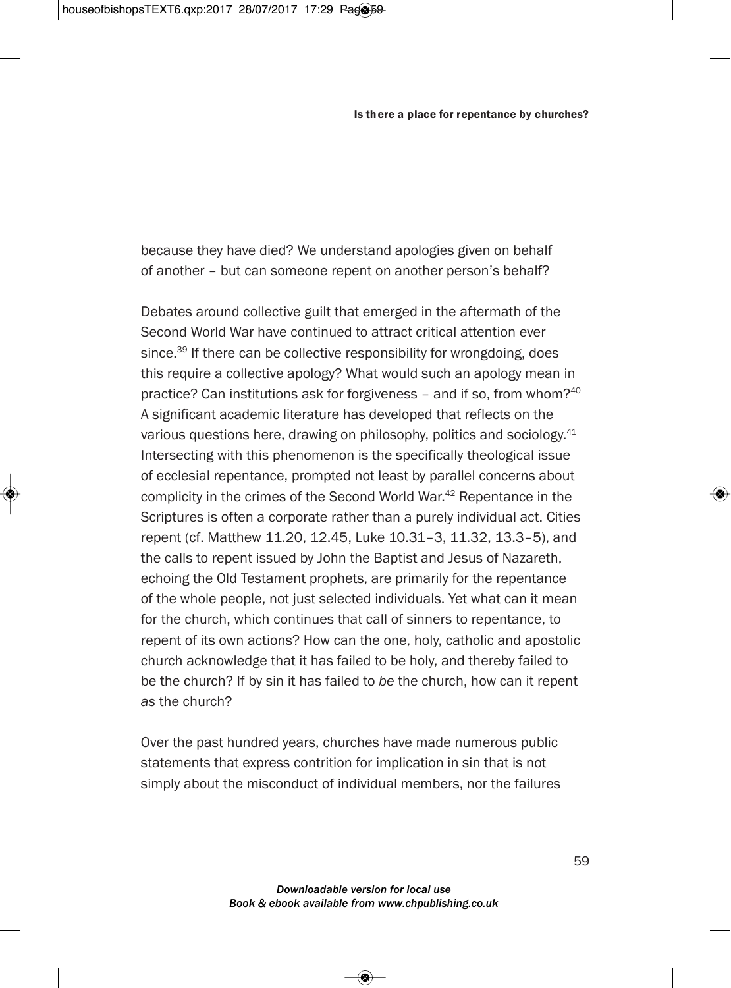because they have died? We understand apologies given on behalf of another – but can someone repent on another person's behalf?

Debates around collective guilt that emerged in the aftermath of the Second World War have continued to attract critical attention ever since.<sup>39</sup> If there can be collective responsibility for wrongdoing, does this require a collective apology? What would such an apology mean in practice? Can institutions ask for forgiveness – and if so, from whom?40 A significant academic literature has developed that reflects on the various questions here, drawing on philosophy, politics and sociology.<sup>41</sup> Intersecting with this phenomenon is the specifically theological issue of ecclesial repentance, prompted not least by parallel concerns about complicity in the crimes of the Second World War.42 Repentance in the Scriptures is often a corporate rather than a purely individual act. Cities repent (cf. Matthew 11.20, 12.45, Luke 10.31–3, 11.32, 13.3–5), and the calls to repent issued by John the Baptist and Jesus of Nazareth, echoing the Old Testament prophets, are primarily for the repentance of the whole people, not just selected individuals. Yet what can it mean for the church, which continues that call of sinners to repentance, to repent of its own actions? How can the one, holy, catholic and apostolic church acknowledge that it has failed to be holy, and thereby failed to be the church? If by sin it has failed to *be* the church, how can it repent *as* the church?

Over the past hundred years, churches have made numerous public statements that express contrition for implication in sin that is not simply about the misconduct of individual members, nor the failures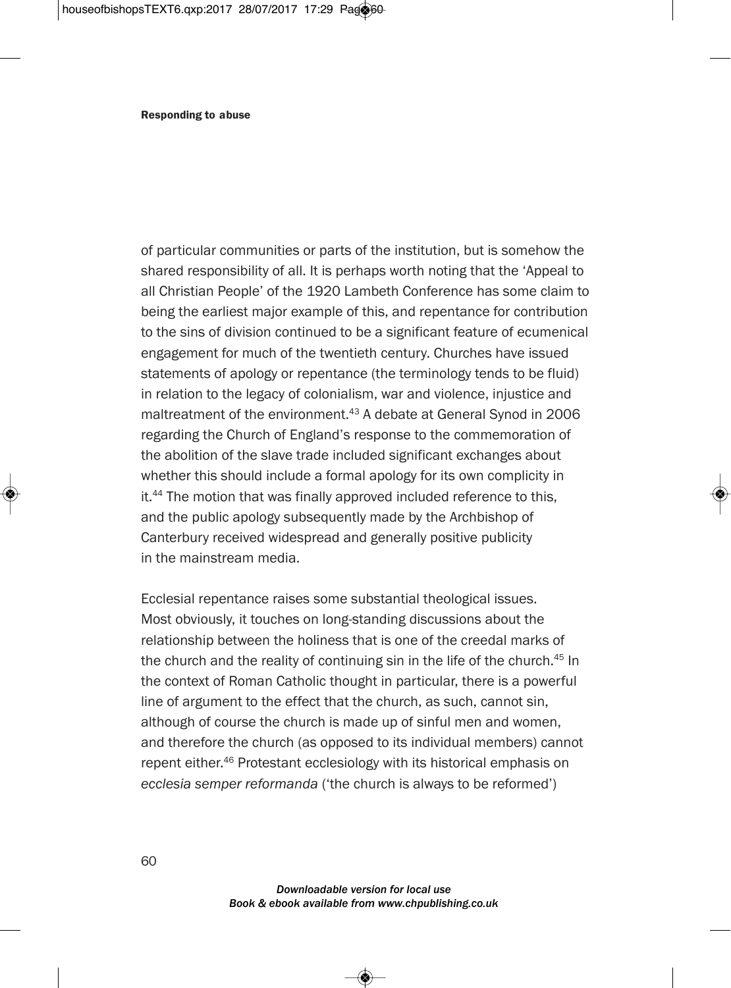of particular communities or parts of the institution, but is somehow the shared responsibility of all. It is perhaps worth noting that the 'Appeal to all Christian People' of the 1920 Lambeth Conference has some claim to being the earliest major example of this, and repentance for contribution to the sins of division continued to be a significant feature of ecumenical engagement for much of the twentieth century. Churches have issued statements of apology or repentance (the terminology tends to be fluid) in relation to the legacy of colonialism, war and violence, injustice and maltreatment of the environment.<sup>43</sup> A debate at General Synod in 2006 regarding the Church of England's response to the commemoration of the abolition of the slave trade included significant exchanges about whether this should include a formal apology for its own complicity in it.<sup>44</sup> The motion that was finally approved included reference to this, and the public apology subsequently made by the Archbishop of Canterbury received widespread and generally positive publicity in the mainstream media.

Ecclesial repentance raises some substantial theological issues. Most obviously, it touches on long-standing discussions about the relationship between the holiness that is one of the creedal marks of the church and the reality of continuing sin in the life of the church.<sup>45</sup> In the context of Roman Catholic thought in particular, there is a powerful line of argument to the effect that the church, as such, cannot sin, although of course the church is made up of sinful men and women, and therefore the church (as opposed to its individual members) cannot repent either.46 Protestant ecclesiology with its historical emphasis on *ecclesia semper reformanda* ('the church is always to be reformed')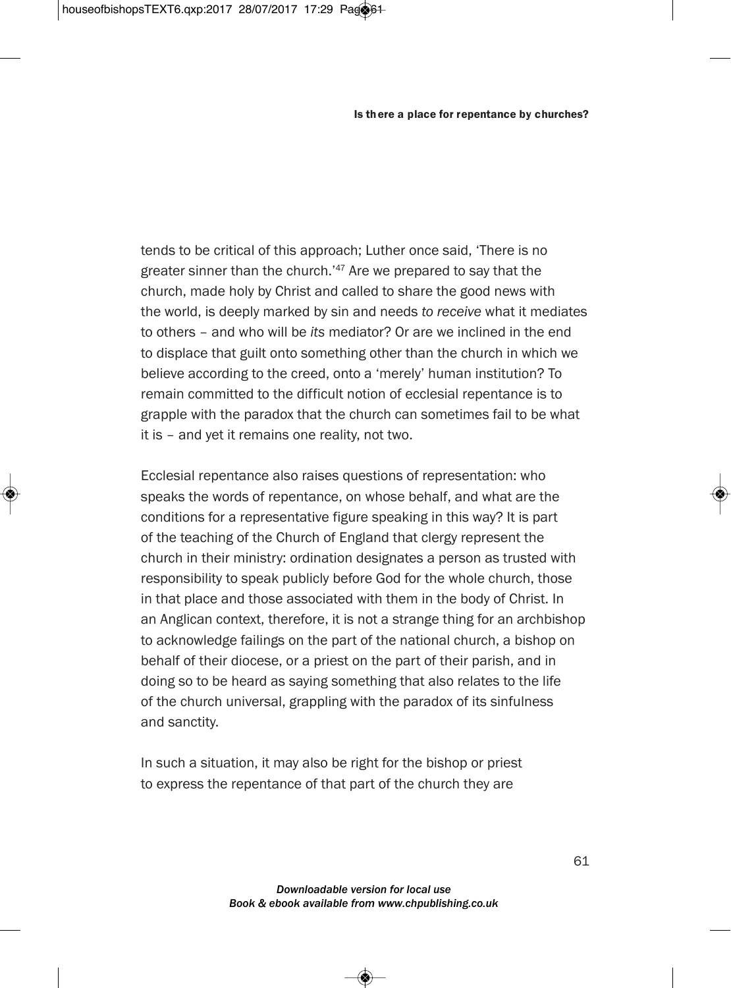tends to be critical of this approach; Luther once said, 'There is no greater sinner than the church.<sup>'47</sup> Are we prepared to say that the church, made holy by Christ and called to share the good news with the world, is deeply marked by sin and needs *to receive* what it mediates to others – and who will be *its* mediator? Or are we inclined in the end to displace that guilt onto something other than the church in which we believe according to the creed, onto a 'merely' human institution? To remain committed to the difficult notion of ecclesial repentance is to grapple with the paradox that the church can sometimes fail to be what it is – and yet it remains one reality, not two.

Ecclesial repentance also raises questions of representation: who speaks the words of repentance, on whose behalf, and what are the conditions for a representative figure speaking in this way? It is part of the teaching of the Church of England that clergy represent the church in their ministry: ordination designates a person as trusted with responsibility to speak publicly before God for the whole church, those in that place and those associated with them in the body of Christ. In an Anglican context, therefore, it is not a strange thing for an archbishop to acknowledge failings on the part of the national church, a bishop on behalf of their diocese, or a priest on the part of their parish, and in doing so to be heard as saying something that also relates to the life of the church universal, grappling with the paradox of its sinfulness and sanctity.

In such a situation, it may also be right for the bishop or priest to express the repentance of that part of the church they are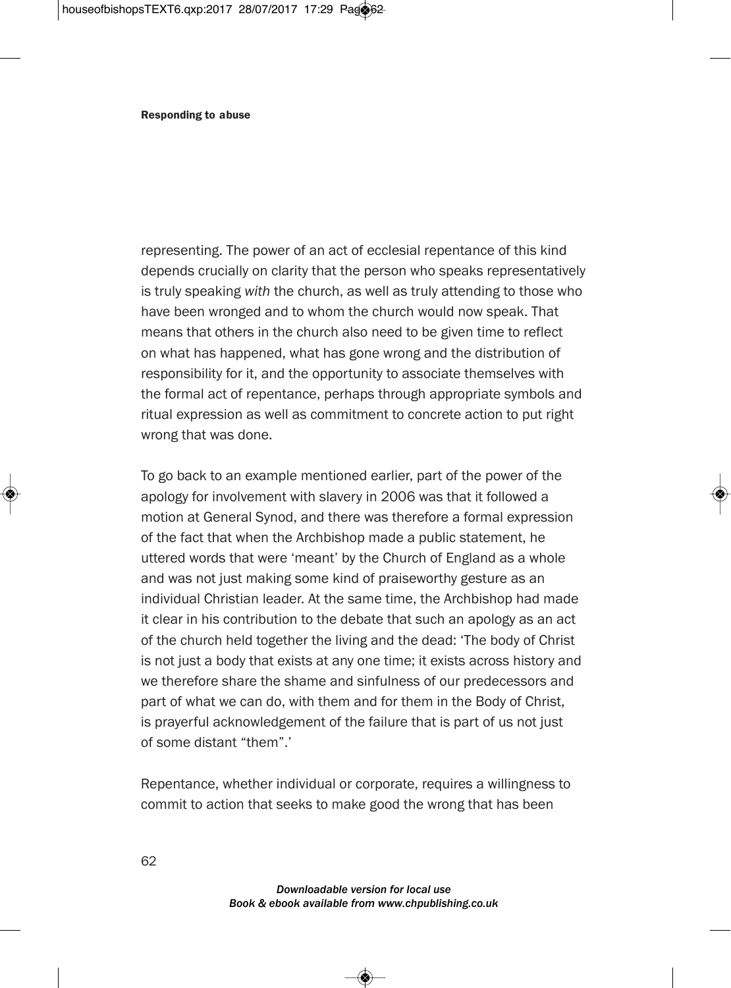representing. The power of an act of ecclesial repentance of this kind depends crucially on clarity that the person who speaks representatively is truly speaking *with* the church, as well as truly attending to those who have been wronged and to whom the church would now speak. That means that others in the church also need to be given time to reflect on what has happened, what has gone wrong and the distribution of responsibility for it, and the opportunity to associate themselves with the formal act of repentance, perhaps through appropriate symbols and ritual expression as well as commitment to concrete action to put right wrong that was done.

To go back to an example mentioned earlier, part of the power of the apology for involvement with slavery in 2006 was that it followed a motion at General Synod, and there was therefore a formal expression of the fact that when the Archbishop made a public statement, he uttered words that were 'meant' by the Church of England as a whole and was not just making some kind of praiseworthy gesture as an individual Christian leader. At the same time, the Archbishop had made it clear in his contribution to the debate that such an apology as an act of the church held together the living and the dead: 'The body of Christ is not just a body that exists at any one time; it exists across history and we therefore share the shame and sinfulness of our predecessors and part of what we can do, with them and for them in the Body of Christ, is prayerful acknowledgement of the failure that is part of us not just of some distant "them".'

Repentance, whether individual or corporate, requires a willingness to commit to action that seeks to make good the wrong that has been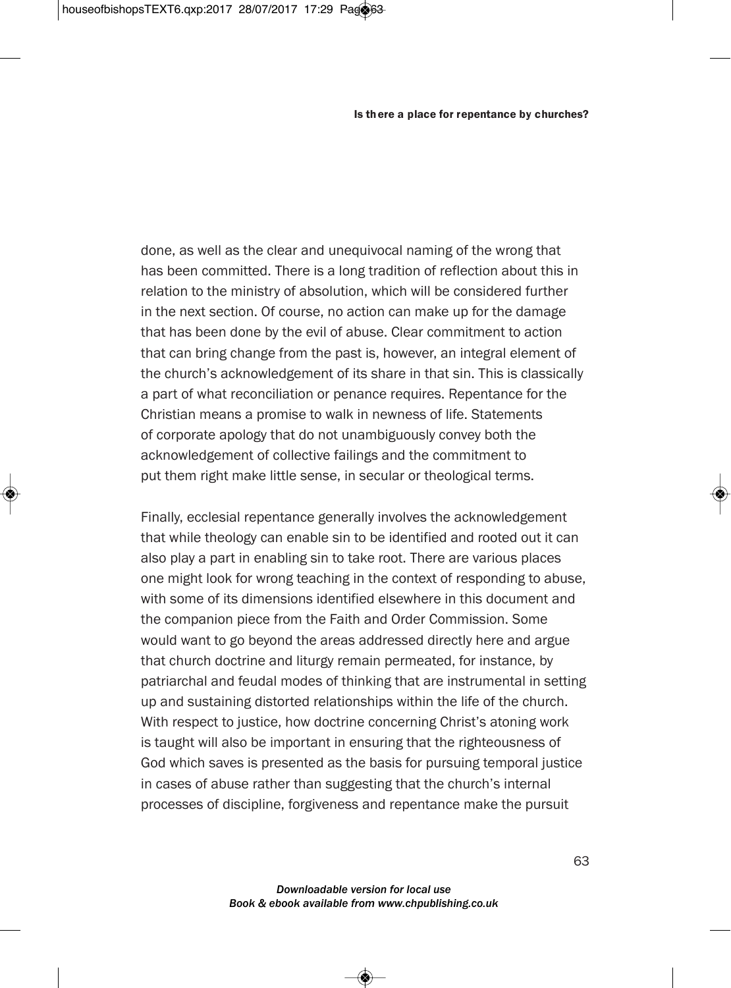done, as well as the clear and unequivocal naming of the wrong that has been committed. There is a long tradition of reflection about this in relation to the ministry of absolution, which will be considered further in the next section. Of course, no action can make up for the damage that has been done by the evil of abuse. Clear commitment to action that can bring change from the past is, however, an integral element of the church's acknowledgement of its share in that sin. This is classically a part of what reconciliation or penance requires. Repentance for the Christian means a promise to walk in newness of life. Statements of corporate apology that do not unambiguously convey both the acknowledgement of collective failings and the commitment to put them right make little sense, in secular or theological terms.

Finally, ecclesial repentance generally involves the acknowledgement that while theology can enable sin to be identified and rooted out it can also play a part in enabling sin to take root. There are various places one might look for wrong teaching in the context of responding to abuse, with some of its dimensions identified elsewhere in this document and the companion piece from the Faith and Order Commission. Some would want to go beyond the areas addressed directly here and argue that church doctrine and liturgy remain permeated, for instance, by patriarchal and feudal modes of thinking that are instrumental in setting up and sustaining distorted relationships within the life of the church. With respect to justice, how doctrine concerning Christ's atoning work is taught will also be important in ensuring that the righteousness of God which saves is presented as the basis for pursuing temporal justice in cases of abuse rather than suggesting that the church's internal processes of discipline, forgiveness and repentance make the pursuit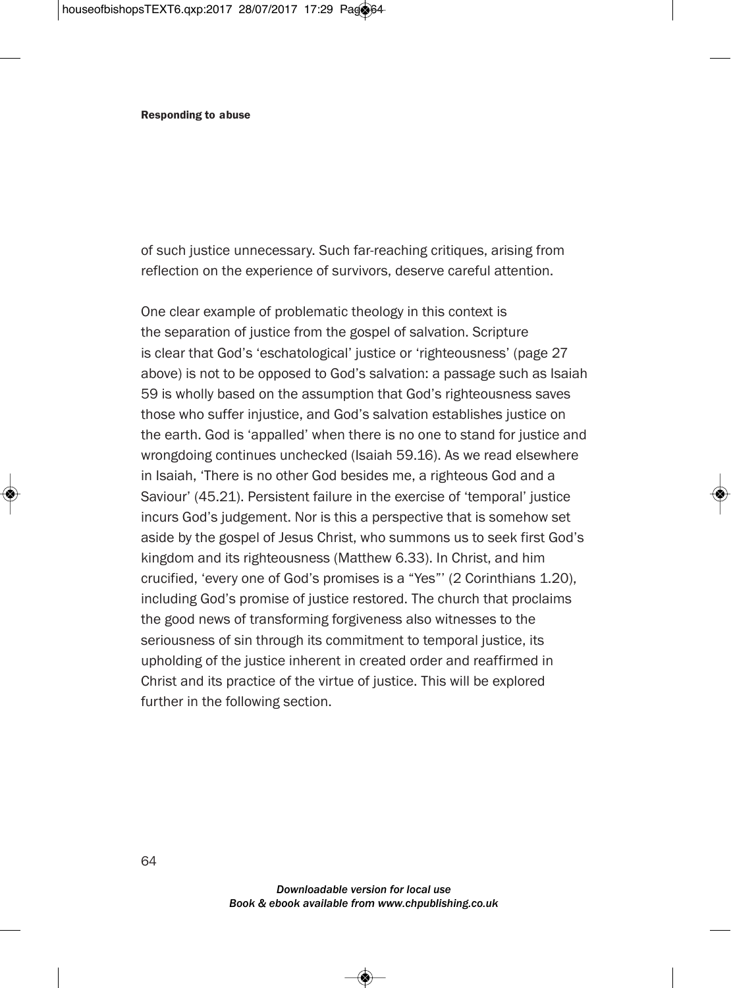of such justice unnecessary. Such far-reaching critiques, arising from reflection on the experience of survivors, deserve careful attention.

One clear example of problematic theology in this context is the separation of justice from the gospel of salvation. Scripture is clear that God's 'eschatological' justice or 'righteousness' (page 27 above) is not to be opposed to God's salvation: a passage such as Isaiah 59 is wholly based on the assumption that God's righteousness saves those who suffer injustice, and God's salvation establishes justice on the earth. God is 'appalled' when there is no one to stand for justice and wrongdoing continues unchecked (Isaiah 59.16). As we read elsewhere in Isaiah, 'There is no other God besides me, a righteous God and a Saviour' (45.21). Persistent failure in the exercise of 'temporal' justice incurs God's judgement. Nor is this a perspective that is somehow set aside by the gospel of Jesus Christ, who summons us to seek first God's kingdom and its righteousness (Matthew 6.33). In Christ, and him crucified, 'every one of God's promises is a "Yes"' (2 Corinthians 1.20), including God's promise of justice restored. The church that proclaims the good news of transforming forgiveness also witnesses to the seriousness of sin through its commitment to temporal justice, its upholding of the justice inherent in created order and reaffirmed in Christ and its practice of the virtue of justice. This will be explored further in the following section.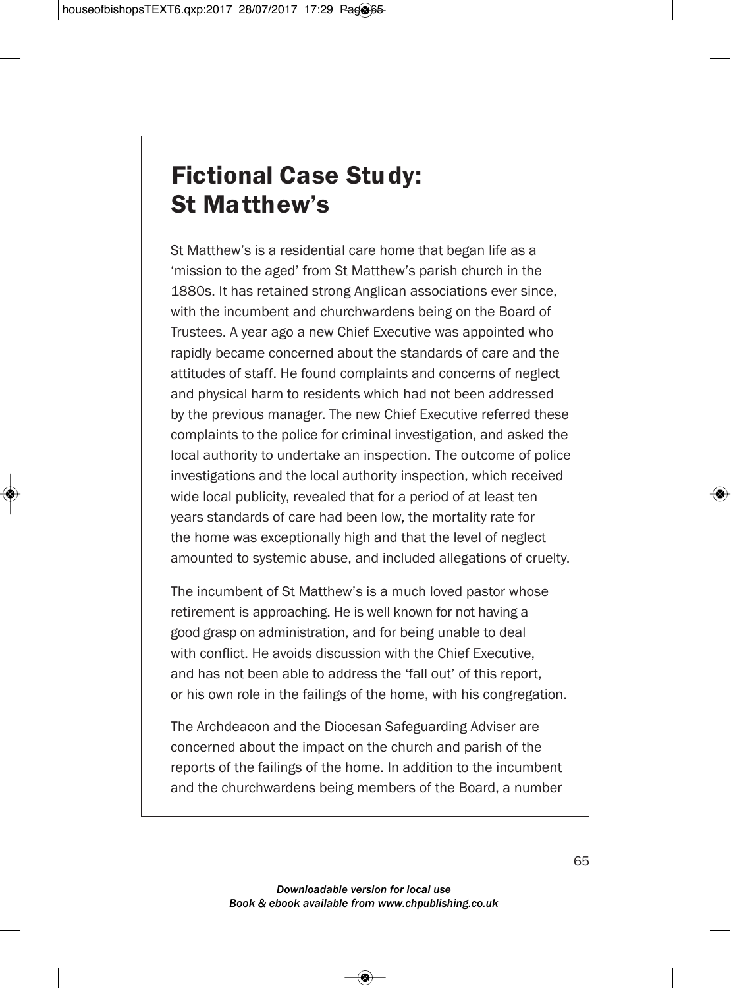# Fictional Case Study: St Matthew's

St Matthew's is a residential care home that began life as a 'mission to the aged' from St Matthew's parish church in the 1880s. It has retained strong Anglican associations ever since, with the incumbent and churchwardens being on the Board of Trustees. A year ago a new Chief Executive was appointed who rapidly became concerned about the standards of care and the attitudes of staff. He found complaints and concerns of neglect and physical harm to residents which had not been addressed by the previous manager. The new Chief Executive referred these complaints to the police for criminal investigation, and asked the local authority to undertake an inspection. The outcome of police investigations and the local authority inspection, which received wide local publicity, revealed that for a period of at least ten years standards of care had been low, the mortality rate for the home was exceptionally high and that the level of neglect amounted to systemic abuse, and included allegations of cruelty.

The incumbent of St Matthew's is a much loved pastor whose retirement is approaching. He is well known for not having a good grasp on administration, and for being unable to deal with conflict. He avoids discussion with the Chief Executive, and has not been able to address the 'fall out' of this report, or his own role in the failings of the home, with his congregation.

The Archdeacon and the Diocesan Safeguarding Adviser are concerned about the impact on the church and parish of the reports of the failings of the home. In addition to the incumbent and the churchwardens being members of the Board, a number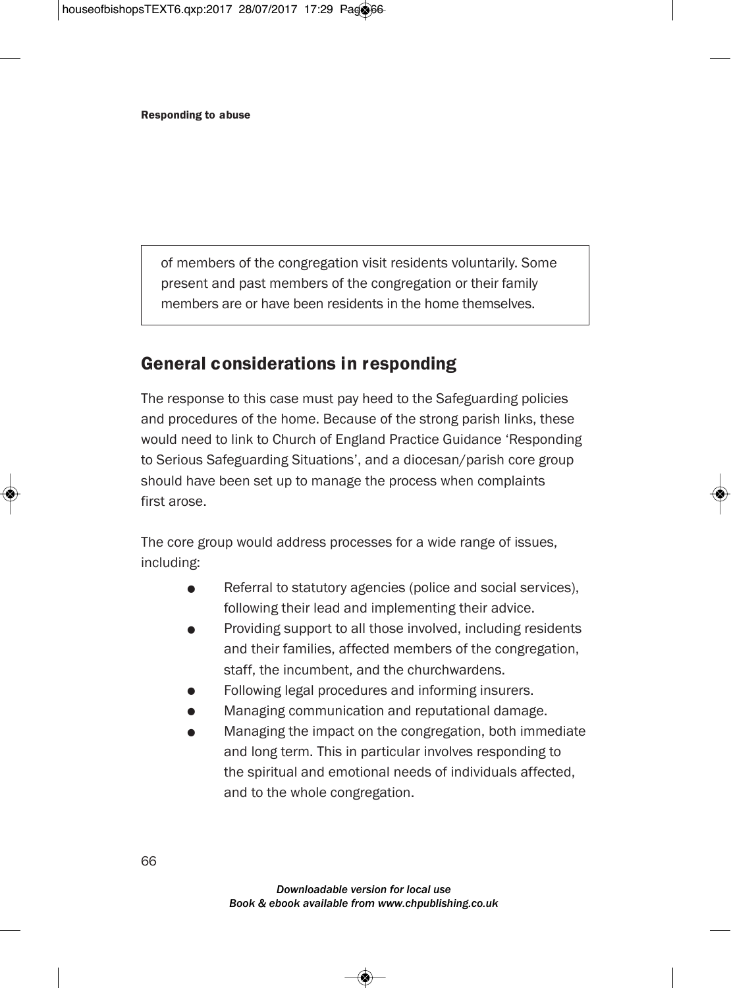of members of the congregation visit residents voluntarily. Some present and past members of the congregation or their family members are or have been residents in the home themselves.

### General considerations in responding

The response to this case must pay heed to the Safeguarding policies and procedures of the home. Because of the strong parish links, these would need to link to Church of England Practice Guidance 'Responding to Serious Safeguarding Situations', and a diocesan/parish core group should have been set up to manage the process when complaints first arose.

The core group would address processes for a wide range of issues, including:

- Referral to statutory agencies (police and social services), following their lead and implementing their advice.
- Providing support to all those involved, including residents and their families, affected members of the congregation, staff, the incumbent, and the churchwardens.
- Following legal procedures and informing insurers.
- Managing communication and reputational damage.
- Managing the impact on the congregation, both immediate and long term. This in particular involves responding to the spiritual and emotional needs of individuals affected, and to the whole congregation.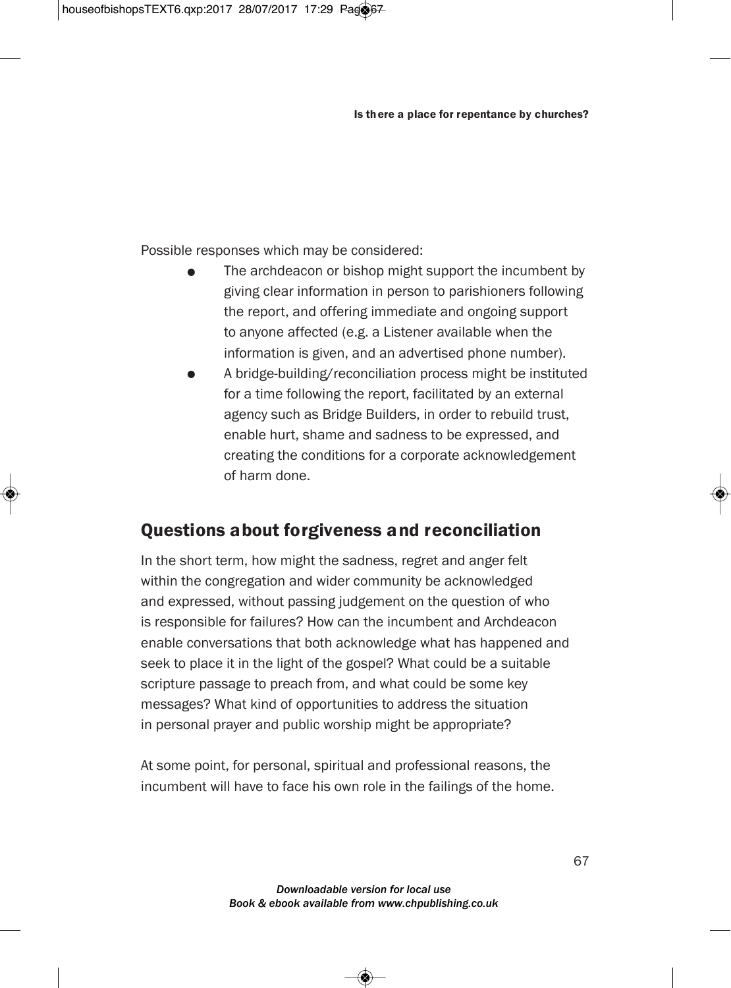Possible responses which may be considered:

- The archdeacon or bishop might support the incumbent by giving clear information in person to parishioners following the report, and offering immediate and ongoing support to anyone affected (e.g. a Listener available when the information is given, and an advertised phone number).
- A bridge-building/reconciliation process might be instituted for a time following the report, facilitated by an external agency such as Bridge Builders, in order to rebuild trust, enable hurt, shame and sadness to be expressed, and creating the conditions for a corporate acknowledgement of harm done.

#### Questions about forgiveness and reconciliation

In the short term, how might the sadness, regret and anger felt within the congregation and wider community be acknowledged and expressed, without passing judgement on the question of who is responsible for failures? How can the incumbent and Archdeacon enable conversations that both acknowledge what has happened and seek to place it in the light of the gospel? What could be a suitable scripture passage to preach from, and what could be some key messages? What kind of opportunities to address the situation in personal prayer and public worship might be appropriate?

At some point, for personal, spiritual and professional reasons, the incumbent will have to face his own role in the failings of the home.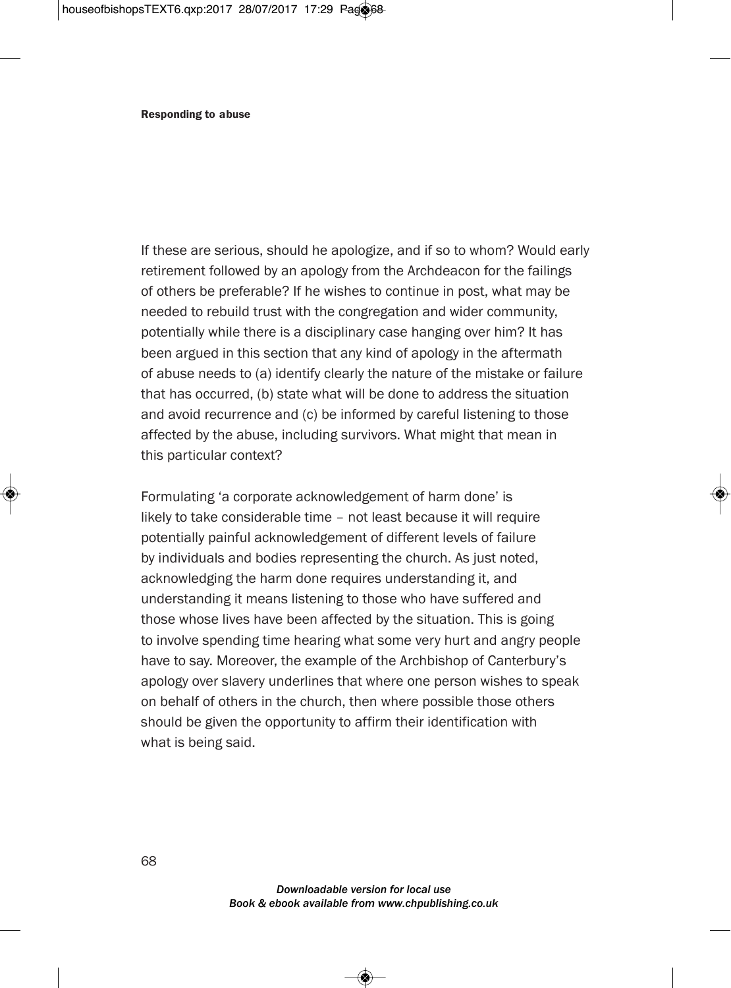If these are serious, should he apologize, and if so to whom? Would early retirement followed by an apology from the Archdeacon for the failings of others be preferable? If he wishes to continue in post, what may be needed to rebuild trust with the congregation and wider community, potentially while there is a disciplinary case hanging over him? It has been argued in this section that any kind of apology in the aftermath of abuse needs to (a) identify clearly the nature of the mistake or failure that has occurred, (b) state what will be done to address the situation and avoid recurrence and (c) be informed by careful listening to those affected by the abuse, including survivors. What might that mean in this particular context?

Formulating 'a corporate acknowledgement of harm done' is likely to take considerable time – not least because it will require potentially painful acknowledgement of different levels of failure by individuals and bodies representing the church. As just noted, acknowledging the harm done requires understanding it, and understanding it means listening to those who have suffered and those whose lives have been affected by the situation. This is going to involve spending time hearing what some very hurt and angry people have to say. Moreover, the example of the Archbishop of Canterbury's apology over slavery underlines that where one person wishes to speak on behalf of others in the church, then where possible those others should be given the opportunity to affirm their identification with what is being said.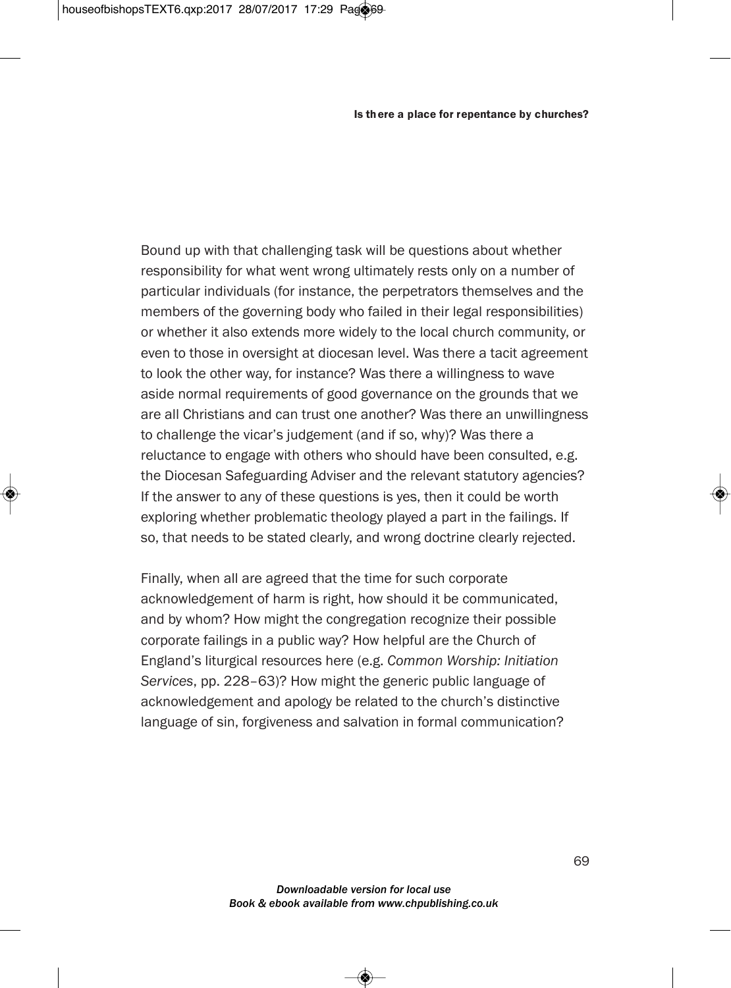Bound up with that challenging task will be questions about whether responsibility for what went wrong ultimately rests only on a number of particular individuals (for instance, the perpetrators themselves and the members of the governing body who failed in their legal responsibilities) or whether it also extends more widely to the local church community, or even to those in oversight at diocesan level. Was there a tacit agreement to look the other way, for instance? Was there a willingness to wave aside normal requirements of good governance on the grounds that we are all Christians and can trust one another? Was there an unwillingness to challenge the vicar's judgement (and if so, why)? Was there a reluctance to engage with others who should have been consulted, e.g. the Diocesan Safeguarding Adviser and the relevant statutory agencies? If the answer to any of these questions is yes, then it could be worth exploring whether problematic theology played a part in the failings. If so, that needs to be stated clearly, and wrong doctrine clearly rejected.

Finally, when all are agreed that the time for such corporate acknowledgement of harm is right, how should it be communicated, and by whom? How might the congregation recognize their possible corporate failings in a public way? How helpful are the Church of England's liturgical resources here (e.g. *Common Worship: Initiation Services*, pp. 228–63)? How might the generic public language of acknowledgement and apology be related to the church's distinctive language of sin, forgiveness and salvation in formal communication?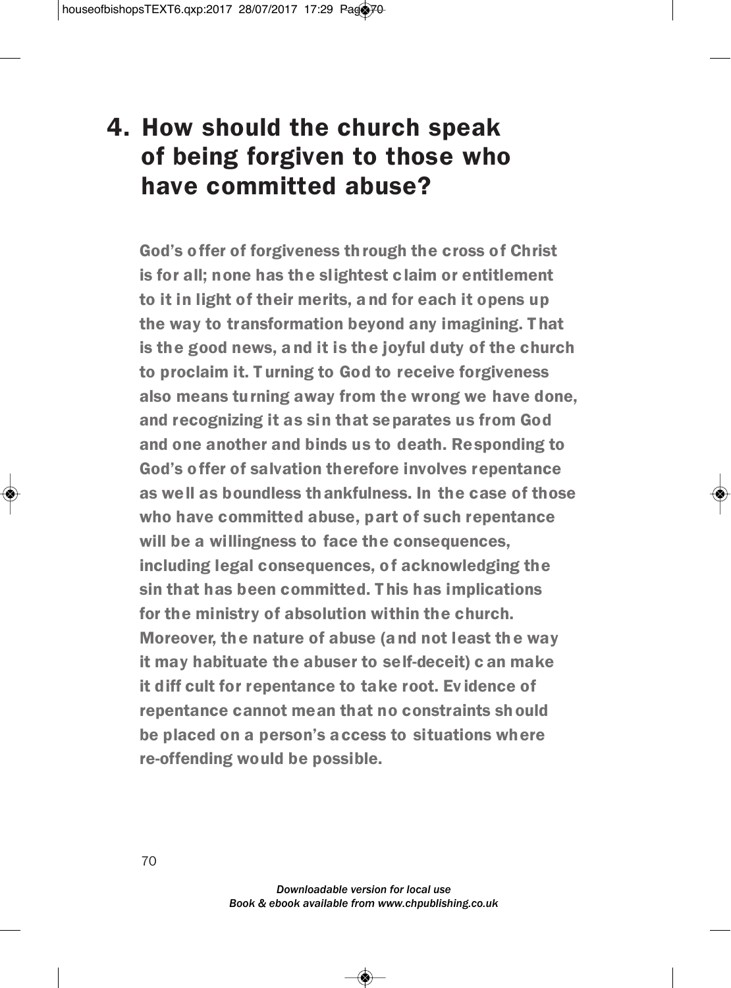## 4. How should the church speak of being forgiven to those who have committed abuse?

God's offer of forgiveness th rough the cross of Christ is for all; none has the slightest c laim or entitlement to it in light of their merits, a nd for each it opens up the way to transformation beyond any imagining. T hat is the good news, a nd it is the joyful duty of the church to proclaim it. T urning to God to receive forgiveness also means turning away from the wrong we have done, and recognizing it as sin that separates us from God and one another and binds us to death. Responding to God's offer of salvation therefore involves repentance as well as boundless th ankfulness. In the case of those who have committed abuse, part of such repentance will be a willingness to face the consequences, including legal consequences, of acknowledging the sin that has been committed. T his has implications for the ministry of absolution within the church. Moreover, the nature of abuse (a nd not least th e way it may habituate the abuser to self-deceit) c an make it diff cult for repentance to take root. Ev idence of repentance cannot mean that no constraints sh ould be placed on a person's access to situations where re-offending would be possible.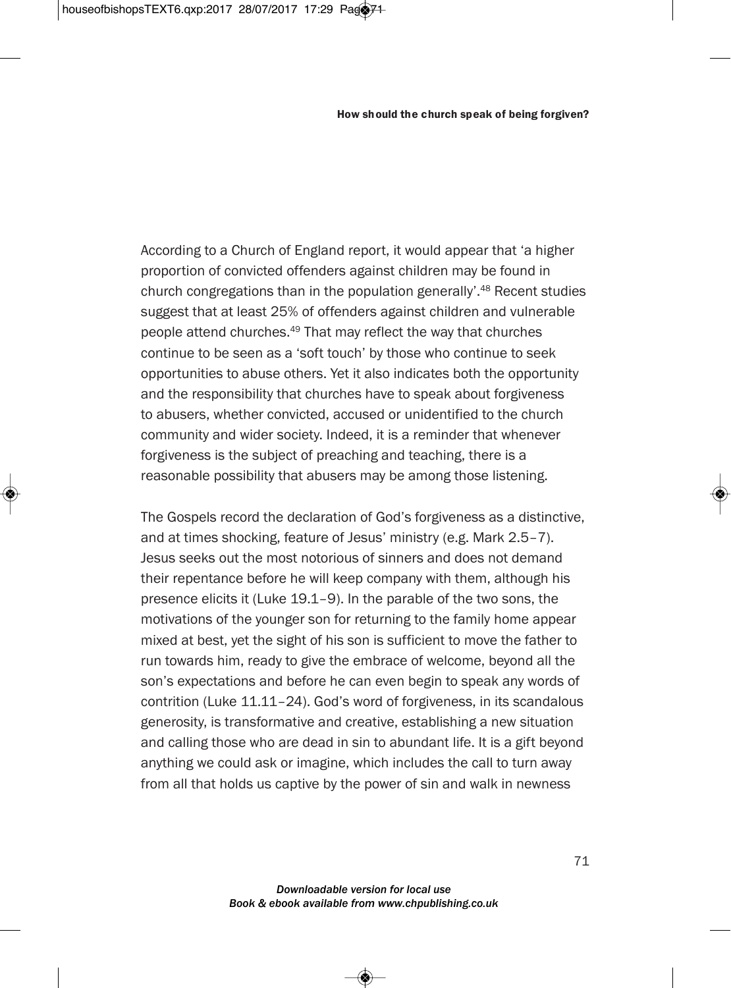According to a Church of England report, it would appear that 'a higher proportion of convicted offenders against children may be found in church congregations than in the population generally'.48 Recent studies suggest that at least 25% of offenders against children and vulnerable people attend churches.49 That may reflect the way that churches continue to be seen as a 'soft touch' by those who continue to seek opportunities to abuse others. Yet it also indicates both the opportunity and the responsibility that churches have to speak about forgiveness to abusers, whether convicted, accused or unidentified to the church community and wider society. Indeed, it is a reminder that whenever forgiveness is the subject of preaching and teaching, there is a reasonable possibility that abusers may be among those listening.

The Gospels record the declaration of God's forgiveness as a distinctive, and at times shocking, feature of Jesus' ministry (e.g. Mark 2.5–7). Jesus seeks out the most notorious of sinners and does not demand their repentance before he will keep company with them, although his presence elicits it (Luke 19.1–9). In the parable of the two sons, the motivations of the younger son for returning to the family home appear mixed at best, yet the sight of his son is sufficient to move the father to run towards him, ready to give the embrace of welcome, beyond all the son's expectations and before he can even begin to speak any words of contrition (Luke 11.11–24). God's word of forgiveness, in its scandalous generosity, is transformative and creative, establishing a new situation and calling those who are dead in sin to abundant life. It is a gift beyond anything we could ask or imagine, which includes the call to turn away from all that holds us captive by the power of sin and walk in newness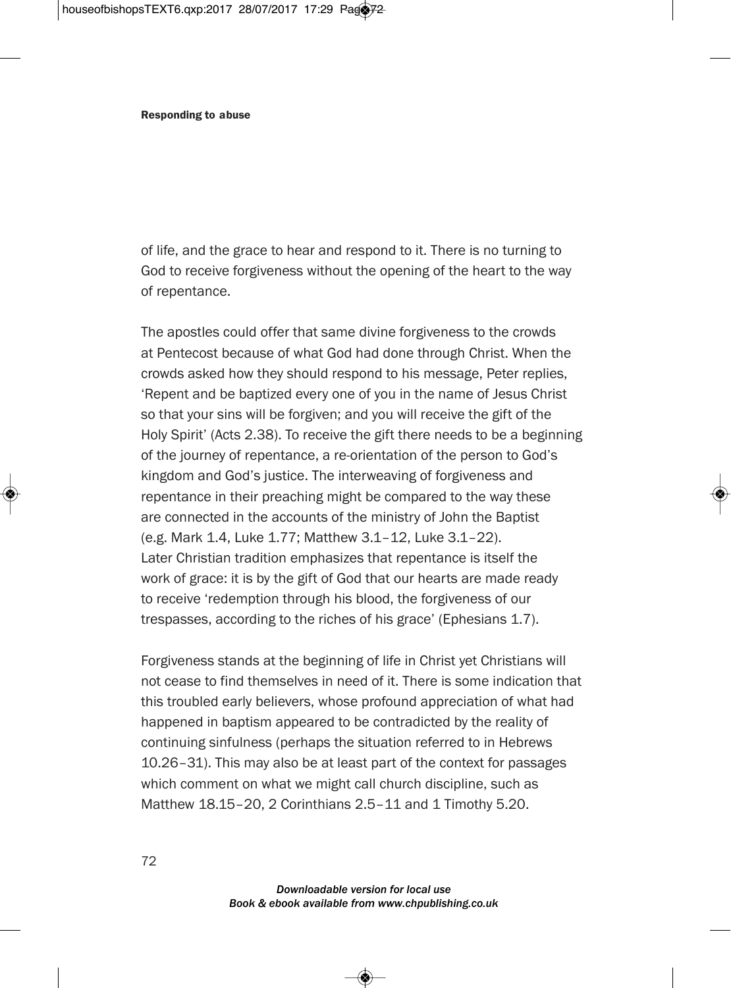of life, and the grace to hear and respond to it. There is no turning to God to receive forgiveness without the opening of the heart to the way of repentance.

The apostles could offer that same divine forgiveness to the crowds at Pentecost because of what God had done through Christ. When the crowds asked how they should respond to his message, Peter replies, 'Repent and be baptized every one of you in the name of Jesus Christ so that your sins will be forgiven; and you will receive the gift of the Holy Spirit' (Acts 2.38). To receive the gift there needs to be a beginning of the journey of repentance, a re-orientation of the person to God's kingdom and God's justice. The interweaving of forgiveness and repentance in their preaching might be compared to the way these are connected in the accounts of the ministry of John the Baptist (e.g. Mark 1.4, Luke 1.77; Matthew 3.1–12, Luke 3.1–22). Later Christian tradition emphasizes that repentance is itself the work of grace: it is by the gift of God that our hearts are made ready to receive 'redemption through his blood, the forgiveness of our trespasses, according to the riches of his grace' (Ephesians 1.7).

Forgiveness stands at the beginning of life in Christ yet Christians will not cease to find themselves in need of it. There is some indication that this troubled early believers, whose profound appreciation of what had happened in baptism appeared to be contradicted by the reality of continuing sinfulness (perhaps the situation referred to in Hebrews 10.26–31). This may also be at least part of the context for passages which comment on what we might call church discipline, such as Matthew 18.15–20, 2 Corinthians 2.5–11 and 1 Timothy 5.20.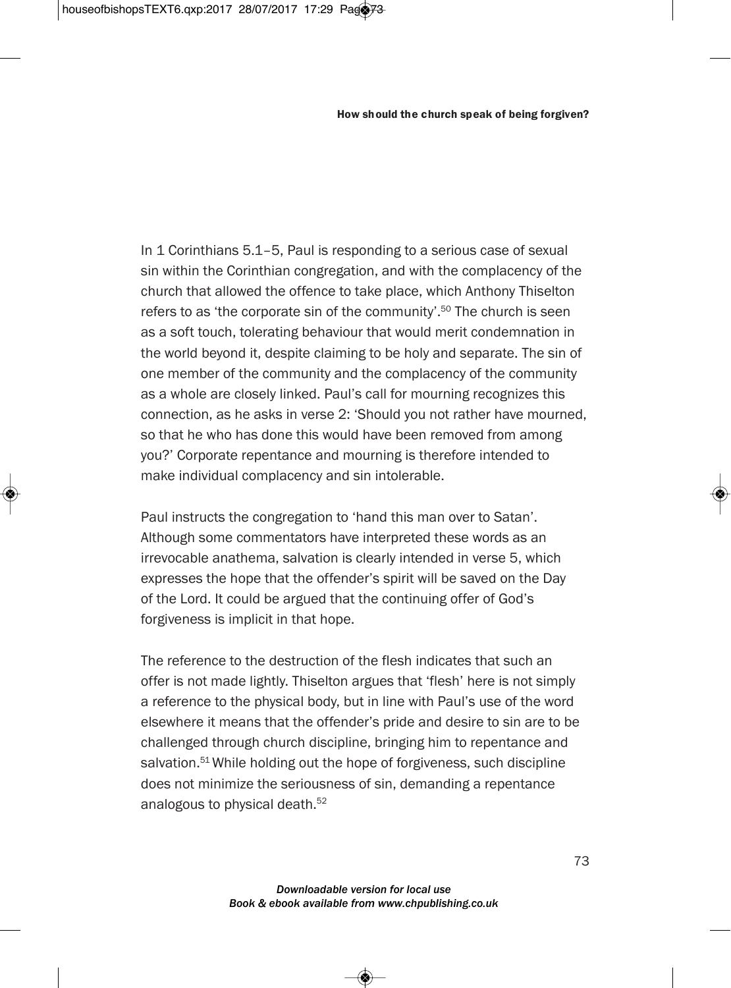In 1 Corinthians 5.1–5, Paul is responding to a serious case of sexual sin within the Corinthian congregation, and with the complacency of the church that allowed the offence to take place, which Anthony Thiselton refers to as 'the corporate sin of the community'.50 The church is seen as a soft touch, tolerating behaviour that would merit condemnation in the world beyond it, despite claiming to be holy and separate. The sin of one member of the community and the complacency of the community as a whole are closely linked. Paul's call for mourning recognizes this connection, as he asks in verse 2: 'Should you not rather have mourned, so that he who has done this would have been removed from among you?' Corporate repentance and mourning is therefore intended to make individual complacency and sin intolerable.

Paul instructs the congregation to 'hand this man over to Satan'. Although some commentators have interpreted these words as an irrevocable anathema, salvation is clearly intended in verse 5, which expresses the hope that the offender's spirit will be saved on the Day of the Lord. It could be argued that the continuing offer of God's forgiveness is implicit in that hope.

The reference to the destruction of the flesh indicates that such an offer is not made lightly. Thiselton argues that 'flesh' here is not simply a reference to the physical body, but in line with Paul's use of the word elsewhere it means that the offender's pride and desire to sin are to be challenged through church discipline, bringing him to repentance and salvation.<sup>51</sup> While holding out the hope of forgiveness, such discipline does not minimize the seriousness of sin, demanding a repentance analogous to physical death.52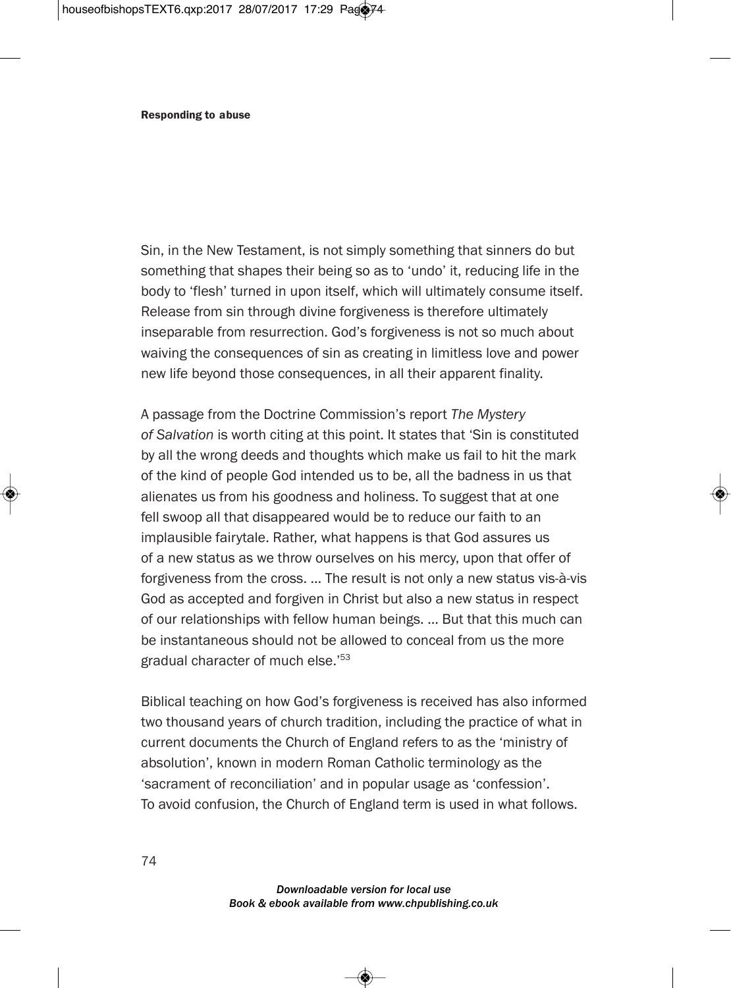Sin, in the New Testament, is not simply something that sinners do but something that shapes their being so as to 'undo' it, reducing life in the body to 'flesh' turned in upon itself, which will ultimately consume itself. Release from sin through divine forgiveness is therefore ultimately inseparable from resurrection. God's forgiveness is not so much about waiving the consequences of sin as creating in limitless love and power new life beyond those consequences, in all their apparent finality.

A passage from the Doctrine Commission's report *The Mystery of Salvation* is worth citing at this point. It states that 'Sin is constituted by all the wrong deeds and thoughts which make us fail to hit the mark of the kind of people God intended us to be, all the badness in us that alienates us from his goodness and holiness. To suggest that at one fell swoop all that disappeared would be to reduce our faith to an implausible fairytale. Rather, what happens is that God assures us of a new status as we throw ourselves on his mercy, upon that offer of forgiveness from the cross. … The result is not only a new status vis-à-vis God as accepted and forgiven in Christ but also a new status in respect of our relationships with fellow human beings. … But that this much can be instantaneous should not be allowed to conceal from us the more gradual character of much else.'53

Biblical teaching on how God's forgiveness is received has also informed two thousand years of church tradition, including the practice of what in current documents the Church of England refers to as the 'ministry of absolution', known in modern Roman Catholic terminology as the 'sacrament of reconciliation' and in popular usage as 'confession'. To avoid confusion, the Church of England term is used in what follows.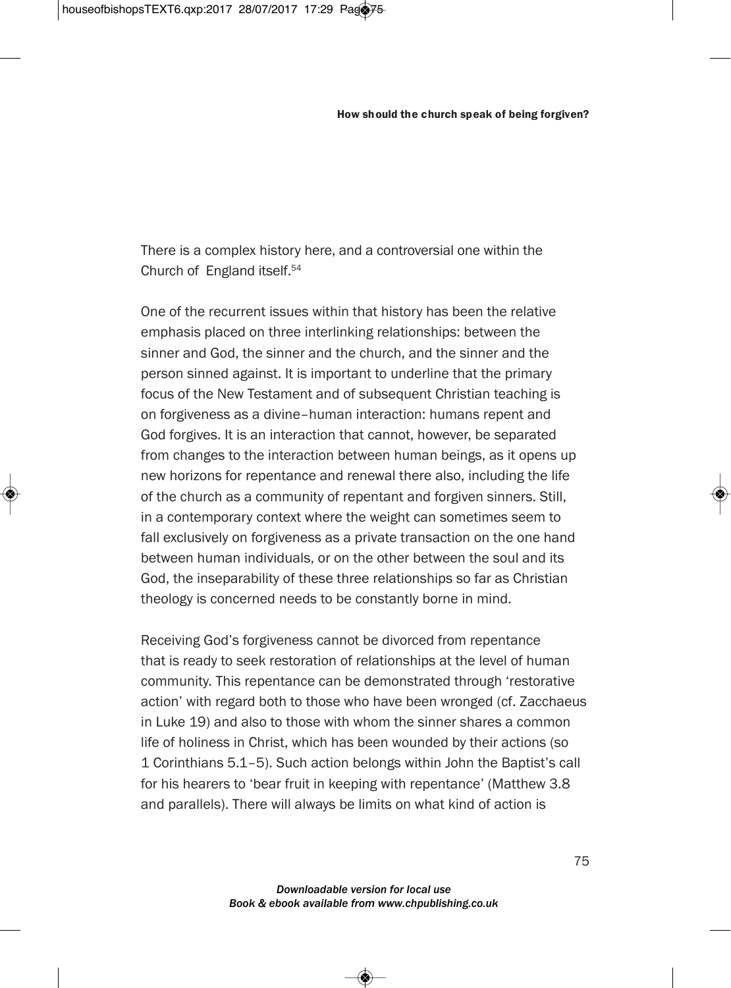There is a complex history here, and a controversial one within the Church of England itself.54

One of the recurrent issues within that history has been the relative emphasis placed on three interlinking relationships: between the sinner and God, the sinner and the church, and the sinner and the person sinned against. It is important to underline that the primary focus of the New Testament and of subsequent Christian teaching is on forgiveness as a divine–human interaction: humans repent and God forgives. It is an interaction that cannot, however, be separated from changes to the interaction between human beings, as it opens up new horizons for repentance and renewal there also, including the life of the church as a community of repentant and forgiven sinners. Still, in a contemporary context where the weight can sometimes seem to fall exclusively on forgiveness as a private transaction on the one hand between human individuals, or on the other between the soul and its God, the inseparability of these three relationships so far as Christian theology is concerned needs to be constantly borne in mind.

Receiving God's forgiveness cannot be divorced from repentance that is ready to seek restoration of relationships at the level of human community. This repentance can be demonstrated through 'restorative action' with regard both to those who have been wronged (cf. Zacchaeus in Luke 19) and also to those with whom the sinner shares a common life of holiness in Christ, which has been wounded by their actions (so 1 Corinthians 5.1–5). Such action belongs within John the Baptist's call for his hearers to 'bear fruit in keeping with repentance' (Matthew 3.8 and parallels). There will always be limits on what kind of action is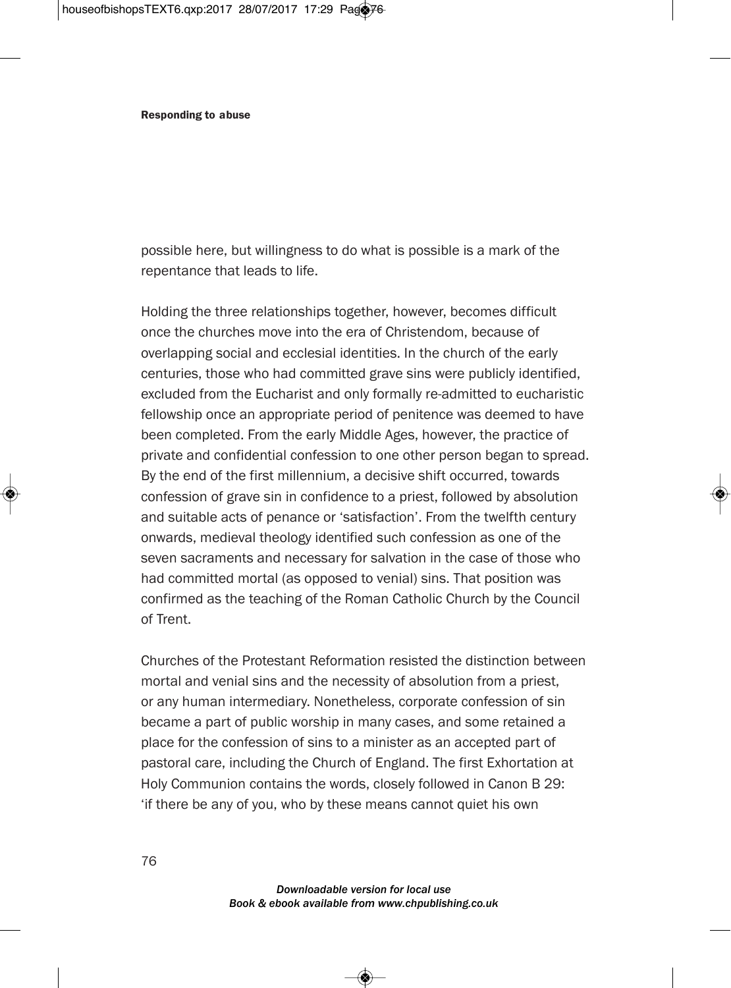possible here, but willingness to do what is possible is a mark of the repentance that leads to life.

Holding the three relationships together, however, becomes difficult once the churches move into the era of Christendom, because of overlapping social and ecclesial identities. In the church of the early centuries, those who had committed grave sins were publicly identified, excluded from the Eucharist and only formally re-admitted to eucharistic fellowship once an appropriate period of penitence was deemed to have been completed. From the early Middle Ages, however, the practice of private and confidential confession to one other person began to spread. By the end of the first millennium, a decisive shift occurred, towards confession of grave sin in confidence to a priest, followed by absolution and suitable acts of penance or 'satisfaction'. From the twelfth century onwards, medieval theology identified such confession as one of the seven sacraments and necessary for salvation in the case of those who had committed mortal (as opposed to venial) sins. That position was confirmed as the teaching of the Roman Catholic Church by the Council of Trent.

Churches of the Protestant Reformation resisted the distinction between mortal and venial sins and the necessity of absolution from a priest, or any human intermediary. Nonetheless, corporate confession of sin became a part of public worship in many cases, and some retained a place for the confession of sins to a minister as an accepted part of pastoral care, including the Church of England. The first Exhortation at Holy Communion contains the words, closely followed in Canon B 29: 'if there be any of you, who by these means cannot quiet his own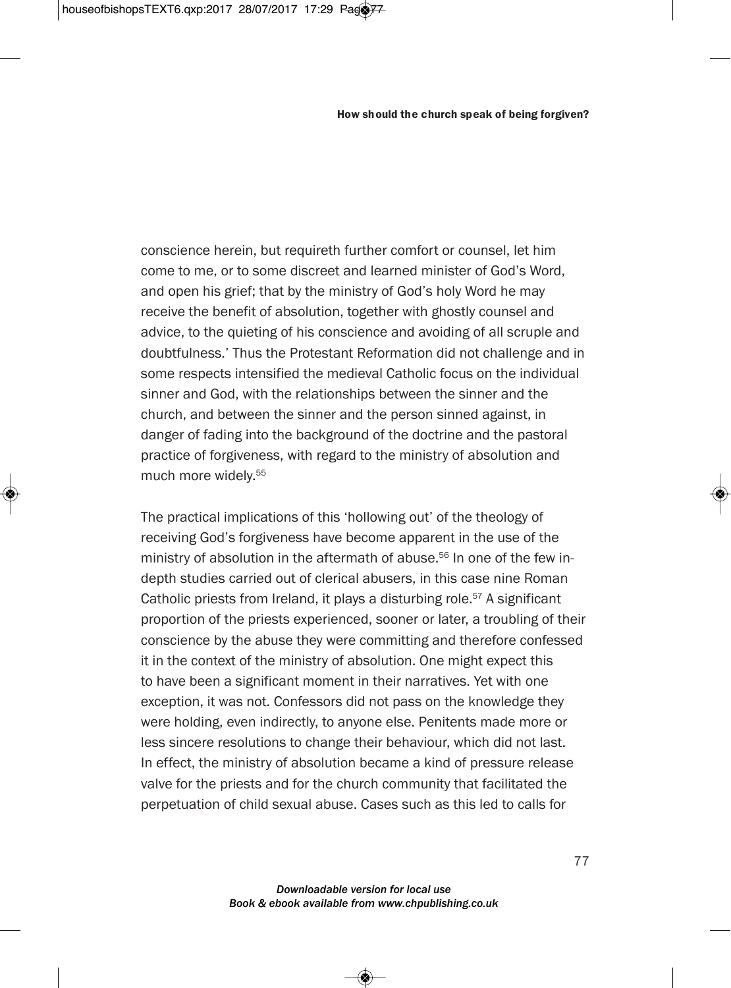conscience herein, but requireth further comfort or counsel, let him come to me, or to some discreet and learned minister of God's Word, and open his grief; that by the ministry of God's holy Word he may receive the benefit of absolution, together with ghostly counsel and advice, to the quieting of his conscience and avoiding of all scruple and doubtfulness.' Thus the Protestant Reformation did not challenge and in some respects intensified the medieval Catholic focus on the individual sinner and God, with the relationships between the sinner and the church, and between the sinner and the person sinned against, in danger of fading into the background of the doctrine and the pastoral practice of forgiveness, with regard to the ministry of absolution and much more widely.<sup>55</sup>

The practical implications of this 'hollowing out' of the theology of receiving God's forgiveness have become apparent in the use of the ministry of absolution in the aftermath of abuse.<sup>56</sup> In one of the few indepth studies carried out of clerical abusers, in this case nine Roman Catholic priests from Ireland, it plays a disturbing role.<sup>57</sup> A significant proportion of the priests experienced, sooner or later, a troubling of their conscience by the abuse they were committing and therefore confessed it in the context of the ministry of absolution. One might expect this to have been a significant moment in their narratives. Yet with one exception, it was not. Confessors did not pass on the knowledge they were holding, even indirectly, to anyone else. Penitents made more or less sincere resolutions to change their behaviour, which did not last. In effect, the ministry of absolution became a kind of pressure release valve for the priests and for the church community that facilitated the perpetuation of child sexual abuse. Cases such as this led to calls for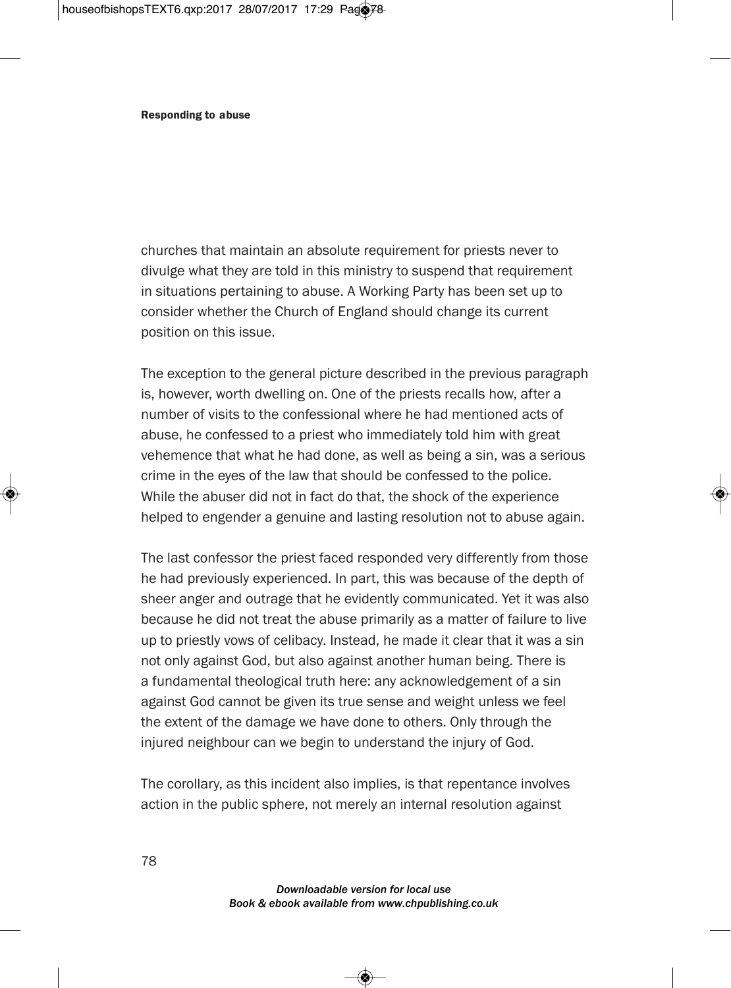churches that maintain an absolute requirement for priests never to divulge what they are told in this ministry to suspend that requirement in situations pertaining to abuse. A Working Party has been set up to consider whether the Church of England should change its current position on this issue.

The exception to the general picture described in the previous paragraph is, however, worth dwelling on. One of the priests recalls how, after a number of visits to the confessional where he had mentioned acts of abuse, he confessed to a priest who immediately told him with great vehemence that what he had done, as well as being a sin, was a serious crime in the eyes of the law that should be confessed to the police. While the abuser did not in fact do that, the shock of the experience helped to engender a genuine and lasting resolution not to abuse again.

The last confessor the priest faced responded very differently from those he had previously experienced. In part, this was because of the depth of sheer anger and outrage that he evidently communicated. Yet it was also because he did not treat the abuse primarily as a matter of failure to live up to priestly vows of celibacy. Instead, he made it clear that it was a sin not only against God, but also against another human being. There is a fundamental theological truth here: any acknowledgement of a sin against God cannot be given its true sense and weight unless we feel the extent of the damage we have done to others. Only through the injured neighbour can we begin to understand the injury of God.

The corollary, as this incident also implies, is that repentance involves action in the public sphere, not merely an internal resolution against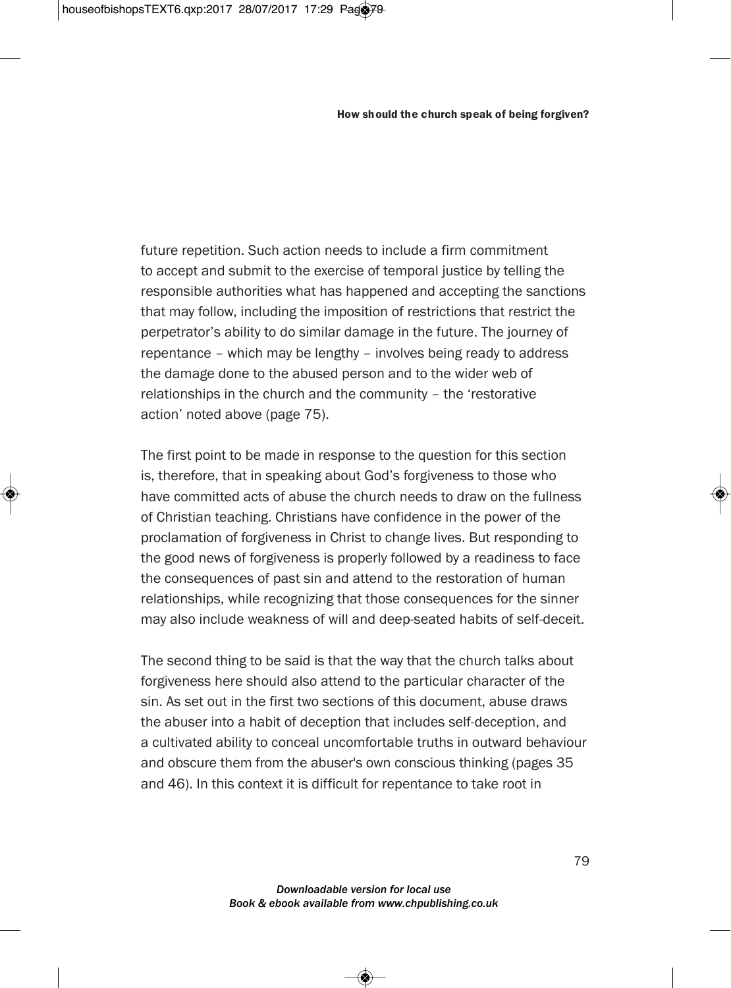future repetition. Such action needs to include a firm commitment to accept and submit to the exercise of temporal justice by telling the responsible authorities what has happened and accepting the sanctions that may follow, including the imposition of restrictions that restrict the perpetrator's ability to do similar damage in the future. The journey of repentance – which may be lengthy – involves being ready to address the damage done to the abused person and to the wider web of relationships in the church and the community – the 'restorative action' noted above (page 75).

The first point to be made in response to the question for this section is, therefore, that in speaking about God's forgiveness to those who have committed acts of abuse the church needs to draw on the fullness of Christian teaching. Christians have confidence in the power of the proclamation of forgiveness in Christ to change lives. But responding to the good news of forgiveness is properly followed by a readiness to face the consequences of past sin and attend to the restoration of human relationships, while recognizing that those consequences for the sinner may also include weakness of will and deep-seated habits of self-deceit.

The second thing to be said is that the way that the church talks about forgiveness here should also attend to the particular character of the sin. As set out in the first two sections of this document, abuse draws the abuser into a habit of deception that includes self-deception, and a cultivated ability to conceal uncomfortable truths in outward behaviour and obscure them from the abuser's own conscious thinking (pages 35 and 46). In this context it is difficult for repentance to take root in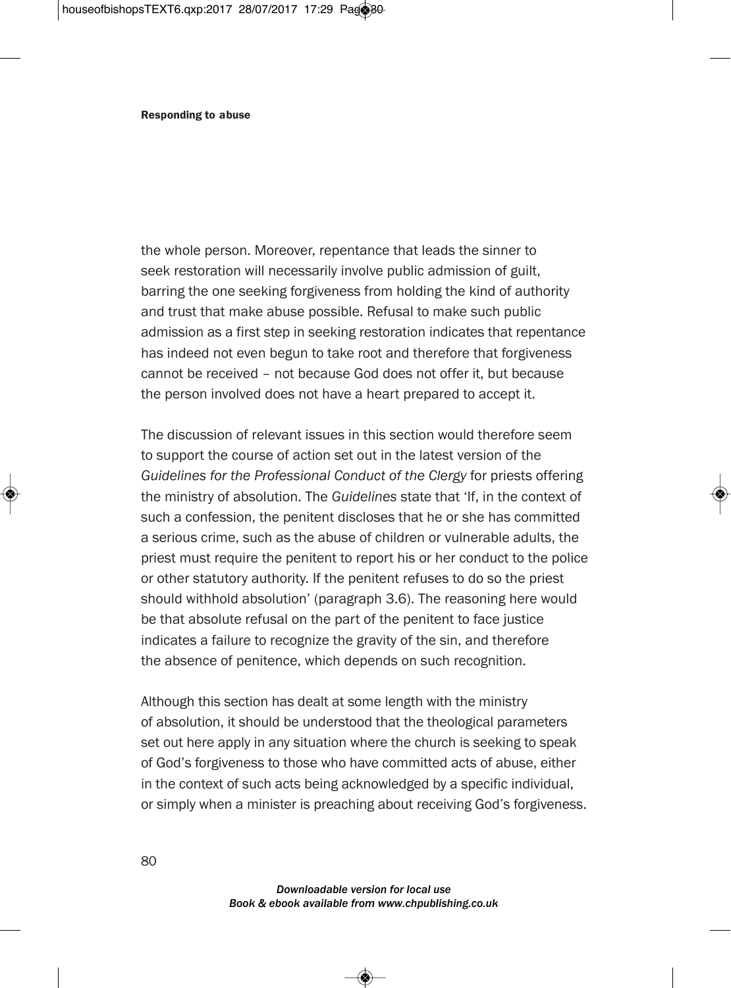the whole person. Moreover, repentance that leads the sinner to seek restoration will necessarily involve public admission of guilt, barring the one seeking forgiveness from holding the kind of authority and trust that make abuse possible. Refusal to make such public admission as a first step in seeking restoration indicates that repentance has indeed not even begun to take root and therefore that forgiveness cannot be received – not because God does not offer it, but because the person involved does not have a heart prepared to accept it.

The discussion of relevant issues in this section would therefore seem to support the course of action set out in the latest version of the *Guidelines for the Professional Conduct of the Clergy* for priests offering the ministry of absolution. The *Guidelines* state that 'If, in the context of such a confession, the penitent discloses that he or she has committed a serious crime, such as the abuse of children or vulnerable adults, the priest must require the penitent to report his or her conduct to the police or other statutory authority. If the penitent refuses to do so the priest should withhold absolution' (paragraph 3.6). The reasoning here would be that absolute refusal on the part of the penitent to face justice indicates a failure to recognize the gravity of the sin, and therefore the absence of penitence, which depends on such recognition.

Although this section has dealt at some length with the ministry of absolution, it should be understood that the theological parameters set out here apply in any situation where the church is seeking to speak of God's forgiveness to those who have committed acts of abuse, either in the context of such acts being acknowledged by a specific individual, or simply when a minister is preaching about receiving God's forgiveness.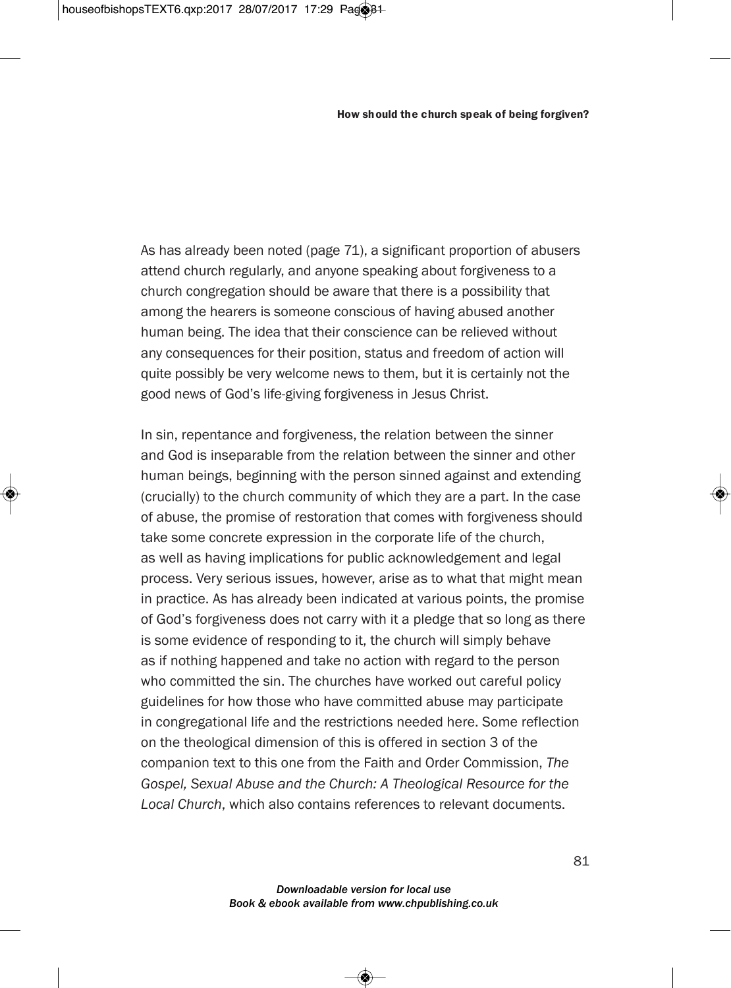As has already been noted (page 71), a significant proportion of abusers attend church regularly, and anyone speaking about forgiveness to a church congregation should be aware that there is a possibility that among the hearers is someone conscious of having abused another human being. The idea that their conscience can be relieved without any consequences for their position, status and freedom of action will quite possibly be very welcome news to them, but it is certainly not the good news of God's life-giving forgiveness in Jesus Christ.

In sin, repentance and forgiveness, the relation between the sinner and God is inseparable from the relation between the sinner and other human beings, beginning with the person sinned against and extending (crucially) to the church community of which they are a part. In the case of abuse, the promise of restoration that comes with forgiveness should take some concrete expression in the corporate life of the church, as well as having implications for public acknowledgement and legal process. Very serious issues, however, arise as to what that might mean in practice. As has already been indicated at various points, the promise of God's forgiveness does not carry with it a pledge that so long as there is some evidence of responding to it, the church will simply behave as if nothing happened and take no action with regard to the person who committed the sin. The churches have worked out careful policy guidelines for how those who have committed abuse may participate in congregational life and the restrictions needed here. Some reflection on the theological dimension of this is offered in section 3 of the companion text to this one from the Faith and Order Commission, *The Gospel, Sexual Abuse and the Church: A Theological Resource for the Local Church*, which also contains references to relevant documents.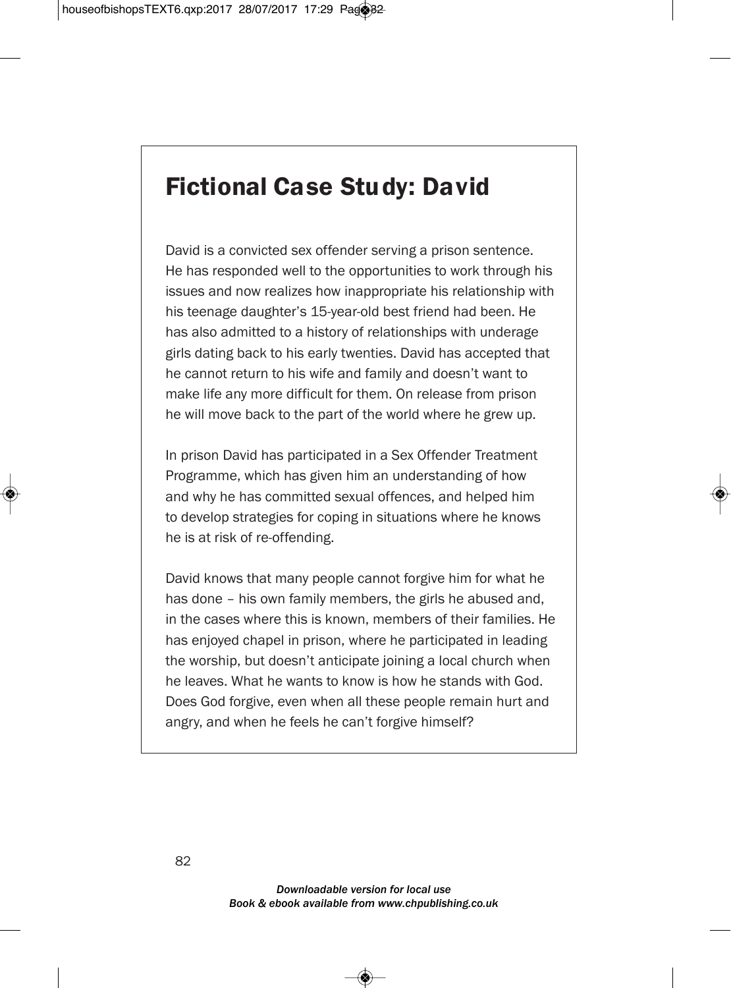### Fictional Case Study: David

David is a convicted sex offender serving a prison sentence. He has responded well to the opportunities to work through his issues and now realizes how inappropriate his relationship with his teenage daughter's 15-year-old best friend had been. He has also admitted to a history of relationships with underage girls dating back to his early twenties. David has accepted that he cannot return to his wife and family and doesn't want to make life any more difficult for them. On release from prison he will move back to the part of the world where he grew up.

In prison David has participated in a Sex Offender Treatment Programme, which has given him an understanding of how and why he has committed sexual offences, and helped him to develop strategies for coping in situations where he knows he is at risk of re-offending.

David knows that many people cannot forgive him for what he has done – his own family members, the girls he abused and, in the cases where this is known, members of their families. He has enjoyed chapel in prison, where he participated in leading the worship, but doesn't anticipate joining a local church when he leaves. What he wants to know is how he stands with God. Does God forgive, even when all these people remain hurt and angry, and when he feels he can't forgive himself?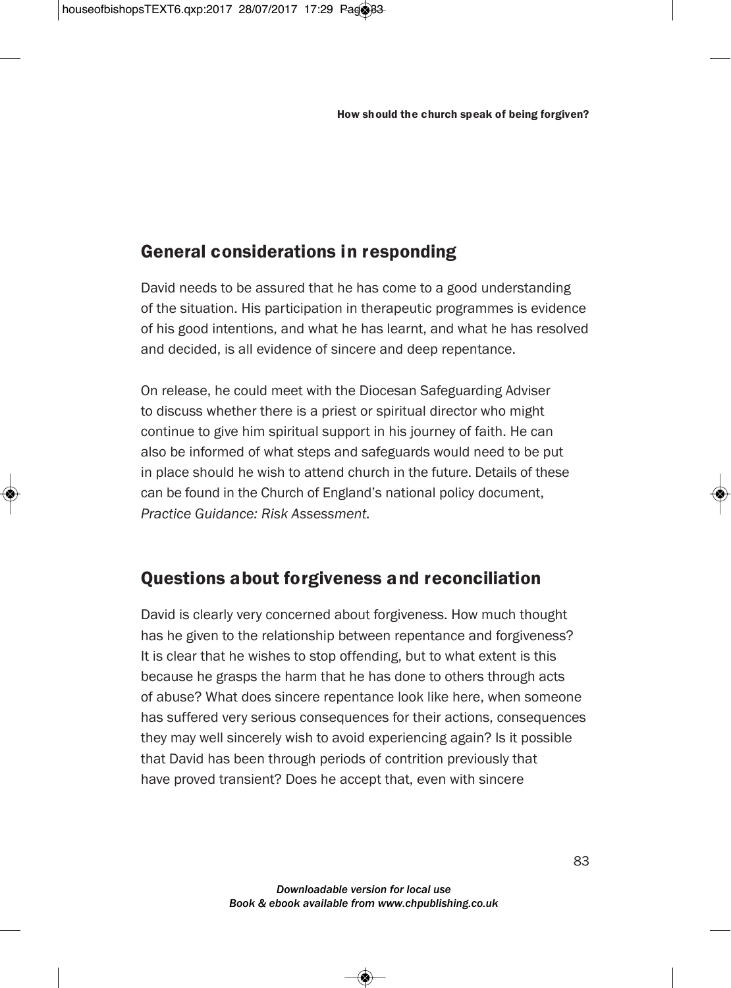### General considerations in responding

David needs to be assured that he has come to a good understanding of the situation. His participation in therapeutic programmes is evidence of his good intentions, and what he has learnt, and what he has resolved and decided, is all evidence of sincere and deep repentance.

On release, he could meet with the Diocesan Safeguarding Adviser to discuss whether there is a priest or spiritual director who might continue to give him spiritual support in his journey of faith. He can also be informed of what steps and safeguards would need to be put in place should he wish to attend church in the future. Details of these can be found in the Church of England's national policy document, *Practice Guidance: Risk Assessment.* 

#### Questions about forgiveness and reconciliation

David is clearly very concerned about forgiveness. How much thought has he given to the relationship between repentance and forgiveness? It is clear that he wishes to stop offending, but to what extent is this because he grasps the harm that he has done to others through acts of abuse? What does sincere repentance look like here, when someone has suffered very serious consequences for their actions, consequences they may well sincerely wish to avoid experiencing again? Is it possible that David has been through periods of contrition previously that have proved transient? Does he accept that, even with sincere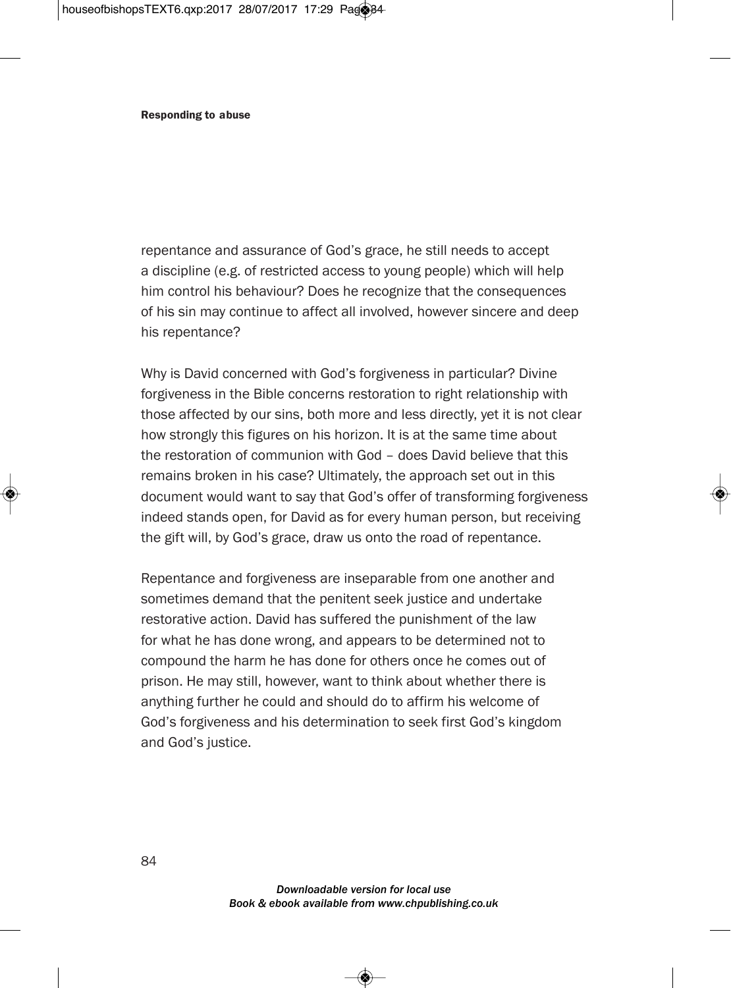repentance and assurance of God's grace, he still needs to accept a discipline (e.g. of restricted access to young people) which will help him control his behaviour? Does he recognize that the consequences of his sin may continue to affect all involved, however sincere and deep his repentance?

Why is David concerned with God's forgiveness in particular? Divine forgiveness in the Bible concerns restoration to right relationship with those affected by our sins, both more and less directly, yet it is not clear how strongly this figures on his horizon. It is at the same time about the restoration of communion with God – does David believe that this remains broken in his case? Ultimately, the approach set out in this document would want to say that God's offer of transforming forgiveness indeed stands open, for David as for every human person, but receiving the gift will, by God's grace, draw us onto the road of repentance.

Repentance and forgiveness are inseparable from one another and sometimes demand that the penitent seek justice and undertake restorative action. David has suffered the punishment of the law for what he has done wrong, and appears to be determined not to compound the harm he has done for others once he comes out of prison. He may still, however, want to think about whether there is anything further he could and should do to affirm his welcome of God's forgiveness and his determination to seek first God's kingdom and God's justice.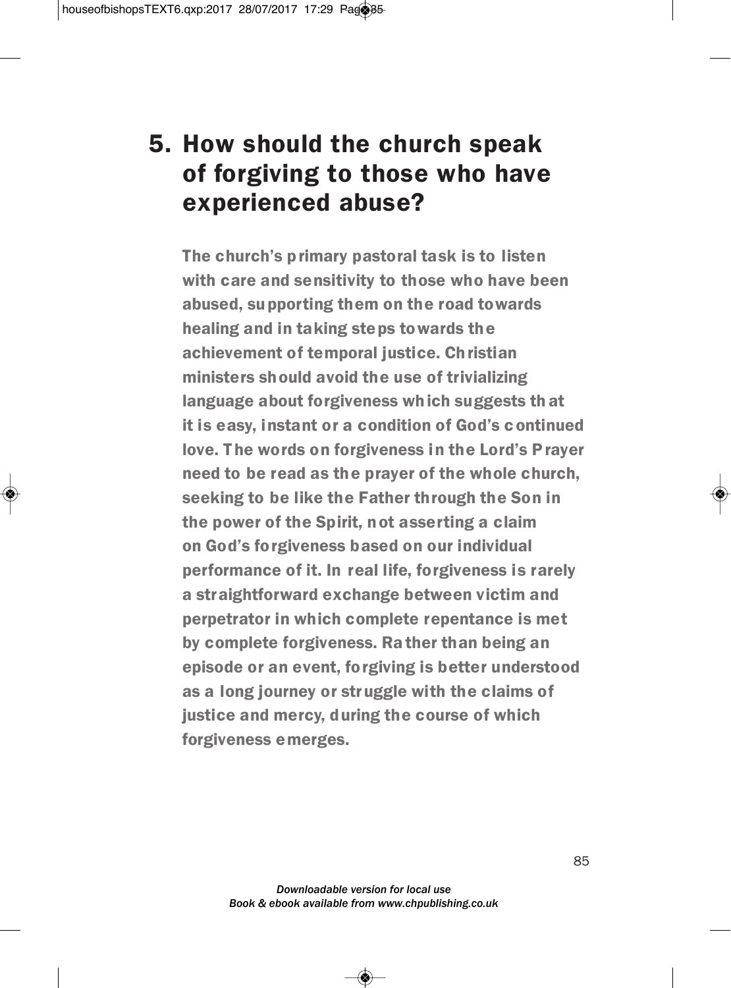## 5. How should the church speak of forgiving to those who have experienced abuse?

The church's primary pastoral task is to listen with care and sensitivity to those who have been abused, supporting them on the road towards healing and in taking steps towards the achievement of temporal justice. Christian ministers should avoid the use of trivializing language about forgiveness which suggests th at it is easy, instant or a condition of God's c ontinued love. T he words on forgiveness in the Lord's P rayer need to be read as the prayer of the whole church, seeking to be like the Father through the Son in the power of the Spirit, not asserting a claim on God's forgiveness based on our individual performance of it. In real life, forgiveness is rarely a straightforward exchange between victim and perpetrator in which complete repentance is met by complete forgiveness. Ra ther than being an episode or an event, forgiving is better understood as a long journey or struggle with the claims of justice and mercy, during the course of which forgiveness emerges.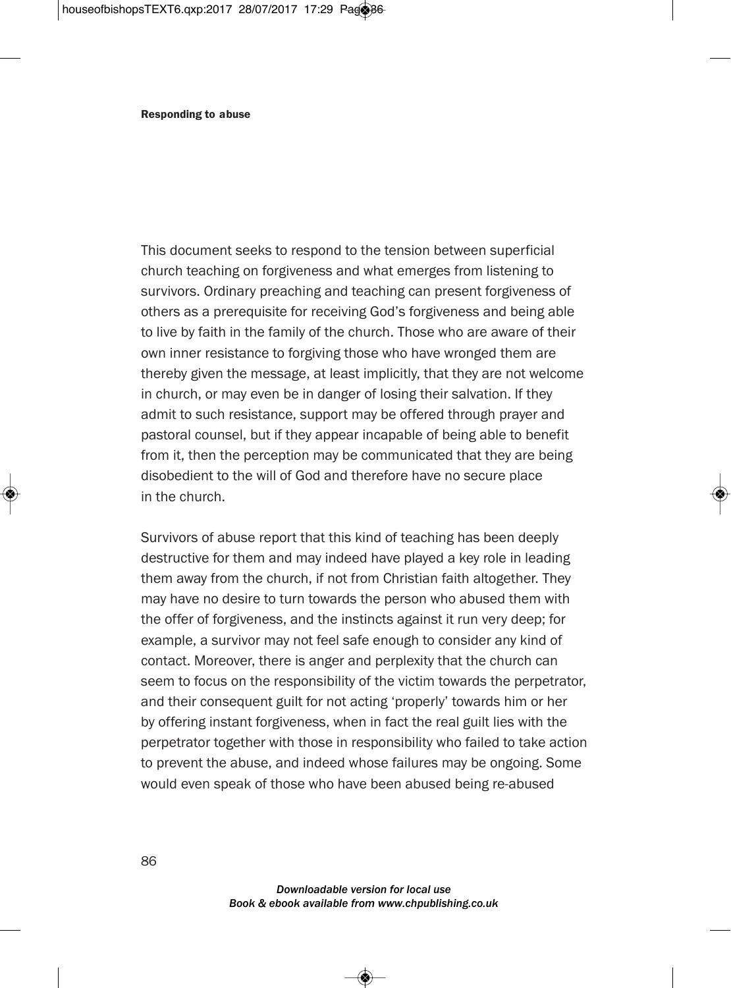This document seeks to respond to the tension between superficial church teaching on forgiveness and what emerges from listening to survivors. Ordinary preaching and teaching can present forgiveness of others as a prerequisite for receiving God's forgiveness and being able to live by faith in the family of the church. Those who are aware of their own inner resistance to forgiving those who have wronged them are thereby given the message, at least implicitly, that they are not welcome in church, or may even be in danger of losing their salvation. If they admit to such resistance, support may be offered through prayer and pastoral counsel, but if they appear incapable of being able to benefit from it, then the perception may be communicated that they are being disobedient to the will of God and therefore have no secure place in the church.

Survivors of abuse report that this kind of teaching has been deeply destructive for them and may indeed have played a key role in leading them away from the church, if not from Christian faith altogether. They may have no desire to turn towards the person who abused them with the offer of forgiveness, and the instincts against it run very deep; for example, a survivor may not feel safe enough to consider any kind of contact. Moreover, there is anger and perplexity that the church can seem to focus on the responsibility of the victim towards the perpetrator, and their consequent guilt for not acting 'properly' towards him or her by offering instant forgiveness, when in fact the real guilt lies with the perpetrator together with those in responsibility who failed to take action to prevent the abuse, and indeed whose failures may be ongoing. Some would even speak of those who have been abused being re-abused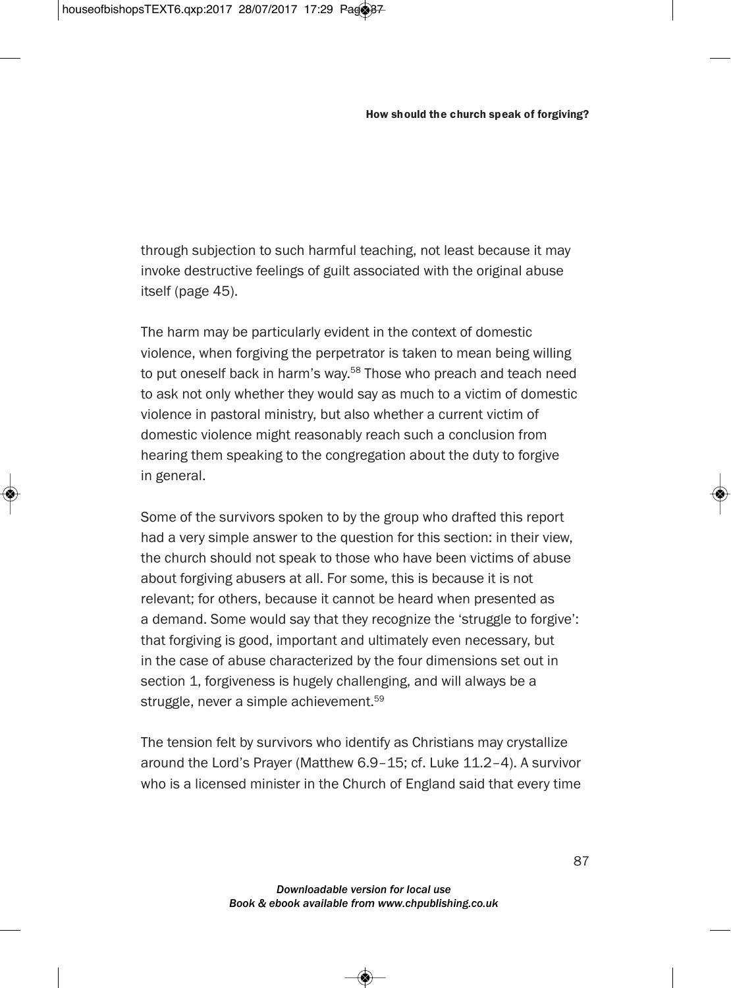through subjection to such harmful teaching, not least because it may invoke destructive feelings of guilt associated with the original abuse itself (page 45).

The harm may be particularly evident in the context of domestic violence, when forgiving the perpetrator is taken to mean being willing to put oneself back in harm's way.58 Those who preach and teach need to ask not only whether they would say as much to a victim of domestic violence in pastoral ministry, but also whether a current victim of domestic violence might reasonably reach such a conclusion from hearing them speaking to the congregation about the duty to forgive in general.

Some of the survivors spoken to by the group who drafted this report had a very simple answer to the question for this section: in their view, the church should not speak to those who have been victims of abuse about forgiving abusers at all. For some, this is because it is not relevant; for others, because it cannot be heard when presented as a demand. Some would say that they recognize the 'struggle to forgive': that forgiving is good, important and ultimately even necessary, but in the case of abuse characterized by the four dimensions set out in section 1, forgiveness is hugely challenging, and will always be a struggle, never a simple achievement.<sup>59</sup>

The tension felt by survivors who identify as Christians may crystallize around the Lord's Prayer (Matthew 6.9–15; cf. Luke 11.2–4). A survivor who is a licensed minister in the Church of England said that every time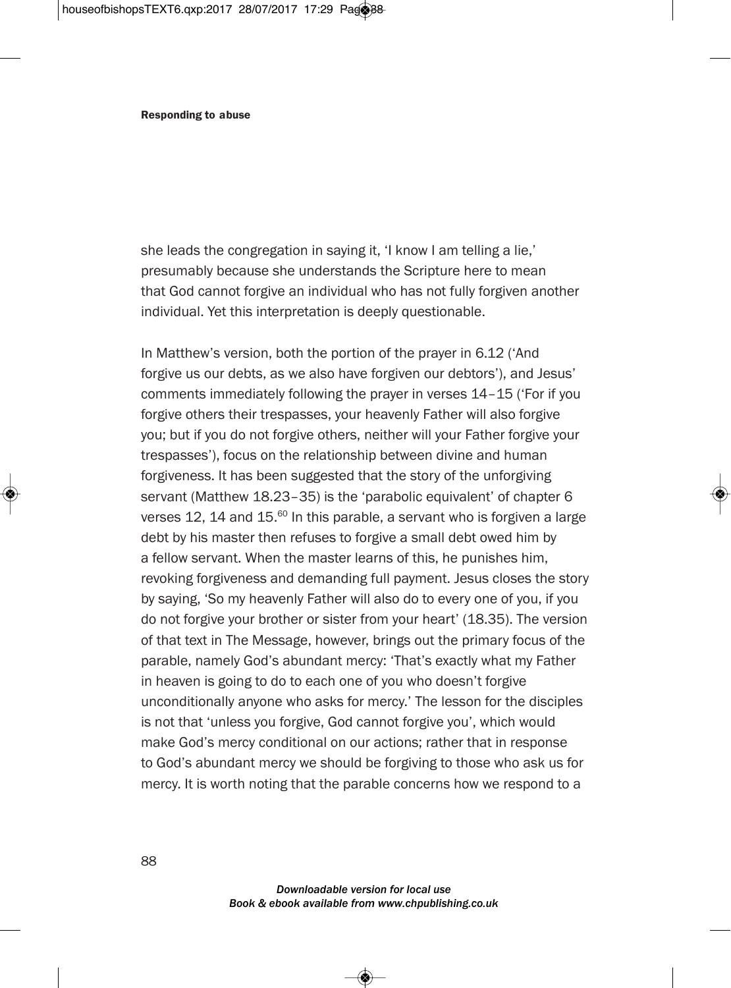she leads the congregation in saying it, 'I know I am telling a lie,' presumably because she understands the Scripture here to mean that God cannot forgive an individual who has not fully forgiven another individual. Yet this interpretation is deeply questionable.

In Matthew's version, both the portion of the prayer in 6.12 ('And forgive us our debts, as we also have forgiven our debtors'), and Jesus' comments immediately following the prayer in verses 14–15 ('For if you forgive others their trespasses, your heavenly Father will also forgive you; but if you do not forgive others, neither will your Father forgive your trespasses'), focus on the relationship between divine and human forgiveness. It has been suggested that the story of the unforgiving servant (Matthew 18.23–35) is the 'parabolic equivalent' of chapter 6 verses 12, 14 and 15.<sup>60</sup> In this parable, a servant who is forgiven a large debt by his master then refuses to forgive a small debt owed him by a fellow servant. When the master learns of this, he punishes him, revoking forgiveness and demanding full payment. Jesus closes the story by saying, 'So my heavenly Father will also do to every one of you, if you do not forgive your brother or sister from your heart' (18.35). The version of that text in The Message, however, brings out the primary focus of the parable, namely God's abundant mercy: 'That's exactly what my Father in heaven is going to do to each one of you who doesn't forgive unconditionally anyone who asks for mercy.' The lesson for the disciples is not that 'unless you forgive, God cannot forgive you', which would make God's mercy conditional on our actions; rather that in response to God's abundant mercy we should be forgiving to those who ask us for mercy. It is worth noting that the parable concerns how we respond to a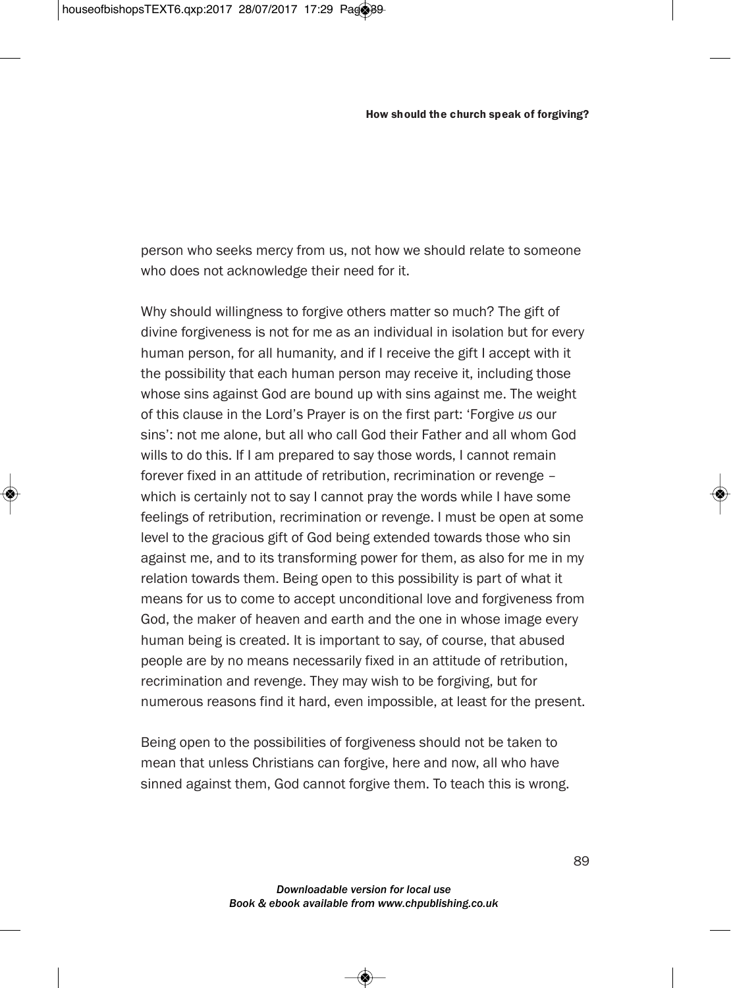person who seeks mercy from us, not how we should relate to someone who does not acknowledge their need for it.

Why should willingness to forgive others matter so much? The gift of divine forgiveness is not for me as an individual in isolation but for every human person, for all humanity, and if I receive the gift I accept with it the possibility that each human person may receive it, including those whose sins against God are bound up with sins against me. The weight of this clause in the Lord's Prayer is on the first part: 'Forgive *us* our sins': not me alone, but all who call God their Father and all whom God wills to do this. If I am prepared to say those words, I cannot remain forever fixed in an attitude of retribution, recrimination or revenge – which is certainly not to say I cannot pray the words while I have some feelings of retribution, recrimination or revenge. I must be open at some level to the gracious gift of God being extended towards those who sin against me, and to its transforming power for them, as also for me in my relation towards them. Being open to this possibility is part of what it means for us to come to accept unconditional love and forgiveness from God, the maker of heaven and earth and the one in whose image every human being is created. It is important to say, of course, that abused people are by no means necessarily fixed in an attitude of retribution, recrimination and revenge. They may wish to be forgiving, but for numerous reasons find it hard, even impossible, at least for the present.

Being open to the possibilities of forgiveness should not be taken to mean that unless Christians can forgive, here and now, all who have sinned against them, God cannot forgive them. To teach this is wrong.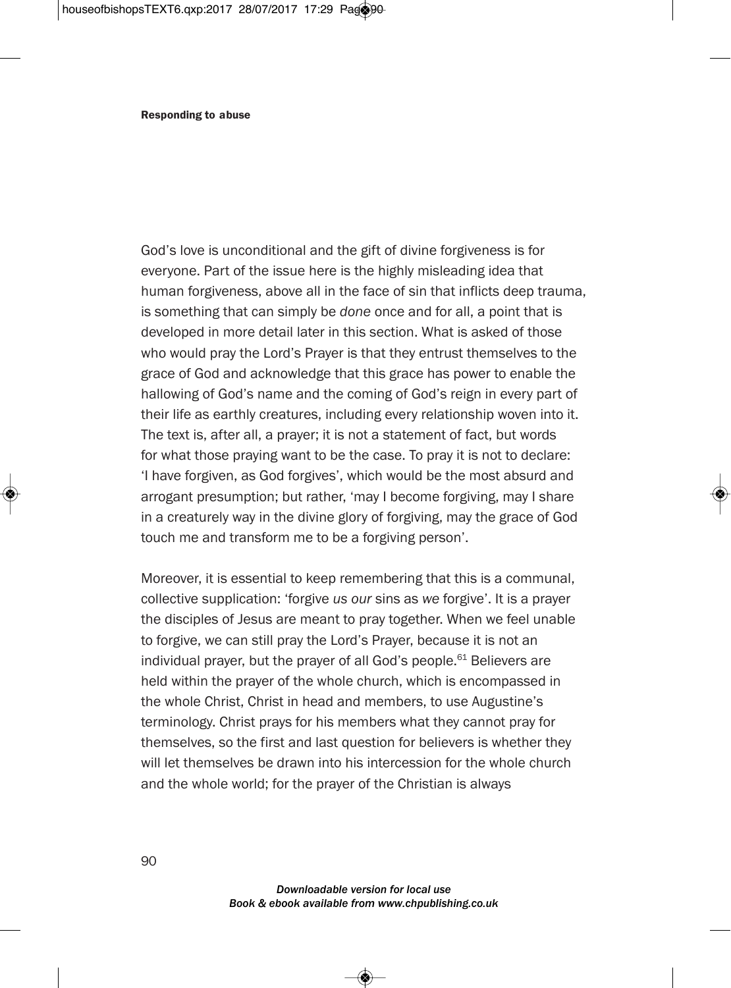God's love is unconditional and the gift of divine forgiveness is for everyone. Part of the issue here is the highly misleading idea that human forgiveness, above all in the face of sin that inflicts deep trauma, is something that can simply be *done* once and for all, a point that is developed in more detail later in this section. What is asked of those who would pray the Lord's Prayer is that they entrust themselves to the grace of God and acknowledge that this grace has power to enable the hallowing of God's name and the coming of God's reign in every part of their life as earthly creatures, including every relationship woven into it. The text is, after all, a prayer; it is not a statement of fact, but words for what those praying want to be the case. To pray it is not to declare: 'I have forgiven, as God forgives', which would be the most absurd and arrogant presumption; but rather, 'may I become forgiving, may I share in a creaturely way in the divine glory of forgiving, may the grace of God touch me and transform me to be a forgiving person'.

Moreover, it is essential to keep remembering that this is a communal, collective supplication: 'forgive *us our* sins as *we* forgive'. It is a prayer the disciples of Jesus are meant to pray together. When we feel unable to forgive, we can still pray the Lord's Prayer, because it is not an individual prayer, but the prayer of all God's people.<sup>61</sup> Believers are held within the prayer of the whole church, which is encompassed in the whole Christ, Christ in head and members, to use Augustine's terminology. Christ prays for his members what they cannot pray for themselves, so the first and last question for believers is whether they will let themselves be drawn into his intercession for the whole church and the whole world; for the prayer of the Christian is always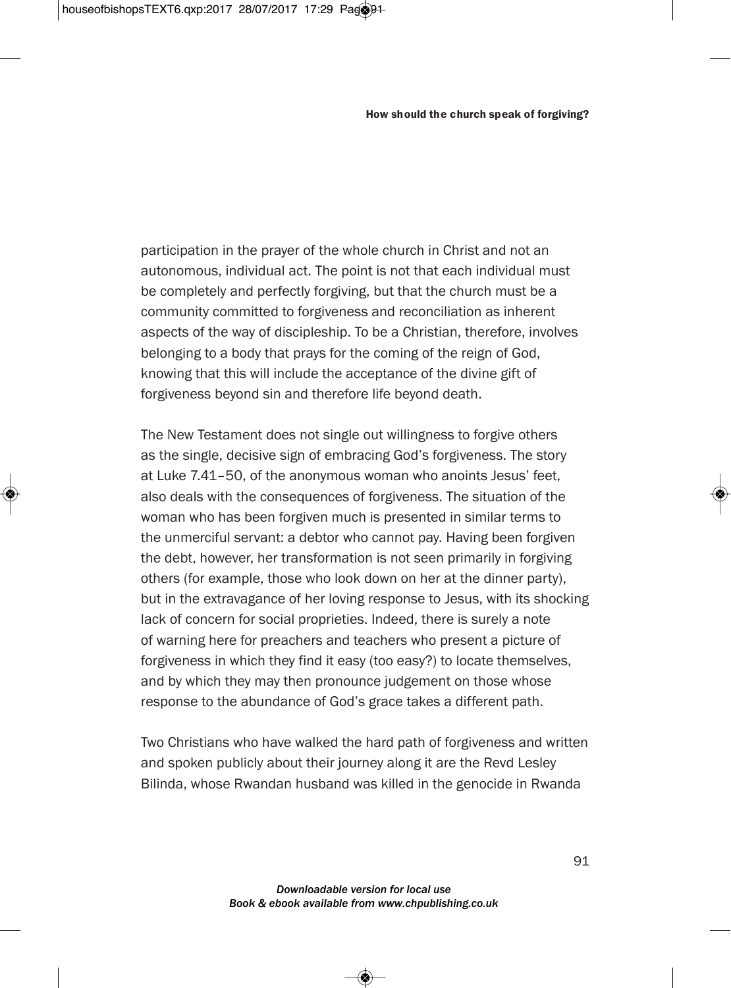participation in the prayer of the whole church in Christ and not an autonomous, individual act. The point is not that each individual must be completely and perfectly forgiving, but that the church must be a community committed to forgiveness and reconciliation as inherent aspects of the way of discipleship. To be a Christian, therefore, involves belonging to a body that prays for the coming of the reign of God, knowing that this will include the acceptance of the divine gift of forgiveness beyond sin and therefore life beyond death.

The New Testament does not single out willingness to forgive others as the single, decisive sign of embracing God's forgiveness. The story at Luke 7.41–50, of the anonymous woman who anoints Jesus' feet, also deals with the consequences of forgiveness. The situation of the woman who has been forgiven much is presented in similar terms to the unmerciful servant: a debtor who cannot pay. Having been forgiven the debt, however, her transformation is not seen primarily in forgiving others (for example, those who look down on her at the dinner party), but in the extravagance of her loving response to Jesus, with its shocking lack of concern for social proprieties. Indeed, there is surely a note of warning here for preachers and teachers who present a picture of forgiveness in which they find it easy (too easy?) to locate themselves, and by which they may then pronounce judgement on those whose response to the abundance of God's grace takes a different path.

Two Christians who have walked the hard path of forgiveness and written and spoken publicly about their journey along it are the Revd Lesley Bilinda, whose Rwandan husband was killed in the genocide in Rwanda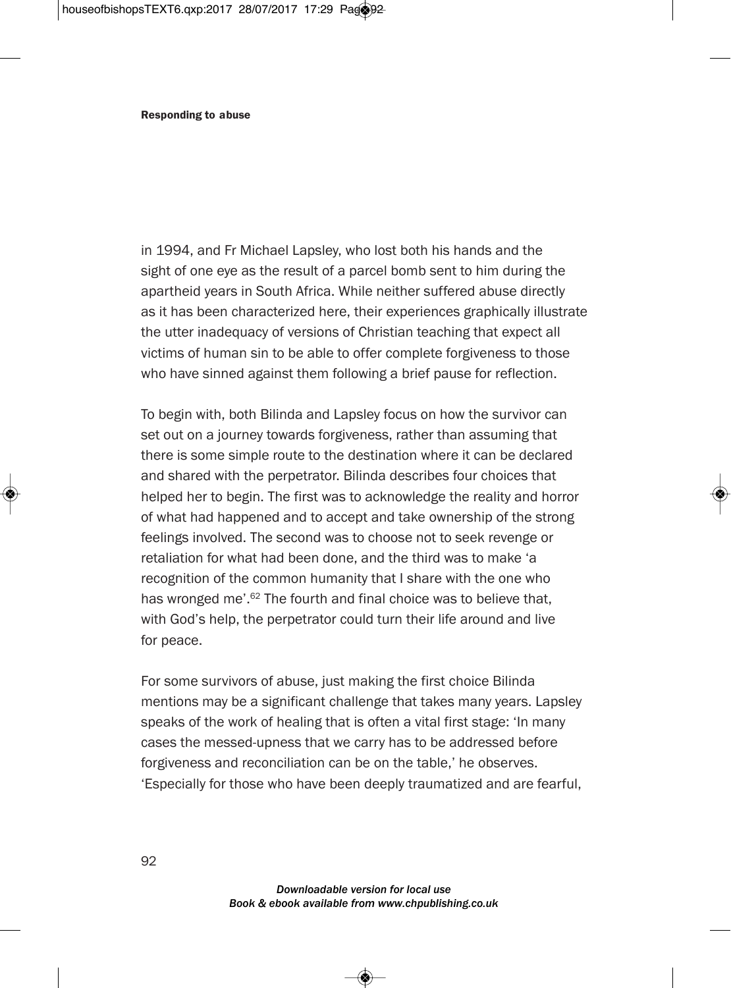in 1994, and Fr Michael Lapsley, who lost both his hands and the sight of one eye as the result of a parcel bomb sent to him during the apartheid years in South Africa. While neither suffered abuse directly as it has been characterized here, their experiences graphically illustrate the utter inadequacy of versions of Christian teaching that expect all victims of human sin to be able to offer complete forgiveness to those who have sinned against them following a brief pause for reflection.

To begin with, both Bilinda and Lapsley focus on how the survivor can set out on a journey towards forgiveness, rather than assuming that there is some simple route to the destination where it can be declared and shared with the perpetrator. Bilinda describes four choices that helped her to begin. The first was to acknowledge the reality and horror of what had happened and to accept and take ownership of the strong feelings involved. The second was to choose not to seek revenge or retaliation for what had been done, and the third was to make 'a recognition of the common humanity that I share with the one who has wronged me'.<sup>62</sup> The fourth and final choice was to believe that, with God's help, the perpetrator could turn their life around and live for peace.

For some survivors of abuse, just making the first choice Bilinda mentions may be a significant challenge that takes many years. Lapsley speaks of the work of healing that is often a vital first stage: 'In many cases the messed-upness that we carry has to be addressed before forgiveness and reconciliation can be on the table,' he observes. 'Especially for those who have been deeply traumatized and are fearful,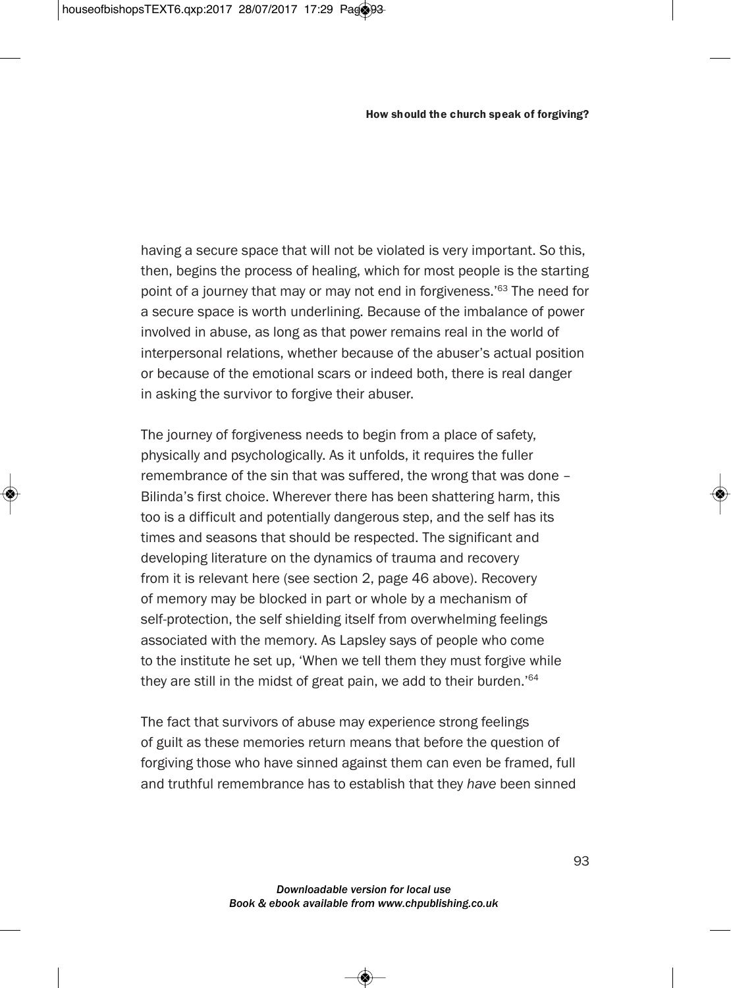having a secure space that will not be violated is very important. So this, then, begins the process of healing, which for most people is the starting point of a journey that may or may not end in forgiveness.'63 The need for a secure space is worth underlining. Because of the imbalance of power involved in abuse, as long as that power remains real in the world of interpersonal relations, whether because of the abuser's actual position or because of the emotional scars or indeed both, there is real danger in asking the survivor to forgive their abuser.

The journey of forgiveness needs to begin from a place of safety, physically and psychologically. As it unfolds, it requires the fuller remembrance of the sin that was suffered, the wrong that was done – Bilinda's first choice. Wherever there has been shattering harm, this too is a difficult and potentially dangerous step, and the self has its times and seasons that should be respected. The significant and developing literature on the dynamics of trauma and recovery from it is relevant here (see section 2, page 46 above). Recovery of memory may be blocked in part or whole by a mechanism of self-protection, the self shielding itself from overwhelming feelings associated with the memory. As Lapsley says of people who come to the institute he set up, 'When we tell them they must forgive while they are still in the midst of great pain, we add to their burden.'64

The fact that survivors of abuse may experience strong feelings of guilt as these memories return means that before the question of forgiving those who have sinned against them can even be framed, full and truthful remembrance has to establish that they *have* been sinned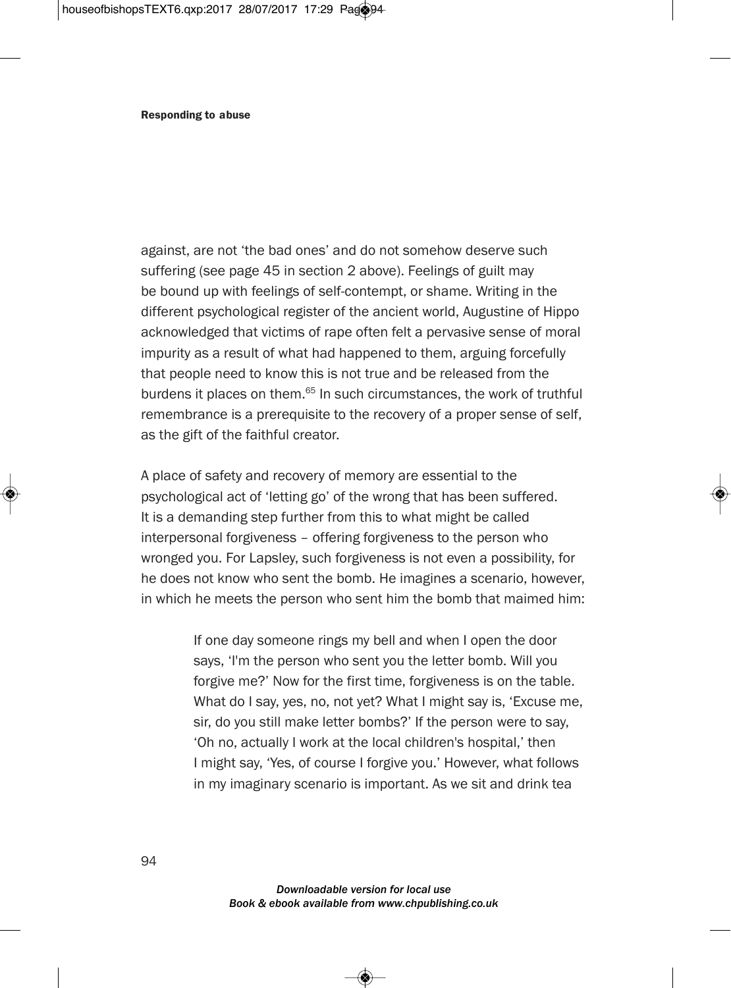against, are not 'the bad ones' and do not somehow deserve such suffering (see page 45 in section 2 above). Feelings of guilt may be bound up with feelings of self-contempt, or shame. Writing in the different psychological register of the ancient world, Augustine of Hippo acknowledged that victims of rape often felt a pervasive sense of moral impurity as a result of what had happened to them, arguing forcefully that people need to know this is not true and be released from the burdens it places on them.<sup>65</sup> In such circumstances, the work of truthful remembrance is a prerequisite to the recovery of a proper sense of self, as the gift of the faithful creator.

A place of safety and recovery of memory are essential to the psychological act of 'letting go' of the wrong that has been suffered. It is a demanding step further from this to what might be called interpersonal forgiveness – offering forgiveness to the person who wronged you. For Lapsley, such forgiveness is not even a possibility, for he does not know who sent the bomb. He imagines a scenario, however, in which he meets the person who sent him the bomb that maimed him:

> If one day someone rings my bell and when I open the door says, 'I'm the person who sent you the letter bomb. Will you forgive me?' Now for the first time, forgiveness is on the table. What do I say, yes, no, not yet? What I might say is, 'Excuse me, sir, do you still make letter bombs?' If the person were to say, 'Oh no, actually I work at the local children's hospital,' then I might say, 'Yes, of course I forgive you.' However, what follows in my imaginary scenario is important. As we sit and drink tea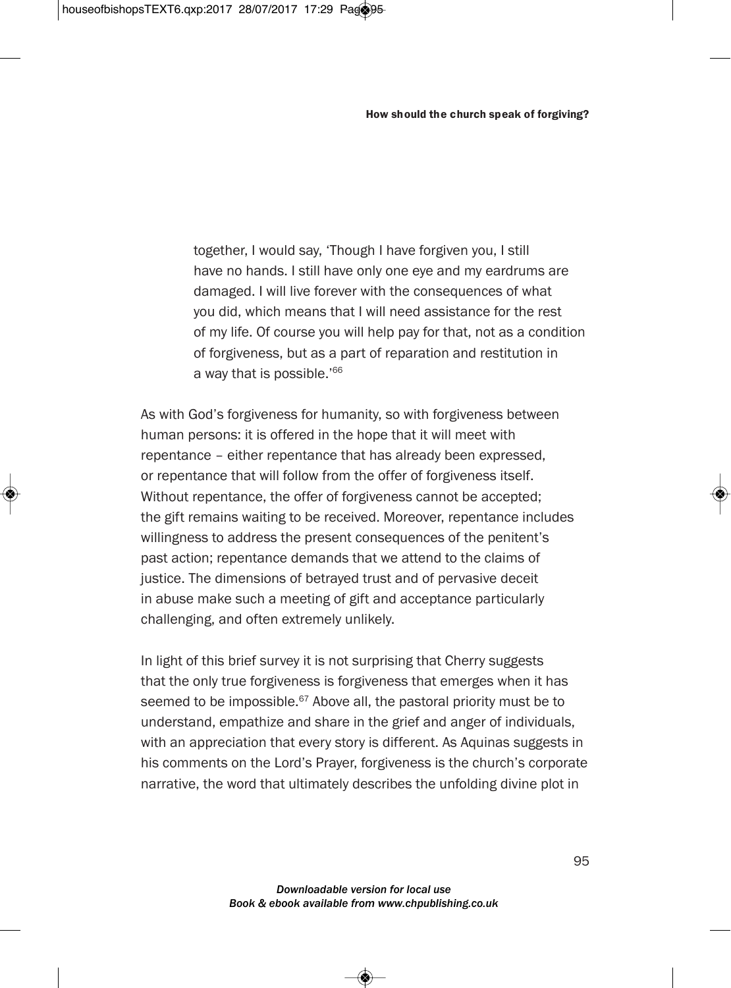together, I would say, 'Though I have forgiven you, I still have no hands. I still have only one eye and my eardrums are damaged. I will live forever with the consequences of what you did, which means that I will need assistance for the rest of my life. Of course you will help pay for that, not as a condition of forgiveness, but as a part of reparation and restitution in a way that is possible.'66

As with God's forgiveness for humanity, so with forgiveness between human persons: it is offered in the hope that it will meet with repentance – either repentance that has already been expressed, or repentance that will follow from the offer of forgiveness itself. Without repentance, the offer of forgiveness cannot be accepted; the gift remains waiting to be received. Moreover, repentance includes willingness to address the present consequences of the penitent's past action; repentance demands that we attend to the claims of justice. The dimensions of betrayed trust and of pervasive deceit in abuse make such a meeting of gift and acceptance particularly challenging, and often extremely unlikely.

In light of this brief survey it is not surprising that Cherry suggests that the only true forgiveness is forgiveness that emerges when it has seemed to be impossible.<sup>67</sup> Above all, the pastoral priority must be to understand, empathize and share in the grief and anger of individuals, with an appreciation that every story is different. As Aquinas suggests in his comments on the Lord's Prayer, forgiveness is the church's corporate narrative, the word that ultimately describes the unfolding divine plot in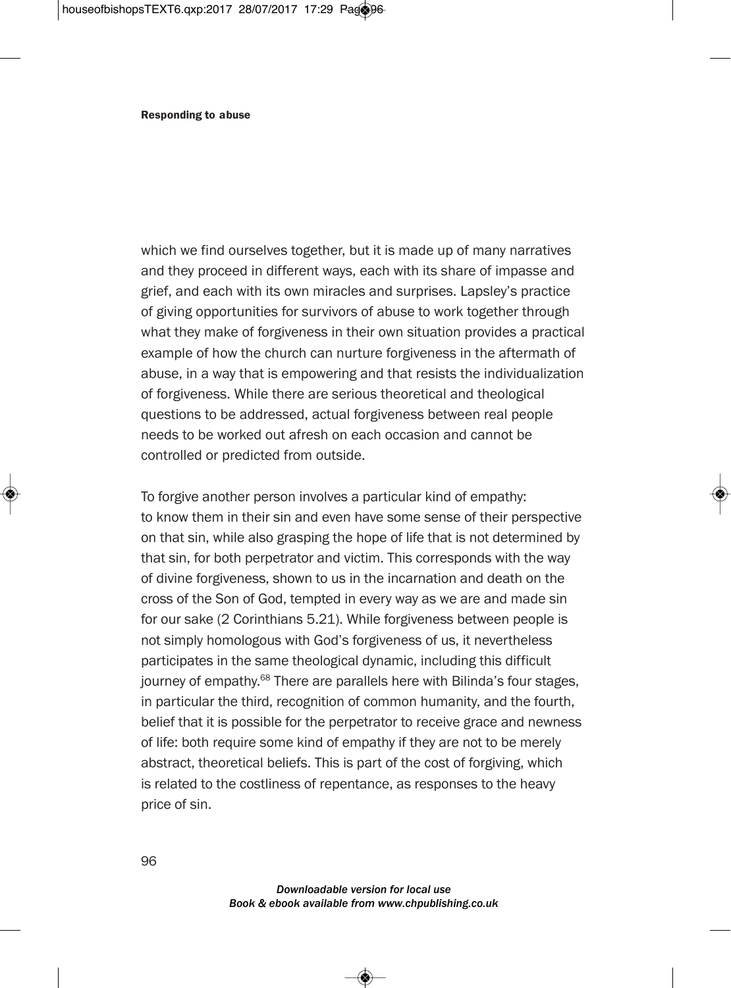which we find ourselves together, but it is made up of many narratives and they proceed in different ways, each with its share of impasse and grief, and each with its own miracles and surprises. Lapsley's practice of giving opportunities for survivors of abuse to work together through what they make of forgiveness in their own situation provides a practical example of how the church can nurture forgiveness in the aftermath of abuse, in a way that is empowering and that resists the individualization of forgiveness. While there are serious theoretical and theological questions to be addressed, actual forgiveness between real people needs to be worked out afresh on each occasion and cannot be controlled or predicted from outside.

To forgive another person involves a particular kind of empathy: to know them in their sin and even have some sense of their perspective on that sin, while also grasping the hope of life that is not determined by that sin, for both perpetrator and victim. This corresponds with the way of divine forgiveness, shown to us in the incarnation and death on the cross of the Son of God, tempted in every way as we are and made sin for our sake (2 Corinthians 5.21). While forgiveness between people is not simply homologous with God's forgiveness of us, it nevertheless participates in the same theological dynamic, including this difficult journey of empathy.<sup>68</sup> There are parallels here with Bilinda's four stages, in particular the third, recognition of common humanity, and the fourth, belief that it is possible for the perpetrator to receive grace and newness of life: both require some kind of empathy if they are not to be merely abstract, theoretical beliefs. This is part of the cost of forgiving, which is related to the costliness of repentance, as responses to the heavy price of sin.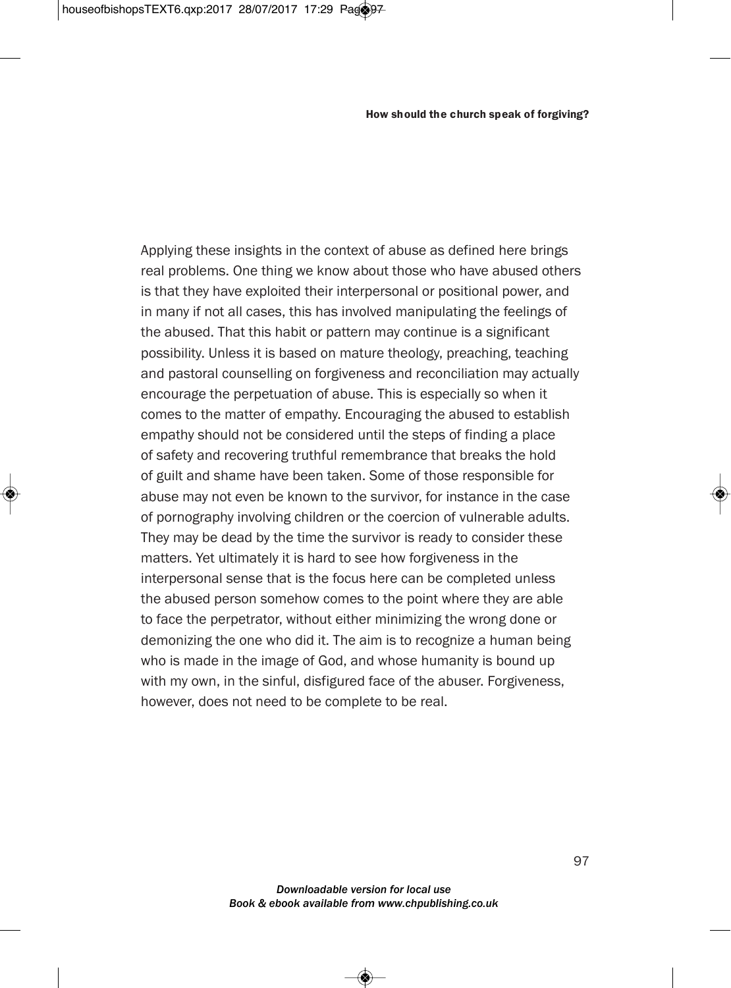Applying these insights in the context of abuse as defined here brings real problems. One thing we know about those who have abused others is that they have exploited their interpersonal or positional power, and in many if not all cases, this has involved manipulating the feelings of the abused. That this habit or pattern may continue is a significant possibility. Unless it is based on mature theology, preaching, teaching and pastoral counselling on forgiveness and reconciliation may actually encourage the perpetuation of abuse. This is especially so when it comes to the matter of empathy. Encouraging the abused to establish empathy should not be considered until the steps of finding a place of safety and recovering truthful remembrance that breaks the hold of guilt and shame have been taken. Some of those responsible for abuse may not even be known to the survivor, for instance in the case of pornography involving children or the coercion of vulnerable adults. They may be dead by the time the survivor is ready to consider these matters. Yet ultimately it is hard to see how forgiveness in the interpersonal sense that is the focus here can be completed unless the abused person somehow comes to the point where they are able to face the perpetrator, without either minimizing the wrong done or demonizing the one who did it. The aim is to recognize a human being who is made in the image of God, and whose humanity is bound up with my own, in the sinful, disfigured face of the abuser. Forgiveness, however, does not need to be complete to be real.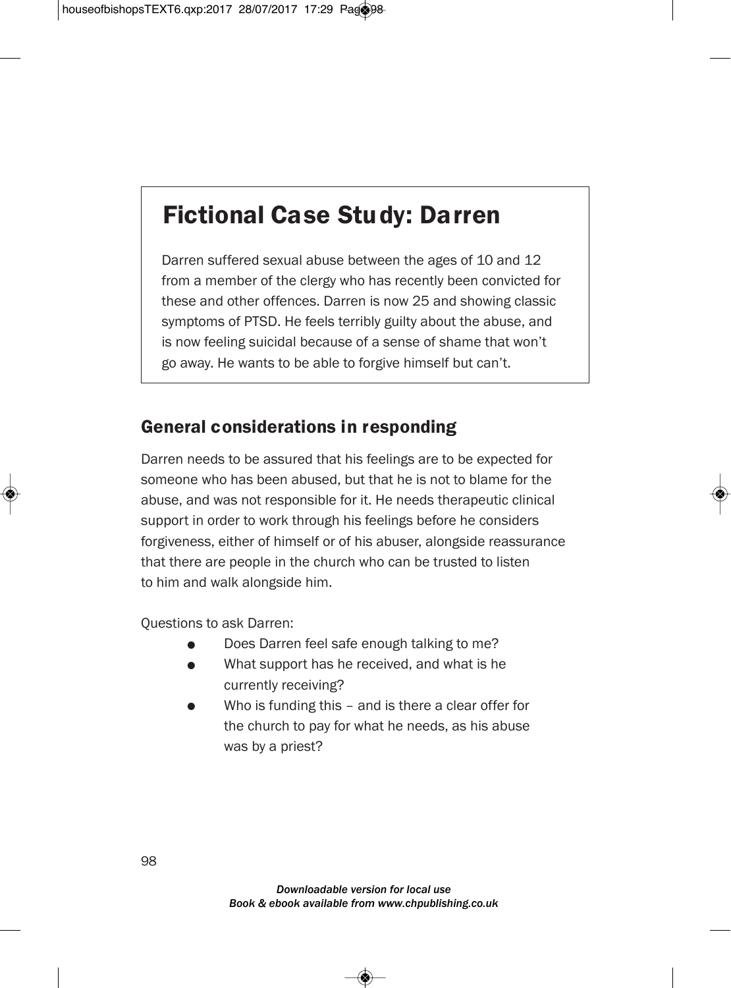# Fictional Case Study: Darren

Darren suffered sexual abuse between the ages of 10 and 12 from a member of the clergy who has recently been convicted for these and other offences. Darren is now 25 and showing classic symptoms of PTSD. He feels terribly guilty about the abuse, and is now feeling suicidal because of a sense of shame that won't go away. He wants to be able to forgive himself but can't.

#### General considerations in responding

Darren needs to be assured that his feelings are to be expected for someone who has been abused, but that he is not to blame for the abuse, and was not responsible for it. He needs therapeutic clinical support in order to work through his feelings before he considers forgiveness, either of himself or of his abuser, alongside reassurance that there are people in the church who can be trusted to listen to him and walk alongside him.

Questions to ask Darren:

- Does Darren feel safe enough talking to me?
- What support has he received, and what is he currently receiving?
- Who is funding this and is there a clear offer for the church to pay for what he needs, as his abuse was by a priest?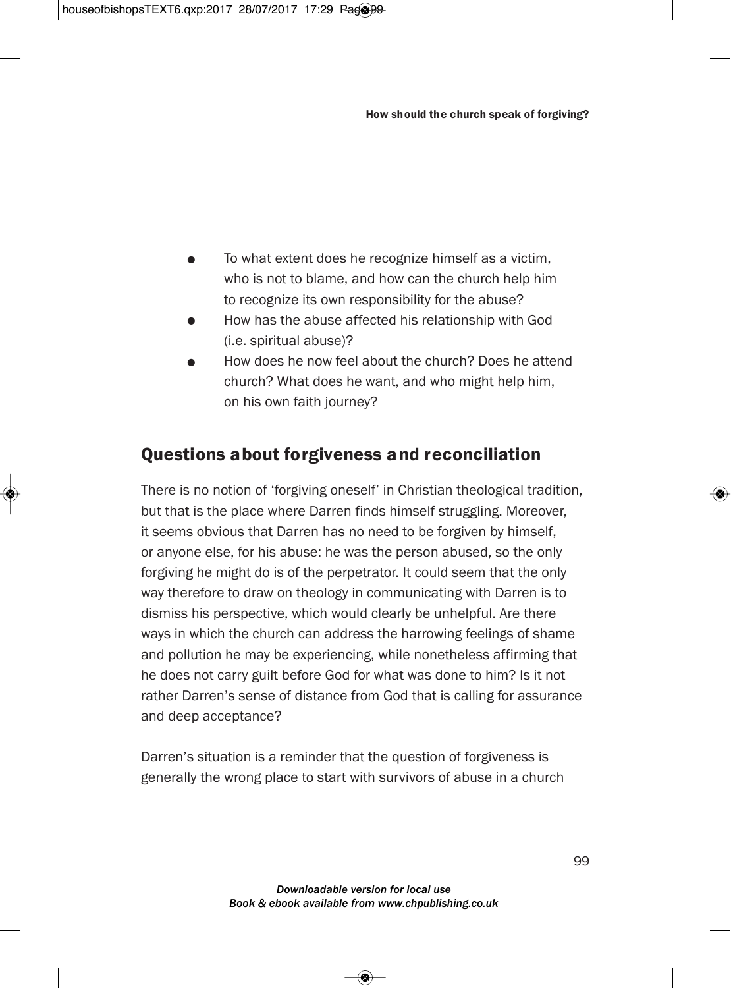- To what extent does he recognize himself as a victim, who is not to blame, and how can the church help him to recognize its own responsibility for the abuse?
- How has the abuse affected his relationship with God (i.e. spiritual abuse)?
- How does he now feel about the church? Does he attend church? What does he want, and who might help him, on his own faith journey?

### Questions about forgiveness and reconciliation

There is no notion of 'forgiving oneself' in Christian theological tradition, but that is the place where Darren finds himself struggling. Moreover, it seems obvious that Darren has no need to be forgiven by himself, or anyone else, for his abuse: he was the person abused, so the only forgiving he might do is of the perpetrator. It could seem that the only way therefore to draw on theology in communicating with Darren is to dismiss his perspective, which would clearly be unhelpful. Are there ways in which the church can address the harrowing feelings of shame and pollution he may be experiencing, while nonetheless affirming that he does not carry guilt before God for what was done to him? Is it not rather Darren's sense of distance from God that is calling for assurance and deep acceptance?

Darren's situation is a reminder that the question of forgiveness is generally the wrong place to start with survivors of abuse in a church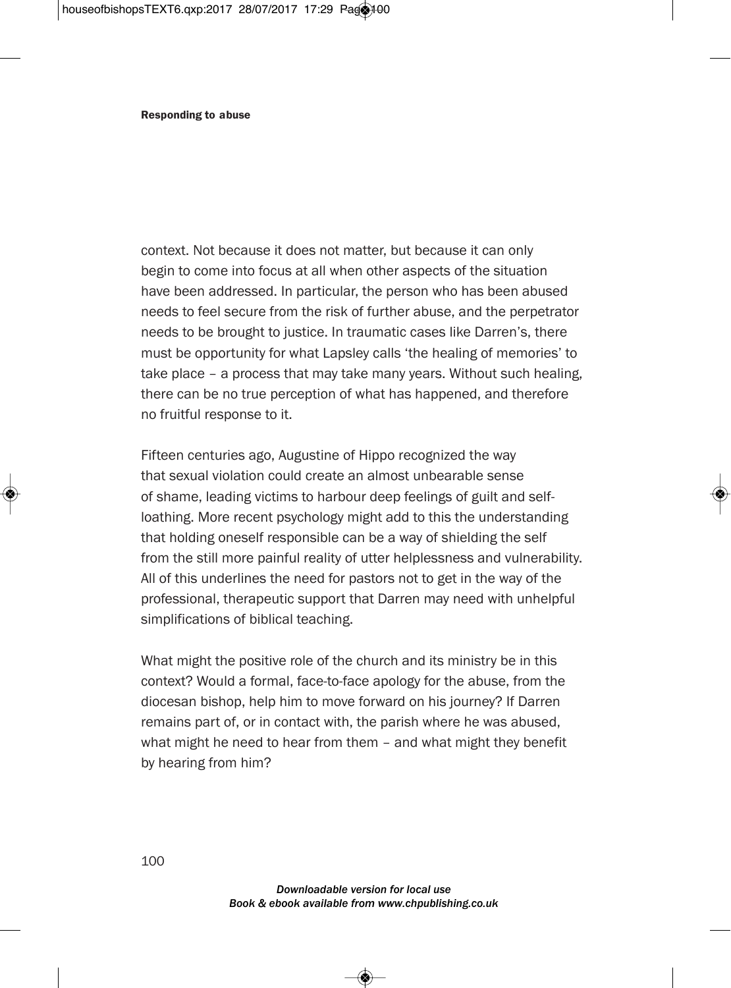context. Not because it does not matter, but because it can only begin to come into focus at all when other aspects of the situation have been addressed. In particular, the person who has been abused needs to feel secure from the risk of further abuse, and the perpetrator needs to be brought to justice. In traumatic cases like Darren's, there must be opportunity for what Lapsley calls 'the healing of memories' to take place – a process that may take many years. Without such healing, there can be no true perception of what has happened, and therefore no fruitful response to it.

Fifteen centuries ago, Augustine of Hippo recognized the way that sexual violation could create an almost unbearable sense of shame, leading victims to harbour deep feelings of guilt and selfloathing. More recent psychology might add to this the understanding that holding oneself responsible can be a way of shielding the self from the still more painful reality of utter helplessness and vulnerability. All of this underlines the need for pastors not to get in the way of the professional, therapeutic support that Darren may need with unhelpful simplifications of biblical teaching.

What might the positive role of the church and its ministry be in this context? Would a formal, face-to-face apology for the abuse, from the diocesan bishop, help him to move forward on his journey? If Darren remains part of, or in contact with, the parish where he was abused, what might he need to hear from them – and what might they benefit by hearing from him?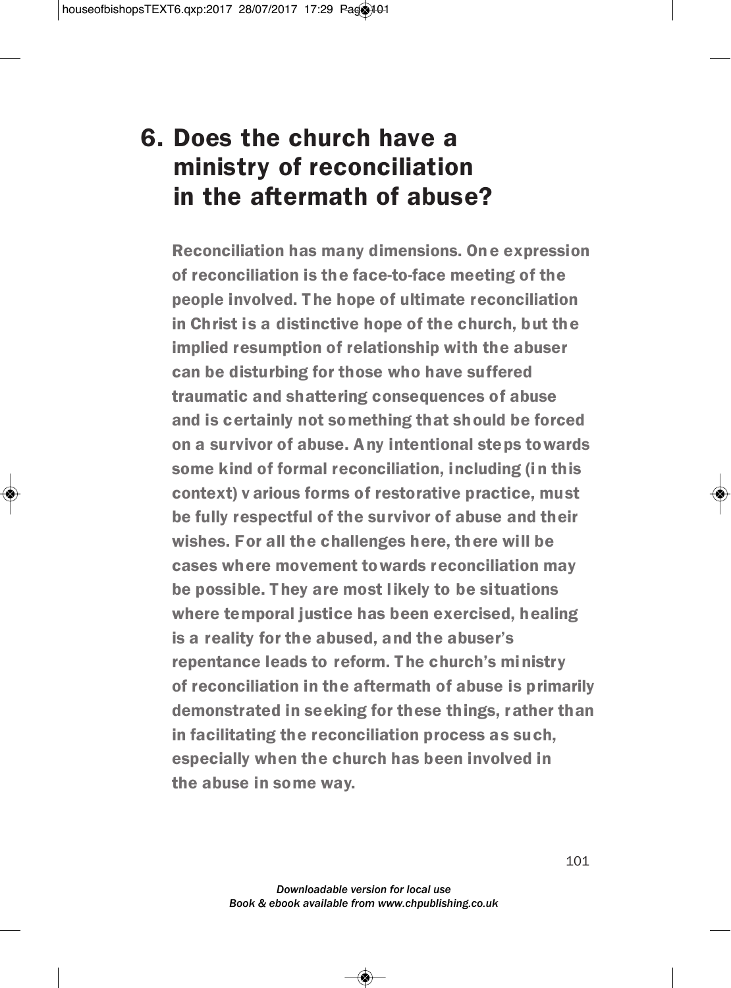## 6. Does the church have a ministry of reconciliation in the aftermath of abuse?

Reconciliation has many dimensions. On e expression of reconciliation is the face-to-face meeting of the people involved. T he hope of ultimate reconciliation in Christ is a distinctive hope of the church, but the implied resumption of relationship with the abuser can be disturbing for those who have suffered traumatic and shattering consequences of abuse and is certainly not something that should be forced on a survivor of abuse. Any intentional steps towards some kind of formal reconciliation, including (i n this context) v arious forms of restorative practice, must be fully respectful of the survivor of abuse and their wishes. For all the challenges here, there will be cases where movement towards reconciliation may be possible. T hey are most likely to be situations where temporal justice has been exercised, healing is a reality for the abused, and the abuser's repentance leads to reform. T he church's ministry of reconciliation in the aftermath of abuse is primarily demonstrated in seeking for these things, rather than in facilitating the reconciliation process as such, especially when the church has been involved in the abuse in some way.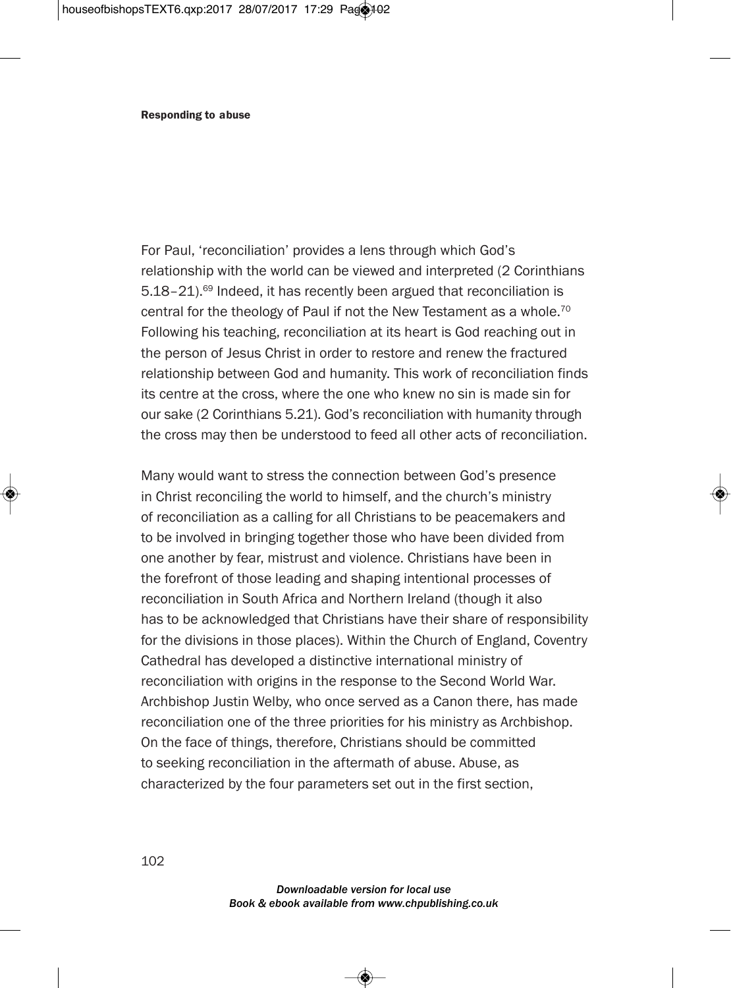For Paul, 'reconciliation' provides a lens through which God's relationship with the world can be viewed and interpreted (2 Corinthians 5.18–21).69 Indeed, it has recently been argued that reconciliation is central for the theology of Paul if not the New Testament as a whole.70 Following his teaching, reconciliation at its heart is God reaching out in the person of Jesus Christ in order to restore and renew the fractured relationship between God and humanity. This work of reconciliation finds its centre at the cross, where the one who knew no sin is made sin for our sake (2 Corinthians 5.21). God's reconciliation with humanity through the cross may then be understood to feed all other acts of reconciliation.

Many would want to stress the connection between God's presence in Christ reconciling the world to himself, and the church's ministry of reconciliation as a calling for all Christians to be peacemakers and to be involved in bringing together those who have been divided from one another by fear, mistrust and violence. Christians have been in the forefront of those leading and shaping intentional processes of reconciliation in South Africa and Northern Ireland (though it also has to be acknowledged that Christians have their share of responsibility for the divisions in those places). Within the Church of England, Coventry Cathedral has developed a distinctive international ministry of reconciliation with origins in the response to the Second World War. Archbishop Justin Welby, who once served as a Canon there, has made reconciliation one of the three priorities for his ministry as Archbishop. On the face of things, therefore, Christians should be committed to seeking reconciliation in the aftermath of abuse. Abuse, as characterized by the four parameters set out in the first section,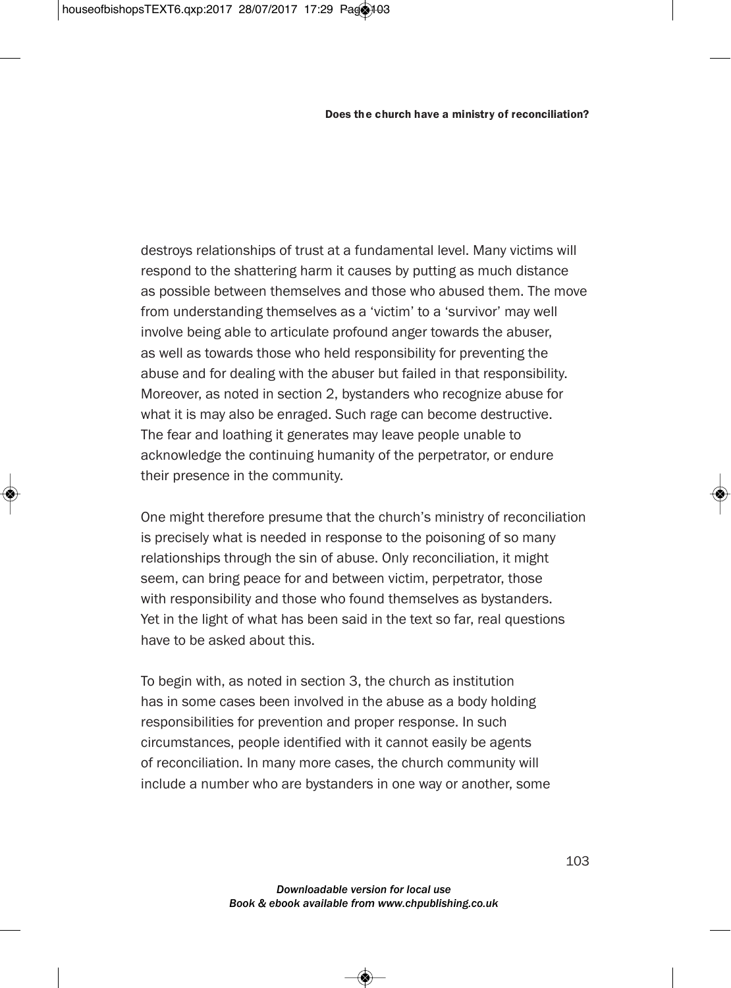destroys relationships of trust at a fundamental level. Many victims will respond to the shattering harm it causes by putting as much distance as possible between themselves and those who abused them. The move from understanding themselves as a 'victim' to a 'survivor' may well involve being able to articulate profound anger towards the abuser, as well as towards those who held responsibility for preventing the abuse and for dealing with the abuser but failed in that responsibility. Moreover, as noted in section 2, bystanders who recognize abuse for what it is may also be enraged. Such rage can become destructive. The fear and loathing it generates may leave people unable to acknowledge the continuing humanity of the perpetrator, or endure their presence in the community.

One might therefore presume that the church's ministry of reconciliation is precisely what is needed in response to the poisoning of so many relationships through the sin of abuse. Only reconciliation, it might seem, can bring peace for and between victim, perpetrator, those with responsibility and those who found themselves as bystanders. Yet in the light of what has been said in the text so far, real questions have to be asked about this.

To begin with, as noted in section 3, the church as institution has in some cases been involved in the abuse as a body holding responsibilities for prevention and proper response. In such circumstances, people identified with it cannot easily be agents of reconciliation. In many more cases, the church community will include a number who are bystanders in one way or another, some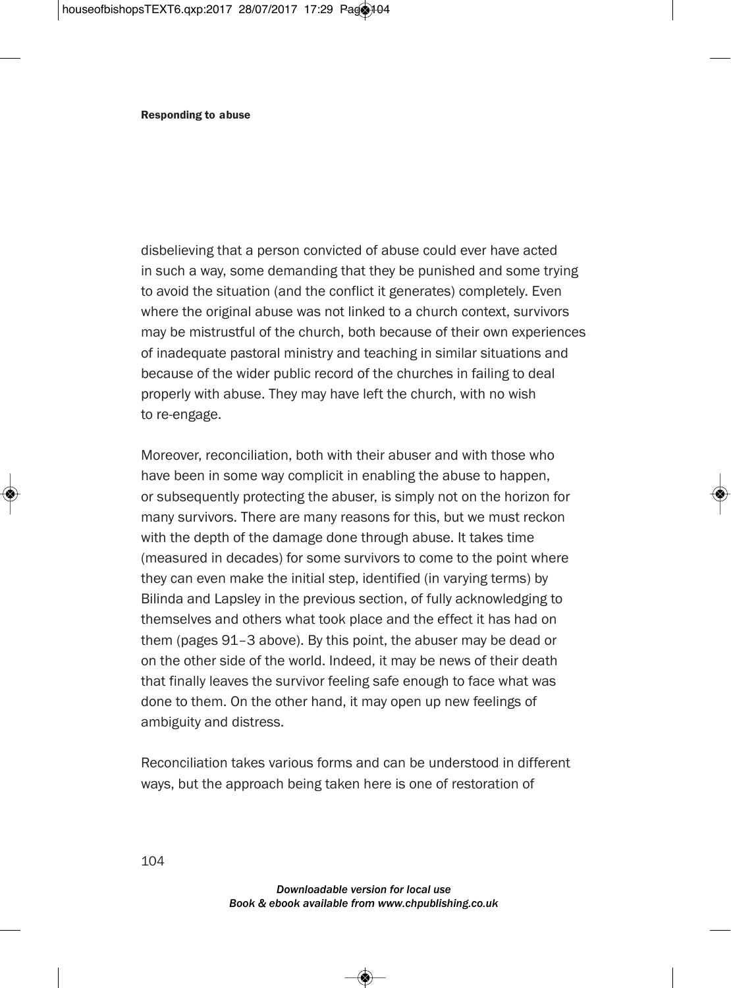disbelieving that a person convicted of abuse could ever have acted in such a way, some demanding that they be punished and some trying to avoid the situation (and the conflict it generates) completely. Even where the original abuse was not linked to a church context, survivors may be mistrustful of the church, both because of their own experiences of inadequate pastoral ministry and teaching in similar situations and because of the wider public record of the churches in failing to deal properly with abuse. They may have left the church, with no wish to re-engage.

Moreover, reconciliation, both with their abuser and with those who have been in some way complicit in enabling the abuse to happen, or subsequently protecting the abuser, is simply not on the horizon for many survivors. There are many reasons for this, but we must reckon with the depth of the damage done through abuse. It takes time (measured in decades) for some survivors to come to the point where they can even make the initial step, identified (in varying terms) by Bilinda and Lapsley in the previous section, of fully acknowledging to themselves and others what took place and the effect it has had on them (pages 91–3 above). By this point, the abuser may be dead or on the other side of the world. Indeed, it may be news of their death that finally leaves the survivor feeling safe enough to face what was done to them. On the other hand, it may open up new feelings of ambiguity and distress.

Reconciliation takes various forms and can be understood in different ways, but the approach being taken here is one of restoration of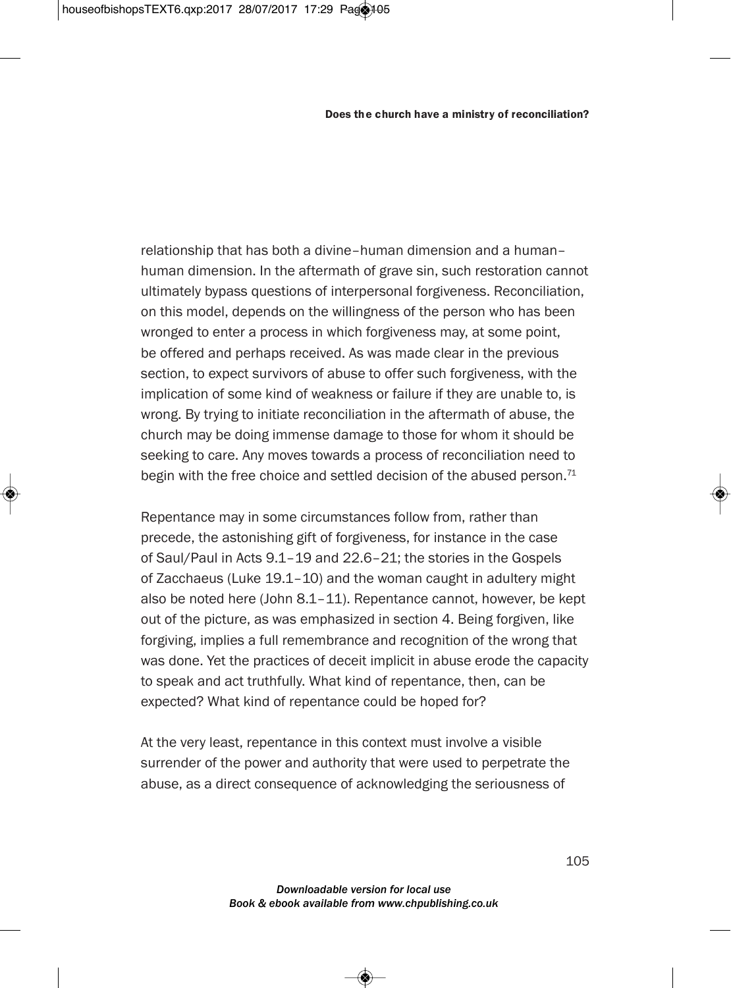relationship that has both a divine–human dimension and a human– human dimension. In the aftermath of grave sin, such restoration cannot ultimately bypass questions of interpersonal forgiveness. Reconciliation, on this model, depends on the willingness of the person who has been wronged to enter a process in which forgiveness may, at some point, be offered and perhaps received. As was made clear in the previous section, to expect survivors of abuse to offer such forgiveness, with the implication of some kind of weakness or failure if they are unable to, is wrong. By trying to initiate reconciliation in the aftermath of abuse, the church may be doing immense damage to those for whom it should be seeking to care. Any moves towards a process of reconciliation need to begin with the free choice and settled decision of the abused person.<sup>71</sup>

Repentance may in some circumstances follow from, rather than precede, the astonishing gift of forgiveness, for instance in the case of Saul/Paul in Acts 9.1–19 and 22.6–21; the stories in the Gospels of Zacchaeus (Luke 19.1–10) and the woman caught in adultery might also be noted here (John 8.1–11). Repentance cannot, however, be kept out of the picture, as was emphasized in section 4. Being forgiven, like forgiving, implies a full remembrance and recognition of the wrong that was done. Yet the practices of deceit implicit in abuse erode the capacity to speak and act truthfully. What kind of repentance, then, can be expected? What kind of repentance could be hoped for?

At the very least, repentance in this context must involve a visible surrender of the power and authority that were used to perpetrate the abuse, as a direct consequence of acknowledging the seriousness of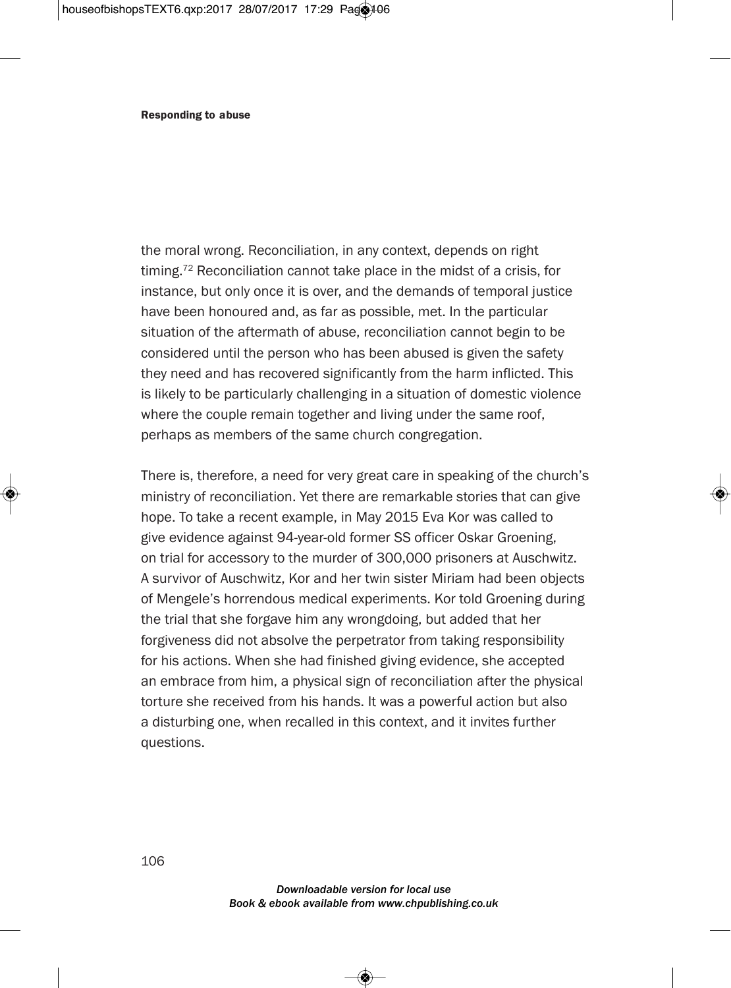the moral wrong. Reconciliation, in any context, depends on right timing.72 Reconciliation cannot take place in the midst of a crisis, for instance, but only once it is over, and the demands of temporal justice have been honoured and, as far as possible, met. In the particular situation of the aftermath of abuse, reconciliation cannot begin to be considered until the person who has been abused is given the safety they need and has recovered significantly from the harm inflicted. This is likely to be particularly challenging in a situation of domestic violence where the couple remain together and living under the same roof, perhaps as members of the same church congregation.

There is, therefore, a need for very great care in speaking of the church's ministry of reconciliation. Yet there are remarkable stories that can give hope. To take a recent example, in May 2015 Eva Kor was called to give evidence against 94-year-old former SS officer Oskar Groening, on trial for accessory to the murder of 300,000 prisoners at Auschwitz. A survivor of Auschwitz, Kor and her twin sister Miriam had been objects of Mengele's horrendous medical experiments. Kor told Groening during the trial that she forgave him any wrongdoing, but added that her forgiveness did not absolve the perpetrator from taking responsibility for his actions. When she had finished giving evidence, she accepted an embrace from him, a physical sign of reconciliation after the physical torture she received from his hands. It was a powerful action but also a disturbing one, when recalled in this context, and it invites further questions.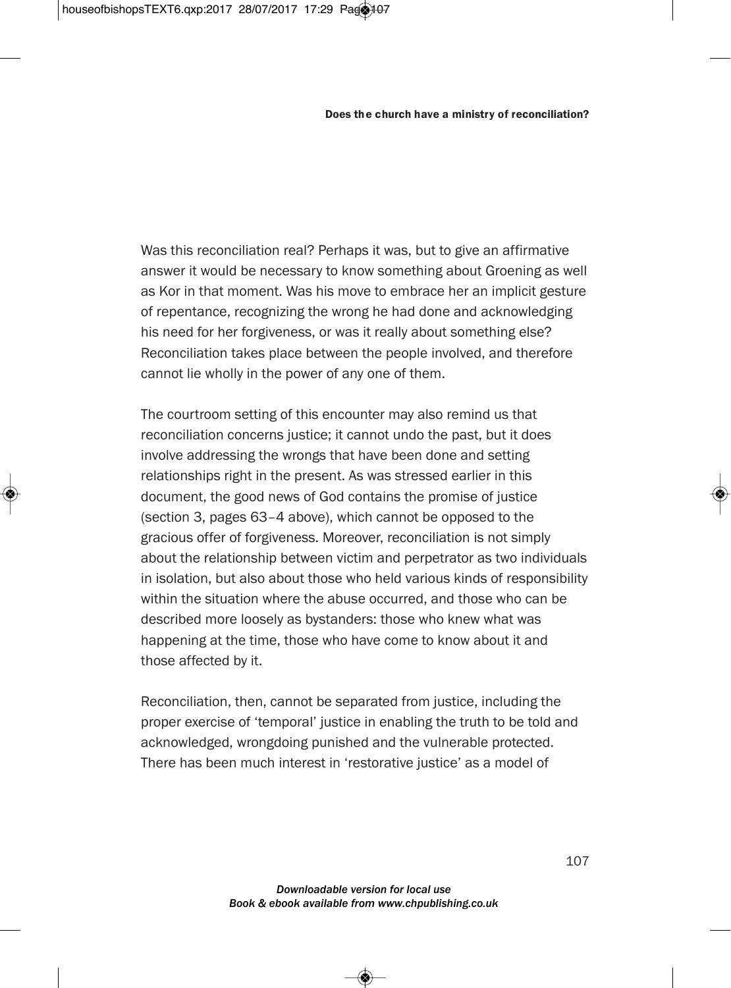Was this reconciliation real? Perhaps it was, but to give an affirmative answer it would be necessary to know something about Groening as well as Kor in that moment. Was his move to embrace her an implicit gesture of repentance, recognizing the wrong he had done and acknowledging his need for her forgiveness, or was it really about something else? Reconciliation takes place between the people involved, and therefore cannot lie wholly in the power of any one of them.

The courtroom setting of this encounter may also remind us that reconciliation concerns justice; it cannot undo the past, but it does involve addressing the wrongs that have been done and setting relationships right in the present. As was stressed earlier in this document, the good news of God contains the promise of justice (section 3, pages 63–4 above), which cannot be opposed to the gracious offer of forgiveness. Moreover, reconciliation is not simply about the relationship between victim and perpetrator as two individuals in isolation, but also about those who held various kinds of responsibility within the situation where the abuse occurred, and those who can be described more loosely as bystanders: those who knew what was happening at the time, those who have come to know about it and those affected by it.

Reconciliation, then, cannot be separated from justice, including the proper exercise of 'temporal' justice in enabling the truth to be told and acknowledged, wrongdoing punished and the vulnerable protected. There has been much interest in 'restorative justice' as a model of

> *Downloadable version for local use Book & ebook available from www.chpublishing.co.uk*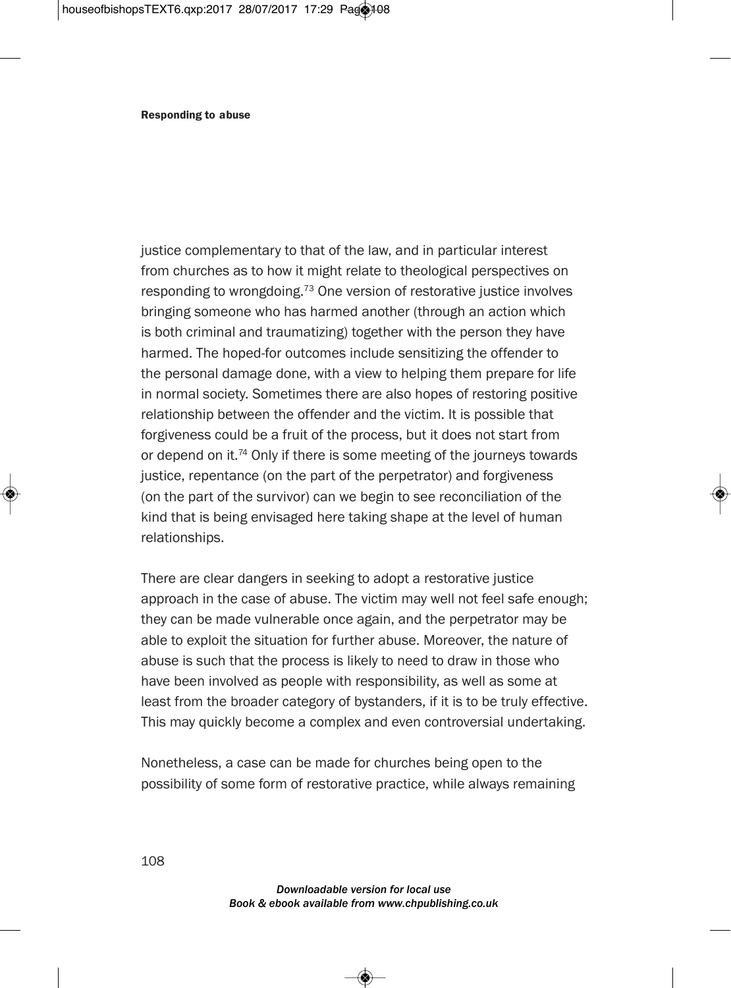justice complementary to that of the law, and in particular interest from churches as to how it might relate to theological perspectives on responding to wrongdoing.73 One version of restorative justice involves bringing someone who has harmed another (through an action which is both criminal and traumatizing) together with the person they have harmed. The hoped-for outcomes include sensitizing the offender to the personal damage done, with a view to helping them prepare for life in normal society. Sometimes there are also hopes of restoring positive relationship between the offender and the victim. It is possible that forgiveness could be a fruit of the process, but it does not start from or depend on it.<sup>74</sup> Only if there is some meeting of the journeys towards justice, repentance (on the part of the perpetrator) and forgiveness (on the part of the survivor) can we begin to see reconciliation of the kind that is being envisaged here taking shape at the level of human relationships.

There are clear dangers in seeking to adopt a restorative justice approach in the case of abuse. The victim may well not feel safe enough; they can be made vulnerable once again, and the perpetrator may be able to exploit the situation for further abuse. Moreover, the nature of abuse is such that the process is likely to need to draw in those who have been involved as people with responsibility, as well as some at least from the broader category of bystanders, if it is to be truly effective. This may quickly become a complex and even controversial undertaking.

Nonetheless, a case can be made for churches being open to the possibility of some form of restorative practice, while always remaining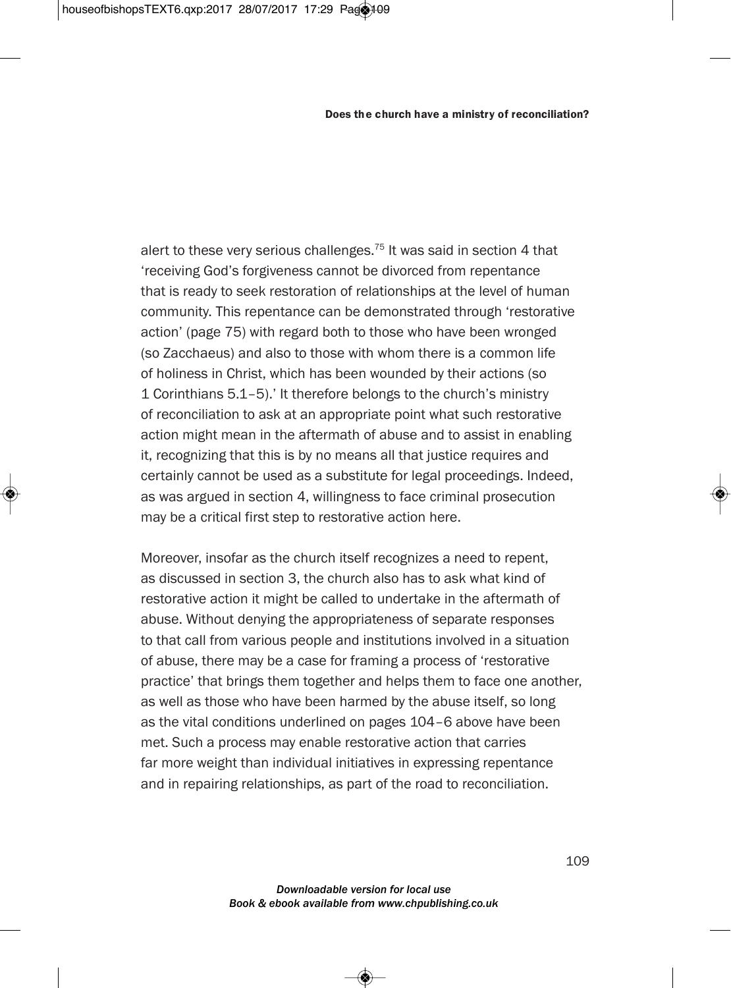alert to these very serious challenges.<sup>75</sup> It was said in section 4 that 'receiving God's forgiveness cannot be divorced from repentance that is ready to seek restoration of relationships at the level of human community. This repentance can be demonstrated through 'restorative action' (page 75) with regard both to those who have been wronged (so Zacchaeus) and also to those with whom there is a common life of holiness in Christ, which has been wounded by their actions (so 1 Corinthians 5.1–5).' It therefore belongs to the church's ministry of reconciliation to ask at an appropriate point what such restorative action might mean in the aftermath of abuse and to assist in enabling it, recognizing that this is by no means all that justice requires and certainly cannot be used as a substitute for legal proceedings. Indeed, as was argued in section 4, willingness to face criminal prosecution may be a critical first step to restorative action here.

Moreover, insofar as the church itself recognizes a need to repent, as discussed in section 3, the church also has to ask what kind of restorative action it might be called to undertake in the aftermath of abuse. Without denying the appropriateness of separate responses to that call from various people and institutions involved in a situation of abuse, there may be a case for framing a process of 'restorative practice' that brings them together and helps them to face one another, as well as those who have been harmed by the abuse itself, so long as the vital conditions underlined on pages 104–6 above have been met. Such a process may enable restorative action that carries far more weight than individual initiatives in expressing repentance and in repairing relationships, as part of the road to reconciliation.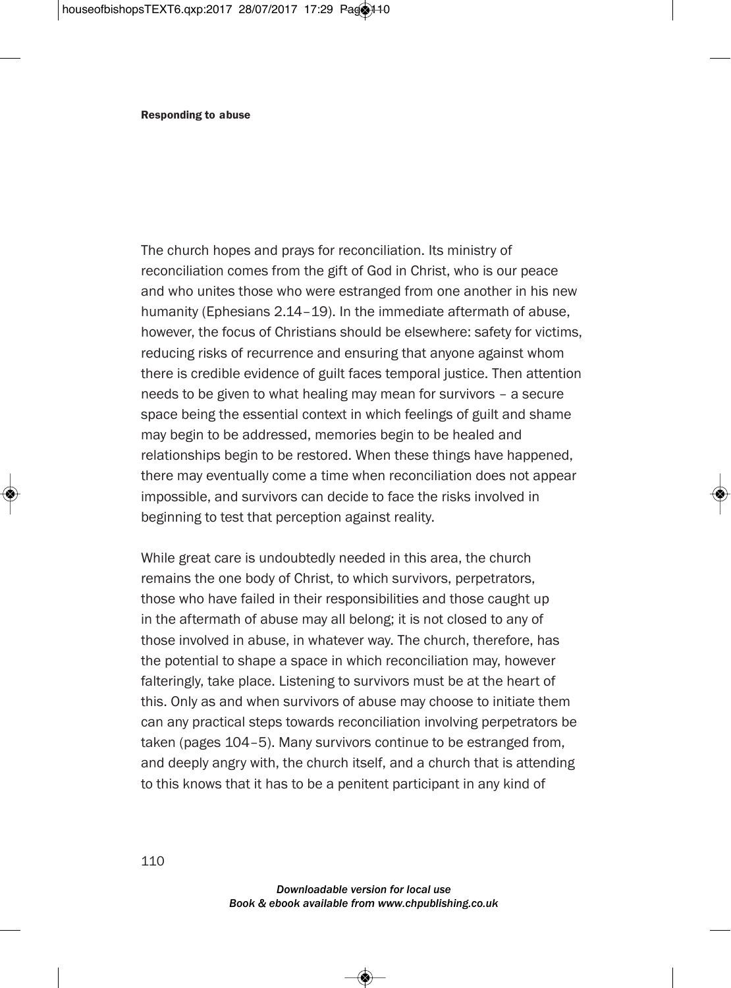The church hopes and prays for reconciliation. Its ministry of reconciliation comes from the gift of God in Christ, who is our peace and who unites those who were estranged from one another in his new humanity (Ephesians 2.14-19). In the immediate aftermath of abuse, however, the focus of Christians should be elsewhere: safety for victims, reducing risks of recurrence and ensuring that anyone against whom there is credible evidence of guilt faces temporal justice. Then attention needs to be given to what healing may mean for survivors – a secure space being the essential context in which feelings of guilt and shame may begin to be addressed, memories begin to be healed and relationships begin to be restored. When these things have happened, there may eventually come a time when reconciliation does not appear impossible, and survivors can decide to face the risks involved in beginning to test that perception against reality.

While great care is undoubtedly needed in this area, the church remains the one body of Christ, to which survivors, perpetrators, those who have failed in their responsibilities and those caught up in the aftermath of abuse may all belong; it is not closed to any of those involved in abuse, in whatever way. The church, therefore, has the potential to shape a space in which reconciliation may, however falteringly, take place. Listening to survivors must be at the heart of this. Only as and when survivors of abuse may choose to initiate them can any practical steps towards reconciliation involving perpetrators be taken (pages 104–5). Many survivors continue to be estranged from, and deeply angry with, the church itself, and a church that is attending to this knows that it has to be a penitent participant in any kind of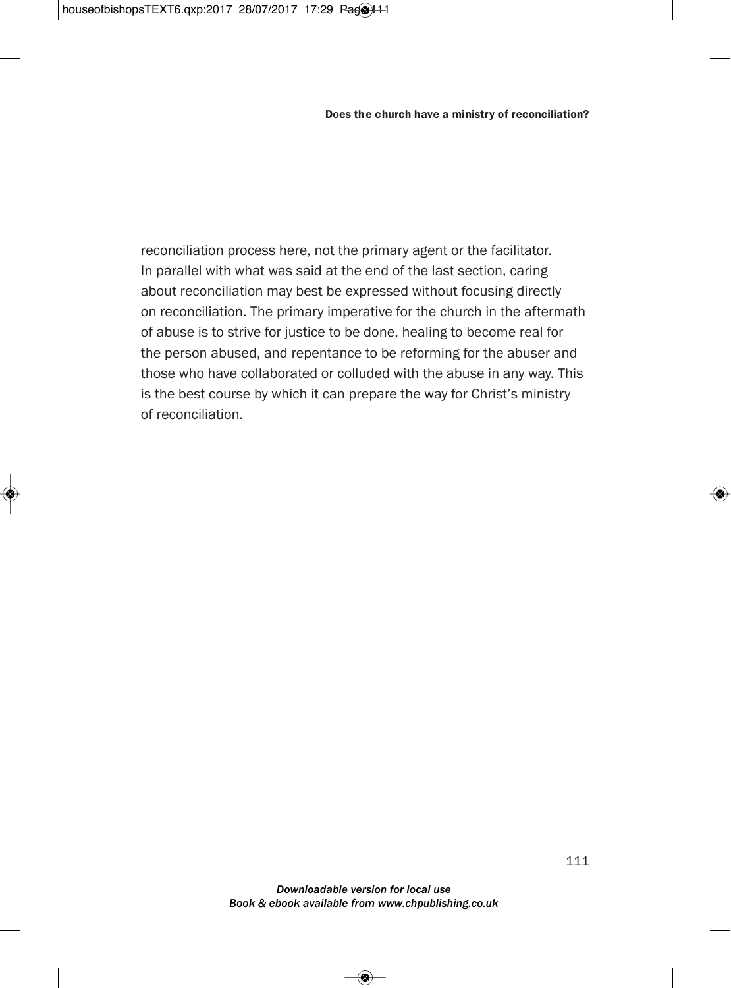reconciliation process here, not the primary agent or the facilitator. In parallel with what was said at the end of the last section, caring about reconciliation may best be expressed without focusing directly on reconciliation. The primary imperative for the church in the aftermath of abuse is to strive for justice to be done, healing to become real for the person abused, and repentance to be reforming for the abuser and those who have collaborated or colluded with the abuse in any way. This is the best course by which it can prepare the way for Christ's ministry of reconciliation.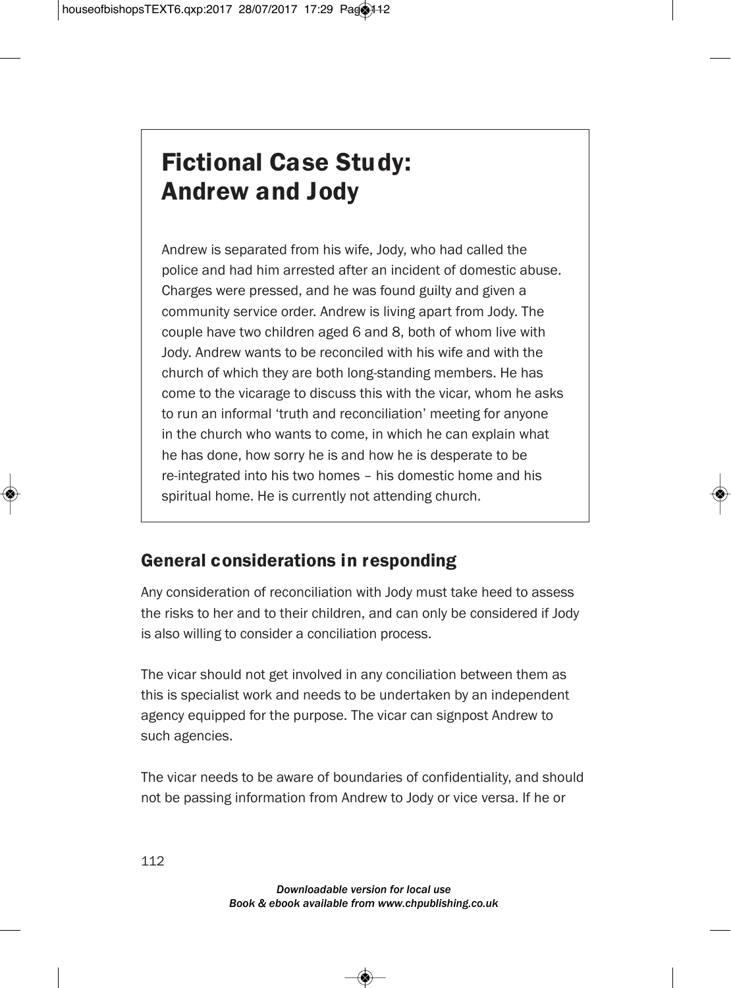# Fictional Case Study: Andrew and Jody

Andrew is separated from his wife, Jody, who had called the police and had him arrested after an incident of domestic abuse. Charges were pressed, and he was found guilty and given a community service order. Andrew is living apart from Jody. The couple have two children aged 6 and 8, both of whom live with Jody. Andrew wants to be reconciled with his wife and with the church of which they are both long-standing members. He has come to the vicarage to discuss this with the vicar, whom he asks to run an informal 'truth and reconciliation' meeting for anyone in the church who wants to come, in which he can explain what he has done, how sorry he is and how he is desperate to be re-integrated into his two homes – his domestic home and his spiritual home. He is currently not attending church.

### General considerations in responding

Any consideration of reconciliation with Jody must take heed to assess the risks to her and to their children, and can only be considered if Jody is also willing to consider a conciliation process.

The vicar should not get involved in any conciliation between them as this is specialist work and needs to be undertaken by an independent agency equipped for the purpose. The vicar can signpost Andrew to such agencies.

The vicar needs to be aware of boundaries of confidentiality, and should not be passing information from Andrew to Jody or vice versa. If he or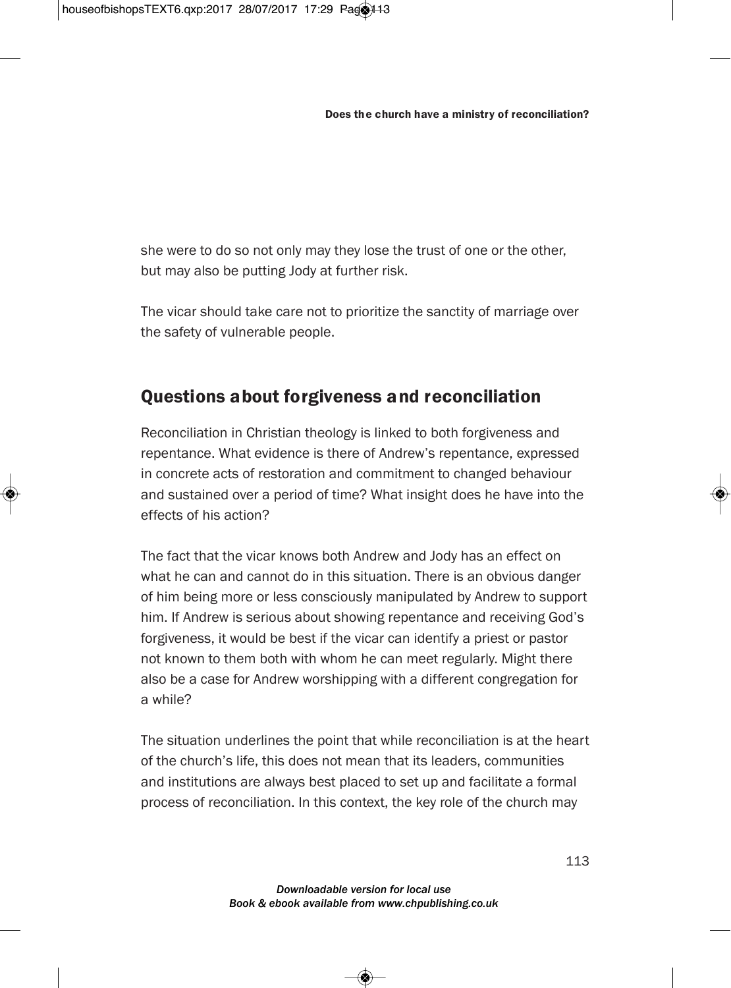she were to do so not only may they lose the trust of one or the other, but may also be putting Jody at further risk.

The vicar should take care not to prioritize the sanctity of marriage over the safety of vulnerable people.

### Questions about forgiveness and reconciliation

Reconciliation in Christian theology is linked to both forgiveness and repentance. What evidence is there of Andrew's repentance, expressed in concrete acts of restoration and commitment to changed behaviour and sustained over a period of time? What insight does he have into the effects of his action?

The fact that the vicar knows both Andrew and Jody has an effect on what he can and cannot do in this situation. There is an obvious danger of him being more or less consciously manipulated by Andrew to support him. If Andrew is serious about showing repentance and receiving God's forgiveness, it would be best if the vicar can identify a priest or pastor not known to them both with whom he can meet regularly. Might there also be a case for Andrew worshipping with a different congregation for a while?

The situation underlines the point that while reconciliation is at the heart of the church's life, this does not mean that its leaders, communities and institutions are always best placed to set up and facilitate a formal process of reconciliation. In this context, the key role of the church may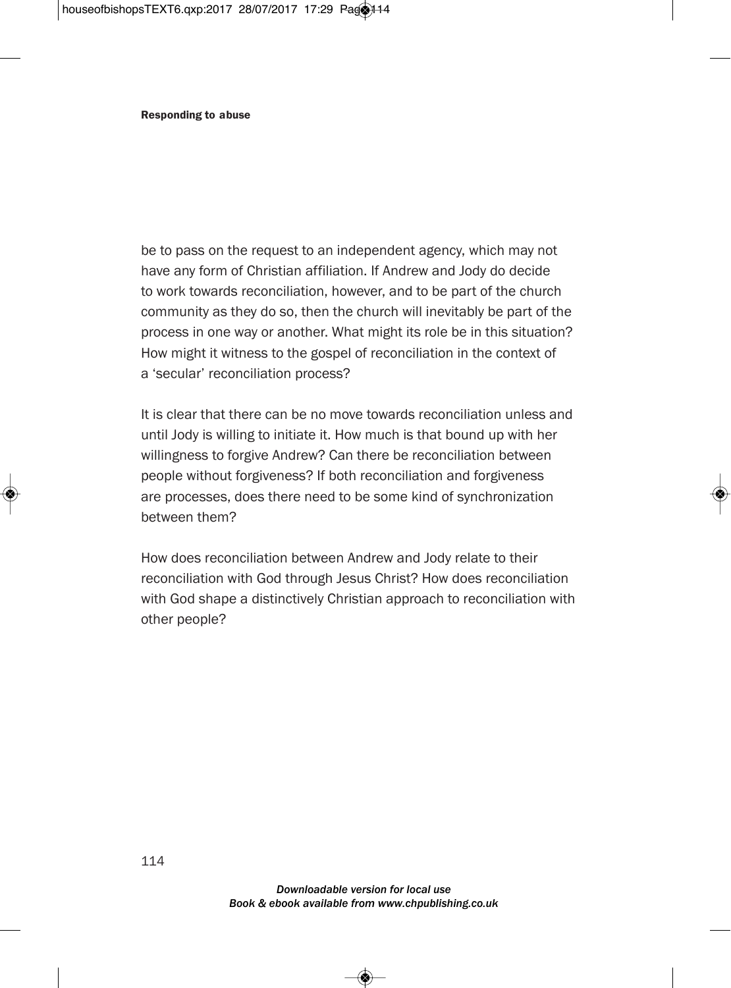be to pass on the request to an independent agency, which may not have any form of Christian affiliation. If Andrew and Jody do decide to work towards reconciliation, however, and to be part of the church community as they do so, then the church will inevitably be part of the process in one way or another. What might its role be in this situation? How might it witness to the gospel of reconciliation in the context of a 'secular' reconciliation process?

It is clear that there can be no move towards reconciliation unless and until Jody is willing to initiate it. How much is that bound up with her willingness to forgive Andrew? Can there be reconciliation between people without forgiveness? If both reconciliation and forgiveness are processes, does there need to be some kind of synchronization between them?

How does reconciliation between Andrew and Jody relate to their reconciliation with God through Jesus Christ? How does reconciliation with God shape a distinctively Christian approach to reconciliation with other people?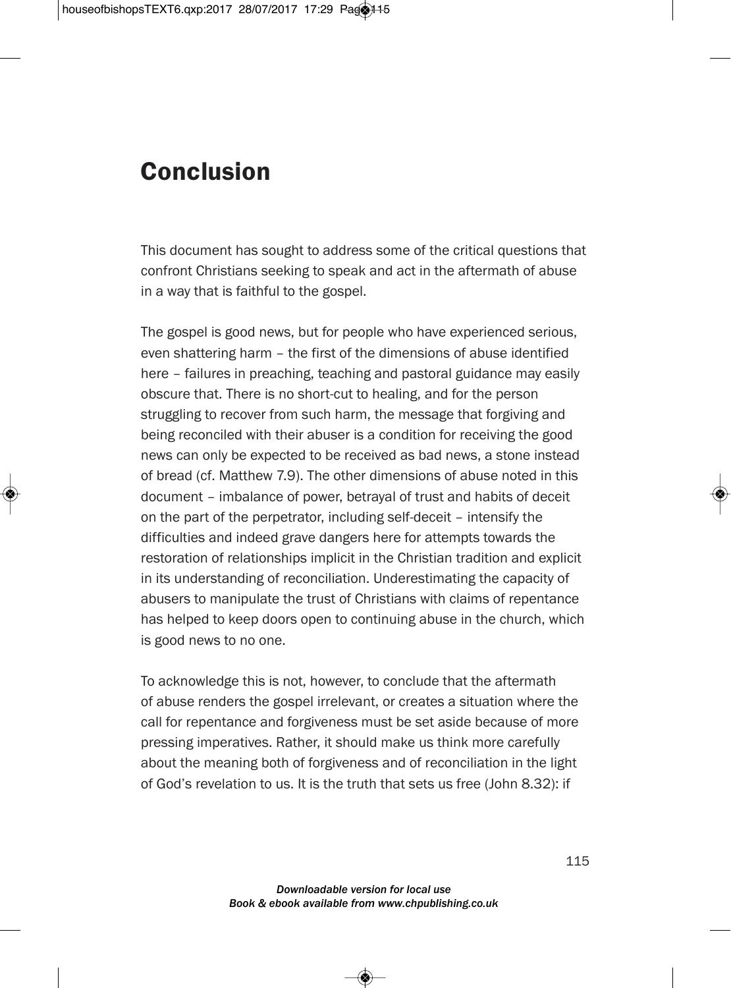## Conclusion

This document has sought to address some of the critical questions that confront Christians seeking to speak and act in the aftermath of abuse in a way that is faithful to the gospel.

The gospel is good news, but for people who have experienced serious, even shattering harm – the first of the dimensions of abuse identified here – failures in preaching, teaching and pastoral guidance may easily obscure that. There is no short-cut to healing, and for the person struggling to recover from such harm, the message that forgiving and being reconciled with their abuser is a condition for receiving the good news can only be expected to be received as bad news, a stone instead of bread (cf. Matthew 7.9). The other dimensions of abuse noted in this document – imbalance of power, betrayal of trust and habits of deceit on the part of the perpetrator, including self-deceit – intensify the difficulties and indeed grave dangers here for attempts towards the restoration of relationships implicit in the Christian tradition and explicit in its understanding of reconciliation. Underestimating the capacity of abusers to manipulate the trust of Christians with claims of repentance has helped to keep doors open to continuing abuse in the church, which is good news to no one.

To acknowledge this is not, however, to conclude that the aftermath of abuse renders the gospel irrelevant, or creates a situation where the call for repentance and forgiveness must be set aside because of more pressing imperatives. Rather, it should make us think more carefully about the meaning both of forgiveness and of reconciliation in the light of God's revelation to us. It is the truth that sets us free (John 8.32): if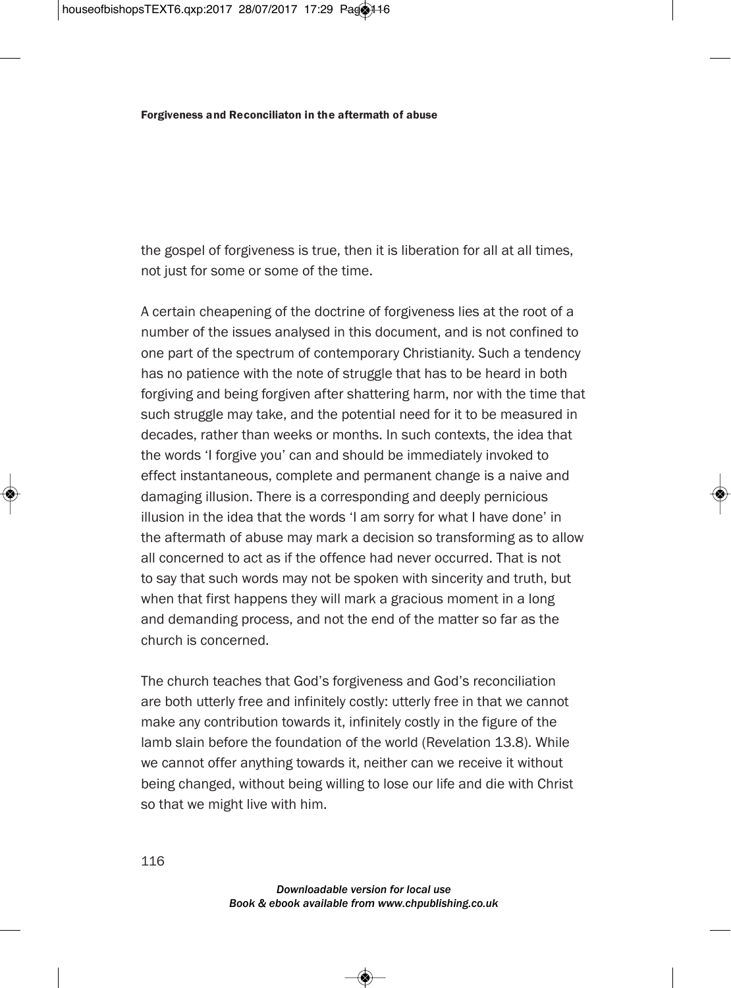the gospel of forgiveness is true, then it is liberation for all at all times, not just for some or some of the time.

A certain cheapening of the doctrine of forgiveness lies at the root of a number of the issues analysed in this document, and is not confined to one part of the spectrum of contemporary Christianity. Such a tendency has no patience with the note of struggle that has to be heard in both forgiving and being forgiven after shattering harm, nor with the time that such struggle may take, and the potential need for it to be measured in decades, rather than weeks or months. In such contexts, the idea that the words 'I forgive you' can and should be immediately invoked to effect instantaneous, complete and permanent change is a naive and damaging illusion. There is a corresponding and deeply pernicious illusion in the idea that the words 'I am sorry for what I have done' in the aftermath of abuse may mark a decision so transforming as to allow all concerned to act as if the offence had never occurred. That is not to say that such words may not be spoken with sincerity and truth, but when that first happens they will mark a gracious moment in a long and demanding process, and not the end of the matter so far as the church is concerned.

The church teaches that God's forgiveness and God's reconciliation are both utterly free and infinitely costly: utterly free in that we cannot make any contribution towards it, infinitely costly in the figure of the lamb slain before the foundation of the world (Revelation 13.8). While we cannot offer anything towards it, neither can we receive it without being changed, without being willing to lose our life and die with Christ so that we might live with him.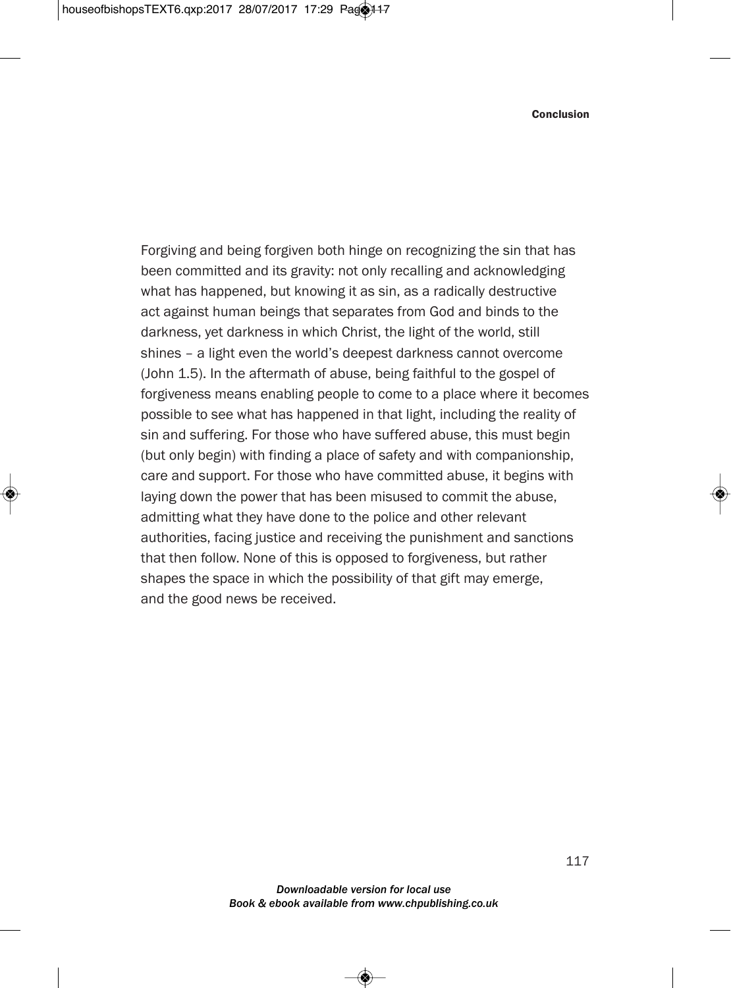Forgiving and being forgiven both hinge on recognizing the sin that has been committed and its gravity: not only recalling and acknowledging what has happened, but knowing it as sin, as a radically destructive act against human beings that separates from God and binds to the darkness, yet darkness in which Christ, the light of the world, still shines – a light even the world's deepest darkness cannot overcome (John 1.5). In the aftermath of abuse, being faithful to the gospel of forgiveness means enabling people to come to a place where it becomes possible to see what has happened in that light, including the reality of sin and suffering. For those who have suffered abuse, this must begin (but only begin) with finding a place of safety and with companionship, care and support. For those who have committed abuse, it begins with laying down the power that has been misused to commit the abuse, admitting what they have done to the police and other relevant authorities, facing justice and receiving the punishment and sanctions that then follow. None of this is opposed to forgiveness, but rather shapes the space in which the possibility of that gift may emerge, and the good news be received.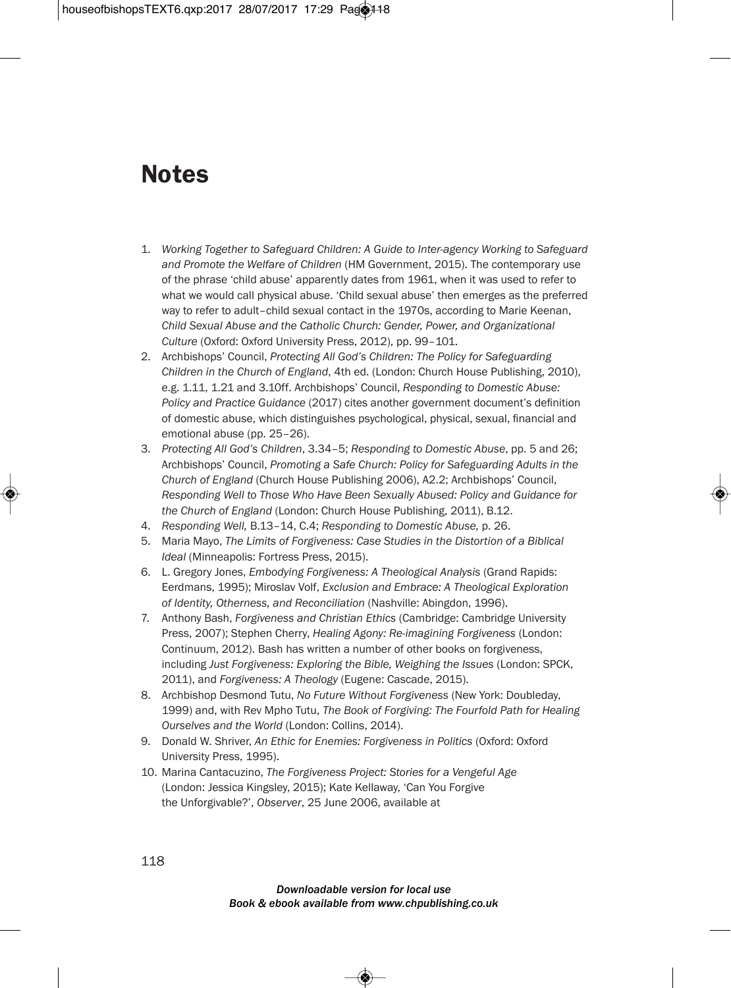## **Notes**

- 1. *Working Together to Safeguard Children: A Guide to Inter-agency Working to Safeguard and Promote the Welfare of Children* (HM Government, 2015). The contemporary use of the phrase 'child abuse' apparently dates from 1961, when it was used to refer to what we would call physical abuse. 'Child sexual abuse' then emerges as the preferred way to refer to adult–child sexual contact in the 1970s, according to Marie Keenan, *Child Sexual Abuse and the Catholic Church: Gender, Power, and Organizational Culture* (Oxford: Oxford University Press, 2012), pp. 99–101.
- 2. Archbishops' Council, *Protecting All God's Children: The Policy for Safeguarding Children in the Church of England*, 4th ed. (London: Church House Publishing, 2010), e.g. 1.11, 1.21 and 3.10ff. Archbishops' Council, *Responding to Domestic Abuse: Policy and Practice Guidance* (2017) cites another government document's definition of domestic abuse, which distinguishes psychological, physical, sexual, financial and emotional abuse (pp. 25–26).
- 3. *Protecting All God's Children*, 3.34–5; *Responding to Domestic Abuse*, pp. 5 and 26; Archbishops' Council, *Promoting a Safe Church: Policy for Safeguarding Adults in the Church of England* (Church House Publishing 2006), A2.2; Archbishops' Council, *Responding Well to Those Who Have Been Sexually Abused: Policy and Guidance for the Church of England* (London: Church House Publishing, 2011), B.12.
- 4. *Responding Well,* B.13–14, C.4; *Responding to Domestic Abuse,* p. 26.
- 5. Maria Mayo, *The Limits of Forgiveness: Case Studies in the Distortion of a Biblical Ideal* (Minneapolis: Fortress Press, 2015).
- 6. L. Gregory Jones, *Embodying Forgiveness: A Theological Analysis* (Grand Rapids: Eerdmans, 1995); Miroslav Volf, *Exclusion and Embrace: A Theological Exploration of Identity, Otherness, and Reconciliation* (Nashville: Abingdon, 1996).
- 7. Anthony Bash, *Forgiveness and Christian Ethics* (Cambridge: Cambridge University Press, 2007); Stephen Cherry, *Healing Agony: Re-imagining Forgiveness* (London: Continuum, 2012). Bash has written a number of other books on forgiveness, including *Just Forgiveness: Exploring the Bible, Weighing the Issues* (London: SPCK, 2011), and *Forgiveness: A Theology* (Eugene: Cascade, 2015).
- 8. Archbishop Desmond Tutu, *No Future Without Forgiveness* (New York: Doubleday, 1999) and, with Rev Mpho Tutu, *The Book of Forgiving: The Fourfold Path for Healing Ourselves and the World* (London: Collins, 2014).
- 9. Donald W. Shriver, *An Ethic for Enemies: Forgiveness in Politics* (Oxford: Oxford University Press, 1995).
- 10. Marina Cantacuzino, *The Forgiveness Project: Stories for a Vengeful Age* (London: Jessica Kingsley, 2015); Kate Kellaway, 'Can You Forgive the Unforgivable?', *Observer*, 25 June 2006, available at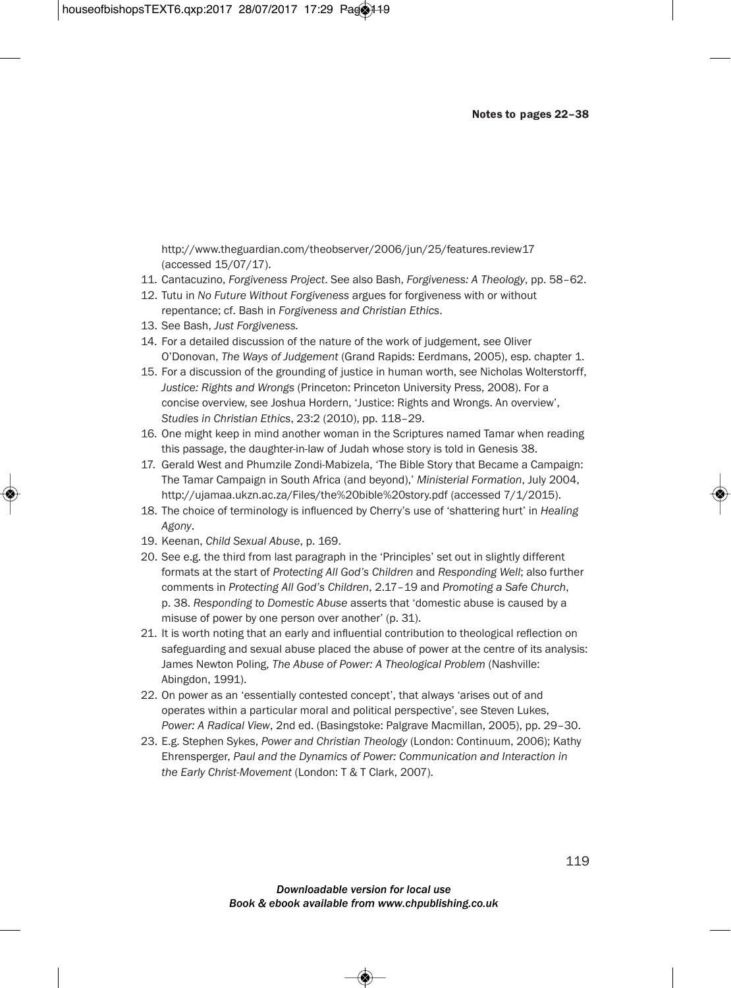http://www.theguardian.com/theobserver/2006/jun/25/features.review17 (accessed 15/07/17).

- 11. Cantacuzino, *Forgiveness Project*. See also Bash, *Forgiveness: A Theology*, pp. 58–62.
- 12. Tutu in *No Future Without Forgiveness* argues for forgiveness with or without repentance; cf. Bash in *Forgiveness and Christian Ethics*.
- 13. See Bash, *Just Forgiveness.*
- 14. For a detailed discussion of the nature of the work of judgement, see Oliver O'Donovan, *The Ways of Judgement* (Grand Rapids: Eerdmans, 2005), esp. chapter 1.
- 15. For a discussion of the grounding of justice in human worth, see Nicholas Wolterstorff, *Justice: Rights and Wrongs* (Princeton: Princeton University Press, 2008). For a concise overview, see Joshua Hordern, 'Justice: Rights and Wrongs. An overview', *Studies in Christian Ethics*, 23:2 (2010), pp. 118–29.
- 16. One might keep in mind another woman in the Scriptures named Tamar when reading this passage, the daughter-in-law of Judah whose story is told in Genesis 38.
- 17. Gerald West and Phumzile Zondi-Mabizela, 'The Bible Story that Became a Campaign: The Tamar Campaign in South Africa (and beyond),' *Ministerial Formation*, July 2004, http://ujamaa.ukzn.ac.za/Files/the%20bible%20story.pdf (accessed 7/1/2015).
- 18. The choice of terminology is influenced by Cherry's use of 'shattering hurt' in *Healing Agony*.
- 19. Keenan, *Child Sexual Abuse*, p. 169.
- 20. See e.g. the third from last paragraph in the 'Principles' set out in slightly different formats at the start of *Protecting All God's Children* and *Responding Well*; also further comments in *Protecting All God's Children*, 2.17–19 and *Promoting a Safe Church*, p. 38. *Responding to Domestic Abuse* asserts that 'domestic abuse is caused by a misuse of power by one person over another' (p. 31).
- 21. It is worth noting that an early and influential contribution to theological reflection on safeguarding and sexual abuse placed the abuse of power at the centre of its analysis: James Newton Poling, *The Abuse of Power: A Theological Problem* (Nashville: Abingdon, 1991).
- 22. On power as an 'essentially contested concept', that always 'arises out of and operates within a particular moral and political perspective', see Steven Lukes, *Power: A Radical View*, 2nd ed. (Basingstoke: Palgrave Macmillan, 2005), pp. 29–30.
- 23. E.g. Stephen Sykes, *Power and Christian Theology* (London: Continuum, 2006); Kathy Ehrensperger, *Paul and the Dynamics of Power: Communication and Interaction in the Early Christ-Movement* (London: T & T Clark, 2007).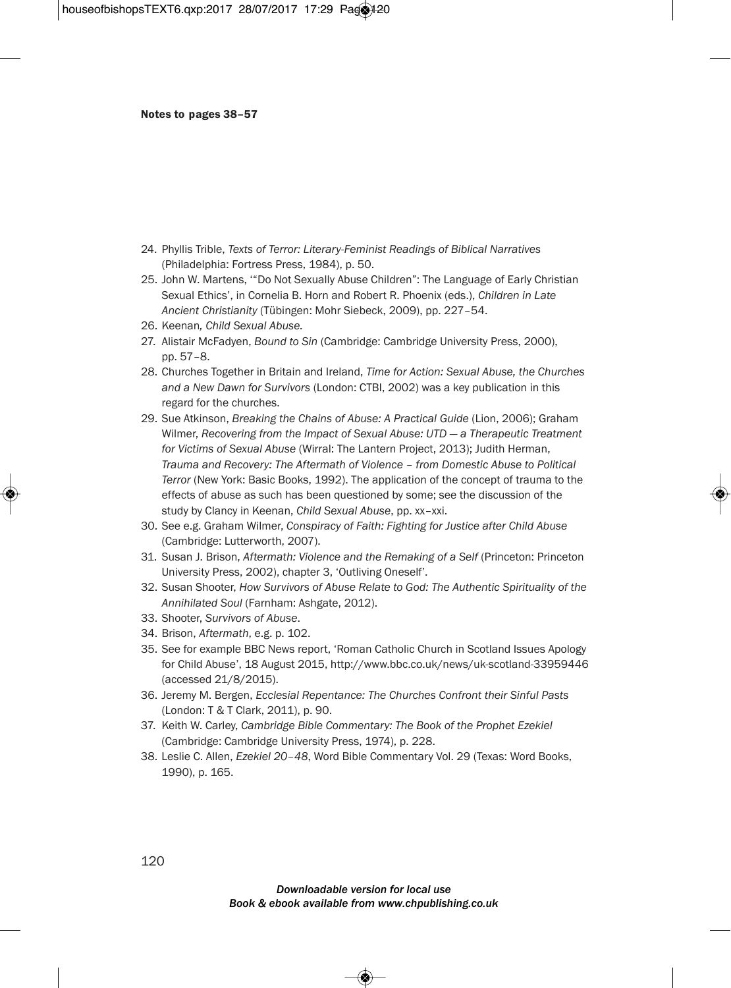- 24. Phyllis Trible, *Texts of Terror: Literary-Feminist Readings of Biblical Narratives* (Philadelphia: Fortress Press, 1984), p. 50.
- 25. John W. Martens, '"Do Not Sexually Abuse Children": The Language of Early Christian Sexual Ethics', in Cornelia B. Horn and Robert R. Phoenix (eds.), *Children in Late Ancient Christianity* (Tübingen: Mohr Siebeck, 2009), pp. 227–54.
- 26. Keenan*, Child Sexual Abuse.*
- 27. Alistair McFadyen, *Bound to Sin* (Cambridge: Cambridge University Press, 2000), pp. 57–8.
- 28. Churches Together in Britain and Ireland, *Time for Action: Sexual Abuse, the Churches and a New Dawn for Survivors* (London: CTBI, 2002) was a key publication in this regard for the churches.
- 29. Sue Atkinson, *Breaking the Chains of Abuse: A Practical Guide* (Lion, 2006); Graham Wilmer, *Recovering from the Impact of Sexual Abuse: UTD — a Therapeutic Treatment for Victims of Sexual Abuse* (Wirral: The Lantern Project, 2013); Judith Herman, *Trauma and Recovery: The Aftermath of Violence – from Domestic Abuse to Political Terror* (New York: Basic Books, 1992). The application of the concept of trauma to the effects of abuse as such has been questioned by some; see the discussion of the study by Clancy in Keenan, *Child Sexual Abuse*, pp. xx–xxi.
- 30. See e.g. Graham Wilmer, *Conspiracy of Faith: Fighting for Justice after Child Abuse* (Cambridge: Lutterworth, 2007).
- 31. Susan J. Brison, *Aftermath: Violence and the Remaking of a Self* (Princeton: Princeton University Press, 2002), chapter 3, 'Outliving Oneself'.
- 32. Susan Shooter, *How Survivors of Abuse Relate to God: The Authentic Spirituality of the Annihilated Soul* (Farnham: Ashgate, 2012).
- 33. Shooter, *Survivors of Abuse*.
- 34. Brison, *Aftermath*, e.g. p. 102.
- 35. See for example BBC News report, 'Roman Catholic Church in Scotland Issues Apology for Child Abuse', 18 August 2015, http://www.bbc.co.uk/news/uk-scotland-33959446 (accessed 21/8/2015).
- 36. Jeremy M. Bergen, *Ecclesial Repentance: The Churches Confront their Sinful Pasts* (London: T & T Clark, 2011), p. 90.
- 37. Keith W. Carley, *Cambridge Bible Commentary: The Book of the Prophet Ezekiel* (Cambridge: Cambridge University Press, 1974), p. 228.
- 38. Leslie C. Allen, *Ezekiel 20–48*, Word Bible Commentary Vol. 29 (Texas: Word Books, 1990), p. 165.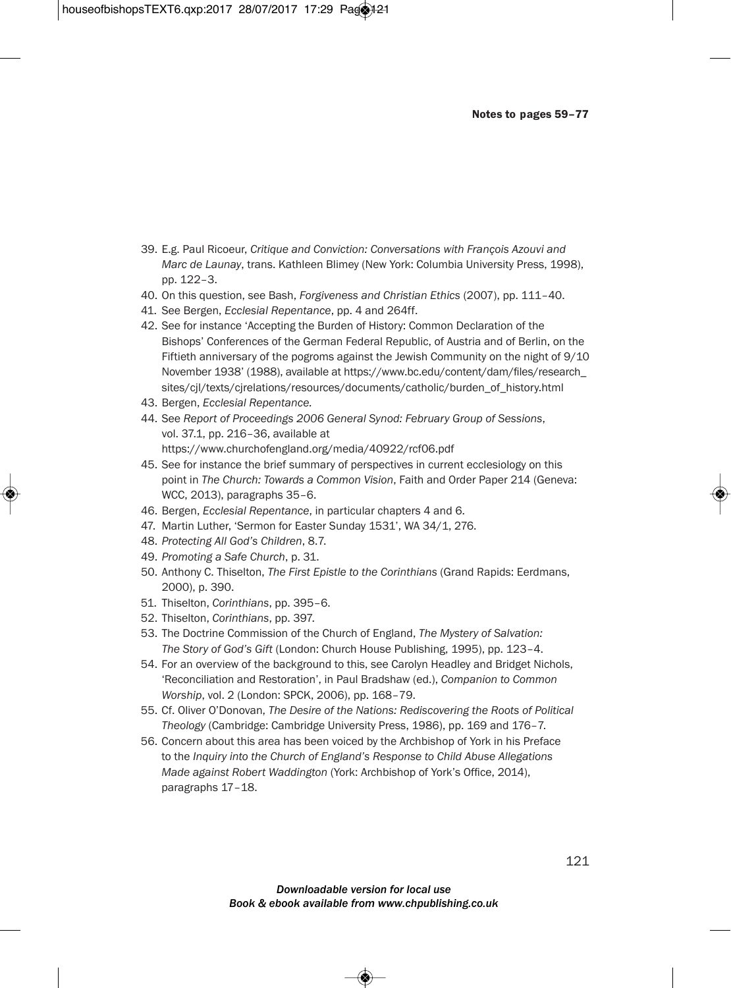- 39. E.g. Paul Ricoeur, *Critique and Conviction: Conversations with François Azouvi and Marc de Launay*, trans. Kathleen Blimey (New York: Columbia University Press, 1998), pp. 122–3.
- 40. On this question, see Bash, *Forgiveness and Christian Ethics* (2007), pp. 111–40.
- 41. See Bergen, *Ecclesial Repentance*, pp. 4 and 264ff.
- 42. See for instance 'Accepting the Burden of History: Common Declaration of the Bishops' Conferences of the German Federal Republic, of Austria and of Berlin, on the Fiftieth anniversary of the pogroms against the Jewish Community on the night of 9/10 November 1938' (1988), available at https://www.bc.edu/content/dam/files/research\_ sites/cjl/texts/cjrelations/resources/documents/catholic/burden\_of\_history.html
- 43. Bergen, *Ecclesial Repentance.*
- 44. See *Report of Proceedings 2006 General Synod: February Group of Sessions*, vol. 37.1, pp. 216–36, available at https://www.churchofengland.org/media/40922/rcf06.pdf
- 45. See for instance the brief summary of perspectives in current ecclesiology on this point in *The Church: Towards a Common Vision*, Faith and Order Paper 214 (Geneva: WCC, 2013), paragraphs 35–6.
- 46. Bergen, *Ecclesial Repentance*, in particular chapters 4 and 6.
- 47. Martin Luther, 'Sermon for Easter Sunday 1531', WA 34/1, 276.
- 48. *Protecting All God's Children*, 8.7.
- 49. *Promoting a Safe Church*, p. 31.
- 50. Anthony C. Thiselton, *The First Epistle to the Corinthians* (Grand Rapids: Eerdmans, 2000), p. 390.
- 51. Thiselton, *Corinthians*, pp. 395–6.
- 52. Thiselton, *Corinthians*, pp. 397.
- 53. The Doctrine Commission of the Church of England, *The Mystery of Salvation: The Story of God's Gift* (London: Church House Publishing, 1995), pp. 123–4.
- 54. For an overview of the background to this, see Carolyn Headley and Bridget Nichols, 'Reconciliation and Restoration', in Paul Bradshaw (ed.), *Companion to Common Worship*, vol. 2 (London: SPCK, 2006), pp. 168–79.
- 55. Cf. Oliver O'Donovan, *The Desire of the Nations: Rediscovering the Roots of Political Theology* (Cambridge: Cambridge University Press, 1986), pp. 169 and 176–7.
- 56. Concern about this area has been voiced by the Archbishop of York in his Preface to the *Inquiry into the Church of England's Response to Child Abuse Allegations Made against Robert Waddington* (York: Archbishop of York's Office, 2014), paragraphs 17–18.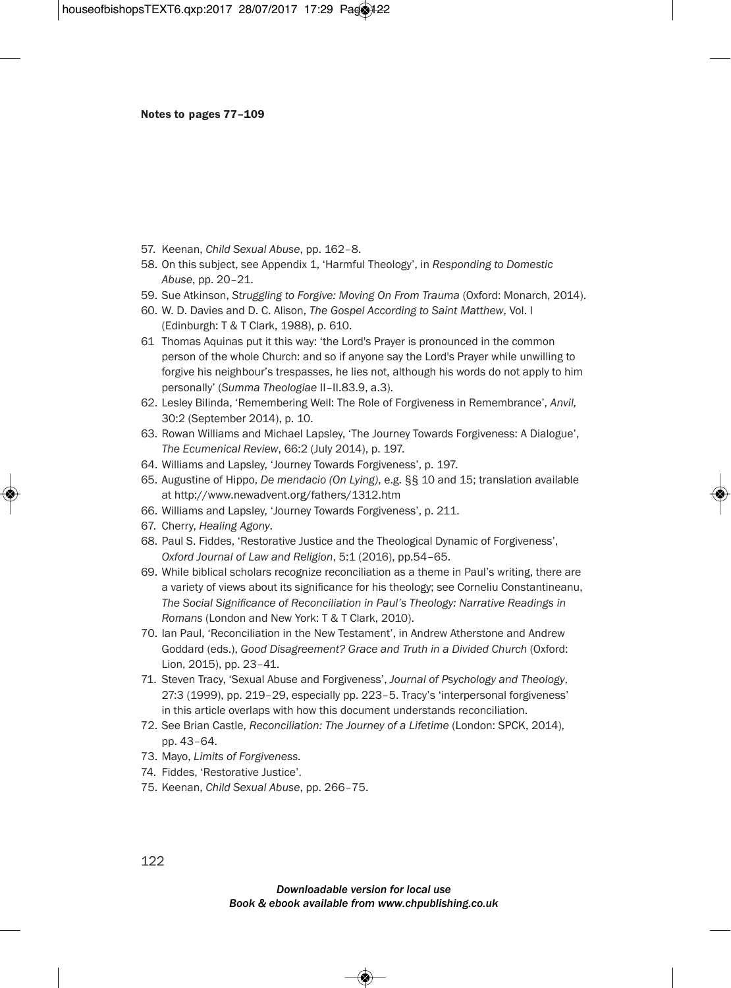- 57. Keenan, *Child Sexual Abuse*, pp. 162–8.
- 58. On this subject, see Appendix 1, 'Harmful Theology', in *Responding to Domestic Abuse*, pp. 20–21.
- 59. Sue Atkinson, *Struggling to Forgive: Moving On From Trauma* (Oxford: Monarch, 2014).
- 60. W. D. Davies and D. C. Alison, *The Gospel According to Saint Matthew*, Vol. I (Edinburgh: T & T Clark, 1988), p. 610.
- 61 Thomas Aquinas put it this way: 'the Lord's Prayer is pronounced in the common person of the whole Church: and so if anyone say the Lord's Prayer while unwilling to forgive his neighbour's trespasses, he lies not, although his words do not apply to him personally' (*Summa Theologiae* II–II.83.9, a.3).
- 62. Lesley Bilinda, 'Remembering Well: The Role of Forgiveness in Remembrance', *Anvil,* 30:2 (September 2014), p. 10.
- 63. Rowan Williams and Michael Lapsley, 'The Journey Towards Forgiveness: A Dialogue', *The Ecumenical Review*, 66:2 (July 2014), p. 197.
- 64. Williams and Lapsley, 'Journey Towards Forgiveness', p. 197.
- 65. Augustine of Hippo, *De mendacio (On Lying)*, e.g. §§ 10 and 15; translation available at http://www.newadvent.org/fathers/1312.htm
- 66. Williams and Lapsley, 'Journey Towards Forgiveness', p. 211.
- 67. Cherry, *Healing Agony*.
- 68. Paul S. Fiddes, 'Restorative Justice and the Theological Dynamic of Forgiveness', *Oxford Journal of Law and Religion*, 5:1 (2016), pp.54–65.
- 69. While biblical scholars recognize reconciliation as a theme in Paul's writing, there are a variety of views about its significance for his theology; see Corneliu Constantineanu, *The Social Significance of Reconciliation in Paul's Theology: Narrative Readings in Romans* (London and New York: T & T Clark, 2010).
- 70. Ian Paul, 'Reconciliation in the New Testament', in Andrew Atherstone and Andrew Goddard (eds.), *Good Disagreement? Grace and Truth in a Divided Church* (Oxford: Lion, 2015), pp. 23–41.
- 71. Steven Tracy, 'Sexual Abuse and Forgiveness', *Journal of Psychology and Theology*, 27:3 (1999), pp. 219–29, especially pp. 223–5. Tracy's 'interpersonal forgiveness' in this article overlaps with how this document understands reconciliation.
- 72. See Brian Castle, *Reconciliation: The Journey of a Lifetime* (London: SPCK, 2014), pp. 43–64.
- 73. Mayo, *Limits of Forgiveness.*
- 74. Fiddes, 'Restorative Justice'.
- 75. Keenan, *Child Sexual Abuse*, pp. 266–75.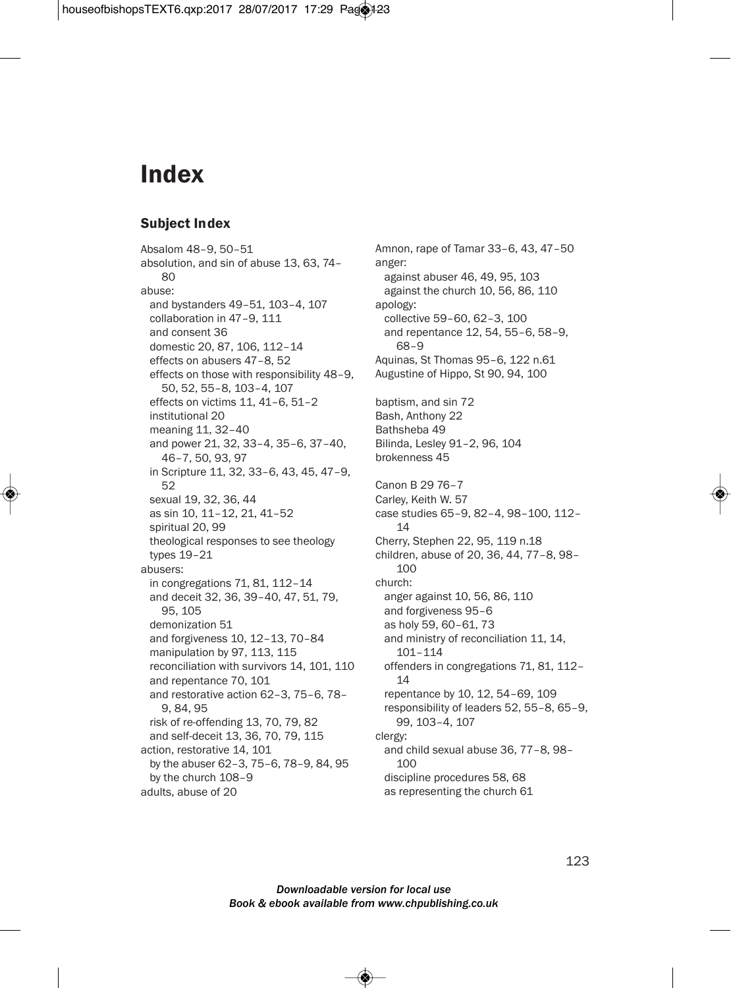## Index

#### Subject Index

Absalom 48–9, 50–51 absolution, and sin of abuse 13, 63, 74– 80 abuse: and bystanders 49–51, 103–4, 107 collaboration in 47–9, 111 and consent 36 domestic 20, 87, 106, 112–14 effects on abusers 47–8, 52 effects on those with responsibility 48–9, 50, 52, 55–8, 103–4, 107 effects on victims 11, 41–6, 51–2 institutional 20 meaning 11, 32–40 and power 21, 32, 33–4, 35–6, 37–40, 46–7, 50, 93, 97 in Scripture 11, 32, 33–6, 43, 45, 47–9, 52 sexual 19, 32, 36, 44 as sin 10, 11–12, 21, 41–52 spiritual 20, 99 theological responses to see theology types 19–21 abusers: in congregations 71, 81, 112–14 and deceit 32, 36, 39–40, 47, 51, 79, 95, 105 demonization 51 and forgiveness 10, 12–13, 70–84 manipulation by 97, 113, 115 reconciliation with survivors 14, 101, 110 and repentance 70, 101 and restorative action 62–3, 75–6, 78– 9, 84, 95 risk of re-offending 13, 70, 79, 82 and self-deceit 13, 36, 70, 79, 115 action, restorative 14, 101 by the abuser 62–3, 75–6, 78–9, 84, 95 by the church 108–9 adults, abuse of 20

Amnon, rape of Tamar 33–6, 43, 47–50 anger: against abuser 46, 49, 95, 103 against the church 10, 56, 86, 110 apology: collective 59–60, 62–3, 100 and repentance 12, 54, 55–6, 58–9, 68–9 Aquinas, St Thomas 95–6, 122 n.61 Augustine of Hippo, St 90, 94, 100 baptism, and sin 72 Bash, Anthony 22 Bathsheba 49 Bilinda, Lesley 91–2, 96, 104 brokenness 45 Canon B 29 76–7 Carley, Keith W. 57 case studies 65–9, 82–4, 98–100, 112– 14 Cherry, Stephen 22, 95, 119 n.18 children, abuse of 20, 36, 44, 77–8, 98– 100 church: anger against 10, 56, 86, 110 and forgiveness 95–6 as holy 59, 60–61, 73 and ministry of reconciliation 11, 14, 101–114 offenders in congregations 71, 81, 112– 14 repentance by 10, 12, 54–69, 109 responsibility of leaders 52, 55–8, 65–9, 99, 103–4, 107 clergy: and child sexual abuse 36, 77–8, 98– 100 discipline procedures 58, 68 as representing the church 61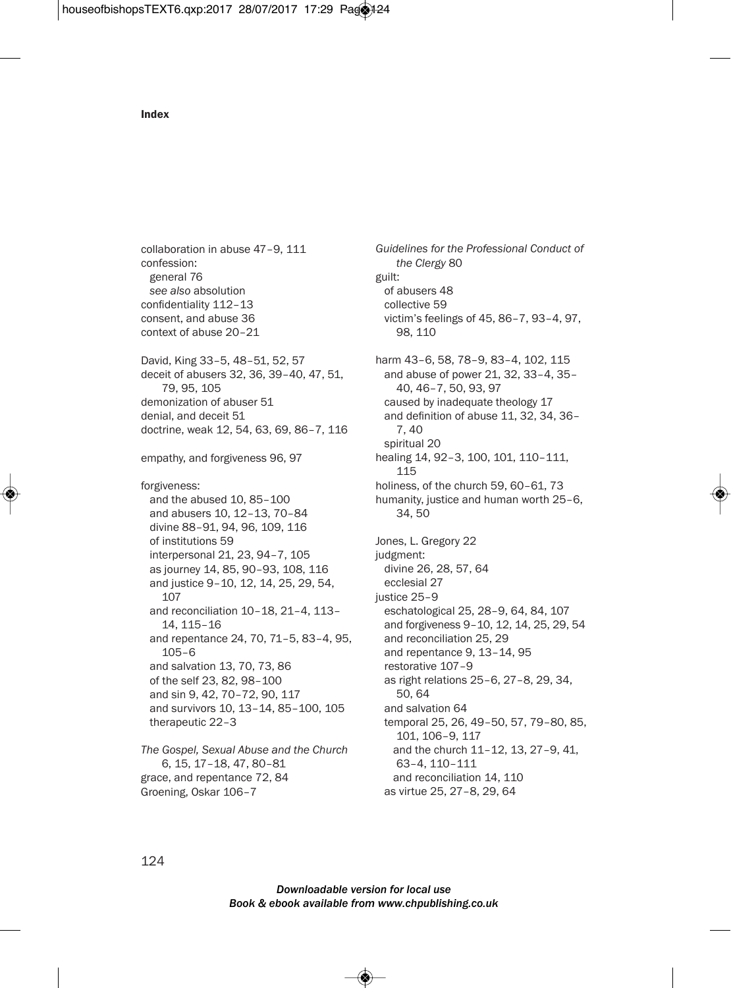collaboration in abuse 47–9, 111 confession: general 76 *see also* absolution confidentiality 112–13 consent, and abuse 36 context of abuse 20–21 David, King 33–5, 48–51, 52, 57 deceit of abusers 32, 36, 39–40, 47, 51, 79, 95, 105 demonization of abuser 51 denial, and deceit 51 doctrine, weak 12, 54, 63, 69, 86–7, 116 empathy, and forgiveness 96, 97 forgiveness: and the abused 10, 85–100 and abusers 10, 12–13, 70–84 divine 88–91, 94, 96, 109, 116 of institutions 59 interpersonal 21, 23, 94–7, 105 as journey 14, 85, 90–93, 108, 116 and justice 9–10, 12, 14, 25, 29, 54, 107 and reconciliation 10–18, 21–4, 113– 14, 115–16 and repentance 24, 70, 71–5, 83–4, 95, 105–6 and salvation 13, 70, 73, 86 of the self 23, 82, 98–100 and sin 9, 42, 70–72, 90, 117 and survivors 10, 13–14, 85–100, 105 therapeutic 22–3 *The Gospel, Sexual Abuse and the Church* 6, 15, 17–18, 47, 80–81 grace, and repentance 72, 84 Groening, Oskar 106–7

*Guidelines for the Professional Conduct of the Clergy* 80 guilt: of abusers 48 collective 59 victim's feelings of 45, 86–7, 93–4, 97, 98, 110 harm 43–6, 58, 78–9, 83–4, 102, 115 and abuse of power 21, 32, 33–4, 35– 40, 46–7, 50, 93, 97 caused by inadequate theology 17 and definition of abuse 11, 32, 34, 36– 7, 40 spiritual 20 healing 14, 92–3, 100, 101, 110–111, 115 holiness, of the church 59, 60-61, 73 humanity, justice and human worth 25–6, 34, 50 Jones, L. Gregory 22 judgment: divine 26, 28, 57, 64 ecclesial 27 justice 25–9 eschatological 25, 28–9, 64, 84, 107 and forgiveness 9–10, 12, 14, 25, 29, 54 and reconciliation 25, 29 and repentance 9, 13–14, 95 restorative 107–9 as right relations 25–6, 27–8, 29, 34, 50, 64 and salvation 64 temporal 25, 26, 49–50, 57, 79–80, 85, 101, 106–9, 117 and the church 11–12, 13, 27–9, 41, 63–4, 110–111 and reconciliation 14, 110 as virtue 25, 27–8, 29, 64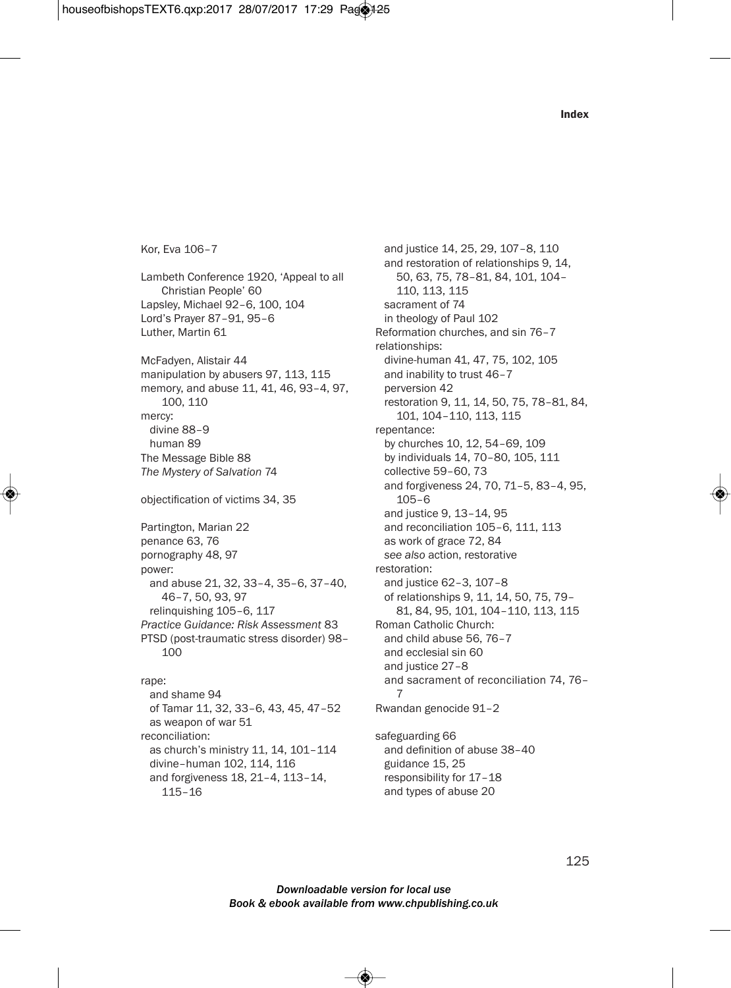Kor, Eva 106–7 Lambeth Conference 1920, 'Appeal to all Christian People' 60 Lapsley, Michael 92–6, 100, 104 Lord's Prayer 87–91, 95–6 Luther, Martin 61 McFadyen, Alistair 44 manipulation by abusers 97, 113, 115 memory, and abuse 11, 41, 46, 93–4, 97, 100, 110 mercy: divine 88–9 human 89 The Message Bible 88 *The Mystery of Salvation* 74 objectification of victims 34, 35 Partington, Marian 22 penance 63, 76 pornography 48, 97 power: and abuse 21, 32, 33–4, 35–6, 37–40, 46–7, 50, 93, 97 relinquishing 105–6, 117 *Practice Guidance: Risk Assessment* 83 PTSD (post-traumatic stress disorder) 98– 100 rape: and shame 94 of Tamar 11, 32, 33–6, 43, 45, 47–52 as weapon of war 51 reconciliation: as church's ministry 11, 14, 101–114 divine–human 102, 114, 116 and forgiveness 18, 21–4, 113–14, 115–16

and justice 14, 25, 29, 107–8, 110 and restoration of relationships 9, 14, 50, 63, 75, 78–81, 84, 101, 104– 110, 113, 115 sacrament of 74 in theology of Paul 102 Reformation churches, and sin 76–7 relationships: divine-human 41, 47, 75, 102, 105 and inability to trust 46–7 perversion 42 restoration 9, 11, 14, 50, 75, 78–81, 84, 101, 104–110, 113, 115 repentance: by churches 10, 12, 54–69, 109 by individuals 14, 70–80, 105, 111 collective 59–60, 73 and forgiveness 24, 70, 71–5, 83–4, 95, 105–6 and justice 9, 13–14, 95 and reconciliation 105–6, 111, 113 as work of grace 72, 84 *see also* action, restorative restoration: and justice 62–3, 107–8 of relationships 9, 11, 14, 50, 75, 79– 81, 84, 95, 101, 104–110, 113, 115 Roman Catholic Church: and child abuse 56, 76–7 and ecclesial sin 60 and justice 27–8 and sacrament of reconciliation 74, 76– 7 Rwandan genocide 91–2 safeguarding 66 and definition of abuse 38–40 guidance 15, 25 responsibility for 17–18

and types of abuse 20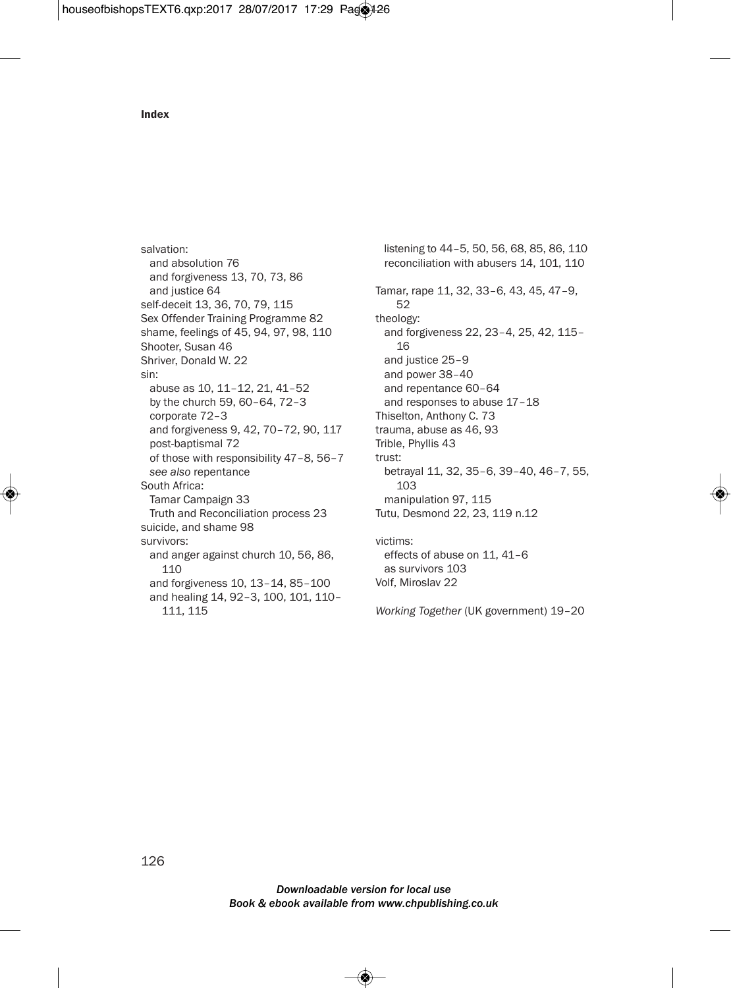salvation: and absolution 76 and forgiveness 13, 70, 73, 86 and justice 64 self-deceit 13, 36, 70, 79, 115 Sex Offender Training Programme 82 shame, feelings of 45, 94, 97, 98, 110 Shooter, Susan 46 Shriver, Donald W. 22 sin: abuse as 10, 11–12, 21, 41–52 by the church 59, 60–64, 72–3 corporate 72–3 and forgiveness 9, 42, 70–72, 90, 117 post-baptismal 72 of those with responsibility 47–8, 56–7 *see also* repentance South Africa: Tamar Campaign 33 Truth and Reconciliation process 23 suicide, and shame 98 survivors: and anger against church 10, 56, 86, 110 and forgiveness 10, 13–14, 85–100 and healing 14, 92–3, 100, 101, 110– 111, 115

listening to 44–5, 50, 56, 68, 85, 86, 110 reconciliation with abusers 14, 101, 110 Tamar, rape 11, 32, 33–6, 43, 45, 47–9, 52 theology: and forgiveness 22, 23–4, 25, 42, 115– 16 and justice 25-9 and power 38–40 and repentance 60–64 and responses to abuse 17–18 Thiselton, Anthony C. 73 trauma, abuse as 46, 93 Trible, Phyllis 43 trust: betrayal 11, 32, 35–6, 39–40, 46–7, 55, 103 manipulation 97, 115 Tutu, Desmond 22, 23, 119 n.12 victims: effects of abuse on 11, 41–6 as survivors 103 Volf, Miroslav 22

*Working Together* (UK government) 19–20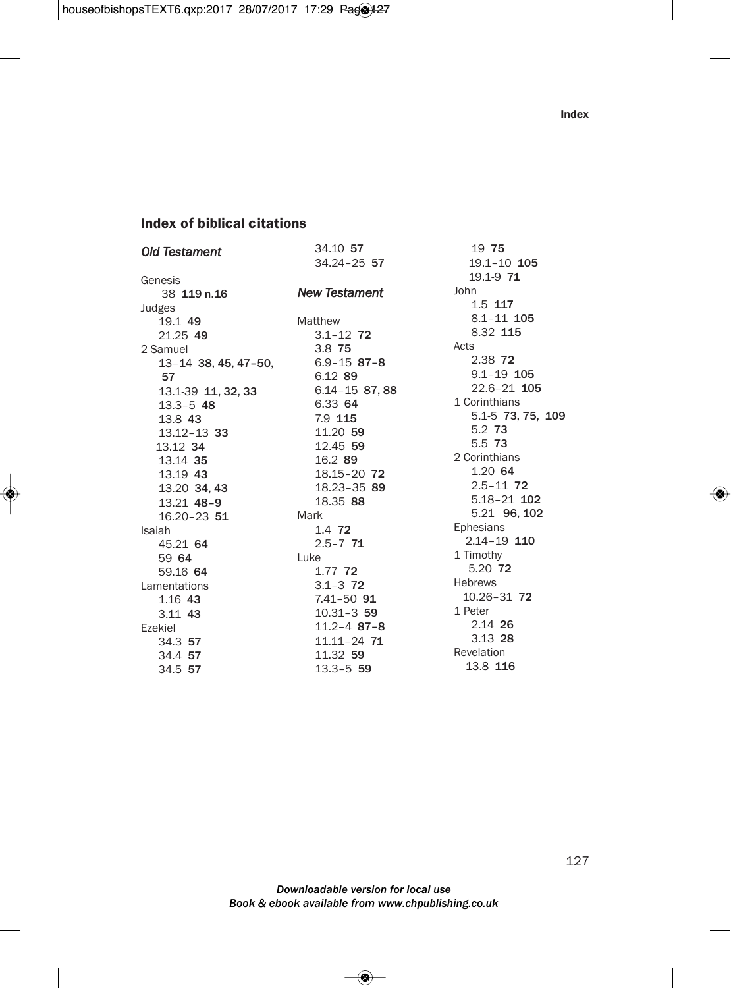#### Index of biblical citations

*Old Testament* Genesis 38 119 n.16 Judges 19.1 49 21.25 49 2 Samuel 13–14 38, 45, 47–50, 57 13.1-39 11, 32, 33 13.3–5 48 13.8 43 13.12–13 33 13.12 34 13.14 35 13.19 43 13.20 34, 43 13.21 48–9 16.20–23 51 Isaiah 45.21 64 59 64 59.16 64 Lamentations 1.16 43 3.11 43 Ezekiel 34.3 57 34.4 57 34.5 57

*New Testament* Matthew 3.1–12 72 3.8 75 6.9–15 87–8 6.12 89 6.14–15 87, 88 6.33 64 7.9 115 11.20 59 12.45 59 16.2 89 18.15–20 72 18.23–35 89 18.35 88 Mark 1.4 72  $2.5 - 7$  71 Luke 1.77 72 3.1–3 72 7.41–50 91 10.31–3 59 11.2–4 87–8 11.11–24 71 11.32 59 13.3–5 59

34.10 57 34.24–25 57

19 75 19.1–10 105 19.1-9 71 John 1.5 117 8.1–11 105 8.32 115 Acts 2.38 72 9.1–19 105 22.6–21 105 1 Corinthians 5.1-5 73, 75, 109 5.2 73 5.5 73 2 Corinthians 1.20 64 2.5–11 72 5.18–21 102 5.21 96, 102 Ephesians 2.14–19 110 1 Timothy 5.20 72 Hebrews 10.26–31 72 1 Peter 2.14 26 3.13 28 Revelation 13.8 116